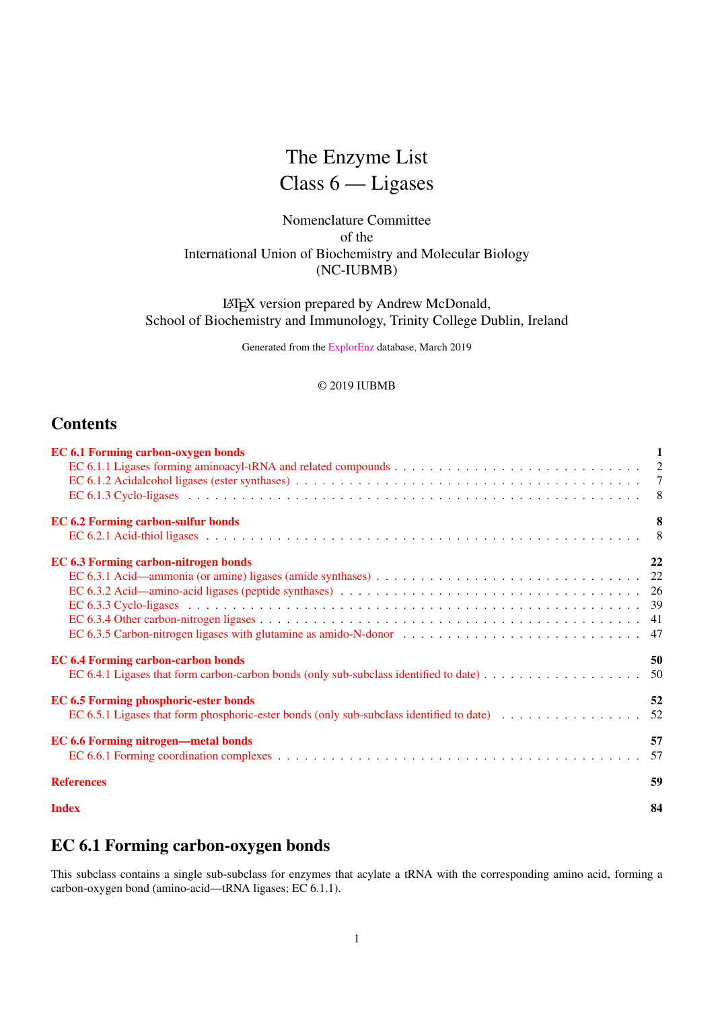## The Enzyme List Class 6 — Ligases

## Nomenclature Committee of the International Union of Biochemistry and Molecular Biology (NC-IUBMB)

LATEX version prepared by Andrew McDonald, School of Biochemistry and Immunology, Trinity College Dublin, Ireland

Generated from the [ExplorEnz](http://www.enzyme-database.org/) database, March 2019

## © 2019 IUBMB

## **Contents**

| <b>EC 6.1 Forming carbon-oxygen bonds</b>    | 1  |
|----------------------------------------------|----|
|                                              |    |
|                                              |    |
|                                              |    |
| <b>EC 6.2 Forming carbon-sulfur bonds</b>    | 8  |
|                                              |    |
| EC 6.3 Forming carbon-nitrogen bonds         | 22 |
|                                              |    |
|                                              |    |
|                                              |    |
|                                              |    |
|                                              |    |
| <b>EC 6.4 Forming carbon-carbon bonds</b>    | 50 |
|                                              |    |
| <b>EC 6.5 Forming phosphoric-ester bonds</b> | 52 |
|                                              |    |
| <b>EC 6.6 Forming nitrogen—metal bonds</b>   | 57 |
|                                              |    |
| <b>References</b>                            | 59 |
| <b>Index</b>                                 | 84 |

## <span id="page-0-0"></span>EC 6.1 Forming carbon-oxygen bonds

This subclass contains a single sub-subclass for enzymes that acylate a tRNA with the corresponding amino acid, forming a carbon-oxygen bond (amino-acid—tRNA ligases; EC 6.1.1).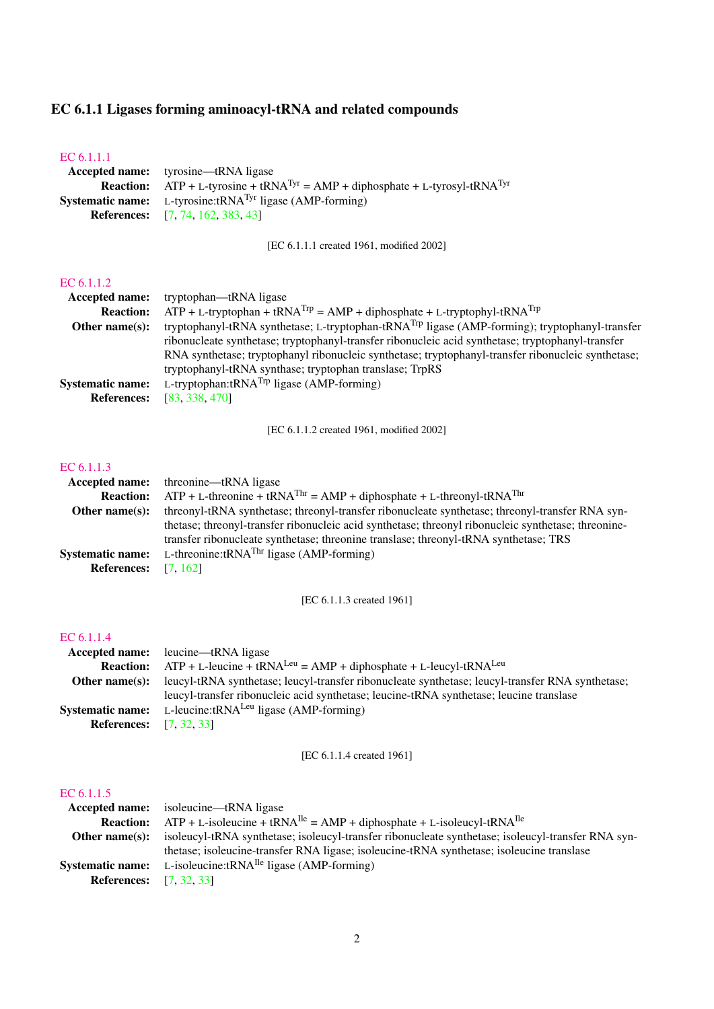## <span id="page-1-0"></span>EC 6.1.1 Ligases forming aminoacyl-tRNA and related compounds

## [EC 6.1.1.1](http://www.enzyme-database.org/query.php?ec=6.1.1.1)

| <b>Accepted name:</b> tyrosine—tRNA ligase                                                                  |
|-------------------------------------------------------------------------------------------------------------|
| <b>Reaction:</b> ATP + L-tyrosine + tRNA <sup>Tyr</sup> = AMP + diphosphate + L-tyrosyl-tRNA <sup>Tyr</sup> |
| <b>Systematic name:</b> L-tyrosine: $tRNATyr$ ligase (AMP-forming)                                          |
| <b>References:</b> [7, 74, 162, 383, 43]                                                                    |

[EC 6.1.1.1 created 1961, modified 2002]

## [EC 6.1.1.2](http://www.enzyme-database.org/query.php?ec=6.1.1.2)

| <b>Accepted name:</b>   | tryptophan—tRNA ligase                                                                                     |
|-------------------------|------------------------------------------------------------------------------------------------------------|
| <b>Reaction:</b>        | $ATP + L$ -tryptophan + tRNA <sup>Trp</sup> = AMP + diphosphate + L-tryptophyl-tRNA <sup>Trp</sup>         |
| Other name $(s)$ :      | tryptophanyl-tRNA synthetase; L-tryptophan-tRNA <sup>Trp</sup> ligase (AMP-forming); tryptophanyl-transfer |
|                         | ribonucleate synthetase; tryptophanyl-transfer ribonucleic acid synthetase; tryptophanyl-transfer          |
|                         | RNA synthetase; tryptophanyl ribonucleic synthetase; tryptophanyl-transfer ribonucleic synthetase;         |
|                         | tryptophanyl-tRNA synthase; tryptophan translase; TrpRS                                                    |
| <b>Systematic name:</b> | L-tryptophan: $tRNA^{Trp}$ ligase (AMP-forming)                                                            |
| <b>References:</b>      | [83, 338, 470]                                                                                             |

[EC 6.1.1.2 created 1961, modified 2002]

## [EC 6.1.1.3](http://www.enzyme-database.org/query.php?ec=6.1.1.3)

|                         | <b>Accepted name:</b> threonine—tRNA ligase                                                          |
|-------------------------|------------------------------------------------------------------------------------------------------|
| <b>Reaction:</b>        | $ATP + L$ -threonine + tRNA <sup>Thr</sup> = AMP + diphosphate + L-threonyl-tRNA <sup>Thr</sup>      |
| Other name $(s)$ :      | three only the synthetise; three only transfer ribonucleate synthetise; three only transfer RNA syn- |
|                         | thetase; threonyl-transfer ribonucleic acid synthetase; threonyl ribonucleic synthetase; threonine-  |
|                         | transfer ribonucleate synthetase; threonine translase; threonyl-tRNA synthetase; TRS                 |
| <b>Systematic name:</b> | L-threonine: $tRNA^{Thr}$ ligase (AMP-forming)                                                       |
| <b>References:</b>      | [7, 162]                                                                                             |

[EC 6.1.1.3 created 1961]

## [EC 6.1.1.4](http://www.enzyme-database.org/query.php?ec=6.1.1.4)

| <b>Accepted name:</b> leucine—tRNA ligase                                                        |
|--------------------------------------------------------------------------------------------------|
| $ATP + L$ -leucine + tRNA <sup>Leu</sup> = AMP + diphosphate + L-leucyl-tRNA <sup>Leu</sup>      |
| leucyl-tRNA synthetase; leucyl-transfer ribonucleate synthetase; leucyl-transfer RNA synthetase; |
| leucyl-transfer ribonucleic acid synthetase; leucine-tRNA synthetase; leucine translase          |
| <b>Systematic name:</b> L-leucine: $tRNA^{Leu}$ ligase (AMP-forming)                             |
| <b>References:</b> [7, 32, 33]                                                                   |
|                                                                                                  |

[EC 6.1.1.4 created 1961]

| <b>Accepted name:</b> isoleucine—tRNA ligase                                                       |
|----------------------------------------------------------------------------------------------------|
| $ATP + L$ -isoleucine + tRNA <sup>Ile</sup> = AMP + diphosphate + L-isoleucyl-tRNA <sup>Ile</sup>  |
| isoleucyl-tRNA synthetase; isoleucyl-transfer ribonucleate synthetase; isoleucyl-transfer RNA syn- |
| thetase; isoleucine-transfer RNA ligase; isoleucine-tRNA synthetase; isoleucine translase          |
| <b>Systematic name:</b> L-isoleucine:tRNA <sup>Ile</sup> ligase (AMP-forming)                      |
| <b>References:</b> [7, 32, 33]                                                                     |
|                                                                                                    |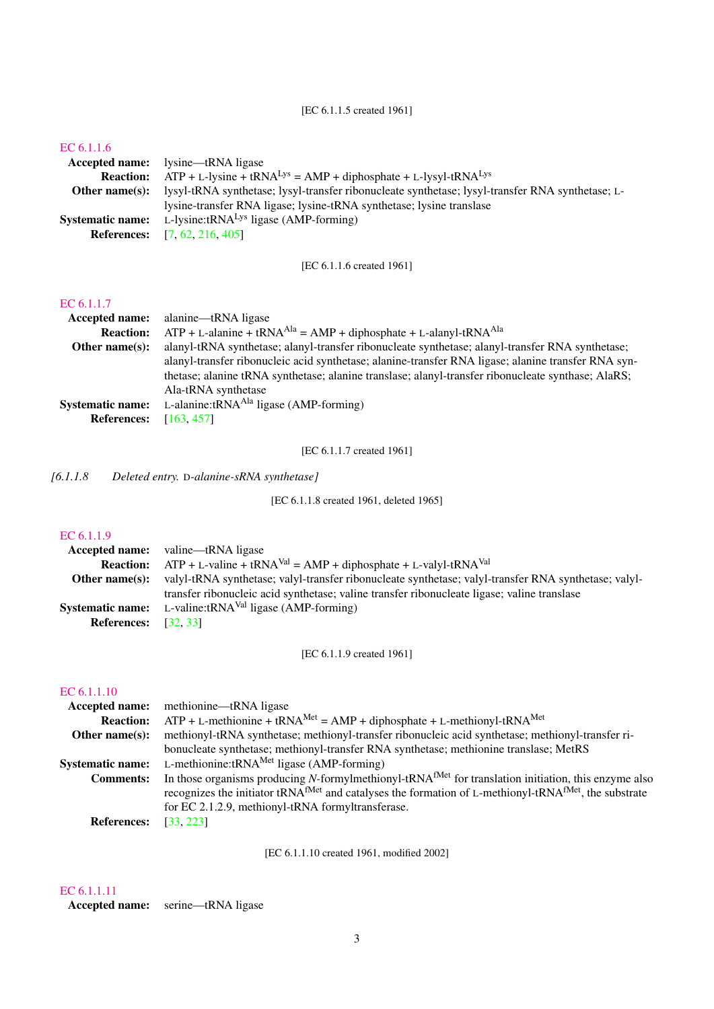## [EC 6.1.1.5 created 1961]

## [EC 6.1.1.6](http://www.enzyme-database.org/query.php?ec=6.1.1.6)

|                         | <b>Accepted name:</b> lysine—tRNA ligase                                                                               |
|-------------------------|------------------------------------------------------------------------------------------------------------------------|
| <b>Reaction:</b>        | $ATP + L-lysine + tRNALys = AMP + diphosphate + L-lysyl-tRNALys$                                                       |
|                         | <b>Other name(s):</b> lysyl-tRNA synthetase; lysyl-transfer ribonucleate synthetase; lysyl-transfer RNA synthetase; L- |
|                         | lysine-transfer RNA ligase; lysine-tRNA synthetase; lysine translase                                                   |
| <b>Systematic name:</b> | L-lysine: $tRNALys$ ligase (AMP-forming)                                                                               |
|                         | <b>References:</b> [7, 62, 216, 405]                                                                                   |

[EC 6.1.1.6 created 1961]

## [EC 6.1.1.7](http://www.enzyme-database.org/query.php?ec=6.1.1.7)

| <b>Accepted name:</b>   | alanine—tRNA ligase                                                                                 |
|-------------------------|-----------------------------------------------------------------------------------------------------|
| <b>Reaction:</b>        | $ATP + L$ -alanine + tRNA <sup>Ala</sup> = AMP + diphosphate + L-alanyl-tRNA <sup>Ala</sup>         |
| Other name $(s)$ :      | alanyl-tRNA synthetase; alanyl-transfer ribonucleate synthetase; alanyl-transfer RNA synthetase;    |
|                         | alanyl-transfer ribonucleic acid synthetase; alanine-transfer RNA ligase; alanine transfer RNA syn- |
|                         | thetase; alanine tRNA synthetase; alanine translase; alanyl-transfer ribonucleate synthase; AlaRS;  |
|                         | Ala-tRNA synthetase                                                                                 |
| <b>Systematic name:</b> | L-alanine: $tRNAAla$ ligase (AMP-forming)                                                           |
| <b>References:</b>      | [163, 457]                                                                                          |

[EC 6.1.1.7 created 1961]

*[6.1.1.8 Deleted entry.* D*-alanine-sRNA synthetase]*

[EC 6.1.1.8 created 1961, deleted 1965]

## [EC 6.1.1.9](http://www.enzyme-database.org/query.php?ec=6.1.1.9)

|                             | <b>Accepted name:</b> valine—tRNA ligase                                                             |
|-----------------------------|------------------------------------------------------------------------------------------------------|
| <b>Reaction:</b>            | $ATP + L-value + tRNAVal = AMP + diphosphate + L-valueVal + tRNAVal$                                 |
| Other name $(s)$ :          | valyl-tRNA synthetase; valyl-transfer ribonucleate synthetase; valyl-transfer RNA synthetase; valyl- |
|                             | transfer ribonucleic acid synthetase; valine transfer ribonucleate ligase; valine translase          |
| <b>Systematic name:</b>     | L-valine: $tRNAVal$ ligase (AMP-forming)                                                             |
| <b>References:</b> [32, 33] |                                                                                                      |

[EC 6.1.1.9 created 1961]

## [EC 6.1.1.10](http://www.enzyme-database.org/query.php?ec=6.1.1.10)

|                         | <b>Accepted name:</b> methionine—tRNA ligase                                                                                                                                                                                                      |
|-------------------------|---------------------------------------------------------------------------------------------------------------------------------------------------------------------------------------------------------------------------------------------------|
| <b>Reaction:</b>        | $ATP + L$ -methionine + tRNA <sup>Met</sup> = AMP + diphosphate + L-methionyl-tRNA <sup>Met</sup>                                                                                                                                                 |
| Other name $(s)$ :      | methionyl-tRNA synthetase; methionyl-transfer ribonucleic acid synthetase; methionyl-transfer ri-                                                                                                                                                 |
|                         | bonucleate synthetase; methionyl-transfer RNA synthetase; methionine translase; MetRS                                                                                                                                                             |
| <b>Systematic name:</b> | L-methionine: $tRNAMet$ ligase (AMP-forming)                                                                                                                                                                                                      |
| <b>Comments:</b>        | In those organisms producing N-formylmethionyl-tRNA <sup>fMet</sup> for translation initiation, this enzyme also<br>recognizes the initiator tRNA <sup>fMet</sup> and catalyses the formation of L-methionyl-tRNA <sup>fMet</sup> , the substrate |
| <b>References:</b>      | for EC 2.1.2.9, methionyl-tRNA formyltransferase.<br>[33, 223]                                                                                                                                                                                    |

[EC 6.1.1.10 created 1961, modified 2002]

## [EC 6.1.1.11](http://www.enzyme-database.org/query.php?ec=6.1.1.11)

Accepted name: serine—tRNA ligase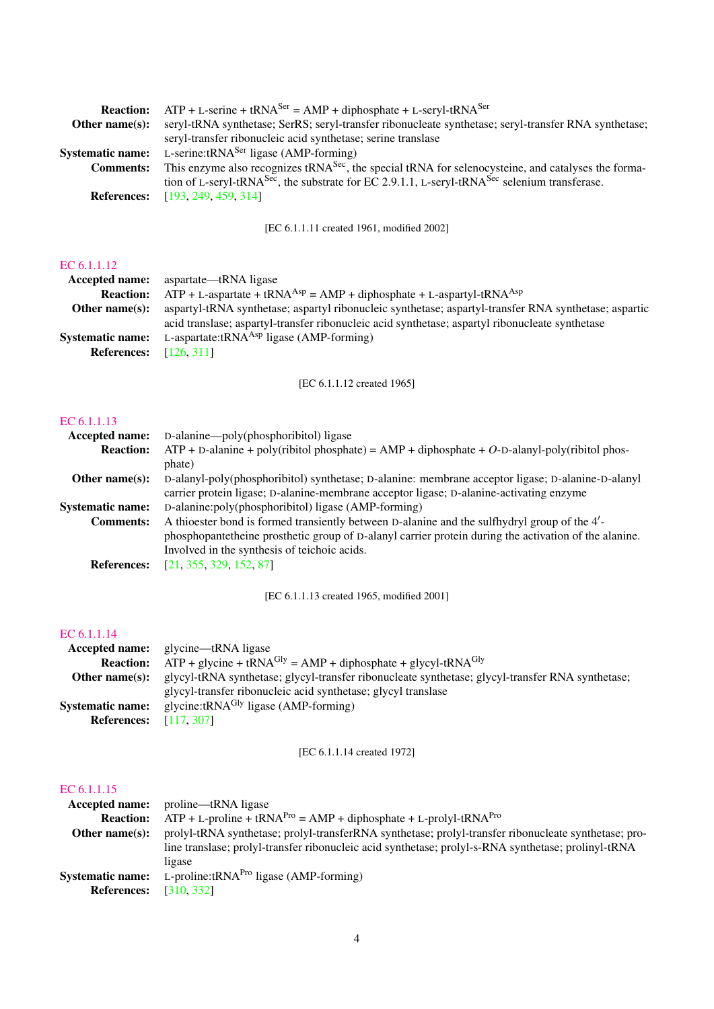| <b>Reaction:</b>        | $ATP + L$ -serine + tRNA <sup>Ser</sup> = AMP + diphosphate + L-seryl-tRNA <sup>Ser</sup>                             |
|-------------------------|-----------------------------------------------------------------------------------------------------------------------|
| Other name $(s)$ :      | seryl-tRNA synthetase; SerRS; seryl-transfer ribonucleate synthetase; seryl-transfer RNA synthetase;                  |
|                         | seryl-transfer ribonucleic acid synthetase; serine translase                                                          |
| <b>Systematic name:</b> | L-serine: $tRNA^{Ser}$ ligase (AMP-forming)                                                                           |
| <b>Comments:</b>        | This enzyme also recognizes tRNA <sup>Sec</sup> , the special tRNA for selenocysteine, and catalyses the forma-       |
|                         | tion of L-seryl-tRNA <sup>Sec</sup> , the substrate for EC 2.9.1.1, L-seryl-tRNA <sup>Sec</sup> selenium transferase. |
|                         | <b>References:</b> [193, 249, 459, 314]                                                                               |
|                         |                                                                                                                       |

[EC 6.1.1.11 created 1961, modified 2002]

## [EC 6.1.1.12](http://www.enzyme-database.org/query.php?ec=6.1.1.12)

| <b>Accepted name:</b>   | aspartate—tRNA ligase                                                                                 |
|-------------------------|-------------------------------------------------------------------------------------------------------|
| <b>Reaction:</b>        | $ATP + L$ -aspartate + tRNA <sup>Asp</sup> = AMP + diphosphate + L-aspartyl-tRNA <sup>Asp</sup>       |
| Other name $(s)$ :      | aspartyl-tRNA synthetase; aspartyl ribonucleic synthetase; aspartyl-transfer RNA synthetase; aspartic |
|                         | acid translase; aspartyl-transfer ribonucleic acid synthetase; aspartyl ribonucleate synthetase       |
| <b>Systematic name:</b> | L-aspartate:tRNA $^{Asp}$ ligase (AMP-forming)                                                        |
| <b>References:</b>      | [126.311]                                                                                             |
|                         |                                                                                                       |

[EC 6.1.1.12 created 1965]

## [EC 6.1.1.13](http://www.enzyme-database.org/query.php?ec=6.1.1.13)

| <b>Accepted name:</b>   | D-alanine—poly(phosphoribitol) ligase                                                                 |
|-------------------------|-------------------------------------------------------------------------------------------------------|
| <b>Reaction:</b>        | $ATP + D$ -alanine + poly(ribitol phosphate) = $AMP + diphosphate + O$ -D-alanyl-poly(ribitol phos-   |
|                         | phate)                                                                                                |
| Other name $(s)$ :      | D-alanyl-poly(phosphoribitol) synthetase; D-alanine: membrane acceptor ligase; D-alanine-D-alanyl     |
|                         | carrier protein ligase; D-alanine-membrane acceptor ligase; D-alanine-activating enzyme               |
| <b>Systematic name:</b> | D-alanine:poly(phosphoribitol) ligase (AMP-forming)                                                   |
| <b>Comments:</b>        | A thioester bond is formed transiently between D-alanine and the sulfhydryl group of the 4'-          |
|                         | phosphopantetheine prosthetic group of D-alanyl carrier protein during the activation of the alanine. |
|                         | Involved in the synthesis of teichoic acids.                                                          |
| <b>References:</b>      | [21, 355, 329, 152, 87]                                                                               |

[EC 6.1.1.13 created 1965, modified 2001]

## [EC 6.1.1.14](http://www.enzyme-database.org/query.php?ec=6.1.1.14)

|                         | <b>Accepted name:</b> glycine—tRNA ligase                                                        |
|-------------------------|--------------------------------------------------------------------------------------------------|
| <b>Reaction:</b>        | $ATP +$ glycine + tRNA <sup>Gly</sup> = AMP + diphosphate + glycyl-tRNA <sup>Gly</sup>           |
| Other name $(s)$ :      | glycyl-tRNA synthetase; glycyl-transfer ribonucleate synthetase; glycyl-transfer RNA synthetase; |
|                         | glycyl-transfer ribonucleic acid synthetase; glycyl translase                                    |
| <b>Systematic name:</b> | glycine: $tRNAGly$ ligase (AMP-forming)                                                          |
| <b>References:</b>      | [117, 307]                                                                                       |

[EC 6.1.1.14 created 1972]

| <b>Accepted name:</b>   | proline—tRNA ligase                                                                                  |
|-------------------------|------------------------------------------------------------------------------------------------------|
| <b>Reaction:</b>        | $ATP + L$ -proline + tRNA <sup>Pro</sup> = AMP + diphosphate + L-prolyl-tRNA <sup>Pro</sup>          |
| Other name $(s)$ :      | prolyl-tRNA synthetase; prolyl-transferRNA synthetase; prolyl-transfer ribonucleate synthetase; pro- |
|                         | line translase; prolyl-transfer ribonucleic acid synthetase; prolyl-s-RNA synthetase; prolinyl-tRNA  |
|                         | ligase                                                                                               |
| <b>Systematic name:</b> | L-proline: $tRNAPro$ ligase (AMP-forming)                                                            |
| <b>References:</b>      | [310, 332]                                                                                           |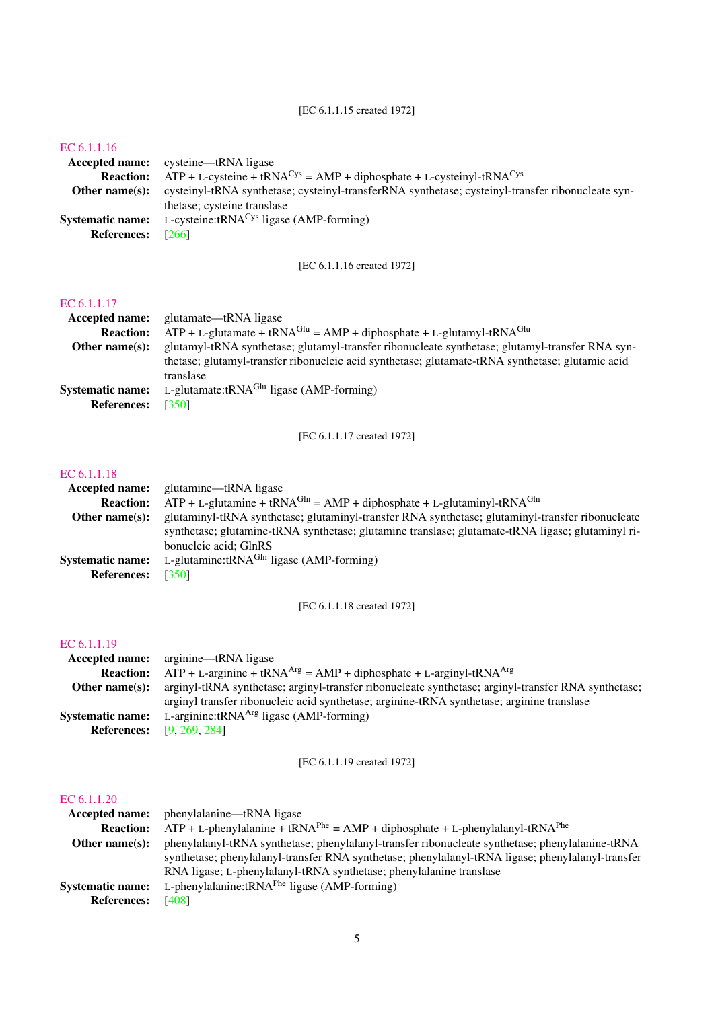## [EC 6.1.1.15 created 1972]

## [EC 6.1.1.16](http://www.enzyme-database.org/query.php?ec=6.1.1.16)

|                         | Accepted name: cysteine—tRNA ligase                                                               |
|-------------------------|---------------------------------------------------------------------------------------------------|
| <b>Reaction:</b>        | $ATP + L-cysteine + tRNACys = AMP + diphosphate + L-cysteinyl-tRNACys$                            |
| Other name $(s)$ :      | cysteinyl-tRNA synthetase; cysteinyl-transferRNA synthetase; cysteinyl-transfer ribonucleate syn- |
|                         | thetase; cysteine translase                                                                       |
| <b>Systematic name:</b> | L-cysteine: $tRNACys$ ligase (AMP-forming)                                                        |
| <b>References:</b>      | [266]                                                                                             |

[EC 6.1.1.16 created 1972]

## [EC 6.1.1.17](http://www.enzyme-database.org/query.php?ec=6.1.1.17)

| $ATP + L$ -glutamate + tRNA <sup>Glu</sup> = AMP + diphosphate + L-glutamyl-tRNA <sup>Glu</sup>  |
|--------------------------------------------------------------------------------------------------|
| glutamyl-tRNA synthetase; glutamyl-transfer ribonucleate synthetase; glutamyl-transfer RNA syn-  |
| thetase; glutamyl-transfer ribonucleic acid synthetase; glutamate-tRNA synthetase; glutamic acid |
|                                                                                                  |
|                                                                                                  |
|                                                                                                  |
|                                                                                                  |

[EC 6.1.1.17 created 1972]

### [EC 6.1.1.18](http://www.enzyme-database.org/query.php?ec=6.1.1.18)

| <b>Accepted name:</b>   | glutamine—tRNA ligase                                                                             |
|-------------------------|---------------------------------------------------------------------------------------------------|
| <b>Reaction:</b>        | $ATP + L$ -glutamine + tRNA <sup>Gln</sup> = AMP + diphosphate + L-glutaminyl-tRNA <sup>Gln</sup> |
| Other name $(s)$ :      | glutaminyl-tRNA synthetase; glutaminyl-transfer RNA synthetase; glutaminyl-transfer ribonucleate  |
|                         | synthetase; glutamine-tRNA synthetase; glutamine translase; glutamate-tRNA ligase; glutaminyl ri- |
|                         | bonucleic acid; GlnRS                                                                             |
| <b>Systematic name:</b> | L-glutamine: $tRNAGln$ ligase (AMP-forming)                                                       |
| <b>References:</b>      | [350]                                                                                             |

[EC 6.1.1.18 created 1972]

## [EC 6.1.1.19](http://www.enzyme-database.org/query.php?ec=6.1.1.19)

|                         | <b>Accepted name:</b> arginine—tRNA ligase                                                          |
|-------------------------|-----------------------------------------------------------------------------------------------------|
| <b>Reaction:</b>        | $ATP + L$ -arginine + tRNA <sup>Arg</sup> = AMP + diphosphate + L-arginyl-tRNA <sup>Arg</sup>       |
| Other name $(s)$ :      | arginyl-tRNA synthetase; arginyl-transfer ribonucleate synthetase; arginyl-transfer RNA synthetase; |
|                         | arginyl transfer ribonucleic acid synthetase; arginine-tRNA synthetase; arginine translase          |
| <b>Systematic name:</b> | L-arginine: $tRNAArg$ ligase (AMP-forming)                                                          |
|                         | <b>References:</b> [9, 269, 284]                                                                    |

[EC 6.1.1.19 created 1972]

| phenylalanine—tRNA ligase                                                                               |
|---------------------------------------------------------------------------------------------------------|
| $ATP + L$ -phenylalanine + tRNA <sup>Phe</sup> = AMP + diphosphate + L-phenylalanyl-tRNA <sup>Phe</sup> |
| phenylalanyl-tRNA synthetase; phenylalanyl-transfer ribonucleate synthetase; phenylalanine-tRNA         |
| synthetase; phenylalanyl-transfer RNA synthetase; phenylalanyl-tRNA ligase; phenylalanyl-transfer       |
| RNA ligase; L-phenylalanyl-tRNA synthetase; phenylalanine translase                                     |
| L-phenylalanine: $tRNAPhe$ ligase (AMP-forming)                                                         |
| [408]                                                                                                   |
|                                                                                                         |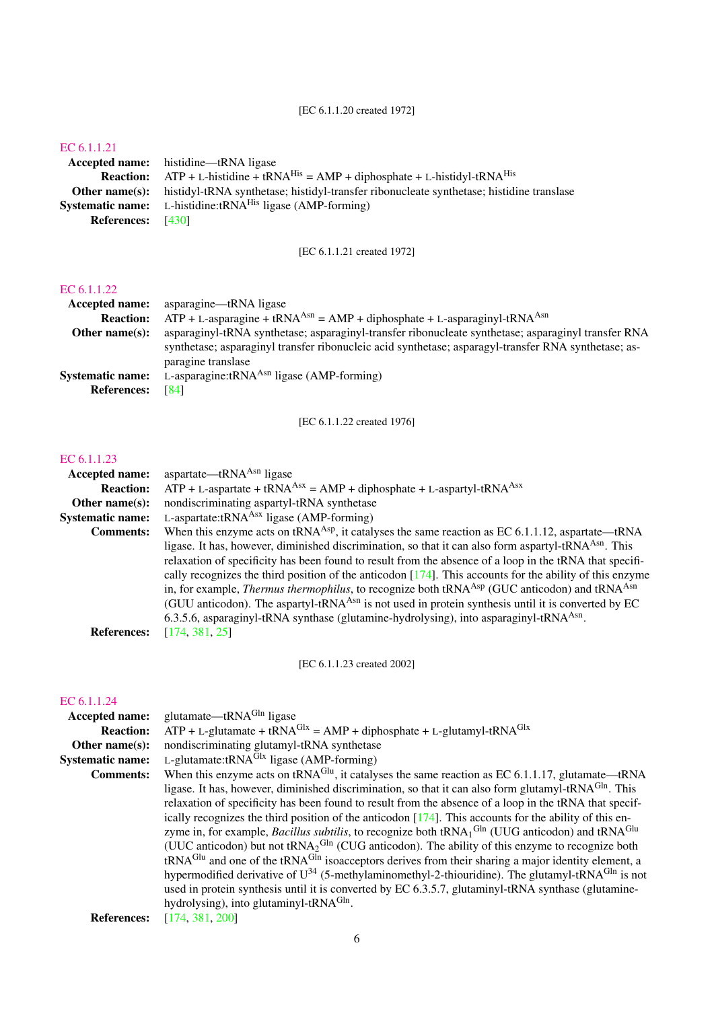## [EC 6.1.1.20 created 1972]

## [EC 6.1.1.21](http://www.enzyme-database.org/query.php?ec=6.1.1.21)

Accepted name: histidine—tRNA ligase **Reaction:** ATP + L-histidine + tRNA<sup>His</sup> = AMP + diphosphate + L-histidyl-tRNA<sup>His</sup> **Other name(s):** histidyl-tRNA synthetase; histidyl-transfer ribonucleate synthetase; histidine translase Systematic name: L-histidine:tRNA<sup>His</sup> ligase (AMP-forming) References: [\[430\]](#page-79-0)

[EC 6.1.1.21 created 1972]

## [EC 6.1.1.22](http://www.enzyme-database.org/query.php?ec=6.1.1.22)

| Accepted name:          | asparagine—tRNA ligase                                                                               |
|-------------------------|------------------------------------------------------------------------------------------------------|
| <b>Reaction:</b>        | $ATP + L$ -asparagine + tRNA <sup>Asn</sup> = AMP + diphosphate + L-asparaginyl-tRNA <sup>Asn</sup>  |
| Other name $(s)$ :      | asparaginyl-tRNA synthetase; asparaginyl-transfer ribonucleate synthetase; asparaginyl transfer RNA  |
|                         | synthetase; asparaginyl transfer ribonucleic acid synthetase; asparagyl-transfer RNA synthetase; as- |
|                         | paragine translase                                                                                   |
| <b>Systematic name:</b> | L-asparagine: $tRNAAsn$ ligase (AMP-forming)                                                         |
| <b>References:</b>      | [84]                                                                                                 |

[EC 6.1.1.22 created 1976]

## [EC 6.1.1.23](http://www.enzyme-database.org/query.php?ec=6.1.1.23)

| <b>Accepted name:</b>   | aspartate—tRN $A^{Asn}$ ligase                                                                                               |
|-------------------------|------------------------------------------------------------------------------------------------------------------------------|
| <b>Reaction:</b>        | $ATP + L$ -aspartate + tRNA <sup>Asx</sup> = AMP + diphosphate + L-aspartyl-tRNA <sup>Asx</sup>                              |
| Other name $(s)$ :      | nondiscriminating aspartyl-tRNA synthetase                                                                                   |
| <b>Systematic name:</b> | L-aspartate: $tRNAAsx$ ligase (AMP-forming)                                                                                  |
| <b>Comments:</b>        | When this enzyme acts on tRNA <sup>Asp</sup> , it catalyses the same reaction as EC 6.1.1.12, aspartate—tRNA                 |
|                         | ligase. It has, however, diminished discrimination, so that it can also form aspartyl-tRNA <sup>Asn</sup> . This             |
|                         | relaxation of specificity has been found to result from the absence of a loop in the tRNA that specifi-                      |
|                         | cally recognizes the third position of the anticodon $[174]$ . This accounts for the ability of this enzyme                  |
|                         | in, for example, <i>Thermus thermophilus</i> , to recognize both tRNA <sup>Asp</sup> (GUC anticodon) and tRNA <sup>Asn</sup> |
|                         | (GUU anticodon). The aspartyl-tRNA <sup>Asn</sup> is not used in protein synthesis until it is converted by EC               |
|                         | 6.3.5.6, asparaginyl-tRNA synthase (glutamine-hydrolysing), into asparaginyl-tRNA <sup>Asn</sup> .                           |
| <b>References:</b>      | [174, 381, 25]                                                                                                               |
|                         |                                                                                                                              |

[EC 6.1.1.23 created 2002]

| Accepted name:          | glutamate—tRNA $Gln$ ligase                                                                                                                    |
|-------------------------|------------------------------------------------------------------------------------------------------------------------------------------------|
| <b>Reaction:</b>        | $ATP + L$ -glutamate + tRNA <sup>Glx</sup> = AMP + diphosphate + L-glutamyl-tRNA <sup>Glx</sup>                                                |
| Other name $(s)$ :      | nondiscriminating glutamyl-tRNA synthetase                                                                                                     |
| <b>Systematic name:</b> | L-glutamate: $tRNAGlx$ ligase (AMP-forming)                                                                                                    |
| <b>Comments:</b>        | When this enzyme acts on tRNA <sup>Glu</sup> , it catalyses the same reaction as EC 6.1.1.17, glutamate—tRNA                                   |
|                         | ligase. It has, however, diminished discrimination, so that it can also form glutamyl-tRNA <sup>Gin</sup> . This                               |
|                         | relaxation of specificity has been found to result from the absence of a loop in the tRNA that specif-                                         |
|                         | ically recognizes the third position of the anticodon $[174]$ . This accounts for the ability of this en-                                      |
|                         | zyme in, for example, <i>Bacillus subtilis</i> , to recognize both $\text{tRNA}_1^{\text{Gln}}$ (UUG anticodon) and $\text{tRNA}^{\text{Glu}}$ |
|                         | (UUC anticodon) but not $tRNA_2Gln$ (CUG anticodon). The ability of this enzyme to recognize both                                              |
|                         | tRNA <sup>Glu</sup> and one of the tRNA <sup>Gln</sup> isoacceptors derives from their sharing a major identity element, a                     |
|                         | hypermodified derivative of $U^{34}$ (5-methylaminomethyl-2-thiouridine). The glutamyl-tRNA <sup>Gln</sup> is not                              |
|                         | used in protein synthesis until it is converted by EC 6.3.5.7, glutaminyl-tRNA synthase (glutamine-                                            |
|                         | hydrolysing), into glutaminyl-tRNA <sup>Gln</sup> .                                                                                            |
| <b>References:</b>      | [174, 381, 200]                                                                                                                                |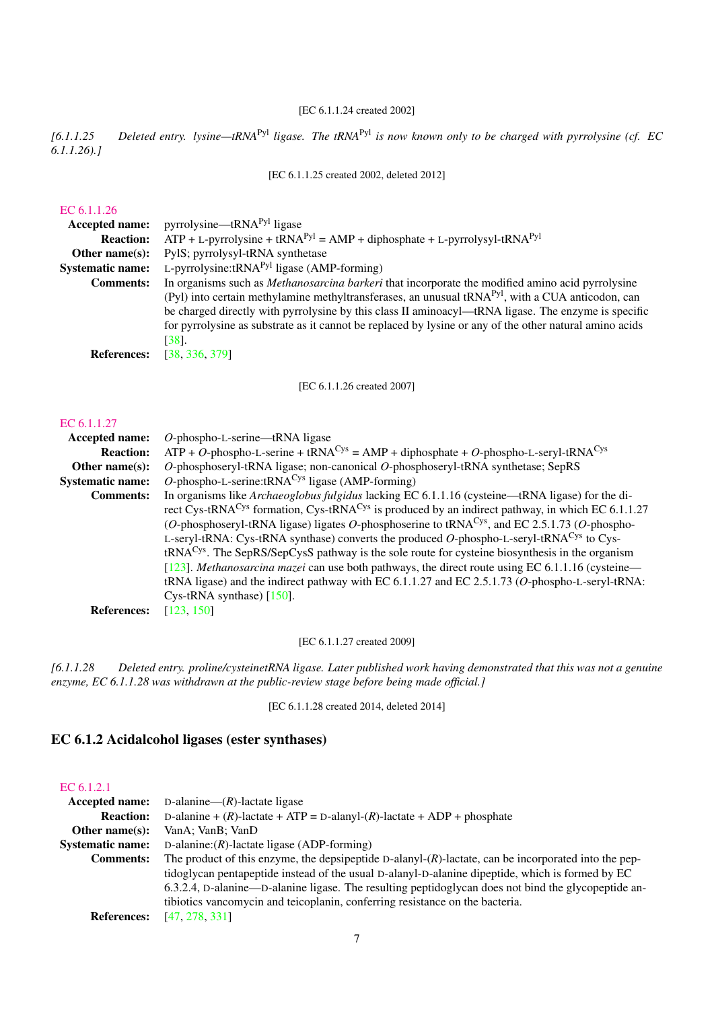## [EC 6.1.1.24 created 2002]

*[6.1.1.25 Deleted entry. lysine—tRNA*Pyl *ligase. The tRNA*Pyl *is now known only to be charged with pyrrolysine (cf. EC 6.1.1.26).]*

[EC 6.1.1.25 created 2002, deleted 2012]

## [EC 6.1.1.26](http://www.enzyme-database.org/query.php?ec=6.1.1.26)

| Accepted name:          | pyrrolysine—tRNA $Pyl$ ligase                                                                                 |
|-------------------------|---------------------------------------------------------------------------------------------------------------|
| <b>Reaction:</b>        | $ATP + L$ -pyrrolysine + tRNA <sup>Pyl</sup> = AMP + diphosphate + L-pyrrolysyl-tRNA <sup>Pyl</sup>           |
| Other name $(s)$ :      | PylS; pyrrolysyl-tRNA synthetase                                                                              |
| <b>Systematic name:</b> | L-pyrrolysine: $tRNAPyl$ ligase (AMP-forming)                                                                 |
| <b>Comments:</b>        | In organisms such as <i>Methanosarcina barkeri</i> that incorporate the modified amino acid pyrrolysine       |
|                         | (Pyl) into certain methylamine methyltransferases, an unusual tRNA <sup>Pyl</sup> , with a CUA anticodon, can |
|                         | be charged directly with pyrrolysine by this class II aminoacyl—tRNA ligase. The enzyme is specific           |
|                         | for pyrrolysine as substrate as it cannot be replaced by lysine or any of the other natural amino acids       |
|                         | [38].                                                                                                         |
| <b>References:</b>      | [38, 336, 379]                                                                                                |

[EC 6.1.1.26 created 2007]

### [EC 6.1.1.27](http://www.enzyme-database.org/query.php?ec=6.1.1.27)

| Accepted name:          | $O$ -phospho-L-serine—tRNA ligase                                                                                        |
|-------------------------|--------------------------------------------------------------------------------------------------------------------------|
| <b>Reaction:</b>        | $ATP + O$ -phospho-L-serine + tRNA <sup>Cys</sup> = AMP + diphosphate + O-phospho-L-seryl-tRNA <sup>Cys</sup>            |
| Other name $(s)$ :      | $O$ -phosphoseryl-tRNA ligase; non-canonical $O$ -phosphoseryl-tRNA synthetase; SepRS                                    |
| <b>Systematic name:</b> | <i>O</i> -phospho-L-serine:tRNA <sup>Cys</sup> ligase (AMP-forming)                                                      |
| <b>Comments:</b>        | In organisms like <i>Archaeoglobus fulgidus</i> lacking EC 6.1.1.16 (cysteine—tRNA ligase) for the di-                   |
|                         | rect Cys-tRNA <sup>Cys</sup> formation, Cys-tRNA <sup>Cys</sup> is produced by an indirect pathway, in which EC 6.1.1.27 |
|                         | (O-phosphoseryl-tRNA ligase) ligates O-phosphoserine to tRNA <sup>Cys</sup> , and EC 2.5.1.73 (O-phospho-                |
|                         | L-seryl-tRNA: Cys-tRNA synthase) converts the produced O-phospho-L-seryl-tRNA <sup>Cys</sup> to Cys-                     |
|                         | $tRNACys$ . The SepRS/SepCysS pathway is the sole route for cysteine biosynthesis in the organism                        |
|                         | [123]. Methanosarcina mazei can use both pathways, the direct route using EC 6.1.1.16 (cysteine—                         |
|                         | tRNA ligase) and the indirect pathway with EC $6.1.1.27$ and EC $2.5.1.73$ (O-phospho-L-seryl-tRNA:                      |
|                         | Cys-tRNA synthase) $[150]$ .                                                                                             |
| <b>References:</b>      | [123, 150]                                                                                                               |
|                         |                                                                                                                          |

[EC 6.1.1.27 created 2009]

*[6.1.1.28 Deleted entry. proline/cysteinetRNA ligase. Later published work having demonstrated that this was not a genuine enzyme, EC 6.1.1.28 was withdrawn at the public-review stage before being made official.]*

[EC 6.1.1.28 created 2014, deleted 2014]

## <span id="page-6-0"></span>EC 6.1.2 Acidalcohol ligases (ester synthases)

### [EC 6.1.2.1](http://www.enzyme-database.org/query.php?ec=6.1.2.1)

| Accepted name:          | D-alanine— $(R)$ -lactate ligase                                                                         |
|-------------------------|----------------------------------------------------------------------------------------------------------|
| <b>Reaction:</b>        | D-alanine + $(R)$ -lactate + ATP = D-alanyl- $(R)$ -lactate + ADP + phosphate                            |
| Other name $(s)$ :      | VanA; VanB; VanD                                                                                         |
| <b>Systematic name:</b> | D-alanine: $(R)$ -lactate ligase (ADP-forming)                                                           |
| <b>Comments:</b>        | The product of this enzyme, the depsipeptide D-alanyl- $(R)$ -lactate, can be incorporated into the pep- |
|                         | tidoglycan pentapeptide instead of the usual D-alanyl-D-alanine dipeptide, which is formed by EC         |
|                         | 6.3.2.4, D-alanine—D-alanine ligase. The resulting peptidoglycan does not bind the glycopeptide an-      |
|                         | tibiotics vancomycin and teicoplanin, conferring resistance on the bacteria.                             |
| <b>References:</b>      | [47, 278, 331]                                                                                           |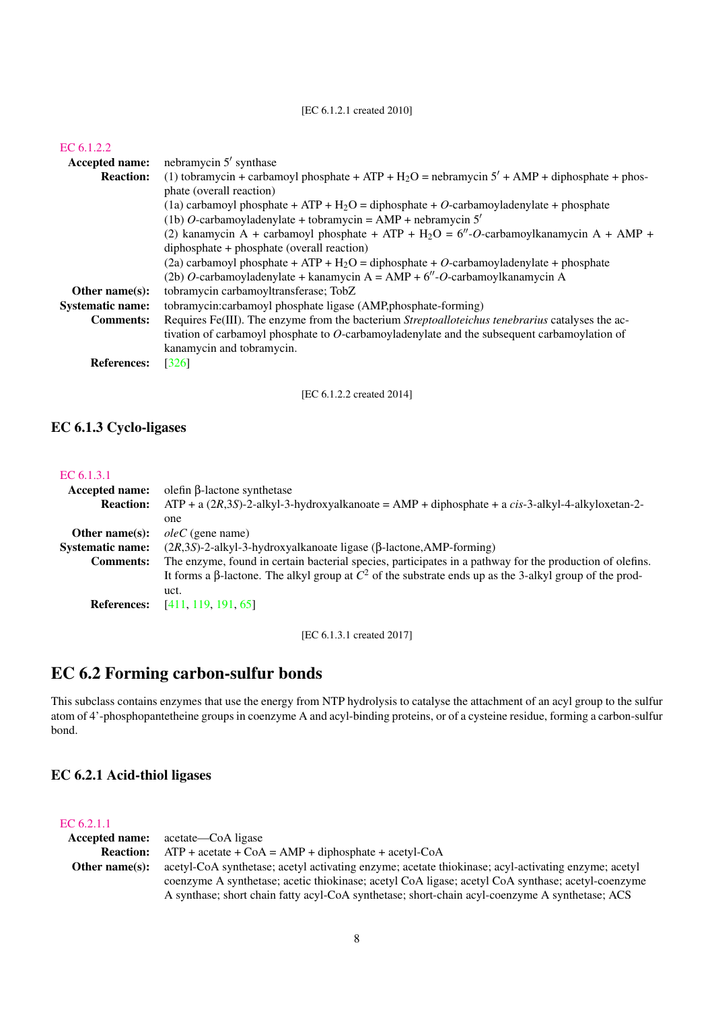## [EC 6.1.2.1 created 2010]

| EC $6.1.2.2$            |                                                                                                             |
|-------------------------|-------------------------------------------------------------------------------------------------------------|
| Accepted name:          | nebramycin 5' synthase                                                                                      |
| <b>Reaction:</b>        | (1) tobramycin + carbamoyl phosphate + ATP + H <sub>2</sub> O = nebramycin $5'$ + AMP + diphosphate + phos- |
|                         | phate (overall reaction)                                                                                    |
|                         | (1a) carbamoyl phosphate + ATP + $H_2O$ = diphosphate + O-carbamoyladenylate + phosphate                    |
|                         | (1b) O-carbamoyladenylate + tobramycin = $AMP + nebramycin 5'$                                              |
|                         | (2) kanamycin A + carbamoyl phosphate + ATP + $H_2O = 6''-O$ -carbamoylkanamycin A + AMP +                  |
|                         | diphosphate + phosphate (overall reaction)                                                                  |
|                         | $(2a)$ carbamoyl phosphate + ATP + H <sub>2</sub> O = diphosphate + O-carbamoyladenylate + phosphate        |
|                         | (2b) O-carbamoyladenylate + kanamycin A = AMP + $6''$ -O-carbamoylkanamycin A                               |
| Other name $(s)$ :      | tobramycin carbamoyltransferase; TobZ                                                                       |
| <b>Systematic name:</b> | tobramycin:carbamoyl phosphate ligase (AMP,phosphate-forming)                                               |
| <b>Comments:</b>        | Requires Fe(III). The enzyme from the bacterium Streptoalloteichus tenebrarius catalyses the ac-            |
|                         | tivation of carbamoyl phosphate to $O$ -carbamoyladenylate and the subsequent carbamoylation of             |
|                         | kanamycin and tobramycin.                                                                                   |
| <b>References:</b>      | $\lceil 326 \rceil$                                                                                         |
|                         |                                                                                                             |
|                         | [EC 6.1.2.2 created 2014]                                                                                   |

<span id="page-7-0"></span>EC 6.1.3 Cyclo-ligases

## [EC 6.1.3.1](http://www.enzyme-database.org/query.php?ec=6.1.3.1)

| <b>Accepted name:</b>   | olefin $\beta$ -lactone synthetase                                                                               |
|-------------------------|------------------------------------------------------------------------------------------------------------------|
| <b>Reaction:</b>        | $ATP + a (2R,3S)-2-alkyl-3-hydroxyalkanoate = AMP + diphosphate + a cis-3-alkyl-4-alkyloxetan-2-$                |
|                         | one                                                                                                              |
| Other name $(s)$ :      | $oleC$ (gene name)                                                                                               |
| <b>Systematic name:</b> | $(2R,3S)$ -2-alkyl-3-hydroxyalkanoate ligase ( $\beta$ -lactone, AMP-forming)                                    |
| <b>Comments:</b>        | The enzyme, found in certain bacterial species, participates in a pathway for the production of olefins.         |
|                         | It forms a $\beta$ -lactone. The alkyl group at $C^2$ of the substrate ends up as the 3-alkyl group of the prod- |
|                         | uct.                                                                                                             |
| <b>References:</b>      | [411, 119, 191, 65]                                                                                              |
|                         |                                                                                                                  |

[EC 6.1.3.1 created 2017]

## <span id="page-7-1"></span>EC 6.2 Forming carbon-sulfur bonds

This subclass contains enzymes that use the energy from NTP hydrolysis to catalyse the attachment of an acyl group to the sulfur atom of 4'-phosphopantetheine groups in coenzyme A and acyl-binding proteins, or of a cysteine residue, forming a carbon-sulfur bond.

## <span id="page-7-2"></span>EC 6.2.1 Acid-thiol ligases

## [EC 6.2.1.1](http://www.enzyme-database.org/query.php?ec=6.2.1.1)

| Accepted name:     | acetate—CoA ligase                                                                                                                                                                                  |
|--------------------|-----------------------------------------------------------------------------------------------------------------------------------------------------------------------------------------------------|
| <b>Reaction:</b>   | $ATP + acetate + CoA = AMP + diphosphate + acetyl-CoA$                                                                                                                                              |
| Other name $(s)$ : | acetyl-CoA synthetase; acetyl activating enzyme; acetate thiokinase; acyl-activating enzyme; acetyl                                                                                                 |
|                    | coenzyme A synthetase; acetic thiokinase; acetyl CoA ligase; acetyl CoA synthase; acetyl-coenzyme<br>A synthase; short chain fatty acyl-CoA synthetase; short-chain acyl-coenzyme A synthetase; ACS |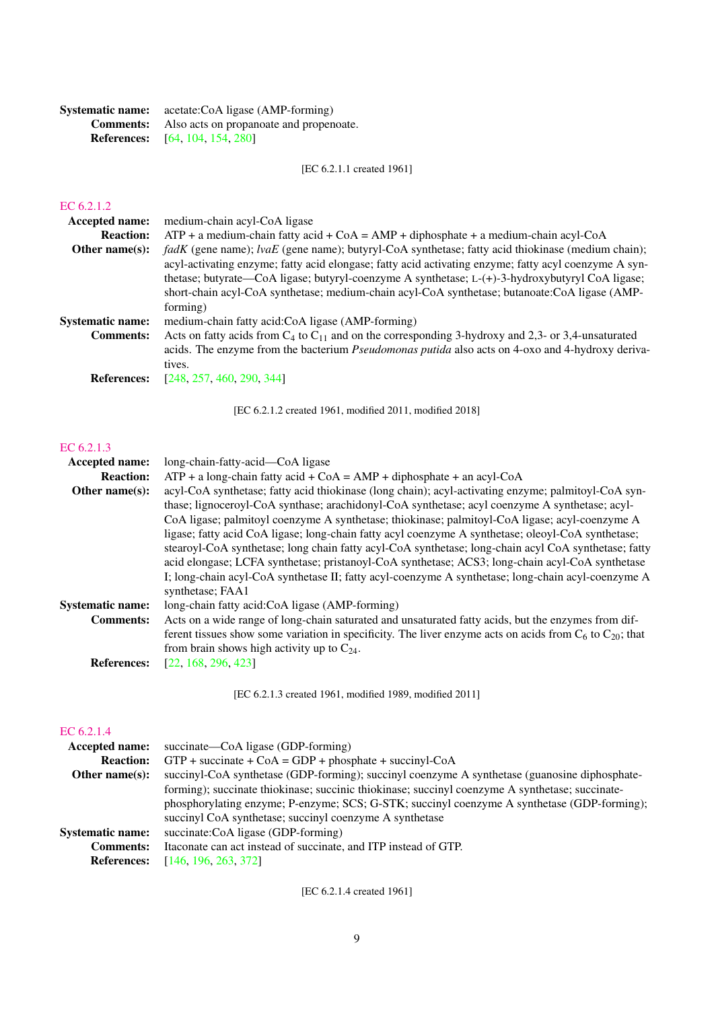| <b>Systematic name:</b> | acetate:CoA ligase (AMP-forming)                         |
|-------------------------|----------------------------------------------------------|
|                         | <b>Comments:</b> Also acts on propanoate and propenoate. |
|                         | <b>References:</b> [64, 104, 154, 280]                   |

[EC 6.2.1.1 created 1961]

## [EC 6.2.1.2](http://www.enzyme-database.org/query.php?ec=6.2.1.2)

| <b>Accepted name:</b>   | medium-chain acyl-CoA ligase                                                                               |
|-------------------------|------------------------------------------------------------------------------------------------------------|
| <b>Reaction:</b>        | $ATP + a$ medium-chain fatty acid + CoA = AMP + diphosphate + a medium-chain acyl-CoA                      |
| Other name $(s)$ :      | $f a dK$ (gene name); $l v a E$ (gene name); butyryl-CoA synthetase; fatty acid thiokinase (medium chain); |
|                         | acyl-activating enzyme; fatty acid elongase; fatty acid activating enzyme; fatty acyl coenzyme A syn-      |
|                         | thetase; butyrate—CoA ligase; butyryl-coenzyme A synthetase; L-(+)-3-hydroxybutyryl CoA ligase;            |
|                         | short-chain acyl-CoA synthetase; medium-chain acyl-CoA synthetase; butanoate:CoA ligase (AMP-              |
|                         | forming)                                                                                                   |
| <b>Systematic name:</b> | medium-chain fatty acid:CoA ligase (AMP-forming)                                                           |
| <b>Comments:</b>        | Acts on fatty acids from $C_4$ to $C_{11}$ and on the corresponding 3-hydroxy and 2,3- or 3,4-unsaturated  |
|                         | acids. The enzyme from the bacterium <i>Pseudomonas putida</i> also acts on 4-oxo and 4-hydroxy deriva-    |
|                         | tives.                                                                                                     |
| <b>References:</b>      | [248, 257, 460, 290, 344]                                                                                  |

[EC 6.2.1.2 created 1961, modified 2011, modified 2018]

## [EC 6.2.1.3](http://www.enzyme-database.org/query.php?ec=6.2.1.3)

| long-chain-fatty-acid—CoA ligase                                                                                                                                                                                                                                                                                                                                                                                                                                                                                                                                                                                                                                                                                                                   |
|----------------------------------------------------------------------------------------------------------------------------------------------------------------------------------------------------------------------------------------------------------------------------------------------------------------------------------------------------------------------------------------------------------------------------------------------------------------------------------------------------------------------------------------------------------------------------------------------------------------------------------------------------------------------------------------------------------------------------------------------------|
| $ATP + a long-chain$ fatty acid + CoA = AMP + diphosphate + an acyl-CoA                                                                                                                                                                                                                                                                                                                                                                                                                                                                                                                                                                                                                                                                            |
| acyl-CoA synthetase; fatty acid thiokinase (long chain); acyl-activating enzyme; palmitoyl-CoA syn-<br>thase; lignoceroyl-CoA synthase; arachidonyl-CoA synthetase; acyl coenzyme A synthetase; acyl-<br>CoA ligase; palmitoyl coenzyme A synthetase; thiokinase; palmitoyl-CoA ligase; acyl-coenzyme A<br>ligase; fatty acid CoA ligase; long-chain fatty acyl coenzyme A synthetase; oleoyl-CoA synthetase;<br>stearoyl-CoA synthetase; long chain fatty acyl-CoA synthetase; long-chain acyl CoA synthetase; fatty<br>acid elongase; LCFA synthetase; pristanoyl-CoA synthetase; ACS3; long-chain acyl-CoA synthetase<br>I; long-chain acyl-CoA synthetase II; fatty acyl-coenzyme A synthetase; long-chain acyl-coenzyme A<br>synthetase; FAA1 |
| long-chain fatty acid:CoA ligase (AMP-forming)                                                                                                                                                                                                                                                                                                                                                                                                                                                                                                                                                                                                                                                                                                     |
| Acts on a wide range of long-chain saturated and unsaturated fatty acids, but the enzymes from dif-<br>ferent tissues show some variation in specificity. The liver enzyme acts on acids from $C_6$ to $C_{20}$ ; that<br>from brain shows high activity up to $C_{24}$ .                                                                                                                                                                                                                                                                                                                                                                                                                                                                          |
| [22, 168, 296, 423]                                                                                                                                                                                                                                                                                                                                                                                                                                                                                                                                                                                                                                                                                                                                |
|                                                                                                                                                                                                                                                                                                                                                                                                                                                                                                                                                                                                                                                                                                                                                    |

[EC 6.2.1.3 created 1961, modified 1989, modified 2011]

## [EC 6.2.1.4](http://www.enzyme-database.org/query.php?ec=6.2.1.4)

| succinate—CoA ligase (GDP-forming)                                                              |
|-------------------------------------------------------------------------------------------------|
| $GTP +$ succinate + CoA = GDP + phosphate + succinyl-CoA                                        |
| succinyl-CoA synthetase (GDP-forming); succinyl coenzyme A synthetase (guanosine diphosphate-   |
| forming); succinate thiokinase; succinic thiokinase; succinyl coenzyme A synthetase; succinate- |
| phosphorylating enzyme; P-enzyme; SCS; G-STK; succinyl coenzyme A synthetase (GDP-forming);     |
| succinyl CoA synthetase; succinyl coenzyme A synthetase                                         |
| succinate:CoA ligase (GDP-forming)                                                              |
| Itaconate can act instead of succinate, and ITP instead of GTP.                                 |
| [146, 196, 263, 372]                                                                            |
|                                                                                                 |

[EC 6.2.1.4 created 1961]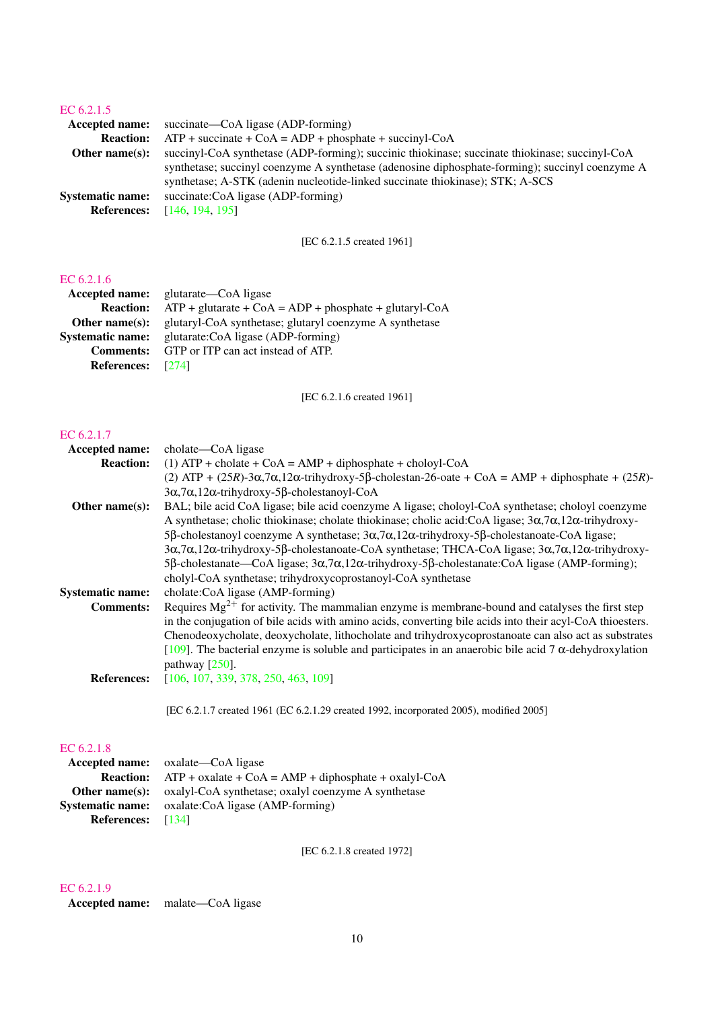## [EC 6.2.1.5](http://www.enzyme-database.org/query.php?ec=6.2.1.5)

| <b>Accepted name:</b> succinate—CoA ligase (ADP-forming)                                        |
|-------------------------------------------------------------------------------------------------|
| $ATP$ + succinate + CoA = ADP + phosphate + succinyl-CoA                                        |
| succinyl-CoA synthetase (ADP-forming); succinic thiokinase; succinate thiokinase; succinyl-CoA  |
| synthetase; succinyl coenzyme A synthetase (adenosine diphosphate-forming); succinyl coenzyme A |
| synthetase; A-STK (adenin nucleotide-linked succinate thiokinase); STK; A-SCS                   |
| succinate:CoA ligase (ADP-forming)                                                              |
| [146, 194, 195]                                                                                 |
|                                                                                                 |

[EC 6.2.1.5 created 1961]

## [EC 6.2.1.6](http://www.enzyme-database.org/query.php?ec=6.2.1.6)

|                          | <b>Accepted name:</b> glutarate—CoA ligase                      |
|--------------------------|-----------------------------------------------------------------|
| <b>Reaction:</b>         | $ATP + glutarate + CoA = ADP + phosphate + glutaryl\text{-}CoA$ |
| Other name $(s)$ :       | glutaryl-CoA synthetase; glutaryl coenzyme A synthetase         |
| <b>Systematic name:</b>  | glutarate: CoA ligase (ADP-forming)                             |
| <b>Comments:</b>         | GTP or ITP can act instead of ATP.                              |
| <b>References:</b> [274] |                                                                 |
|                          |                                                                 |

[EC 6.2.1.6 created 1961]

#### [EC 6.2.1.7](http://www.enzyme-database.org/query.php?ec=6.2.1.7)

| Accepted name:          | cholate—CoA ligase                                                                                                                                       |
|-------------------------|----------------------------------------------------------------------------------------------------------------------------------------------------------|
| <b>Reaction:</b>        | $(1)$ ATP + cholate + CoA = AMP + diphosphate + choloyl-CoA                                                                                              |
|                         | (2) ATP + $(25R)$ -3 $\alpha$ ,7 $\alpha$ ,12 $\alpha$ -trihydroxy-5 $\beta$ -cholestan-26-oate + CoA = AMP + diphosphate + $(25R)$ -                    |
|                         | $3\alpha$ , $7\alpha$ , $12\alpha$ -trihydroxy-5 $\beta$ -cholestanoyl-CoA                                                                               |
| Other name $(s)$ :      | BAL; bile acid CoA ligase; bile acid coenzyme A ligase; choloyl-CoA synthetase; choloyl coenzyme                                                         |
|                         | A synthetase; cholic thiokinase; cholate thiokinase; cholic acid: CoA ligase; $3\alpha$ , $7\alpha$ , $12\alpha$ -trihydroxy-                            |
|                         | 5β-cholestanoyl coenzyme A synthetase; $3\alpha$ , $7\alpha$ , $12\alpha$ -trihydroxy-5β-cholestanoate-CoA ligase;                                       |
|                         | $3\alpha$ , $7\alpha$ , $12\alpha$ -trihydroxy-5 $\beta$ -cholestanoate-CoA synthetase; THCA-CoA ligase; $3\alpha$ , $7\alpha$ , $12\alpha$ -trihydroxy- |
|                         | 5 $\beta$ -cholestanate—CoA ligase; $3\alpha$ , $7\alpha$ , $12\alpha$ -trihydroxy-5 $\beta$ -cholestanate: CoA ligase (AMP-forming);                    |
|                         | cholyl-CoA synthetase; trihydroxycoprostanoyl-CoA synthetase                                                                                             |
| <b>Systematic name:</b> | cholate:CoA ligase (AMP-forming)                                                                                                                         |
| <b>Comments:</b>        | Requires $Mg^{2+}$ for activity. The mammalian enzyme is membrane-bound and catalyses the first step                                                     |
|                         | in the conjugation of bile acids with amino acids, converting bile acids into their acyl-CoA thioesters.                                                 |
|                         | Chenodeoxycholate, deoxycholate, lithocholate and trihydroxycoprostanoate can also act as substrates                                                     |
|                         | [109]. The bacterial enzyme is soluble and participates in an anaerobic bile acid 7 $\alpha$ -dehydroxylation                                            |
|                         | pathway $[250]$ .                                                                                                                                        |
| <b>References:</b>      | [106, 107, 339, 378, 250, 463, 109]                                                                                                                      |
|                         |                                                                                                                                                          |
|                         | [EC 6.2.1.7 created 1961 (EC 6.2.1.29 created 1992, incorporated 2005), modified 2005]                                                                   |
|                         |                                                                                                                                                          |

## [EC 6.2.1.8](http://www.enzyme-database.org/query.php?ec=6.2.1.8)

|                          | <b>Accepted name:</b> oxalate—CoA ligase                                    |
|--------------------------|-----------------------------------------------------------------------------|
|                          | <b>Reaction:</b> $ATP + 0x$ alate $+ CoA = AMP + diphosphate + 0xalyl$ -CoA |
|                          | <b>Other name(s):</b> oxalyl-CoA synthetase; oxalyl coenzyme A synthetase   |
|                          | <b>Systematic name:</b> oxalate:CoA ligase (AMP-forming)                    |
| <b>References:</b> [134] |                                                                             |

[EC 6.2.1.8 created 1972]

## [EC 6.2.1.9](http://www.enzyme-database.org/query.php?ec=6.2.1.9)

Accepted name: malate—CoA ligase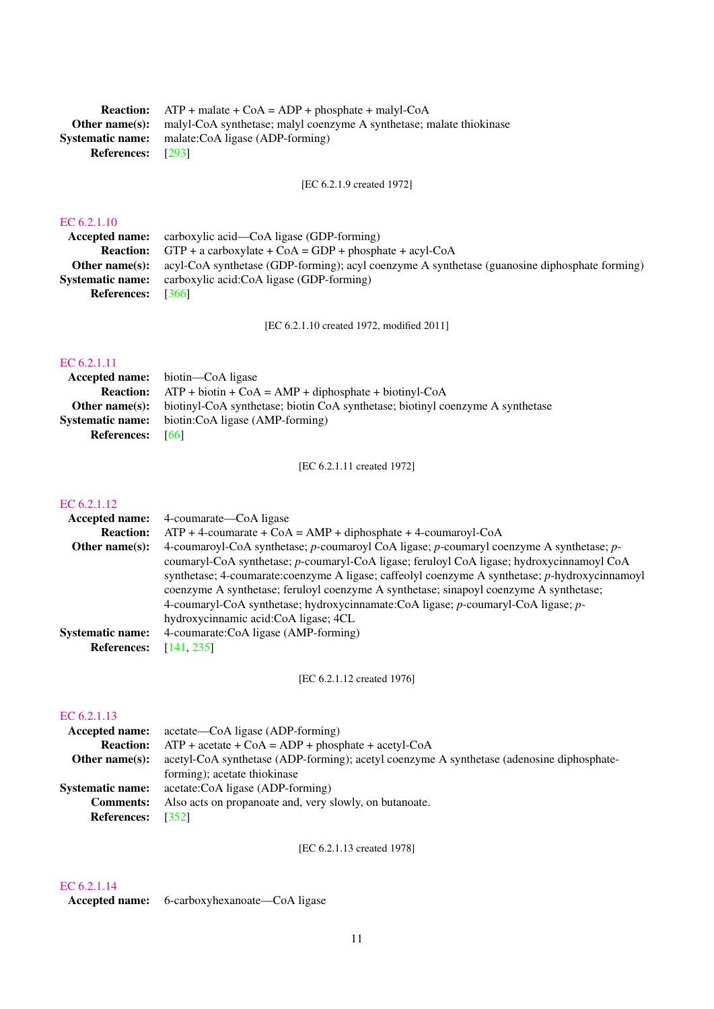| <b>Reaction:</b> $ATP + malate + CoA = ADP + phosphate + malyl-coA$                        |
|--------------------------------------------------------------------------------------------|
| <b>Other name(s):</b> malyl-CoA synthetase; malyl coenzyme A synthetase; malate thiokinase |
| <b>Systematic name:</b> malate:CoA ligase (ADP-forming)                                    |
| <b>References:</b> [293]                                                                   |
|                                                                                            |

[EC 6.2.1.9 created 1972]

## [EC 6.2.1.10](http://www.enzyme-database.org/query.php?ec=6.2.1.10)

|                    | <b>Accepted name:</b> carboxylic acid—CoA ligase (GDP-forming)                                |
|--------------------|-----------------------------------------------------------------------------------------------|
|                    | <b>Reaction:</b> GTP + a carboxylate + $COA = GDP + phosphate + acyl-COA$                     |
| Other name(s):     | acyl-CoA synthetase (GDP-forming); acyl coenzyme A synthetase (guanosine diphosphate forming) |
|                    | <b>Systematic name:</b> carboxylic acid:CoA ligase (GDP-forming)                              |
| <b>References:</b> | - 13661                                                                                       |

[EC 6.2.1.10 created 1972, modified 2011]

## [EC 6.2.1.11](http://www.enzyme-database.org/query.php?ec=6.2.1.11)

|                         | <b>Accepted name:</b> biotin—CoA ligase                                        |
|-------------------------|--------------------------------------------------------------------------------|
| <b>Reaction:</b>        | $ATP + biotin + CoA = AMP + diphosphate + biotinyl-coA$                        |
| Other name(s):          | biotinyl-CoA synthetase; biotin CoA synthetase; biotinyl coenzyme A synthetase |
| <b>Systematic name:</b> | biotin:CoA ligase (AMP-forming)                                                |
| <b>References:</b>      | - 661                                                                          |

[EC 6.2.1.11 created 1972]

## [EC 6.2.1.12](http://www.enzyme-database.org/query.php?ec=6.2.1.12)

| <b>Accepted name:</b>   | 4-coumarate—CoA ligase                                                                         |
|-------------------------|------------------------------------------------------------------------------------------------|
| <b>Reaction:</b>        | $ATP + 4$ -coumarate + CoA = AMP + diphosphate + 4-coumaroyl-CoA                               |
| Other name $(s)$ :      | 4-coumaroyl-CoA synthetase; p-coumaroyl CoA ligase; p-coumaryl coenzyme A synthetase; p-       |
|                         | coumaryl-CoA synthetase; p-coumaryl-CoA ligase; feruloyl CoA ligase; hydroxycinnamoyl CoA      |
|                         | synthetase; 4-coumarate:coenzyme A ligase; caffeolyl coenzyme A synthetase; p-hydroxycinnamoyl |
|                         | coenzyme A synthetase; feruloyl coenzyme A synthetase; sinapoyl coenzyme A synthetase;         |
|                         | 4-coumaryl-CoA synthetase; hydroxycinnamate:CoA ligase; p-coumaryl-CoA ligase; p-              |
|                         | hydroxycinnamic acid: CoA ligase; 4CL                                                          |
| <b>Systematic name:</b> | 4-coumarate:CoA ligase (AMP-forming)                                                           |
| <b>References:</b>      | [141, 235]                                                                                     |
|                         |                                                                                                |

[EC 6.2.1.12 created 1976]

## [EC 6.2.1.13](http://www.enzyme-database.org/query.php?ec=6.2.1.13)

|                    | <b>Accepted name:</b> acetate—CoA ligase (ADP-forming)                                    |
|--------------------|-------------------------------------------------------------------------------------------|
| <b>Reaction:</b>   | $ATP + acetate + CoA = ADP + phosphate + acetyl-CoA$                                      |
| Other name $(s)$ : | acetyl-CoA synthetase (ADP-forming); acetyl coenzyme A synthetase (adenosine diphosphate- |
|                    | forming); acetate thiokinase                                                              |
|                    | <b>Systematic name:</b> acetate:CoA ligase (ADP-forming)                                  |
| <b>Comments:</b>   | Also acts on propanoate and, very slowly, on butanoate.                                   |
| <b>References:</b> | [352]                                                                                     |

[EC 6.2.1.13 created 1978]

## [EC 6.2.1.14](http://www.enzyme-database.org/query.php?ec=6.2.1.14)

Accepted name: 6-carboxyhexanoate—CoA ligase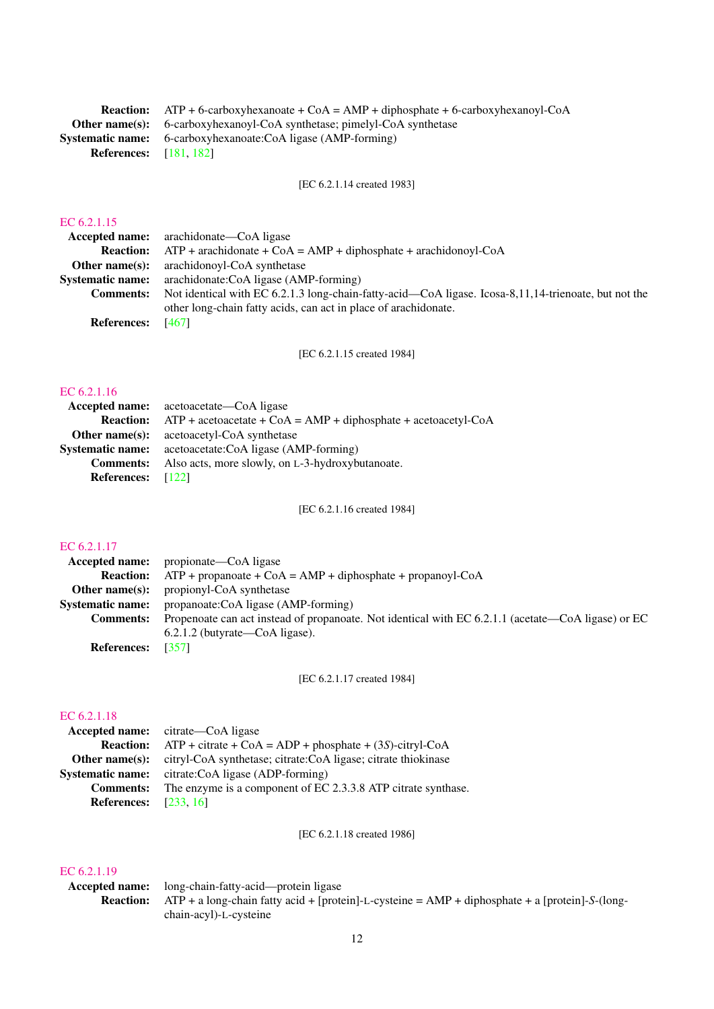|                               | <b>Reaction:</b> ATP + 6-carboxyhexanoate + $\text{CoA} = \text{AMP} + \text{diphosphate} + 6\text{-carboxyhexanoyl-CoA}$ |
|-------------------------------|---------------------------------------------------------------------------------------------------------------------------|
|                               | <b>Other name(s):</b> 6-carboxyhexanoyl-CoA synthetase; pimelyl-CoA synthetase                                            |
|                               | <b>Systematic name:</b> 6-carboxyhexanoate:CoA ligase (AMP-forming)                                                       |
| <b>References:</b> [181, 182] |                                                                                                                           |

[EC 6.2.1.14 created 1983]

## [EC 6.2.1.15](http://www.enzyme-database.org/query.php?ec=6.2.1.15)

|                    | <b>Accepted name:</b> arachidonate—CoA ligase                                                        |
|--------------------|------------------------------------------------------------------------------------------------------|
| <b>Reaction:</b>   | $ATP$ + arachidonate + CoA = AMP + diphosphate + arachidonoyl-CoA                                    |
| Other name $(s)$ : | arachidonoyl-CoA synthetase                                                                          |
| Systematic name:   | arachidonate:CoA ligase (AMP-forming)                                                                |
| <b>Comments:</b>   | Not identical with EC 6.2.1.3 long-chain-fatty-acid—CoA ligase. Icosa-8,11,14-trienoate, but not the |
|                    | other long-chain fatty acids, can act in place of arachidonate.                                      |
| <b>References:</b> | [467]                                                                                                |
|                    |                                                                                                      |

[EC 6.2.1.15 created 1984]

## [EC 6.2.1.16](http://www.enzyme-database.org/query.php?ec=6.2.1.16)

|                          | <b>Accepted name:</b> acetoacetate—CoA ligase                    |
|--------------------------|------------------------------------------------------------------|
| <b>Reaction:</b>         | $ATP +$ acetoacetate + CoA = AMP + diphosphate + acetoacetyl-CoA |
|                          | <b>Other name(s):</b> acetoacetyl-CoA synthetase                 |
| <b>Systematic name:</b>  | acetoacetate:CoA ligase (AMP-forming)                            |
| <b>Comments:</b>         | Also acts, more slowly, on L-3-hydroxybutanoate.                 |
| <b>References:</b> [122] |                                                                  |

[EC 6.2.1.16 created 1984]

## [EC 6.2.1.17](http://www.enzyme-database.org/query.php?ec=6.2.1.17)

|                         | <b>Accepted name:</b> propionate—CoA ligase                                                        |
|-------------------------|----------------------------------------------------------------------------------------------------|
| <b>Reaction:</b>        | $ATP + propanoate + CoA = AMP + diphosphate + propanoyl-CoA$                                       |
|                         | <b>Other name(s):</b> propionyl-CoA synthetase                                                     |
| <b>Systematic name:</b> | propanoate:CoA ligase (AMP-forming)                                                                |
| <b>Comments:</b>        | Propenoate can act instead of propanoate. Not identical with EC 6.2.1.1 (acetate—CoA ligase) or EC |
|                         | $6.2.1.2$ (butyrate—CoA ligase).                                                                   |
| <b>References:</b>      | [357]                                                                                              |
|                         |                                                                                                    |

[EC 6.2.1.17 created 1984]

## [EC 6.2.1.18](http://www.enzyme-database.org/query.php?ec=6.2.1.18)

| EU 0.2.1.18             |                                                               |
|-------------------------|---------------------------------------------------------------|
| <b>Accepted name:</b>   | citrate—CoA ligase                                            |
| <b>Reaction:</b>        | $ATP + citrate + CoA = ADP + phosphate + (3S) - citryI-CoA$   |
| Other name $(s)$ :      | citryl-CoA synthetase; citrate:CoA ligase; citrate thiokinase |
| <b>Systematic name:</b> | citrate:CoA ligase (ADP-forming)                              |
| <b>Comments:</b>        | The enzyme is a component of EC 2.3.3.8 ATP citrate synthase. |
| <b>References:</b>      | [233, 16]                                                     |

[EC 6.2.1.18 created 1986]

## [EC 6.2.1.19](http://www.enzyme-database.org/query.php?ec=6.2.1.19)

Accepted name: long-chain-fatty-acid—protein ligase Reaction: ATP + a long-chain fatty acid + [protein]-L-cysteine = AMP + diphosphate + a [protein]-*S*-(longchain-acyl)-L-cysteine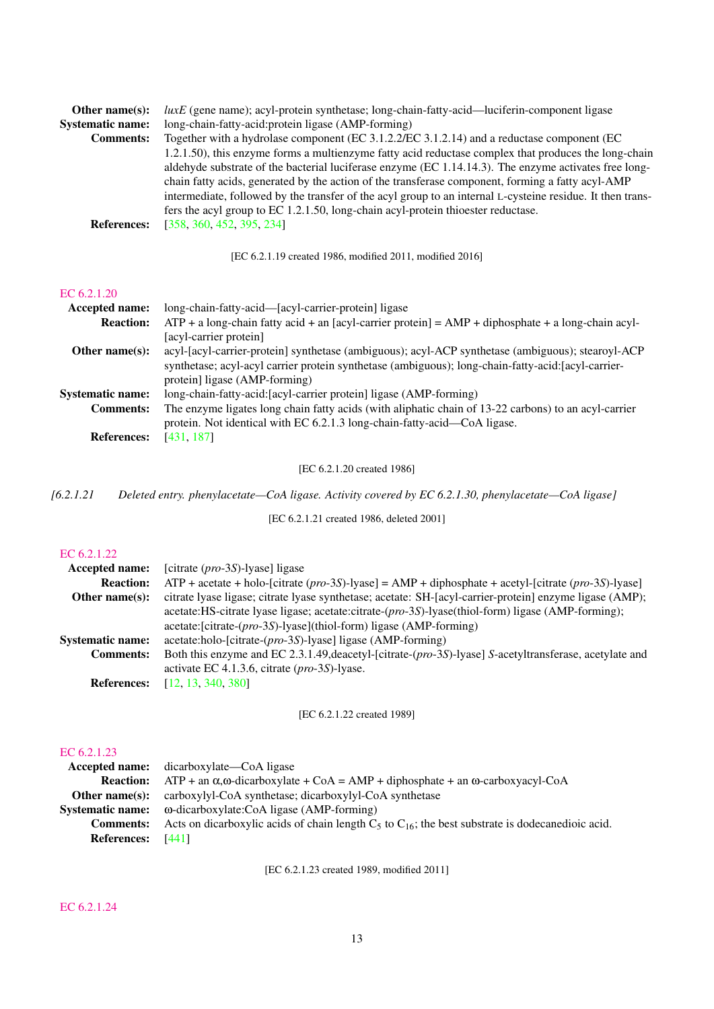| Other name $(s)$ :      | $luxE$ (gene name); acyl-protein synthetase; long-chain-fatty-acid—luciferin-component ligase              |
|-------------------------|------------------------------------------------------------------------------------------------------------|
| <b>Systematic name:</b> | long-chain-fatty-acid:protein ligase (AMP-forming)                                                         |
| <b>Comments:</b>        | Together with a hydrolase component (EC 3.1.2.2/EC 3.1.2.14) and a reductase component (EC                 |
|                         | 1.2.1.50), this enzyme forms a multienzyme fatty acid reductase complex that produces the long-chain       |
|                         | aldehyde substrate of the bacterial luciferase enzyme (EC $1.14.14.3$ ). The enzyme activates free long-   |
|                         | chain fatty acids, generated by the action of the transferase component, forming a fatty acyl-AMP          |
|                         | intermediate, followed by the transfer of the acyl group to an internal L-cysteine residue. It then trans- |
|                         | fers the acyl group to EC 1.2.1.50, long-chain acyl-protein thioester reductase.                           |
| <b>References:</b>      | [358, 360, 452, 395, 234]                                                                                  |

[EC 6.2.1.19 created 1986, modified 2011, modified 2016]

## [EC 6.2.1.20](http://www.enzyme-database.org/query.php?ec=6.2.1.20)

| Accepted name:          | long-chain-fatty-acid—[acyl-carrier-protein] ligase                                                    |
|-------------------------|--------------------------------------------------------------------------------------------------------|
| <b>Reaction:</b>        | $ATP + a long-chain$ fatty acid + an [acyl-carrier protein] = $AMP + diphosphate + a long-chain$ acyl- |
|                         | [acyl-carrier protein]                                                                                 |
| Other name $(s)$ :      | acyl-[acyl-carrier-protein] synthetase (ambiguous); acyl-ACP synthetase (ambiguous); stearoyl-ACP      |
|                         | synthetase; acyl-acyl carrier protein synthetase (ambiguous); long-chain-fatty-acid:[acyl-carrier-     |
|                         | protein] ligase (AMP-forming)                                                                          |
| <b>Systematic name:</b> | long-chain-fatty-acid: [acyl-carrier protein] ligase (AMP-forming)                                     |
| <b>Comments:</b>        | The enzyme ligates long chain fatty acids (with aliphatic chain of 13-22 carbons) to an acyl-carrier   |
|                         | protein. Not identical with EC 6.2.1.3 long-chain-fatty-acid—CoA ligase.                               |
| <b>References:</b>      | [431, 187]                                                                                             |

[EC 6.2.1.20 created 1986]

*[6.2.1.21 Deleted entry. phenylacetate—CoA ligase. Activity covered by EC 6.2.1.30, phenylacetate—CoA ligase]*

[EC 6.2.1.21 created 1986, deleted 2001]

## [EC 6.2.1.22](http://www.enzyme-database.org/query.php?ec=6.2.1.22)

| <b>Accepted name:</b>   | [citrate $(pro-3S)$ -lyase] ligase                                                                      |
|-------------------------|---------------------------------------------------------------------------------------------------------|
| <b>Reaction:</b>        | $ATP + acetate + holo-[citrate (pro-3S)-lyase] = AMP + diphosphate + acetyl-[citrate (pro-3S)-lyase]$   |
| Other name $(s)$ :      | citrate lyase ligase; citrate lyase synthetase; acetate: SH-[acyl-carrier-protein] enzyme ligase (AMP); |
|                         | acetate:HS-citrate lyase ligase; acetate:citrate-(pro-3S)-lyase(thiol-form) ligase (AMP-forming);       |
|                         | acetate: [citrate-(pro-3S)-lyase](thiol-form) ligase (AMP-forming)                                      |
| <b>Systematic name:</b> | $acetate:holo-/citrate-(pro-3S)-lyase$ ligase (AMP-forming)                                             |
| <b>Comments:</b>        | Both this enzyme and EC 2.3.1.49, deacetyl-[citrate-(pro-3S)-lyase] S-acetyltransferase, acetylate and  |
|                         | activate EC 4.1.3.6, citrate $(pro-3S)$ -lyase.                                                         |
| <b>References:</b>      | [12, 13, 340, 380]                                                                                      |

[EC 6.2.1.22 created 1989]

## [EC 6.2.1.23](http://www.enzyme-database.org/query.php?ec=6.2.1.23)

|                    | <b>Accepted name:</b> dicarboxylate—CoA ligase                                                                        |
|--------------------|-----------------------------------------------------------------------------------------------------------------------|
|                    | <b>Reaction:</b> ATP + an $\alpha$ , $\omega$ -dicarboxylate + CoA = AMP + diphosphate + an $\omega$ -carboxyacyl-CoA |
| Other name(s):     | carboxylyl-CoA synthetase; dicarboxylyl-CoA synthetase                                                                |
|                    | <b>Systematic name:</b> ω-dicarboxylate:CoA ligase (AMP-forming)                                                      |
| <b>Comments:</b>   | Acts on dicarboxylic acids of chain length $C_5$ to $C_{16}$ ; the best substrate is dodecanedioic acid.              |
| <b>References:</b> | [441]                                                                                                                 |

[EC 6.2.1.23 created 1989, modified 2011]

## [EC 6.2.1.24](http://www.enzyme-database.org/query.php?ec=6.2.1.24)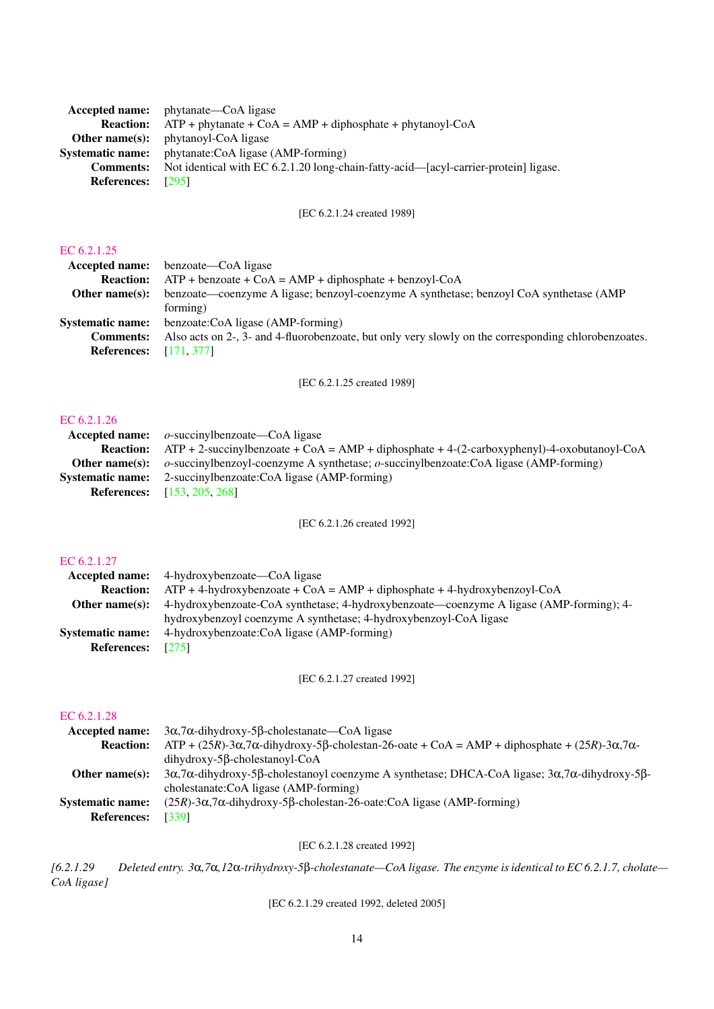|                          | <b>Accepted name:</b> phytanate—CoA ligase                                                              |
|--------------------------|---------------------------------------------------------------------------------------------------------|
| <b>Reaction:</b>         | $ATP + \text{phvtanate} + \text{CoA} = \text{AMP} + \text{diphosphate} + \text{phvtanov1} - \text{CoA}$ |
|                          | <b>Other name(s):</b> phytanoyl-CoA ligase                                                              |
| <b>Systematic name:</b>  | phytanate:CoA ligase (AMP-forming)                                                                      |
| <b>Comments:</b>         | Not identical with EC 6.2.1.20 long-chain-fatty-acid—[acyl-carrier-protein] ligase.                     |
| <b>References:</b> [295] |                                                                                                         |

[EC 6.2.1.24 created 1989]

#### [EC 6.2.1.25](http://www.enzyme-database.org/query.php?ec=6.2.1.25)

|                               | <b>Accepted name:</b> benzoate—CoA ligase                                                            |
|-------------------------------|------------------------------------------------------------------------------------------------------|
| <b>Reaction:</b>              | $ATP + \text{benzoate} + \text{CoA} = \text{AMP} + \text{diphosphate} + \text{benzoyl} - \text{CoA}$ |
| Other name $(s)$ :            | benzoate—coenzyme A ligase; benzoyl-coenzyme A synthetase; benzoyl CoA synthetase (AMP               |
|                               | forming)                                                                                             |
| <b>Systematic name:</b>       | benzoate:CoA ligase (AMP-forming)                                                                    |
| <b>Comments:</b>              | Also acts on 2-, 3- and 4-fluorobenzoate, but only very slowly on the corresponding chlorobenzoates. |
| <b>References:</b> [171, 377] |                                                                                                      |
|                               |                                                                                                      |

[EC 6.2.1.25 created 1989]

## [EC 6.2.1.26](http://www.enzyme-database.org/query.php?ec=6.2.1.26)

| <b>Accepted name:</b> $o$ -succinylbenzoate—CoA ligase                                                           |
|------------------------------------------------------------------------------------------------------------------|
| <b>Reaction:</b> ATP + 2-succinylbenzoate + CoA = AMP + diphosphate + 4-(2-carboxyphenyl)-4-oxobutanoyl-CoA      |
| <b>Other name(s):</b> $o$ -succinylbenzoyl-coenzyme A synthetase; $o$ -succinylbenzoate:CoA ligase (AMP-forming) |
| <b>Systematic name:</b> 2-succinylbenzoate:CoA ligase (AMP-forming)                                              |
| <b>References:</b> [153, 205, 268]                                                                               |

[EC 6.2.1.26 created 1992]

## [EC 6.2.1.27](http://www.enzyme-database.org/query.php?ec=6.2.1.27)

|                         | <b>Accepted name:</b> 4-hydroxybenzoate—CoA ligase                                      |
|-------------------------|-----------------------------------------------------------------------------------------|
| <b>Reaction:</b>        | $ATP + 4$ -hydroxybenzoate + CoA = AMP + diphosphate + 4-hydroxybenzoyl-CoA             |
| Other name $(s)$ :      | 4-hydroxybenzoate-CoA synthetase; 4-hydroxybenzoate—coenzyme A ligase (AMP-forming); 4- |
|                         | hydroxybenzoyl coenzyme A synthetase; 4-hydroxybenzoyl-CoA ligase                       |
| <b>Systematic name:</b> | 4-hydroxybenzoate:CoA ligase (AMP-forming)                                              |
| <b>References:</b>      | [275]                                                                                   |

[EC 6.2.1.27 created 1992]

## [EC 6.2.1.28](http://www.enzyme-database.org/query.php?ec=6.2.1.28)

| <b>Accepted name:</b>   | $3\alpha$ , $7\alpha$ -dihydroxy-5 $\beta$ -cholestanate—CoA ligase                                                                             |
|-------------------------|-------------------------------------------------------------------------------------------------------------------------------------------------|
| <b>Reaction:</b>        | $ATP + (25R) - 3\alpha$ , 7 $\alpha$ -dihydroxy-5 $\beta$ -cholestan-26-oate + CoA = AMP + diphosphate + (25R)-3 $\alpha$ , 7 $\alpha$ -        |
|                         | $di$ hydroxy-5 $\beta$ -cholestanoyl-CoA                                                                                                        |
| Other name $(s)$ :      | $3\alpha$ , 7 $\alpha$ -dihydroxy-5 $\beta$ -cholestanoyl coenzyme A synthetase; DHCA-CoA ligase; $3\alpha$ , 7 $\alpha$ -dihydroxy-5 $\beta$ - |
|                         | cholestanate:CoA ligase (AMP-forming)                                                                                                           |
| <b>Systematic name:</b> | $(25R)$ -3 $\alpha$ ,7 $\alpha$ -dihydroxy-5 $\beta$ -cholestan-26-oate:CoA ligase (AMP-forming)                                                |
| <b>References:</b>      | [339]                                                                                                                                           |
|                         |                                                                                                                                                 |

## [EC 6.2.1.28 created 1992]

*[6.2.1.29 Deleted entry. 3*α*,7*α*,12*α*-trihydroxy-5*β*-cholestanate—CoA ligase. The enzyme is identical to EC 6.2.1.7, cholate— CoA ligase]*

[EC 6.2.1.29 created 1992, deleted 2005]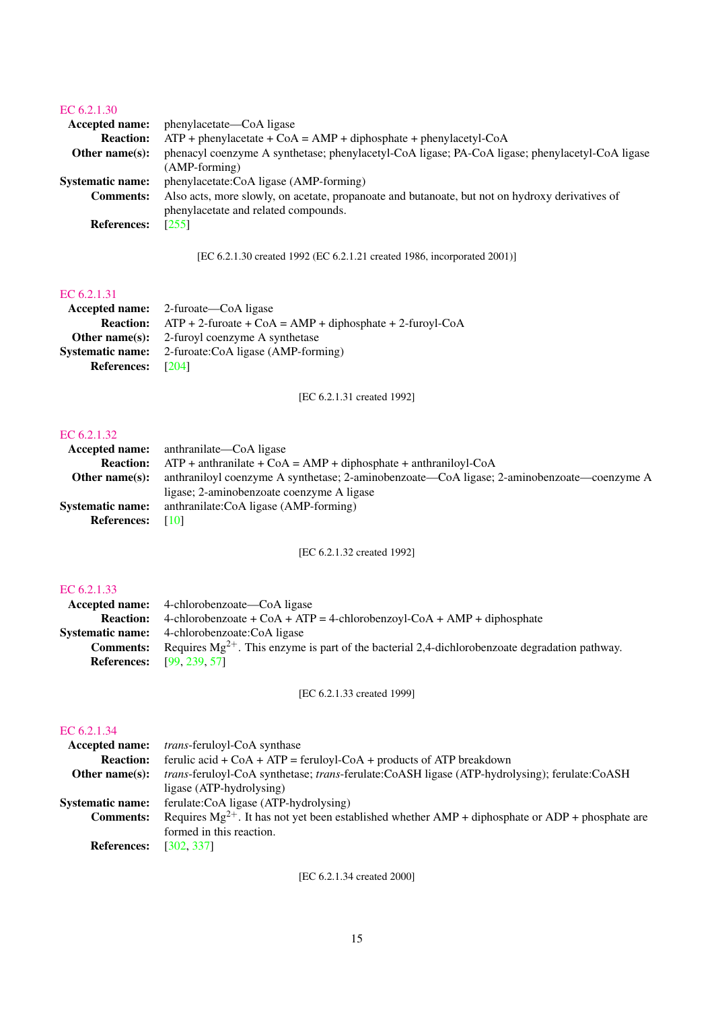## [EC 6.2.1.30](http://www.enzyme-database.org/query.php?ec=6.2.1.30)

| phenacyl coenzyme A synthetase; phenylacetyl-CoA ligase; PA-CoA ligase; phenylacetyl-CoA ligase |
|-------------------------------------------------------------------------------------------------|
|                                                                                                 |
|                                                                                                 |
| Also acts, more slowly, on acetate, propanoate and butanoate, but not on hydroxy derivatives of |
|                                                                                                 |
|                                                                                                 |
|                                                                                                 |

[EC 6.2.1.30 created 1992 (EC 6.2.1.21 created 1986, incorporated 2001)]

## [EC 6.2.1.31](http://www.enzyme-database.org/query.php?ec=6.2.1.31)

|                          | <b>Accepted name:</b> 2-furoate—CoA ligase                                         |
|--------------------------|------------------------------------------------------------------------------------|
|                          | <b>Reaction:</b> $ATP + 2$ -furoate + $CoA = AMP + diphosphate + 2$ -furoyl- $CoA$ |
|                          | <b>Other name(s):</b> 2-furoyl coenzyme A synthetase                               |
|                          | <b>Systematic name:</b> 2-furoate:CoA ligase (AMP-forming)                         |
| <b>References:</b> [204] |                                                                                    |
|                          |                                                                                    |

[EC 6.2.1.31 created 1992]

## [EC 6.2.1.32](http://www.enzyme-database.org/query.php?ec=6.2.1.32)

| <b>Accepted name:</b> anthranilate—CoA ligase                                              |  |
|--------------------------------------------------------------------------------------------|--|
| $ATP$ + anthranilate + CoA = AMP + diphosphate + anthraniloyl-CoA<br><b>Reaction:</b>      |  |
| anthraniloyl coenzyme A synthetase; 2-aminobenzoate—CoA ligase; 2-aminobenzoate—coenzyme A |  |
| ligase; 2-aminobenzoate coenzyme A ligase                                                  |  |
| anthranilate:CoA ligase (AMP-forming)                                                      |  |
| T101                                                                                       |  |
|                                                                                            |  |

[EC 6.2.1.32 created 1992]

## [EC 6.2.1.33](http://www.enzyme-database.org/query.php?ec=6.2.1.33)

|                  | <b>Accepted name:</b> 4-chlorobenzoate—CoA ligase                                                   |
|------------------|-----------------------------------------------------------------------------------------------------|
|                  | <b>Reaction:</b> 4-chlorobenzoate + CoA + ATP = 4-chlorobenzoyl-CoA + AMP + diphosphate             |
|                  | <b>Systematic name:</b> 4-chlorobenzoate:CoA ligase                                                 |
| <b>Comments:</b> | Requires $Mg^{2+}$ . This enzyme is part of the bacterial 2,4-dichlorobenzoate degradation pathway. |
|                  | <b>References:</b> [99, 239, 57]                                                                    |

[EC 6.2.1.33 created 1999]

## [EC 6.2.1.34](http://www.enzyme-database.org/query.php?ec=6.2.1.34)

| <i>trans-feruloyl-CoA synthase</i>                                                                           |
|--------------------------------------------------------------------------------------------------------------|
| ferulic acid + $CoA + ATP =$ feruloyl- $CoA +$ products of ATP breakdown                                     |
| <i>trans</i> -feruloyl-CoA synthetase; <i>trans</i> -ferulate:CoASH ligase (ATP-hydrolysing); ferulate:CoASH |
| ligase (ATP-hydrolysing)                                                                                     |
| ferulate:CoA ligase (ATP-hydrolysing)                                                                        |
| Requires $Mg^{2+}$ . It has not yet been established whether AMP + diphosphate or ADP + phosphate are        |
| formed in this reaction.                                                                                     |
| [302, 337]                                                                                                   |
| Accepted name:<br><b>Systematic name:</b>                                                                    |

[EC 6.2.1.34 created 2000]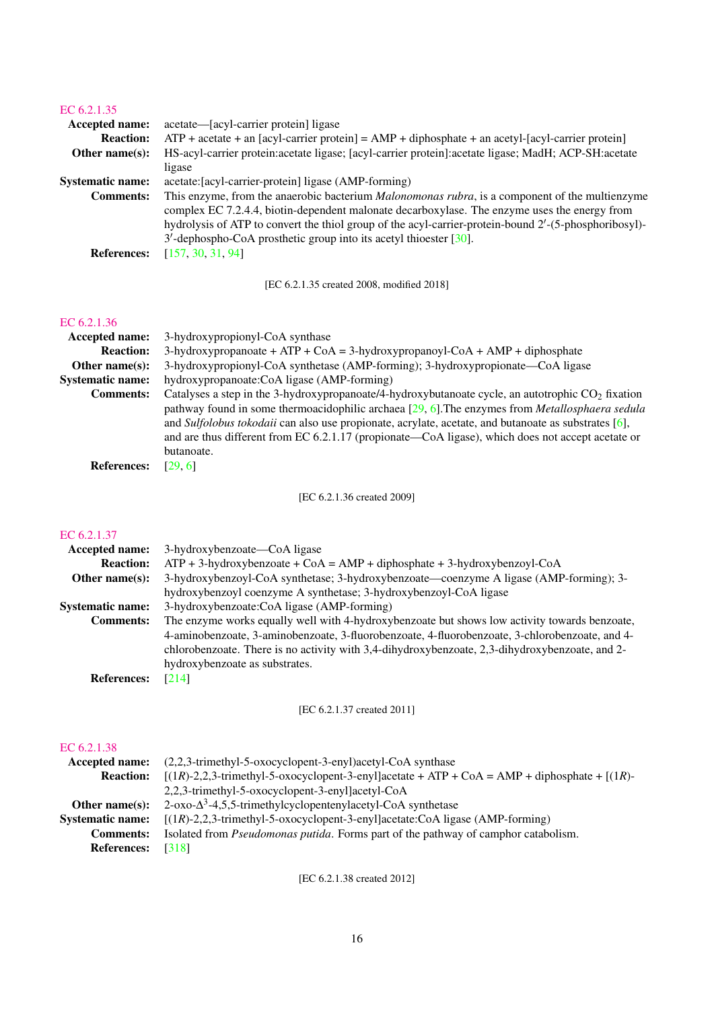| <b>Accepted name:</b>   | acetate—[acyl-carrier protein] ligase                                                                    |
|-------------------------|----------------------------------------------------------------------------------------------------------|
| <b>Reaction:</b>        | $ATP$ + acetate + an [acyl-carrier protein] = $AMP + diphosphate + an acetyl-[acyl-carrier protein]$     |
| Other name $(s)$ :      | HS-acyl-carrier protein: acetate ligase; [acyl-carrier protein]: acetate ligase; MadH; ACP-SH: acetate   |
|                         | ligase                                                                                                   |
| <b>Systematic name:</b> | acetate: [acyl-carrier-protein] ligase (AMP-forming)                                                     |
| <b>Comments:</b>        | This enzyme, from the anaerobic bacterium Malonomonas rubra, is a component of the multienzyme           |
|                         | complex EC 7.2.4.4, biotin-dependent malonate decarboxylase. The enzyme uses the energy from             |
|                         | hydrolysis of ATP to convert the thiol group of the acyl-carrier-protein-bound $2'$ -(5-phosphoribosyl)- |
|                         | $3'$ -dephospho-CoA prosthetic group into its acetyl thioester [ $30$ ].                                 |
| <b>References:</b>      | [157, 30, 31, 94]                                                                                        |

[EC 6.2.1.35 created 2008, modified 2018]

## [EC 6.2.1.36](http://www.enzyme-database.org/query.php?ec=6.2.1.36)

| <b>Accepted name:</b>   | 3-hydroxypropionyl-CoA synthase                                                                           |
|-------------------------|-----------------------------------------------------------------------------------------------------------|
| <b>Reaction:</b>        | $3-hydroxypropanoate + ATP + CoA = 3-hydroxypropanoyl-CoA + AMP + diphosphate$                            |
| Other name $(s)$ :      | 3-hydroxypropionyl-CoA synthetase (AMP-forming); 3-hydroxypropionate—CoA ligase                           |
| <b>Systematic name:</b> | hydroxypropanoate:CoA ligase (AMP-forming)                                                                |
| <b>Comments:</b>        | Catalyses a step in the 3-hydroxypropanoate/4-hydroxybutanoate cycle, an autotrophic $CO2$ fixation       |
|                         | pathway found in some thermoacidophilic archaea $[29, 6]$ . The enzymes from <i>Metallosphaera sedula</i> |
|                         | and Sulfolobus tokodaii can also use propionate, acrylate, acetate, and butanoate as substrates $[6]$ ,   |
|                         | and are thus different from EC 6.2.1.17 (propionate—CoA ligase), which does not accept acetate or         |
|                         | butanoate.                                                                                                |
| <b>References:</b>      | [29, 6]                                                                                                   |

[EC 6.2.1.36 created 2009]

## [EC 6.2.1.37](http://www.enzyme-database.org/query.php?ec=6.2.1.37)

| 3-hydroxybenzoate—CoA ligase<br>Accepted name:                                                                    |
|-------------------------------------------------------------------------------------------------------------------|
| $ATP + 3$ -hydroxybenzoate + CoA = AMP + diphosphate + 3-hydroxybenzoyl-CoA<br><b>Reaction:</b>                   |
| 3-hydroxybenzoyl-CoA synthetase; 3-hydroxybenzoate—coenzyme A ligase (AMP-forming); 3-<br>Other name $(s)$ :      |
| hydroxybenzoyl coenzyme A synthetase; 3-hydroxybenzoyl-CoA ligase                                                 |
| 3-hydroxybenzoate:CoA ligase (AMP-forming)<br><b>Systematic name:</b>                                             |
| The enzyme works equally well with 4-hydroxybenzoate but shows low activity towards benzoate,<br><b>Comments:</b> |
| 4-aminobenzoate, 3-aminobenzoate, 3-fluorobenzoate, 4-fluorobenzoate, 3-chlorobenzoate, and 4-                    |
| chlorobenzoate. There is no activity with 3,4-dihydroxybenzoate, 2,3-dihydroxybenzoate, and 2-                    |
| hydroxybenzoate as substrates.                                                                                    |
| <b>References:</b><br>[214]                                                                                       |
|                                                                                                                   |

[EC 6.2.1.37 created 2011]

## [EC 6.2.1.38](http://www.enzyme-database.org/query.php?ec=6.2.1.38)

| Accepted name:          | $(2,2,3$ -trimethyl-5-oxocyclopent-3-enyl)acetyl-CoA synthase                                                                                                                                    |
|-------------------------|--------------------------------------------------------------------------------------------------------------------------------------------------------------------------------------------------|
| <b>Reaction:</b>        | $[(1R)-2,2,3-$ trimethyl-5-oxocyclopent-3-enyllacetate + ATP + CoA = AMP + diphosphate + $[(1R)-2,2,3-$ trimethyl-5-oxocyclopent-3-enyllacetate + ATP + CoA = AMP + diphosphate + $[(1R)-2,2,3-$ |
|                         | 2,2,3-trimethyl-5-oxocyclopent-3-enyllacetyl-CoA                                                                                                                                                 |
| Other name $(s)$ :      | $2$ -oxo- $\Delta^3$ -4,5,5-trimethylcyclopentenylacetyl-CoA synthetase                                                                                                                          |
| <b>Systematic name:</b> | $[(1R)-2,2,3-$ trimethyl-5-oxocyclopent-3-enyl]acetate:CoA ligase (AMP-forming)                                                                                                                  |
| <b>Comments:</b>        | Isolated from <i>Pseudomonas putida</i> . Forms part of the pathway of camphor catabolism.                                                                                                       |
| <b>References:</b>      | [318]                                                                                                                                                                                            |

[EC 6.2.1.38 created 2012]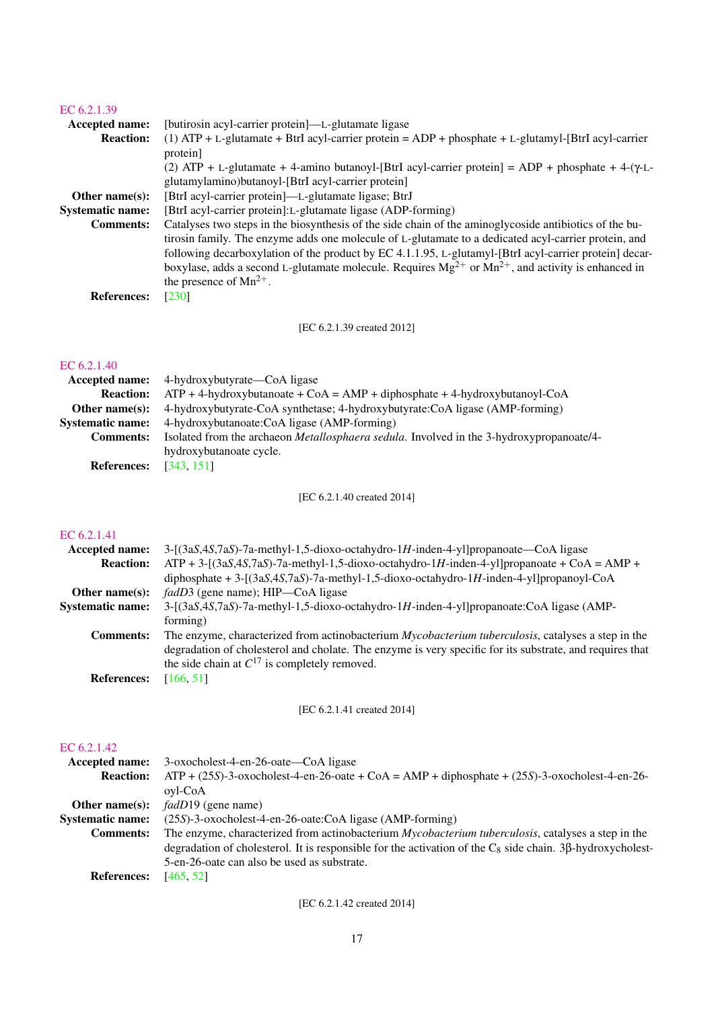| EC 6.2.1.39             |                                                                                                                                                                                                                                                                                                                                                                                                                                                                        |
|-------------------------|------------------------------------------------------------------------------------------------------------------------------------------------------------------------------------------------------------------------------------------------------------------------------------------------------------------------------------------------------------------------------------------------------------------------------------------------------------------------|
| Accepted name:          | [butirosin acyl-carrier protein]—L-glutamate ligase                                                                                                                                                                                                                                                                                                                                                                                                                    |
| <b>Reaction:</b>        | (1) ATP + L-glutamate + BtrI acyl-carrier protein = ADP + phosphate + L-glutamyl-[BtrI acyl-carrier<br>protein]                                                                                                                                                                                                                                                                                                                                                        |
|                         | (2) ATP + L-glutamate + 4-amino butanoyl-[BtrI acyl-carrier protein] = ADP + phosphate + 4-( $\gamma$ -L-<br>glutamylamino)butanoyl-[BtrI acyl-carrier protein]                                                                                                                                                                                                                                                                                                        |
| Other name $(s)$ :      | [BtrI acyl-carrier protein]—L-glutamate ligase; BtrJ                                                                                                                                                                                                                                                                                                                                                                                                                   |
| <b>Systematic name:</b> | [BtrI acyl-carrier protein]: L-glutamate ligase (ADP-forming)                                                                                                                                                                                                                                                                                                                                                                                                          |
| <b>Comments:</b>        | Catalyses two steps in the biosynthesis of the side chain of the aminoglycoside antibiotics of the bu-<br>tirosin family. The enzyme adds one molecule of L-glutamate to a dedicated acyl-carrier protein, and<br>following decarboxylation of the product by EC 4.1.1.95, L-glutamyl-[BtrI acyl-carrier protein] decar-<br>boxylase, adds a second L-glutamate molecule. Requires $Mg^{2+}$ or $Mn^{2+}$ , and activity is enhanced in<br>the presence of $Mn^{2+}$ . |
| <b>References:</b>      | [230]                                                                                                                                                                                                                                                                                                                                                                                                                                                                  |
|                         |                                                                                                                                                                                                                                                                                                                                                                                                                                                                        |

[EC 6.2.1.39 created 2012]

## [EC 6.2.1.40](http://www.enzyme-database.org/query.php?ec=6.2.1.40)

|                         | <b>Accepted name:</b> 4-hydroxybutyrate—CoA ligase                                               |
|-------------------------|--------------------------------------------------------------------------------------------------|
| <b>Reaction:</b>        | $ATP + 4$ -hydroxybutanoate + CoA = AMP + diphosphate + 4-hydroxybutanoyl-CoA                    |
| Other name $(s)$ :      | 4-hydroxybutyrate-CoA synthetase; 4-hydroxybutyrate:CoA ligase (AMP-forming)                     |
| <b>Systematic name:</b> | 4-hydroxybutanoate:CoA ligase (AMP-forming)                                                      |
| <b>Comments:</b>        | Isolated from the archaeon <i>Metallosphaera sedula</i> . Involved in the 3-hydroxypropanoate/4- |
|                         | hydroxybutanoate cycle.                                                                          |
| <b>References:</b>      | [343, 151]                                                                                       |

[EC 6.2.1.40 created 2014]

## [EC 6.2.1.41](http://www.enzyme-database.org/query.php?ec=6.2.1.41)

| <b>Accepted name:</b>   | $3-[3aS,4S,7aS)-7a-methyl-1,5-dioxo-octahydro-1H-inden-4-yl]propanoate$ - CoA ligase                       |
|-------------------------|------------------------------------------------------------------------------------------------------------|
| <b>Reaction:</b>        | $ATP + 3-[3aS,4S,7aS)-7a-methyl-1,5-dioxo-octahydro-1H-inden-4-yl]propanoate + CoA = AMP +$                |
|                         | diphosphate $+3$ -[(3aS,4S,7aS)-7a-methyl-1,5-dioxo-octahydro-1H-inden-4-yl]propanoyl-CoA                  |
| Other name $(s)$ :      | <i>fadD3</i> (gene name); HIP—CoA ligase                                                                   |
| <b>Systematic name:</b> | 3-[(3aS,4S,7aS)-7a-methyl-1,5-dioxo-octahydro-1H-inden-4-yl]propanoate:CoA ligase (AMP-                    |
|                         | forming)                                                                                                   |
| <b>Comments:</b>        | The enzyme, characterized from actinobacterium <i>Mycobacterium tuberculosis</i> , catalyses a step in the |
|                         | degradation of cholesterol and cholate. The enzyme is very specific for its substrate, and requires that   |
|                         | the side chain at $C^{17}$ is completely removed.                                                          |
| <b>References:</b>      | [166, 51]                                                                                                  |

[EC 6.2.1.41 created 2014]

## [EC 6.2.1.42](http://www.enzyme-database.org/query.php?ec=6.2.1.42)

| <b>Accepted name:</b>   | 3-oxocholest-4-en-26-oate—CoA ligase                                                                                 |
|-------------------------|----------------------------------------------------------------------------------------------------------------------|
| <b>Reaction:</b>        | $ATP + (25S)$ -3-oxocholest-4-en-26-oate + CoA = AMP + diphosphate + (25S)-3-oxocholest-4-en-26-                     |
|                         | ovl-CoA                                                                                                              |
| Other name $(s)$ :      | <i>fadD</i> 19 (gene name)                                                                                           |
| <b>Systematic name:</b> | (25S)-3-oxocholest-4-en-26-oate:CoA ligase (AMP-forming)                                                             |
| <b>Comments:</b>        | The enzyme, characterized from actinobacterium <i>Mycobacterium tuberculosis</i> , catalyses a step in the           |
|                         | degradation of cholesterol. It is responsible for the activation of the $C_8$ side chain. 3 $\beta$ -hydroxycholest- |
|                         | 5-en-26-oate can also be used as substrate.                                                                          |
| <b>References:</b>      | [465, 52]                                                                                                            |

[EC 6.2.1.42 created 2014]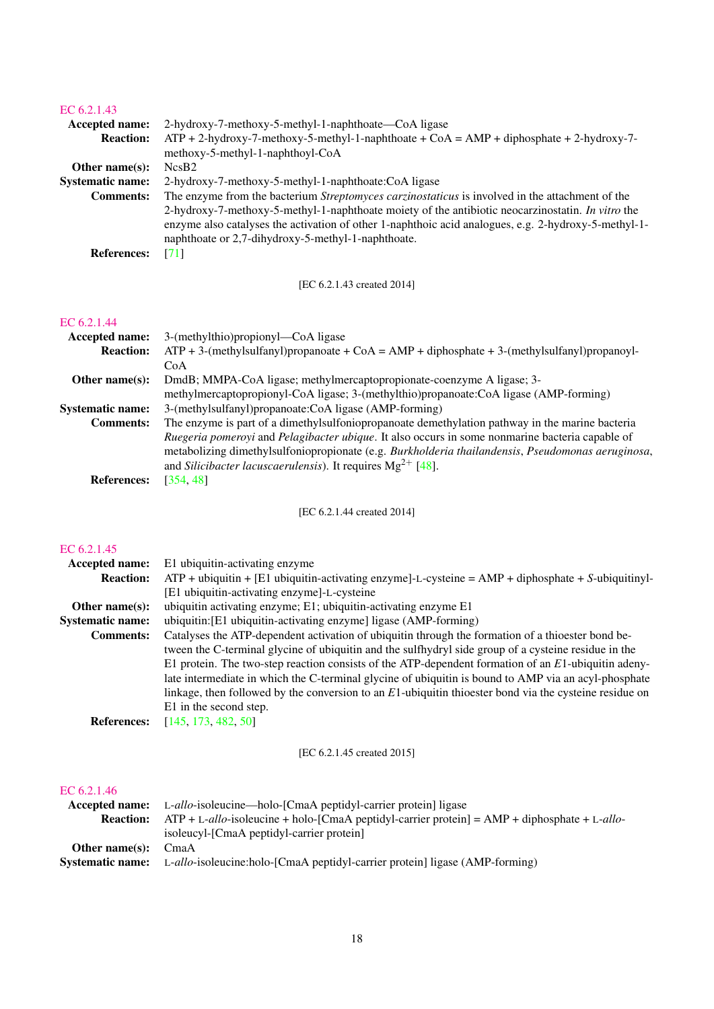| EC 6.2.1.43                            |                                                                                                                                                                                                                                                                                                                                                                            |
|----------------------------------------|----------------------------------------------------------------------------------------------------------------------------------------------------------------------------------------------------------------------------------------------------------------------------------------------------------------------------------------------------------------------------|
| Accepted name:<br><b>Reaction:</b>     | 2-hydroxy-7-methoxy-5-methyl-1-naphthoate—CoA ligase<br>$ATP + 2-hydroxy-7-methoxy-5-methyl-1-naphthoate + CoA = AMP + diphosphate + 2-hydroxy-7-$<br>methoxy-5-methyl-1-naphthoyl-CoA                                                                                                                                                                                     |
| Other name(s):                         | NcsB <sub>2</sub>                                                                                                                                                                                                                                                                                                                                                          |
| <b>Systematic name:</b>                | 2-hydroxy-7-methoxy-5-methyl-1-naphthoate:CoA ligase                                                                                                                                                                                                                                                                                                                       |
| <b>Comments:</b><br><b>References:</b> | The enzyme from the bacterium Streptomyces carzinostaticus is involved in the attachment of the<br>2-hydroxy-7-methoxy-5-methyl-1-naphthoate moiety of the antibiotic neocarzinostatin. In vitro the<br>enzyme also catalyses the activation of other 1-naphthoic acid analogues, e.g. 2-hydroxy-5-methyl-1-<br>naphthoate or 2,7-dihydroxy-5-methyl-1-naphthoate.<br>[71] |
|                                        |                                                                                                                                                                                                                                                                                                                                                                            |
|                                        | [EC 6.2.1.43 created 2014]                                                                                                                                                                                                                                                                                                                                                 |
| EC 6.2.1.44                            |                                                                                                                                                                                                                                                                                                                                                                            |
| Accepted name:                         | 3-(methylthio)propionyl—CoA ligase                                                                                                                                                                                                                                                                                                                                         |
| <b>Reaction:</b>                       | $ATP + 3$ -(methylsulfanyl)propanoate + CoA = AMP + diphosphate + 3-(methylsulfanyl)propanoyl-<br>CoA                                                                                                                                                                                                                                                                      |
| Other name(s):                         | DmdB; MMPA-CoA ligase; methylmercaptopropionate-coenzyme A ligase; 3-                                                                                                                                                                                                                                                                                                      |
|                                        | methylmercaptopropionyl-CoA ligase; 3-(methylthio)propanoate:CoA ligase (AMP-forming)                                                                                                                                                                                                                                                                                      |
| <b>Systematic name:</b>                | 3-(methylsulfanyl)propanoate:CoA ligase (AMP-forming)                                                                                                                                                                                                                                                                                                                      |
| <b>Comments:</b>                       | The enzyme is part of a dimethylsulfoniopropanoate demethylation pathway in the marine bacteria<br>Ruegeria pomeroyi and Pelagibacter ubique. It also occurs in some nonmarine bacteria capable of<br>metabolizing dimethylsulfoniopropionate (e.g. Burkholderia thailandensis, Pseudomonas aeruginosa.<br>and Silicibacter lacuscaerulensis). It requires $Mg^{2+}$ [48]. |
| <b>References:</b>                     | [354, 48]                                                                                                                                                                                                                                                                                                                                                                  |
|                                        |                                                                                                                                                                                                                                                                                                                                                                            |
|                                        | [EC 6.2.1.44 created 2014]                                                                                                                                                                                                                                                                                                                                                 |
| EC 6.2.1.45                            |                                                                                                                                                                                                                                                                                                                                                                            |
|                                        | Accented name: El ubiquitin activating enzyme                                                                                                                                                                                                                                                                                                                              |

## Accepted name: E1 ubiquitin-activating enzyme Reaction: ATP + ubiquitin + [E1 ubiquitin-activating enzyme]-L-cysteine = AMP + diphosphate + *S*-ubiquitinyl- [E1 ubiquitin-activating enzyme]-L-cysteine Other name(s): ubiquitin activating enzyme; E1; ubiquitin-activating enzyme E1 Systematic name: ubiquitin:[E1 ubiquitin-activating enzyme] ligase (AMP-forming) Comments: Catalyses the ATP-dependent activation of ubiquitin through the formation of a thioester bond between the C-terminal glycine of ubiquitin and the sulfhydryl side group of a cysteine residue in the E1 protein. The two-step reaction consists of the ATP-dependent formation of an *E*1-ubiquitin adenylate intermediate in which the C-terminal glycine of ubiquitin is bound to AMP via an acyl-phosphate linkage, then followed by the conversion to an *E*1-ubiquitin thioester bond via the cysteine residue on E1 in the second step. **References:** [\[145,](#page-65-8) [173,](#page-66-7) [482,](#page-81-2) [50\]](#page-60-6)

[EC 6.2.1.45 created 2015]

## [EC 6.2.1.46](http://www.enzyme-database.org/query.php?ec=6.2.1.46)

|                    | <b>Accepted name:</b> L-allo-isoleucine—holo-[CmaA peptidyl-carrier protein] ligase                 |
|--------------------|-----------------------------------------------------------------------------------------------------|
| <b>Reaction:</b>   | $ATP + L-allo$ -isoleucine + holo-[CmaA peptidyl-carrier protein] = AMP + diphosphate + L-allo-     |
|                    | isoleucyl-[CmaA peptidyl-carrier protein]                                                           |
| Other name $(s)$ : | CmaA                                                                                                |
|                    | <b>Systematic name:</b> L-allo-isoleucine:holo-[CmaA peptidyl-carrier protein] ligase (AMP-forming) |
|                    |                                                                                                     |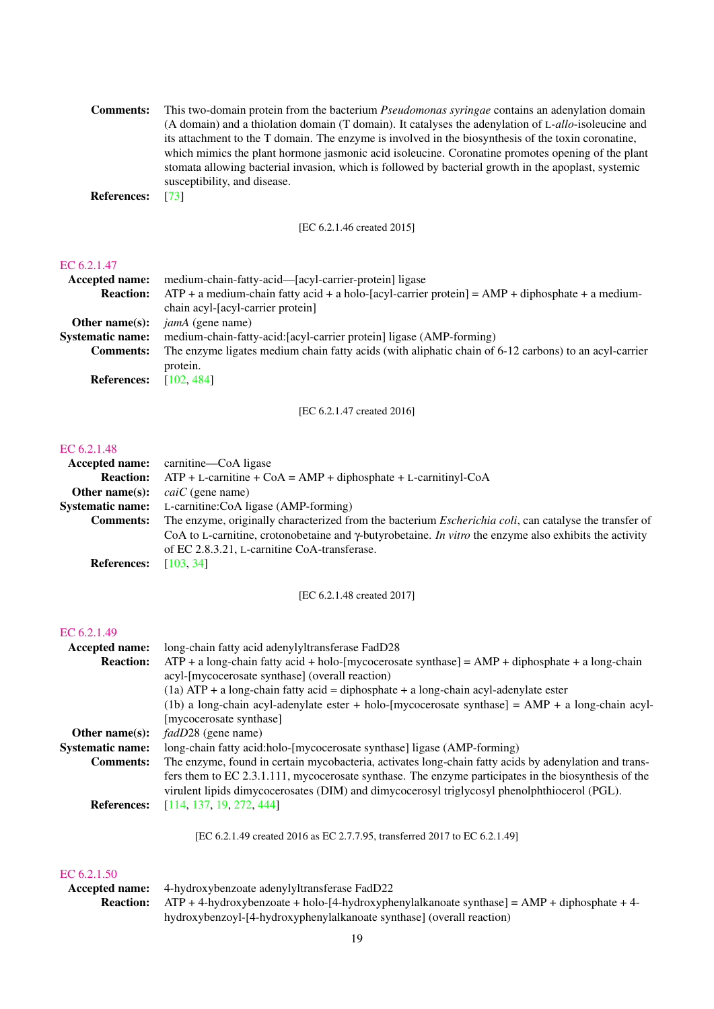| <b>Comments:</b>   | This two-domain protein from the bacterium <i>Pseudomonas syringae</i> contains an adenylation domain |
|--------------------|-------------------------------------------------------------------------------------------------------|
|                    | (A domain) and a thiolation domain (T domain). It catalyses the adenylation of L-allo-isoleucine and  |
|                    | its attachment to the T domain. The enzyme is involved in the biosynthesis of the toxin coronatine,   |
|                    | which mimics the plant hormone jasmonic acid isoleucine. Coronatine promotes opening of the plant     |
|                    | stomata allowing bacterial invasion, which is followed by bacterial growth in the apoplast, systemic  |
|                    | susceptibility, and disease.                                                                          |
| <b>References:</b> | - 1731                                                                                                |

[EC 6.2.1.46 created 2015]

## [EC 6.2.1.47](http://www.enzyme-database.org/query.php?ec=6.2.1.47)

| Accepted name:          | medium-chain-fatty-acid—[acyl-carrier-protein] ligase                                                 |
|-------------------------|-------------------------------------------------------------------------------------------------------|
| <b>Reaction:</b>        | $ATP + a$ medium-chain fatty acid + a holo-[acyl-carrier protein] = $AMP + diphosphate + a$ medium-   |
|                         | chain acyl-[acyl-carrier protein]                                                                     |
| Other name $(s)$ :      | <i>jamA</i> (gene name)                                                                               |
| <b>Systematic name:</b> | medium-chain-fatty-acid: [acyl-carrier protein] ligase (AMP-forming)                                  |
| <b>Comments:</b>        | The enzyme ligates medium chain fatty acids (with aliphatic chain of 6-12 carbons) to an acyl-carrier |
|                         | protein.                                                                                              |
| <b>References:</b>      | [102, 484]                                                                                            |

[EC 6.2.1.47 created 2016]

## [EC 6.2.1.48](http://www.enzyme-database.org/query.php?ec=6.2.1.48)

|                    | <b>Accepted name:</b> carnitine—CoA ligase                                                                            |
|--------------------|-----------------------------------------------------------------------------------------------------------------------|
| <b>Reaction:</b>   | $ATP + L$ -carnitine + CoA = AMP + diphosphate + L-carnitinyl-CoA                                                     |
| Other name $(s)$ : | <i>caiC</i> (gene name)                                                                                               |
|                    | <b>Systematic name:</b> L-carnitine:CoA ligase (AMP-forming)                                                          |
| <b>Comments:</b>   | The enzyme, originally characterized from the bacterium <i>Escherichia coli</i> , can catalyse the transfer of        |
|                    | CoA to L-carnitine, crotonobetaine and $\gamma$ -butyrobetaine. <i>In vitro</i> the enzyme also exhibits the activity |
|                    | of EC 2.8.3.21, L-carnitine CoA-transferase.                                                                          |
| <b>References:</b> | [103, 34]                                                                                                             |

[EC 6.2.1.48 created 2017]

## [EC 6.2.1.49](http://www.enzyme-database.org/query.php?ec=6.2.1.49)

| Accepted name:          | long-chain fatty acid adenylyltransferase FadD28                                                                                                                                                     |  |
|-------------------------|------------------------------------------------------------------------------------------------------------------------------------------------------------------------------------------------------|--|
| <b>Reaction:</b>        | $ATP + a long-chain$ fatty acid + holo-[mycocerosate synthase] = AMP + diphosphate + a long-chain                                                                                                    |  |
|                         | acyl-[mycocerosate synthase] (overall reaction)                                                                                                                                                      |  |
|                         | $(1a)$ ATP + a long-chain fatty acid = diphosphate + a long-chain acyl-adenylate ester                                                                                                               |  |
|                         | (1b) a long-chain acyl-adenylate ester + holo-[mycocerosate synthase] = $AMP + a$ long-chain acyl-                                                                                                   |  |
|                         | [mycocerosate synthase]                                                                                                                                                                              |  |
| Other name $(s)$ :      | <i>fadD28</i> (gene name)                                                                                                                                                                            |  |
| <b>Systematic name:</b> | long-chain fatty acid:holo-[mycocerosate synthase] ligase (AMP-forming)                                                                                                                              |  |
| <b>Comments:</b>        | The enzyme, found in certain mycobacteria, activates long-chain fatty acids by adenylation and trans-                                                                                                |  |
|                         | fers them to EC 2.3.1.111, mycocerosate synthase. The enzyme participates in the biosynthesis of the<br>virulent lipids dimycocerosates (DIM) and dimycocerosyl triglycosyl phenolphthiocerol (PGL). |  |
| <b>References:</b>      | [114, 137, 19, 272, 444]                                                                                                                                                                             |  |
|                         |                                                                                                                                                                                                      |  |

[EC 6.2.1.49 created 2016 as EC 2.7.7.95, transferred 2017 to EC 6.2.1.49]

## EC  $6.2.1.50$ <br>Accepted pan

| ------------ |                                                                                                                |
|--------------|----------------------------------------------------------------------------------------------------------------|
|              | <b>Accepted name:</b> 4-hydroxybenzoate adenylyltransferase FadD22                                             |
|              | <b>Reaction:</b> ATP + 4-hydroxybenzoate + holo-[4-hydroxyphenylalkanoate synthase] = $AMP + diphosphate + 4-$ |
|              | hydroxybenzoyl-[4-hydroxyphenylalkanoate synthase] (overall reaction)                                          |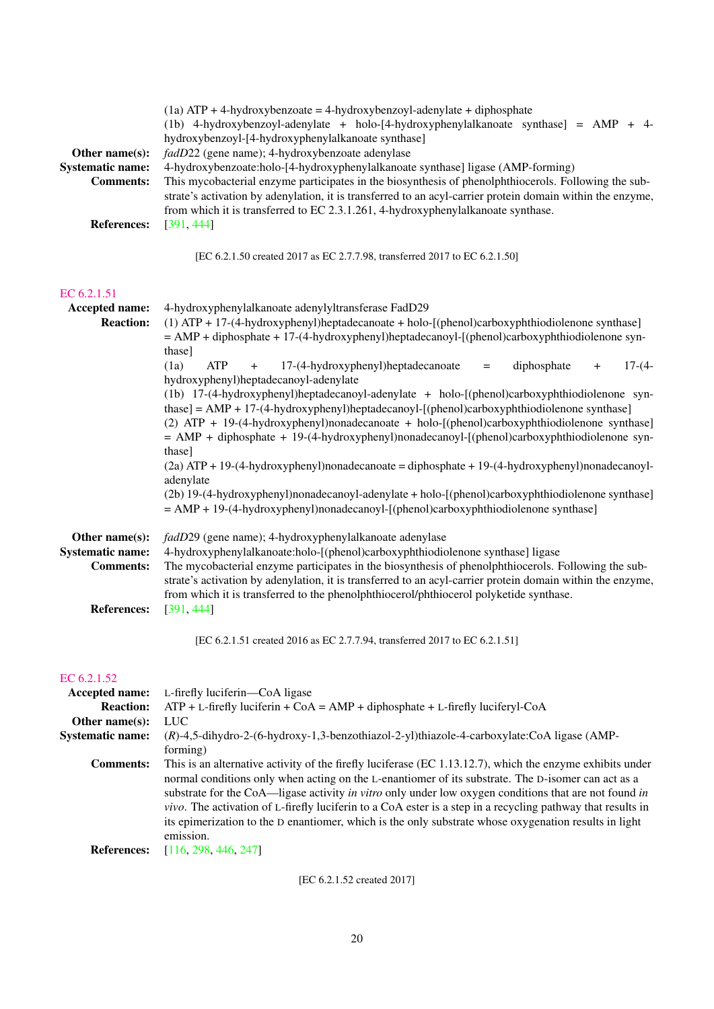| Other name(s):<br><b>Systematic name:</b><br><b>Comments:</b> | $(1a)$ ATP + 4-hydroxybenzoate = 4-hydroxybenzoyl-adenylate + diphosphate<br>(1b) 4-hydroxybenzoyl-adenylate + holo-[4-hydroxyphenylalkanoate synthase] = $AMP + 4$ -<br>hydroxybenzoyl-[4-hydroxyphenylalkanoate synthase]<br>fadD22 (gene name); 4-hydroxybenzoate adenylase<br>4-hydroxybenzoate:holo-[4-hydroxyphenylalkanoate synthase] ligase (AMP-forming)<br>This mycobacterial enzyme participates in the biosynthesis of phenolphthiocerols. Following the sub-<br>strate's activation by adenylation, it is transferred to an acyl-carrier protein domain within the enzyme,<br>from which it is transferred to EC 2.3.1.261, 4-hydroxyphenylalkanoate synthase. |
|---------------------------------------------------------------|-----------------------------------------------------------------------------------------------------------------------------------------------------------------------------------------------------------------------------------------------------------------------------------------------------------------------------------------------------------------------------------------------------------------------------------------------------------------------------------------------------------------------------------------------------------------------------------------------------------------------------------------------------------------------------|
| <b>References:</b>                                            | [391, 444]                                                                                                                                                                                                                                                                                                                                                                                                                                                                                                                                                                                                                                                                  |
|                                                               | [EC 6.2.1.50 created 2017 as EC 2.7.7.98, transferred 2017 to EC 6.2.1.50]                                                                                                                                                                                                                                                                                                                                                                                                                                                                                                                                                                                                  |
| EC 6.2.1.51                                                   |                                                                                                                                                                                                                                                                                                                                                                                                                                                                                                                                                                                                                                                                             |
| Accepted name:<br><b>Reaction:</b>                            | 4-hydroxyphenylalkanoate adenylyltransferase FadD29<br>(1) ATP + 17-(4-hydroxyphenyl)heptadecanoate + holo-[(phenol)carboxyphthiodiolenone synthase]<br>$=$ AMP + diphosphate + 17-(4-hydroxyphenyl)heptadecanoyl-[(phenol)carboxyphthiodiolenone syn-<br>thase]                                                                                                                                                                                                                                                                                                                                                                                                            |
|                                                               | <b>ATP</b><br>(1a)<br>17-(4-hydroxyphenyl)heptadecanoate<br>diphosphate<br>$17-(4-$<br>$\ddot{}$<br>$+$<br>$\qquad \qquad =$                                                                                                                                                                                                                                                                                                                                                                                                                                                                                                                                                |
|                                                               | hydroxyphenyl)heptadecanoyl-adenylate<br>(1b) 17-(4-hydroxyphenyl)heptadecanoyl-adenylate + holo-[(phenol)carboxyphthiodiolenone syn-                                                                                                                                                                                                                                                                                                                                                                                                                                                                                                                                       |
|                                                               | thase] = AMP + 17-(4-hydroxyphenyl)heptadecanoyl-[(phenol)carboxyphthiodiolenone synthase]                                                                                                                                                                                                                                                                                                                                                                                                                                                                                                                                                                                  |
|                                                               | (2) ATP + 19-(4-hydroxyphenyl)nonadecanoate + holo-[(phenol)carboxyphthiodiolenone synthase]<br>$=$ AMP + diphosphate + 19-(4-hydroxyphenyl)nonadecanoyl-[(phenol)carboxyphthiodiolenone syn-                                                                                                                                                                                                                                                                                                                                                                                                                                                                               |
|                                                               | thase]                                                                                                                                                                                                                                                                                                                                                                                                                                                                                                                                                                                                                                                                      |
|                                                               | $(2a)$ ATP + 19-(4-hydroxyphenyl)nonadecanoate = diphosphate + 19-(4-hydroxyphenyl)nonadecanoyl-<br>adenylate                                                                                                                                                                                                                                                                                                                                                                                                                                                                                                                                                               |
|                                                               | (2b) 19-(4-hydroxyphenyl)nonadecanoyl-adenylate + holo-[(phenol)carboxyphthiodiolenone synthase]<br>$=$ AMP + 19-(4-hydroxyphenyl)nonadecanoyl-[(phenol)carboxyphthiodiolenone synthase]                                                                                                                                                                                                                                                                                                                                                                                                                                                                                    |
| Other name(s):                                                | fadD29 (gene name); 4-hydroxyphenylalkanoate adenylase                                                                                                                                                                                                                                                                                                                                                                                                                                                                                                                                                                                                                      |
| <b>Systematic name:</b>                                       | 4-hydroxyphenylalkanoate:holo-[(phenol)carboxyphthiodiolenone synthase] ligase                                                                                                                                                                                                                                                                                                                                                                                                                                                                                                                                                                                              |
| <b>Comments:</b>                                              | The mycobacterial enzyme participates in the biosynthesis of phenolphthiocerols. Following the sub-<br>strate's activation by adenylation, it is transferred to an acyl-carrier protein domain within the enzyme,                                                                                                                                                                                                                                                                                                                                                                                                                                                           |
|                                                               | from which it is transferred to the phenolphthiocerol/phthiocerol polyketide synthase.                                                                                                                                                                                                                                                                                                                                                                                                                                                                                                                                                                                      |
| <b>References:</b>                                            | [391, 444]                                                                                                                                                                                                                                                                                                                                                                                                                                                                                                                                                                                                                                                                  |
|                                                               | [EC 6.2.1.51 created 2016 as EC 2.7.7.94, transferred 2017 to EC 6.2.1.51]                                                                                                                                                                                                                                                                                                                                                                                                                                                                                                                                                                                                  |
| EC 6.2.1.52                                                   |                                                                                                                                                                                                                                                                                                                                                                                                                                                                                                                                                                                                                                                                             |
| Accepted name:                                                | L-firefly luciferin-CoA ligase                                                                                                                                                                                                                                                                                                                                                                                                                                                                                                                                                                                                                                              |
| <b>Reaction:</b><br>Other name(s):                            | $ATP + L$ -firefly luciferin + CoA = AMP + diphosphate + L-firefly luciferyl-CoA<br>LUC                                                                                                                                                                                                                                                                                                                                                                                                                                                                                                                                                                                     |
| <b>Systematic name:</b>                                       | (R)-4,5-dihydro-2-(6-hydroxy-1,3-benzothiazol-2-yl)thiazole-4-carboxylate:CoA ligase (AMP-                                                                                                                                                                                                                                                                                                                                                                                                                                                                                                                                                                                  |
| <b>Comments:</b>                                              | forming)<br>This is an alternative activity of the firefly luciferase (EC 1.13.12.7), which the enzyme exhibits under                                                                                                                                                                                                                                                                                                                                                                                                                                                                                                                                                       |
|                                                               | normal conditions only when acting on the L-enantiomer of its substrate. The D-isomer can act as a                                                                                                                                                                                                                                                                                                                                                                                                                                                                                                                                                                          |
|                                                               | substrate for the CoA—ligase activity in vitro only under low oxygen conditions that are not found in<br>vivo. The activation of L-firefly luciferin to a CoA ester is a step in a recycling pathway that results in<br>its epimerization to the D enantiomer, which is the only substrate whose oxygenation results in light<br>emission.                                                                                                                                                                                                                                                                                                                                  |

**References:** [\[116,](#page-63-9) [298,](#page-72-5) [446,](#page-79-4) [247\]](#page-70-6)

[EC 6.2.1.52 created 2017]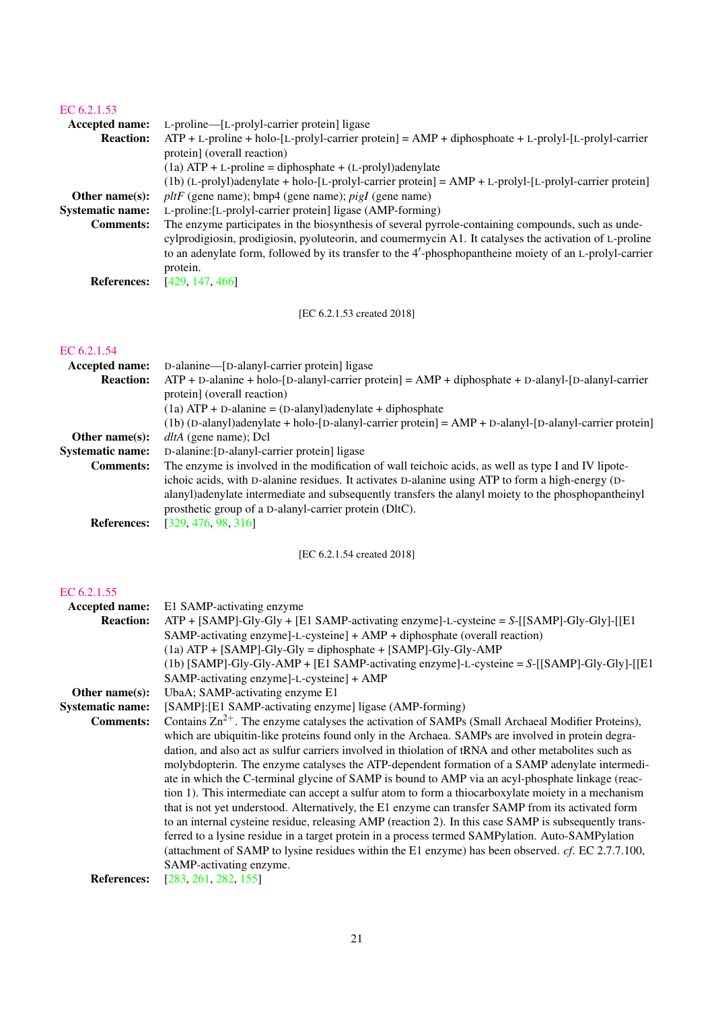| EC 6.2.1.53<br>Accepted name:<br><b>Reaction:</b>                                       | L-proline—[L-prolyl-carrier protein] ligase<br>$ATP + L$ -proline + holo-[L-prolyl-carrier protein] = $AMP + diphosphoate + L-prolyl$ -[L-prolyl-carrier<br>protein] (overall reaction)                                                                                                                                                                                                                                                                                                                                                                                                                                                                             |
|-----------------------------------------------------------------------------------------|---------------------------------------------------------------------------------------------------------------------------------------------------------------------------------------------------------------------------------------------------------------------------------------------------------------------------------------------------------------------------------------------------------------------------------------------------------------------------------------------------------------------------------------------------------------------------------------------------------------------------------------------------------------------|
| Other name $(s)$ :<br><b>Systematic name:</b><br><b>Comments:</b><br><b>References:</b> | $(1a) ATP + L$ -proline = diphosphate + $(L$ -prolyl)adenylate<br>$(1b)$ (L-prolyl)adenylate + holo-[L-prolyl-carrier protein] = AMP + L-prolyl-[L-prolyl-carrier protein]<br>$pltF$ (gene name); bmp4 (gene name); <i>pigI</i> (gene name)<br>L-proline: [L-prolyl-carrier protein] ligase (AMP-forming)<br>The enzyme participates in the biosynthesis of several pyrrole-containing compounds, such as unde-<br>cylprodigiosin, prodigiosin, pyoluteorin, and coumermycin A1. It catalyses the activation of L-proline<br>to an adenylate form, followed by its transfer to the 4'-phosphopantheine moiety of an L-prolyl-carrier<br>protein.<br>[429, 147, 466] |
|                                                                                         | [EC 6.2.1.53 created 2018]                                                                                                                                                                                                                                                                                                                                                                                                                                                                                                                                                                                                                                          |
| EC 6.2.1.54<br>Accepted name:                                                           | D-alanine—[D-alanyl-carrier protein] ligase                                                                                                                                                                                                                                                                                                                                                                                                                                                                                                                                                                                                                         |

| <b>Reaction:</b>        | $ATP + D$ -alanine + holo-[D-alanyl-carrier protein] = $AMP + diphosphate + D-alanyl$ -[D-alanyl-carrier |
|-------------------------|----------------------------------------------------------------------------------------------------------|
|                         | protein] (overall reaction)                                                                              |
|                         | $(1a)$ ATP + D-alanine = $(D$ -alanyl)adenylate + diphosphate                                            |
|                         | $(1b)$ (D-alanyl)adenylate + holo-[D-alanyl-carrier protein] = AMP + D-alanyl-[D-alanyl-carrier protein] |
| Other name $(s)$ :      | <i>dltA</i> (gene name); Dcl                                                                             |
| <b>Systematic name:</b> | D-alanine: [D-alanyl-carrier protein] ligase                                                             |
| <b>Comments:</b>        | The enzyme is involved in the modification of wall teichoic acids, as well as type I and IV lipote-      |
|                         | ichoic acids, with D-alanine residues. It activates D-alanine using ATP to form a high-energy (D-        |
|                         | alanyl) adenylate intermediate and subsequently transfers the alanyl moiety to the phosphopantheinyl     |
|                         | prosthetic group of a D-alanyl-carrier protein (DltC).                                                   |
| <b>References:</b>      | [329, 476, 98, 316]                                                                                      |
|                         |                                                                                                          |

[EC 6.2.1.54 created 2018]

## [EC 6.2.1.55](http://www.enzyme-database.org/query.php?ec=6.2.1.55)

| Accepted name:          | E1 SAMP-activating enzyme                                                                                    |
|-------------------------|--------------------------------------------------------------------------------------------------------------|
| <b>Reaction:</b>        | $ATP + [SAMP-Gly-Gly + [E1 SAMP-activating enzyme]-L-cysteine = S-[[SAMP-Gly-Gly]-[[E1$                      |
|                         | SAMP-activating enzyme]-L-cysteine] + AMP + diphosphate (overall reaction)                                   |
|                         | $(1a)$ ATP + [SAMP]-Gly-Gly = diphosphate + [SAMP]-Gly-Gly-AMP                                               |
|                         | $(1b)$ [SAMP]-Gly-Gly-AMP + [E1 SAMP-activating enzyme]-L-cysteine = S-[[SAMP]-Gly-Gly]-[[E1                 |
|                         | SAMP-activating enzyme]-L-cysteine] + AMP                                                                    |
| Other name $(s)$ :      | UbaA; SAMP-activating enzyme E1                                                                              |
| <b>Systematic name:</b> | [SAMP]: [E1 SAMP-activating enzyme] ligase (AMP-forming)                                                     |
| <b>Comments:</b>        | Contains $\text{Zn}^{2+}$ . The enzyme catalyses the activation of SAMPs (Small Archaeal Modifier Proteins), |
|                         | which are ubiquitin-like proteins found only in the Archaea. SAMPs are involved in protein degra-            |
|                         | dation, and also act as sulfur carriers involved in thiolation of tRNA and other metabolites such as         |
|                         | molybdopterin. The enzyme catalyses the ATP-dependent formation of a SAMP adenylate intermedi-               |
|                         | ate in which the C-terminal glycine of SAMP is bound to AMP via an acyl-phosphate linkage (reac-             |
|                         | tion 1). This intermediate can accept a sulfur atom to form a thiocarboxylate moiety in a mechanism          |
|                         | that is not yet understood. Alternatively, the E1 enzyme can transfer SAMP from its activated form           |
|                         | to an internal cysteine residue, releasing AMP (reaction 2). In this case SAMP is subsequently trans-        |
|                         | ferred to a lysine residue in a target protein in a process termed SAMPylation. Auto-SAMPylation             |
|                         | (attachment of SAMP to lysine residues within the E1 enzyme) has been observed. $cf.$ EC 2.7.7.100,          |
|                         | SAMP-activating enzyme.                                                                                      |
| <b>References:</b>      | [283, 261, 282, 155]                                                                                         |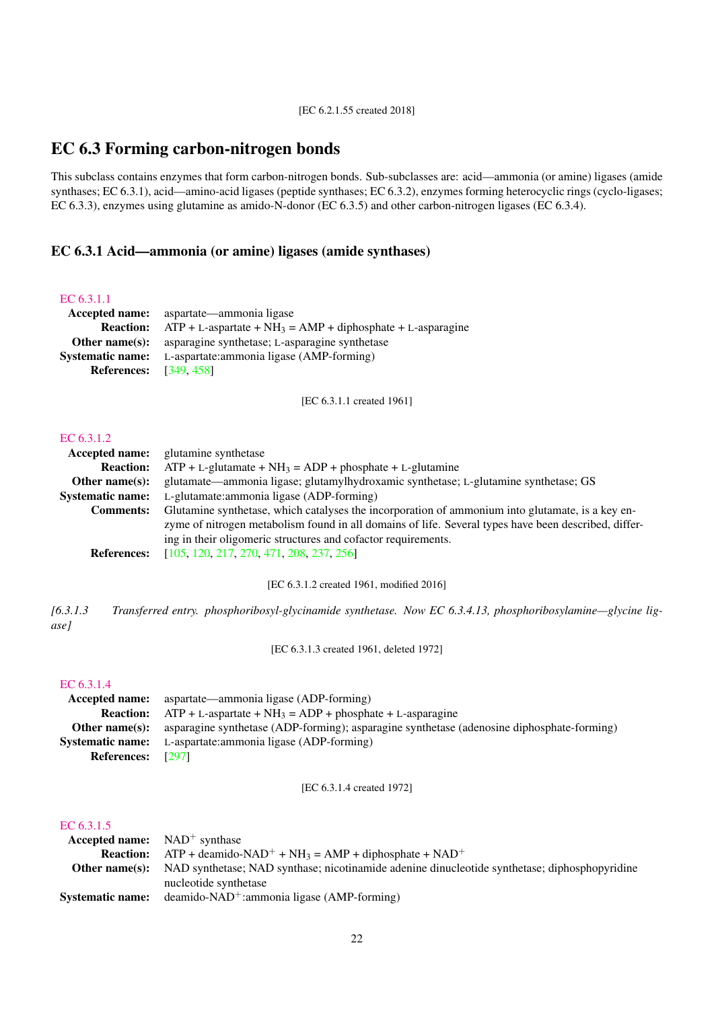## <span id="page-21-0"></span>EC 6.3 Forming carbon-nitrogen bonds

This subclass contains enzymes that form carbon-nitrogen bonds. Sub-subclasses are: acid—ammonia (or amine) ligases (amide synthases; EC 6.3.1), acid—amino-acid ligases (peptide synthases; EC 6.3.2), enzymes forming heterocyclic rings (cyclo-ligases; EC 6.3.3), enzymes using glutamine as amido-N-donor (EC 6.3.5) and other carbon-nitrogen ligases (EC 6.3.4).

## <span id="page-21-1"></span>EC 6.3.1 Acid—ammonia (or amine) ligases (amide synthases)

## [EC 6.3.1.1](http://www.enzyme-database.org/query.php?ec=6.3.1.1)

|                               | Accepted name: aspartate—ammonia ligase                                       |
|-------------------------------|-------------------------------------------------------------------------------|
|                               | <b>Reaction:</b> $ATP + L-aspartate + NH3 = AMP + diphosphate + L-asparagine$ |
|                               | <b>Other name(s):</b> asparagine synthetase; L-asparagine synthetase          |
|                               | <b>Systematic name:</b> L-aspartate: ammonia ligase (AMP-forming)             |
| <b>References:</b> [349, 458] |                                                                               |

[EC 6.3.1.1 created 1961]

## [EC 6.3.1.2](http://www.enzyme-database.org/query.php?ec=6.3.1.2)

|                         | <b>Accepted name:</b> glutamine synthetase                                                           |
|-------------------------|------------------------------------------------------------------------------------------------------|
| <b>Reaction:</b>        | $ATP + L$ -glutamate + NH <sub>3</sub> = ADP + phosphate + L-glutamine                               |
| Other name $(s)$ :      | glutamate—ammonia ligase; glutamylhydroxamic synthetase; L-glutamine synthetase; GS                  |
| <b>Systematic name:</b> | L-glutamate: ammonia ligase (ADP-forming)                                                            |
| <b>Comments:</b>        | Glutamine synthetase, which catalyses the incorporation of ammonium into glutamate, is a key en-     |
|                         | zyme of nitrogen metabolism found in all domains of life. Several types have been described, differ- |
|                         | ing in their oligomeric structures and cofactor requirements.                                        |
| <b>References:</b>      | $[105, 120, 217, 270, 471, 208, 237, 256]$                                                           |

[EC 6.3.1.2 created 1961, modified 2016]

*[6.3.1.3 Transferred entry. phosphoribosyl-glycinamide synthetase. Now EC 6.3.4.13, phosphoribosylamine—glycine ligase]*

[EC 6.3.1.3 created 1961, deleted 1972]

## [EC 6.3.1.4](http://www.enzyme-database.org/query.php?ec=6.3.1.4)

| Accepted name:           | aspartate—ammonia ligase (ADP-forming)                                                     |
|--------------------------|--------------------------------------------------------------------------------------------|
| <b>Reaction:</b>         | $ATP + L$ -aspartate + NH <sub>3</sub> = ADP + phosphate + L-asparagine                    |
| Other name(s):           | asparagine synthetase (ADP-forming); asparagine synthetase (adenosine diphosphate-forming) |
| <b>Systematic name:</b>  | L-aspartate: ammonia ligase (ADP-forming)                                                  |
| <b>References:</b> [297] |                                                                                            |

[EC 6.3.1.4 created 1972]

## [EC 6.3.1.5](http://www.enzyme-database.org/query.php?ec=6.3.1.5)

| <b>Accepted name:</b> $NAD^+$ synthase |                                                                                                            |
|----------------------------------------|------------------------------------------------------------------------------------------------------------|
|                                        | <b>Reaction:</b> $ATP +$ deamido-NAD <sup>+</sup> + NH <sub>3</sub> = AMP + diphosphate + NAD <sup>+</sup> |
| Other name(s):                         | NAD synthetase; NAD synthase; nicotinamide adenine dinucleotide synthetase; diphosphopyridine              |
|                                        | nucleotide synthetase                                                                                      |
| <b>Systematic name:</b>                | deamido-NAD <sup>+</sup> : ammonia ligase (AMP-forming)                                                    |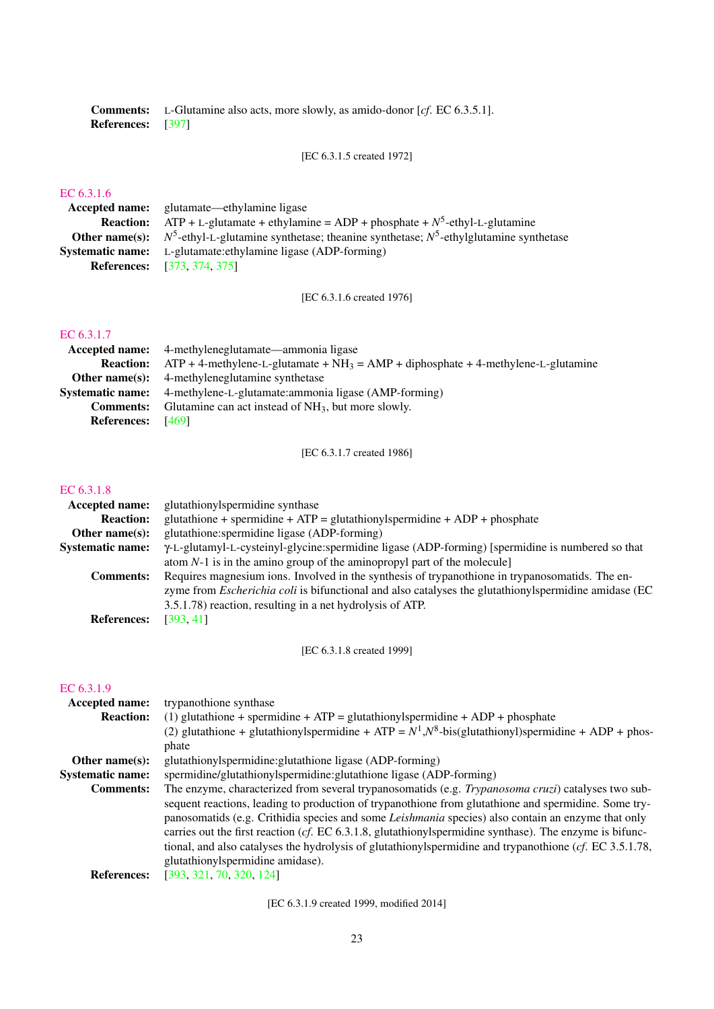Comments: L-Glutamine also acts, more slowly, as amido-donor [*cf*. EC 6.3.5.1]. References: [\[397\]](#page-77-3)

[EC 6.3.1.5 created 1972]

## [EC 6.3.1.6](http://www.enzyme-database.org/query.php?ec=6.3.1.6)

Accepted name: glutamate—ethylamine ligase **Reaction:** ATP + L-glutamate + ethylamine = ADP + phosphate +  $N^5$ -ethyl-L-glutamine Other name(s):  $N^5$ -ethyl-L-glutamine synthetase; theanine synthetase;  $N^5$ -ethylglutamine synthetase Systematic name: L-glutamate:ethylamine ligase (ADP-forming) References: [\[373,](#page-76-8) [374,](#page-76-9) [375\]](#page-76-10)

[EC 6.3.1.6 created 1976]

## [EC 6.3.1.7](http://www.enzyme-database.org/query.php?ec=6.3.1.7)

|                          | Accepted name: 4-methyleneglutamate—ammonia ligase                                                    |
|--------------------------|-------------------------------------------------------------------------------------------------------|
|                          | <b>Reaction:</b> ATP + 4-methylene-L-glutamate + $NH_3 = AMP + diphosphate + 4-methylene-L-glutamine$ |
|                          | <b>Other name(s):</b> 4-methyleneglutamine synthetase                                                 |
|                          | <b>Systematic name:</b> 4-methylene-L-glutamate: ammonia ligase (AMP-forming)                         |
| <b>Comments:</b>         | Glutamine can act instead of $NH_3$ , but more slowly.                                                |
| <b>References:</b> [469] |                                                                                                       |

[EC 6.3.1.7 created 1986]

#### [EC 6.3.1.8](http://www.enzyme-database.org/query.php?ec=6.3.1.8)

| Accepted name:          | glutathionylspermidine synthase                                                                             |
|-------------------------|-------------------------------------------------------------------------------------------------------------|
| <b>Reaction:</b>        | glutathione + spermidine + $ATP =$ glutathionylspermidine + $ADP$ + phosphate                               |
| Other name $(s)$ :      | glutathione: spermidine ligase (ADP-forming)                                                                |
| <b>Systematic name:</b> | Y-L-glutamyl-L-cysteinyl-glycine:spermidine ligase (ADP-forming) [spermidine is numbered so that            |
|                         | atom $N-1$ is in the amino group of the aminopropyl part of the molecule]                                   |
| <b>Comments:</b>        | Requires magnesium ions. Involved in the synthesis of trypanothione in trypanosomatids. The en-             |
|                         | zyme from <i>Escherichia coli</i> is bifunctional and also catalyses the glutathionylspermidine amidase (EC |
|                         | 3.5.1.78) reaction, resulting in a net hydrolysis of ATP.                                                   |
| <b>References:</b>      | [393, 41]                                                                                                   |
|                         |                                                                                                             |

[EC 6.3.1.8 created 1999]

#### [EC 6.3.1.9](http://www.enzyme-database.org/query.php?ec=6.3.1.9)

| <b>Accepted name:</b>   | trypanothione synthase                                                                                                                                                                                                                                                                                                                                                                                                                                                                                                                                                                        |
|-------------------------|-----------------------------------------------------------------------------------------------------------------------------------------------------------------------------------------------------------------------------------------------------------------------------------------------------------------------------------------------------------------------------------------------------------------------------------------------------------------------------------------------------------------------------------------------------------------------------------------------|
| <b>Reaction:</b>        | (1) glutathione + spermidine + $ATP =$ glutathionylspermidine + $ADP +$ phosphate                                                                                                                                                                                                                                                                                                                                                                                                                                                                                                             |
|                         | (2) glutathione + glutathionylspermidine + ATP = $N^1$ , $N^8$ -bis(glutathionyl)spermidine + ADP + phos-                                                                                                                                                                                                                                                                                                                                                                                                                                                                                     |
|                         | phate                                                                                                                                                                                                                                                                                                                                                                                                                                                                                                                                                                                         |
| Other name $(s)$ :      | glutathionylspermidine: glutathione ligase (ADP-forming)                                                                                                                                                                                                                                                                                                                                                                                                                                                                                                                                      |
| <b>Systematic name:</b> | spermidine/glutathionylspermidine:glutathione ligase (ADP-forming)                                                                                                                                                                                                                                                                                                                                                                                                                                                                                                                            |
| <b>Comments:</b>        | The enzyme, characterized from several trypanosomatids (e.g. <i>Trypanosoma cruzi</i> ) catalyses two sub-<br>sequent reactions, leading to production of trypanothione from glutathione and spermidine. Some try-<br>panosomatids (e.g. Crithidia species and some <i>Leishmania</i> species) also contain an enzyme that only<br>carries out the first reaction (cf. EC 6.3.1.8, glutathionylspermidine synthase). The enzyme is bifunc-<br>tional, and also catalyses the hydrolysis of glutathionyls permidine and trypanothione ( $cf.$ EC 3.5.1.78,<br>glutathionylspermidine amidase). |
| <b>References:</b>      | [393, 321, 70, 320, 124]                                                                                                                                                                                                                                                                                                                                                                                                                                                                                                                                                                      |

[EC 6.3.1.9 created 1999, modified 2014]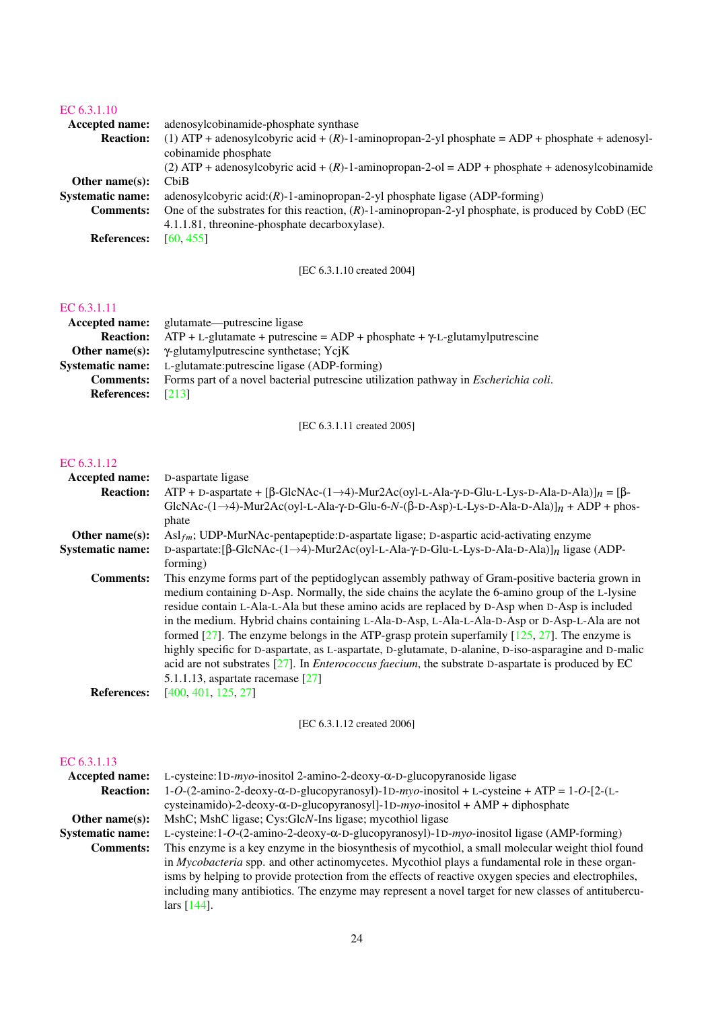## [EC 6.3.1.10](http://www.enzyme-database.org/query.php?ec=6.3.1.10)

| Accepted name:          | adenosylcobinamide-phosphate synthase                                                                 |
|-------------------------|-------------------------------------------------------------------------------------------------------|
| <b>Reaction:</b>        | (1) ATP + adenosylcobyric acid + $(R)$ -1-aminopropan-2-yl phosphate = ADP + phosphate + adenosyl-    |
|                         | cobinamide phosphate                                                                                  |
|                         | (2) ATP + adenosylcobyric acid + $(R)$ -1-aminopropan-2-ol = ADP + phosphate + adenosylcobinamide     |
| Other name $(s)$ :      | ChiB                                                                                                  |
| <b>Systematic name:</b> | adenosylcobyric $\text{acid:}(R)$ -1-aminopropan-2-yl phosphate ligase (ADP-forming)                  |
| <b>Comments:</b>        | One of the substrates for this reaction, $(R)$ -1-aminopropan-2-yl phosphate, is produced by CobD (EC |
|                         | 4.1.1.81, threonine-phosphate decarboxylase).                                                         |
| <b>References:</b>      | [60, 455]                                                                                             |
|                         |                                                                                                       |

[EC 6.3.1.10 created 2004]

## [EC 6.3.1.11](http://www.enzyme-database.org/query.php?ec=6.3.1.11)

|                         | <b>Accepted name:</b> glutamate—putrescine ligase                                           |
|-------------------------|---------------------------------------------------------------------------------------------|
| <b>Reaction:</b>        | $ATP + L$ -glutamate + putrescine = $ADP +$ phosphate + $\gamma$ -L-glutamylputrescine      |
|                         | <b>Other name(s):</b> $\gamma$ -glutamylput rescine synthetase; YciK                        |
| <b>Systematic name:</b> | L-glutamate: put rescine ligase (ADP-forming)                                               |
| <b>Comments:</b>        | Forms part of a novel bacterial putrescine utilization pathway in <i>Escherichia coli</i> . |
| <b>References:</b>      | [213]                                                                                       |

[EC 6.3.1.11 created 2005]

## [EC 6.3.1.12](http://www.enzyme-database.org/query.php?ec=6.3.1.12)

| Accepted name:          | D-aspartate ligase                                                                                                                  |
|-------------------------|-------------------------------------------------------------------------------------------------------------------------------------|
| <b>Reaction:</b>        | $ATP + D$ -aspartate + [ $\beta$ -GlcNAc-(1->4)-Mur2Ac(oyl-L-Ala- $\gamma$ -D-Glu-L-Lys-D-Ala-D-Ala)] $n = \beta$ -                 |
|                         | GlcNAc- $(1\rightarrow 4)$ -Mur2Ac(oyl-L-Ala- $\gamma$ -D-Glu-6-N- $(\beta$ -D-Asp)-L-Lys-D-Ala-D-Ala) $n + ADP + p$ hos-           |
|                         | phate                                                                                                                               |
| Other name $(s)$ :      | $\text{Asl}_{\text{fm}}$ ; UDP-MurNAc-pentapeptide: D-aspartate ligase; D-aspartic acid-activating enzyme                           |
| <b>Systematic name:</b> | D-aspartate: [ $\beta$ -GlcNAc-(1- $\rightarrow$ 4)-Mur2Ac(oyl-L-Ala- $\gamma$ -D-Glu-L-Lys-D-Ala-D-Ala)] <sub>n</sub> ligase (ADP- |
|                         | forming)                                                                                                                            |
| <b>Comments:</b>        | This enzyme forms part of the peptidoglycan assembly pathway of Gram-positive bacteria grown in                                     |
|                         | medium containing D-Asp. Normally, the side chains the acylate the 6-amino group of the L-lysine                                    |
|                         | residue contain L-Ala-L-Ala but these amino acids are replaced by D-Asp when D-Asp is included                                      |
|                         | in the medium. Hybrid chains containing L-Ala-D-Asp, L-Ala-L-Ala-D-Asp or D-Asp-L-Ala are not                                       |
|                         | formed $[27]$ . The enzyme belongs in the ATP-grasp protein superfamily $[125, 27]$ . The enzyme is                                 |
|                         | highly specific for D-aspartate, as L-aspartate, D-glutamate, D-alanine, D-iso-asparagine and D-malic                               |
|                         | acid are not substrates $[27]$ . In <i>Enterococcus faecium</i> , the substrate D-aspartate is produced by EC                       |
|                         | 5.1.1.13, aspartate racemase $\lceil 27 \rceil$                                                                                     |
| <b>References:</b>      | [400, 401, 125, 27]                                                                                                                 |
|                         |                                                                                                                                     |

[EC 6.3.1.12 created 2006]

## [EC 6.3.1.13](http://www.enzyme-database.org/query.php?ec=6.3.1.13)

| <b>Accepted name:</b>   | L-cysteine: 1D- $m$ yo-inositol 2-amino-2-deoxy- $\alpha$ -D-glucopyranoside ligase                            |
|-------------------------|----------------------------------------------------------------------------------------------------------------|
| <b>Reaction:</b>        | $1-O$ - $(2$ -amino-2-deoxy- $\alpha$ -D-glucopyranosyl)-1D-myo-inositol + L-cysteine + ATP = $1-O$ - $[2-(L-$ |
|                         | cysteinamido)-2-deoxy- $\alpha$ -D-glucopyranosyl]-1D- $m\gamma$ o-inositol + AMP + diphosphate                |
| Other name $(s)$ :      | MshC; MshC ligase; Cys: GlcN-Ins ligase; mycothiol ligase                                                      |
| <b>Systematic name:</b> | L-cysteine:1-O- $(2\text{-amino-2-deoxy-\alpha-D-glucopyranosyl)-1D-myo-inositol ligase (AMP-forming)$         |
| <b>Comments:</b>        | This enzyme is a key enzyme in the biosynthesis of mycothiol, a small molecular weight thiol found             |
|                         | in <i>Mycobacteria</i> spp. and other actinomycetes. Mycothiol plays a fundamental role in these organ-        |
|                         | isms by helping to provide protection from the effects of reactive oxygen species and electrophiles,           |
|                         | including many antibiotics. The enzyme may represent a novel target for new classes of antitubercu-            |
|                         | lars $[144]$ .                                                                                                 |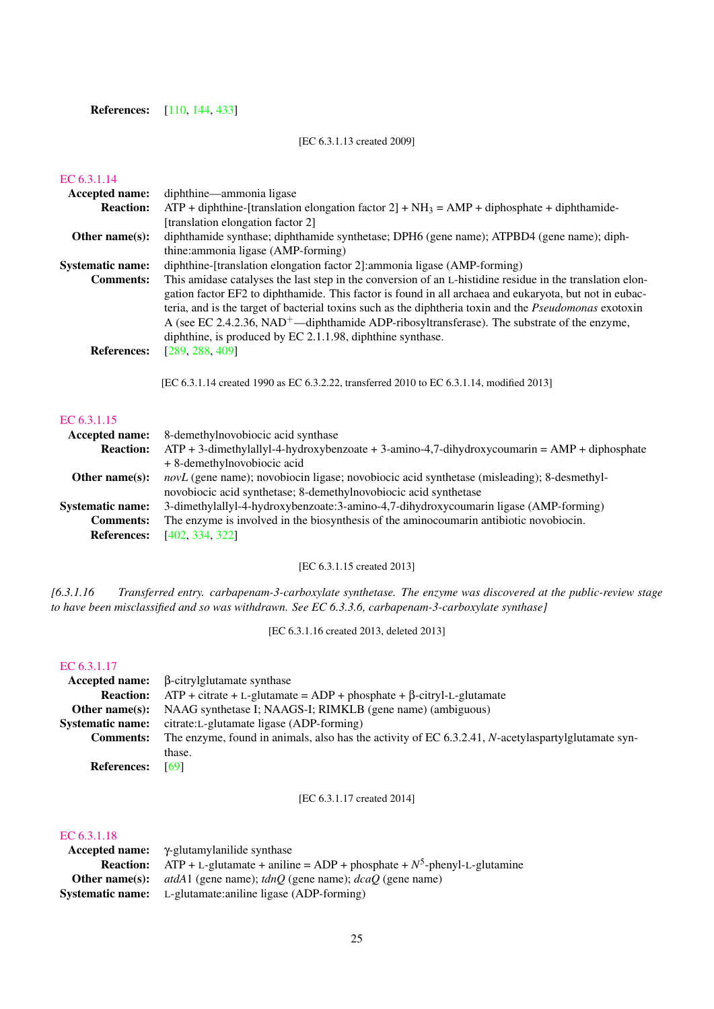## **References:** [\[110,](#page-63-12) [144,](#page-65-11) [433\]](#page-79-6)

## [EC 6.3.1.13 created 2009]

## [EC 6.3.1.14](http://www.enzyme-database.org/query.php?ec=6.3.1.14)

| <b>Accepted name:</b>   | diphthine—ammonia ligase                                                                                                                                                                                                                                                                                                                                                                                               |
|-------------------------|------------------------------------------------------------------------------------------------------------------------------------------------------------------------------------------------------------------------------------------------------------------------------------------------------------------------------------------------------------------------------------------------------------------------|
| <b>Reaction:</b>        | $ATP +$ diphthine-[translation elongation factor 2] + NH <sub>3</sub> = AMP + diphosphate + diphthamide-                                                                                                                                                                                                                                                                                                               |
|                         | [translation elongation factor 2]                                                                                                                                                                                                                                                                                                                                                                                      |
| Other name $(s)$ :      | diphthamide synthase; diphthamide synthetase; DPH6 (gene name); ATPBD4 (gene name); diph-                                                                                                                                                                                                                                                                                                                              |
|                         | thine: ammonia ligase (AMP-forming)                                                                                                                                                                                                                                                                                                                                                                                    |
| <b>Systematic name:</b> | diphthine-[translation elongation factor 2]: ammonia ligase (AMP-forming)                                                                                                                                                                                                                                                                                                                                              |
| <b>Comments:</b>        | This amidase catalyses the last step in the conversion of an L-histidine residue in the translation elon-                                                                                                                                                                                                                                                                                                              |
| <b>References:</b>      | gation factor EF2 to diphthamide. This factor is found in all archaea and eukaryota, but not in eubac-<br>teria, and is the target of bacterial toxins such as the diphtheria toxin and the <i>Pseudomonas</i> exotoxin<br>A (see EC 2.4.2.36, NAD <sup>+</sup> —diphthamide ADP-ribosyltransferase). The substrate of the enzyme,<br>diphthine, is produced by EC $2.1.1.98$ , diphthine synthase.<br>[289, 288, 409] |
|                         | [EC 6.3.1.14 created 1990 as EC 6.3.2.22, transferred 2010 to EC 6.3.1.14, modified 2013]                                                                                                                                                                                                                                                                                                                              |
| EC 6.3.1.15             |                                                                                                                                                                                                                                                                                                                                                                                                                        |

| Accepted name:          | 8-demethylnovobiocic acid synthase                                                                |
|-------------------------|---------------------------------------------------------------------------------------------------|
| <b>Reaction:</b>        | $ATP + 3$ -dimethylallyl-4-hydroxybenzoate + 3-amino-4,7-dihydroxycoumarin = AMP + diphosphate    |
|                         | + 8-demethylnovobiocic acid                                                                       |
| Other name $(s)$ :      | <i>novL</i> (gene name); novobiocin ligase; novobiocic acid synthetase (misleading); 8-desmethyl- |
|                         | novobiocic acid synthetase; 8-demethylnovobiocic acid synthetase                                  |
| <b>Systematic name:</b> | 3-dimethylallyl-4-hydroxybenzoate:3-amino-4,7-dihydroxycoumarin ligase (AMP-forming)              |
| <b>Comments:</b>        | The enzyme is involved in the biosynthesis of the aminocoumarin antibiotic novobiocin.            |
| <b>References:</b>      | [402, 334, 322]                                                                                   |
|                         |                                                                                                   |

[EC 6.3.1.15 created 2013]

*[6.3.1.16 Transferred entry. carbapenam-3-carboxylate synthetase. The enzyme was discovered at the public-review stage to have been misclassified and so was withdrawn. See EC 6.3.3.6, carbapenam-3-carboxylate synthase]*

[EC 6.3.1.16 created 2013, deleted 2013]

### [EC 6.3.1.17](http://www.enzyme-database.org/query.php?ec=6.3.1.17)

|                         | $Accepted name: \beta-citrylglutamate synthase$                                                    |
|-------------------------|----------------------------------------------------------------------------------------------------|
| <b>Reaction:</b>        | $ATP +$ citrate + L-glutamate = ADP + phosphate + $\beta$ -citryl-L-glutamate                      |
| Other name $(s)$ :      | NAAG synthetase I; NAAGS-I; RIMKLB (gene name) (ambiguous)                                         |
| <b>Systematic name:</b> | citrate:L-glutamate ligase (ADP-forming)                                                           |
| <b>Comments:</b>        | The enzyme, found in animals, also has the activity of EC 6.3.2.41, N-acetylaspartylglutamate syn- |
|                         | thase.                                                                                             |
| <b>References:</b>      | [69]                                                                                               |

[EC 6.3.1.17 created 2014]

## [EC 6.3.1.18](http://www.enzyme-database.org/query.php?ec=6.3.1.18)

| $\textbf{Accepted name:} \quad \gamma\text{-glutamylanilide}$ synthase                     |
|--------------------------------------------------------------------------------------------|
| <b>Reaction:</b> ATP + L-glutamate + aniline = ADP + phosphate + $N^5$ -phenyl-L-glutamine |
| <b>Other name(s):</b> $atdA1$ (gene name); $tdnQ$ (gene name); $dcaQ$ (gene name)          |
| <b>Systematic name:</b> L-glutamate: aniline ligase (ADP-forming)                          |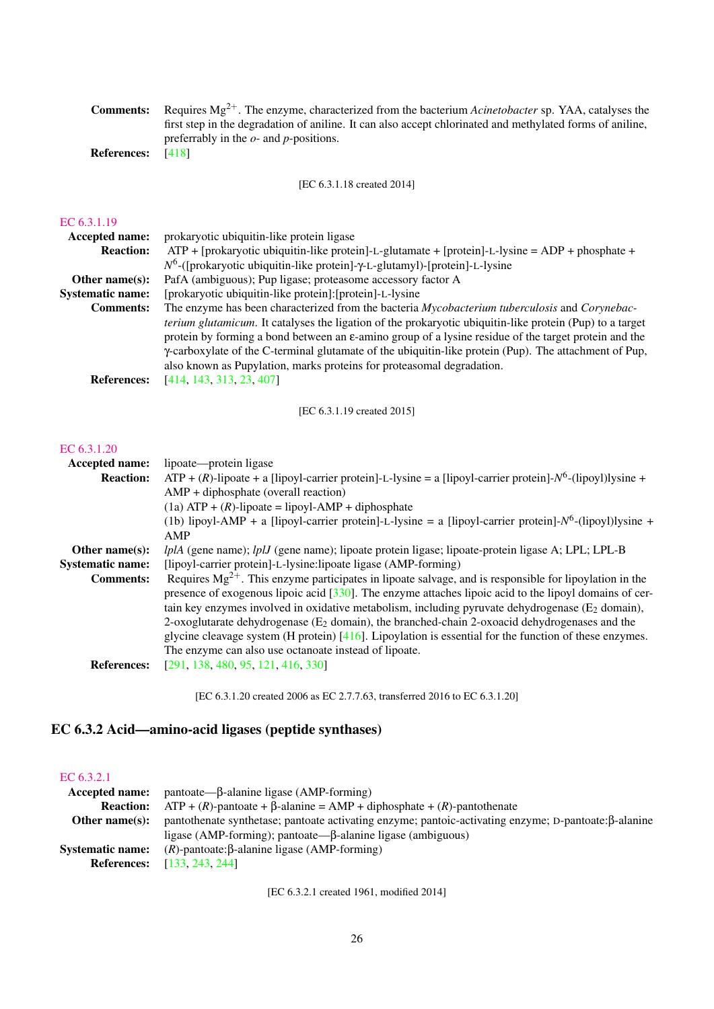|               | <b>Comments:</b> Requires $Mg^{2+}$ . The enzyme, characterized from the bacterium Acinetobacter sp. YAA, catalyses the |
|---------------|-------------------------------------------------------------------------------------------------------------------------|
|               | first step in the degradation of aniline. It can also accept chlorinated and methylated forms of aniline,               |
|               | preferrably in the $o$ - and $p$ -positions.                                                                            |
| $\sim$ $\sim$ |                                                                                                                         |

References: [\[418\]](#page-78-4)

[EC 6.3.1.18 created 2014]

## [EC 6.3.1.19](http://www.enzyme-database.org/query.php?ec=6.3.1.19)

| <b>Accepted name:</b>   | prokaryotic ubiquitin-like protein ligase                                                                                                                                                                                                                                                                                                                                                                               |
|-------------------------|-------------------------------------------------------------------------------------------------------------------------------------------------------------------------------------------------------------------------------------------------------------------------------------------------------------------------------------------------------------------------------------------------------------------------|
| <b>Reaction:</b>        | $ATP$ + [prokaryotic ubiquitin-like protein]-L-glutamate + [protein]-L-lysine = ADP + phosphate +                                                                                                                                                                                                                                                                                                                       |
|                         | $N^6$ -([prokaryotic ubiquitin-like protein]- $\gamma$ -L-glutamyl)-[protein]-L-lysine                                                                                                                                                                                                                                                                                                                                  |
| Other name $(s)$ :      | PafA (ambiguous); Pup ligase; proteasome accessory factor A                                                                                                                                                                                                                                                                                                                                                             |
| <b>Systematic name:</b> | [prokaryotic ubiquitin-like protein]: [protein]-L-lysine                                                                                                                                                                                                                                                                                                                                                                |
| <b>Comments:</b>        | The enzyme has been characterized from the bacteria Mycobacterium tuberculosis and Corynebac-                                                                                                                                                                                                                                                                                                                           |
|                         | <i>terium glutamicum</i> . It catalyses the ligation of the prokaryotic ubiquitin-like protein (Pup) to a target<br>protein by forming a bond between an $\varepsilon$ -amino group of a lysine residue of the target protein and the<br>y-carboxylate of the C-terminal glutamate of the ubiquitin-like protein (Pup). The attachment of Pup,<br>also known as Pupylation, marks proteins for proteasomal degradation. |
| <b>References:</b>      | [414, 143, 313, 23, 407]                                                                                                                                                                                                                                                                                                                                                                                                |

[EC 6.3.1.19 created 2015]

## [EC 6.3.1.20](http://www.enzyme-database.org/query.php?ec=6.3.1.20)

| Accepted name:          | lipoate—protein ligase                                                                                           |
|-------------------------|------------------------------------------------------------------------------------------------------------------|
| <b>Reaction:</b>        | $ATP + (R)$ -lipoate + a [lipoyl-carrier protein]-L-lysine = a [lipoyl-carrier protein]- $N^6$ -(lipoyl)lysine + |
|                         | $AMP + diphosphate (overall reaction)$                                                                           |
|                         | $(1a)$ ATP + $(R)$ -lipoate = lipoyl-AMP + diphosphate                                                           |
|                         | (1b) lipoyl-AMP + a [lipoyl-carrier protein]-L-lysine = a [lipoyl-carrier protein]- $N^6$ -(lipoyl)lysine +      |
|                         | AMP                                                                                                              |
| Other name $(s)$ :      | <i>lplA</i> (gene name); <i>lplJ</i> (gene name); lipoate protein ligase; lipoate-protein ligase A; LPL; LPL-B   |
| <b>Systematic name:</b> | [lipoyl-carrier protein]-L-lysine:lipoate ligase (AMP-forming)                                                   |
| <b>Comments:</b>        | Requires $Mg^{2+}$ . This enzyme participates in lipoate salvage, and is responsible for lipoylation in the      |
|                         | presence of exogenous lipoic acid [330]. The enzyme attaches lipoic acid to the lipoyl domains of cer-           |
|                         | tain key enzymes involved in oxidative metabolism, including pyruvate dehydrogenase $(E_2 \text{ domain})$ ,     |
|                         | 2-oxoglutarate dehydrogenase ( $E_2$ domain), the branched-chain 2-oxoacid dehydrogenases and the                |
|                         | glycine cleavage system (H protein) $[416]$ . Lipoylation is essential for the function of these enzymes.        |
|                         | The enzyme can also use octanoate instead of lipoate.                                                            |
| <b>References:</b>      | [291, 138, 480, 95, 121, 416, 330]                                                                               |
|                         |                                                                                                                  |

[EC 6.3.1.20 created 2006 as EC 2.7.7.63, transferred 2016 to EC 6.3.1.20]

## <span id="page-25-0"></span>EC 6.3.2 Acid—amino-acid ligases (peptide synthases)

## [EC 6.3.2.1](http://www.enzyme-database.org/query.php?ec=6.3.2.1)

| <b>Accepted name:</b>   | $\text{pantoate}\rightarrow\beta\text{-}\text{alanine ligase (AMP-forming)}$                         |
|-------------------------|------------------------------------------------------------------------------------------------------|
| <b>Reaction:</b>        | $ATP + (R)$ -pantoate + $\beta$ -alanine = AMP + diphosphate + $(R)$ -pantothenate                   |
| Other name $(s)$ :      | pantothenate synthetase; pantoate activating enzyme; pantoic-activating enzyme; D-pantoate:β-alanine |
|                         | ligase (AMP-forming); pantoate— $\beta$ -alanine ligase (ambiguous)                                  |
| <b>Systematic name:</b> | $(R)$ -pantoate: $\beta$ -alanine ligase (AMP-forming)                                               |
| <b>References:</b>      | [133, 243, 244]                                                                                      |

[EC 6.3.2.1 created 1961, modified 2014]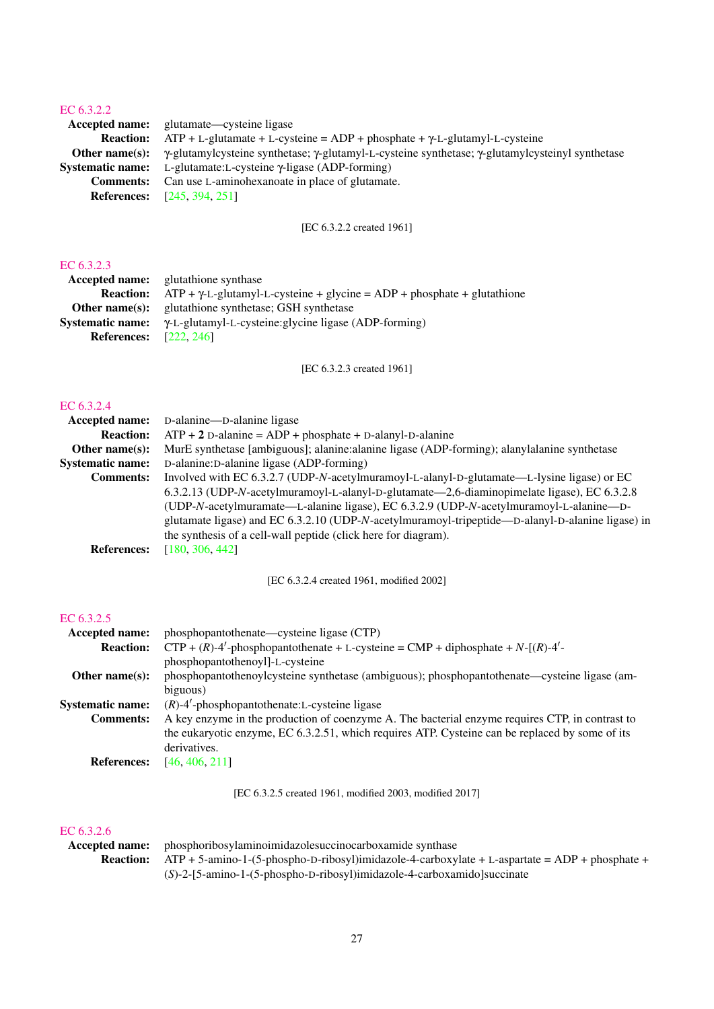Accepted name: glutamate—cysteine ligase **Reaction:** ATP + L-glutamate + L-cysteine = ADP + phosphate +  $\gamma$ -L-glutamyl-L-cysteine Other name(s): γ-glutamylcysteine synthetase; γ-glutamyl-L-cysteine synthetase; γ-glutamylcysteinyl synthetase Systematic name: L-glutamate:L-cysteine γ-ligase (ADP-forming) Comments: Can use L-aminohexanoate in place of glutamate. References: [\[245,](#page-70-9) [394,](#page-77-8) [251\]](#page-70-10)

[EC 6.3.2.2 created 1961]

## [EC 6.3.2.3](http://www.enzyme-database.org/query.php?ec=6.3.2.3)

|                               | <b>Accepted name:</b> glutathione synthase                                                         |
|-------------------------------|----------------------------------------------------------------------------------------------------|
|                               | <b>Reaction:</b> $ATP + \gamma L$ -glutamyl-L-cysteine + glycine = $ADP$ + phosphate + glutathione |
|                               | <b>Other name(s):</b> glutathione synthetase; GSH synthetase                                       |
|                               | <b>Systematic name:</b> $\gamma$ -L-glutamyl-L-cysteine: glycine ligase (ADP-forming)              |
| <b>References:</b> [222, 246] |                                                                                                    |
|                               |                                                                                                    |

[EC 6.3.2.3 created 1961]

# [EC 6.3.2.4](http://www.enzyme-database.org/query.php?ec=6.3.2.4)

| FL. 0.3.2.4             |                                                                                                  |
|-------------------------|--------------------------------------------------------------------------------------------------|
| <b>Accepted name:</b>   | D-alanine—D-alanine ligase                                                                       |
| <b>Reaction:</b>        | $ATP + 2$ D-alanine = ADP + phosphate + D-alanyl-D-alanine                                       |
| Other name $(s)$ :      | MurE synthetase [ambiguous]; alanine: alanine ligase (ADP-forming); alanylalanine synthetase     |
| <b>Systematic name:</b> | D-alanine: D-alanine ligase (ADP-forming)                                                        |
| <b>Comments:</b>        | Involved with EC 6.3.2.7 (UDP-N-acetylmuramoyl-L-alanyl-D-glutamate—L-lysine ligase) or EC       |
|                         | 6.3.2.13 (UDP-N-acetylmuramoyl-L-alanyl-D-glutamate—2,6-diaminopimelate ligase), EC 6.3.2.8      |
|                         | (UDP-N-acetylmuramate—L-alanine ligase), EC 6.3.2.9 (UDP-N-acetylmuramoyl-L-alanine—D-           |
|                         | glutamate ligase) and EC 6.3.2.10 (UDP-N-acetylmuramoyl-tripeptide—D-alanyl-D-alanine ligase) in |
|                         | the synthesis of a cell-wall peptide (click here for diagram).                                   |
| <b>References:</b>      | [180, 306, 442]                                                                                  |
|                         |                                                                                                  |

[EC 6.3.2.4 created 1961, modified 2002]

## [EC 6.3.2.5](http://www.enzyme-database.org/query.php?ec=6.3.2.5)

| <b>Accepted name:</b>   | phosphopantothenate—cysteine ligase (CTP)                                                       |
|-------------------------|-------------------------------------------------------------------------------------------------|
| <b>Reaction:</b>        | $CTP + (R) - 4'$ -phosphopantothenate + L-cysteine = CMP + diphosphate + N-[(R)-4'-             |
|                         | phosphopantothenoyl]-L-cysteine                                                                 |
| Other name $(s)$ :      | phosphopantothenoylcysteine synthetase (ambiguous); phosphopantothenate—cysteine ligase (am-    |
|                         | biguous)                                                                                        |
| <b>Systematic name:</b> | $(R)$ -4'-phosphopantothenate:L-cysteine ligase                                                 |
| <b>Comments:</b>        | A key enzyme in the production of coenzyme A. The bacterial enzyme requires CTP, in contrast to |
|                         | the eukaryotic enzyme, EC 6.3.2.51, which requires ATP. Cysteine can be replaced by some of its |
|                         | derivatives.                                                                                    |
| <b>References:</b>      | [46, 406, 211]                                                                                  |

[EC 6.3.2.5 created 1961, modified 2003, modified 2017]

#### [EC 6.3.2.6](http://www.enzyme-database.org/query.php?ec=6.3.2.6)

| <b>Accepted name:</b> phosphoribosylaminoimidazolesuccinocarboxamide synthase                                   |
|-----------------------------------------------------------------------------------------------------------------|
| <b>Reaction:</b> ATP + 5-amino-1-(5-phospho-D-ribosyl)imidazole-4-carboxylate + L-aspartate = ADP + phosphate + |
| $(S)$ -2-[5-amino-1-(5-phospho-D-ribosyl)imidazole-4-carboxamido]succinate                                      |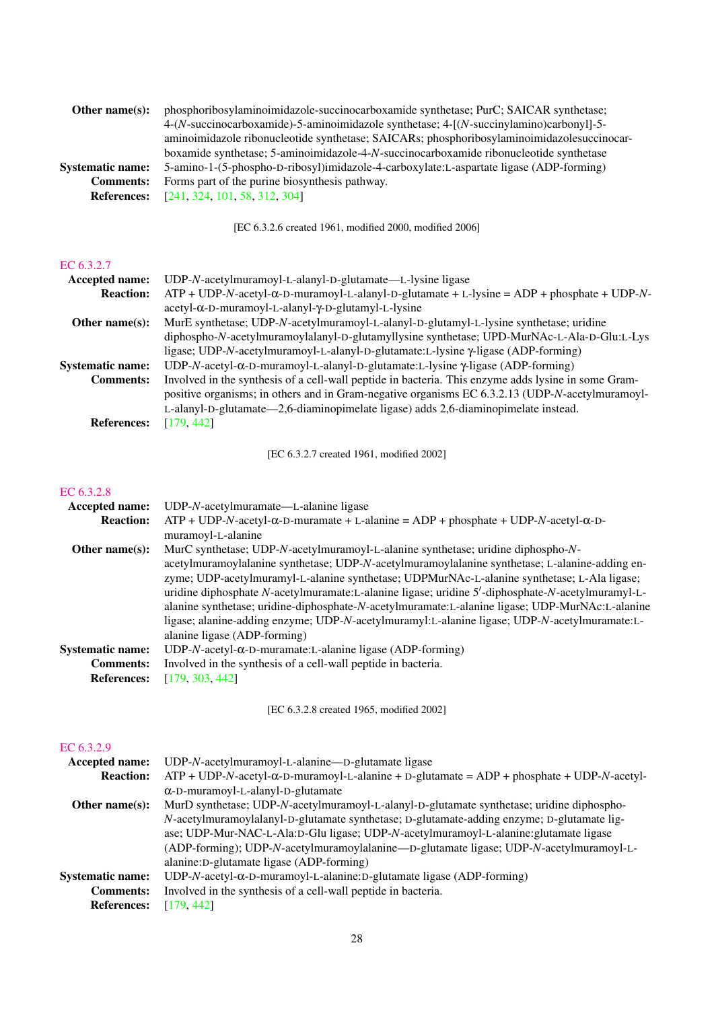| Other name $(s)$ :      | phosphoribosylaminoimidazole-succinocarboxamide synthetase; PurC; SAICAR synthetase;                                   |
|-------------------------|------------------------------------------------------------------------------------------------------------------------|
|                         | $4-(N\text{-}succinocarboxamide) -5\text{-}aminoimidazole synthetase; 4-[(N\text{-}succinylamino)carbonyl]-5\text{-}S$ |
|                         | aminoimidazole ribonucleotide synthetase; SAICARs; phosphoribosylaminoimidazolesuccinocar-                             |
|                         | boxamide synthetase; 5-aminoimidazole-4-N-succinocarboxamide ribonucleotide synthetase                                 |
| <b>Systematic name:</b> | 5-amino-1-(5-phospho-D-ribosyl)imidazole-4-carboxylate:L-aspartate ligase (ADP-forming)                                |
| <b>Comments:</b>        | Forms part of the purine biosynthesis pathway.                                                                         |
| <b>References:</b>      | [241, 324, 101, 58, 312, 304]                                                                                          |

[EC 6.3.2.6 created 1961, modified 2000, modified 2006]

## [EC 6.3.2.7](http://www.enzyme-database.org/query.php?ec=6.3.2.7)

| <b>Accepted name:</b>   | UDP-N-acetylmuramoyl-L-alanyl-D-glutamate—L-lysine ligase                                           |
|-------------------------|-----------------------------------------------------------------------------------------------------|
| <b>Reaction:</b>        | $ATP + UDP-N-accept1-α-D-muramoy1-L-alany1-D-glutamate + L-lysine = ADP + phosphate + UDP-N-$       |
|                         | acetyl-α-D-muramoyl-L-alanyl-γ-D-glutamyl-L-lysine                                                  |
| Other name $(s)$ :      | MurE synthetase; UDP-N-acetylmuramoyl-L-alanyl-D-glutamyl-L-lysine synthetase; uridine              |
|                         | diphospho-N-acetylmuramoylalanyl-D-glutamyllysine synthetase; UPD-MurNAc-L-Ala-D-Glu:L-Lys          |
|                         | ligase; UDP-N-acetylmuramoyl-L-alanyl-D-glutamate:L-lysine $\gamma$ -ligase (ADP-forming)           |
| <b>Systematic name:</b> | UDP-N-acetyl- $\alpha$ -D-muramoyl-L-alanyl-D-glutamate:L-lysine $\gamma$ -ligase (ADP-forming)     |
| <b>Comments:</b>        | Involved in the synthesis of a cell-wall peptide in bacteria. This enzyme adds lysine in some Gram- |
|                         | positive organisms; in others and in Gram-negative organisms EC 6.3.2.13 (UDP-N-acetylmuramoyl-     |
|                         | L-alanyl-D-glutamate—2,6-diaminopimelate ligase) adds 2,6-diaminopimelate instead.                  |
| <b>References:</b>      | [179, 442]                                                                                          |

[EC 6.3.2.7 created 1961, modified 2002]

## [EC 6.3.2.8](http://www.enzyme-database.org/query.php?ec=6.3.2.8)

| <b>Accepted name:</b>   | $UDP-N$ -acetylmuramate—L-alanine ligase                                                          |
|-------------------------|---------------------------------------------------------------------------------------------------|
| <b>Reaction:</b>        | $ATP + UDP-N-acety1-\alpha-D-muramate + L-alanine = ADP + phosphate + UDP-N-acety1-\alpha-D-$     |
|                         | muramoyl-L-alanine                                                                                |
| Other name $(s)$ :      | MurC synthetase; UDP-N-acetylmuramoyl-L-alanine synthetase; uridine diphospho-N-                  |
|                         | acetylmuramoylalanine synthetase; UDP-N-acetylmuramoylalanine synthetase; L-alanine-adding en-    |
|                         | zyme; UDP-acetylmuramyl-L-alanine synthetase; UDPMurNAc-L-alanine synthetase; L-Ala ligase;       |
|                         | uridine diphosphate N-acetylmuramate: L-alanine ligase; uridine 5'-diphosphate-N-acetylmuramyl-L- |
|                         | alanine synthetase; uridine-diphosphate-N-acetylmuramate:L-alanine ligase; UDP-MurNAc:L-alanine   |
|                         | ligase; alanine-adding enzyme; UDP-N-acetylmuramyl:L-alanine ligase; UDP-N-acetylmuramate:L-      |
|                         | alanine ligase (ADP-forming)                                                                      |
| <b>Systematic name:</b> | $UDP-N$ -acetyl- $\alpha$ -D-muramate:L-alanine ligase (ADP-forming)                              |
| <b>Comments:</b>        | Involved in the synthesis of a cell-wall peptide in bacteria.                                     |
| <b>References:</b>      | [179, 303, 442]                                                                                   |
|                         |                                                                                                   |

[EC 6.3.2.8 created 1965, modified 2002]

## [EC 6.3.2.9](http://www.enzyme-database.org/query.php?ec=6.3.2.9)

| Accepted name:          | UDP-N-acetylmuramoyl-L-alanine—D-glutamate ligase                                                |
|-------------------------|--------------------------------------------------------------------------------------------------|
| <b>Reaction:</b>        | $ATP + UDP-N-acetyl-\alpha-D-muramoyl-L-alanine + D-glutamate = ADP + phosphate + UDP-N-acetyl-$ |
|                         | $\alpha$ -D-muramoyl-L-alanyl-D-glutamate                                                        |
| Other name $(s)$ :      | MurD synthetase; UDP-N-acetylmuramoyl-L-alanyl-D-glutamate synthetase; uridine diphospho-        |
|                         | N-acetylmuramoylalanyl-D-glutamate synthetase; D-glutamate-adding enzyme; D-glutamate lig-       |
|                         | ase; UDP-Mur-NAC-L-Ala:D-Glu ligase; UDP-N-acetylmuramoyl-L-alanine:glutamate ligase             |
|                         | (ADP-forming); UDP-N-acetylmuramoylalanine—D-glutamate ligase; UDP-N-acetylmuramoyl-L-           |
|                         | alanine: D-glutamate ligase (ADP-forming)                                                        |
| <b>Systematic name:</b> | UDP-N-acetyl-α-D-muramoyl-L-alanine:D-glutamate ligase (ADP-forming)                             |
| <b>Comments:</b>        | Involved in the synthesis of a cell-wall peptide in bacteria.                                    |
| <b>References:</b>      | [179, 442]                                                                                       |
|                         |                                                                                                  |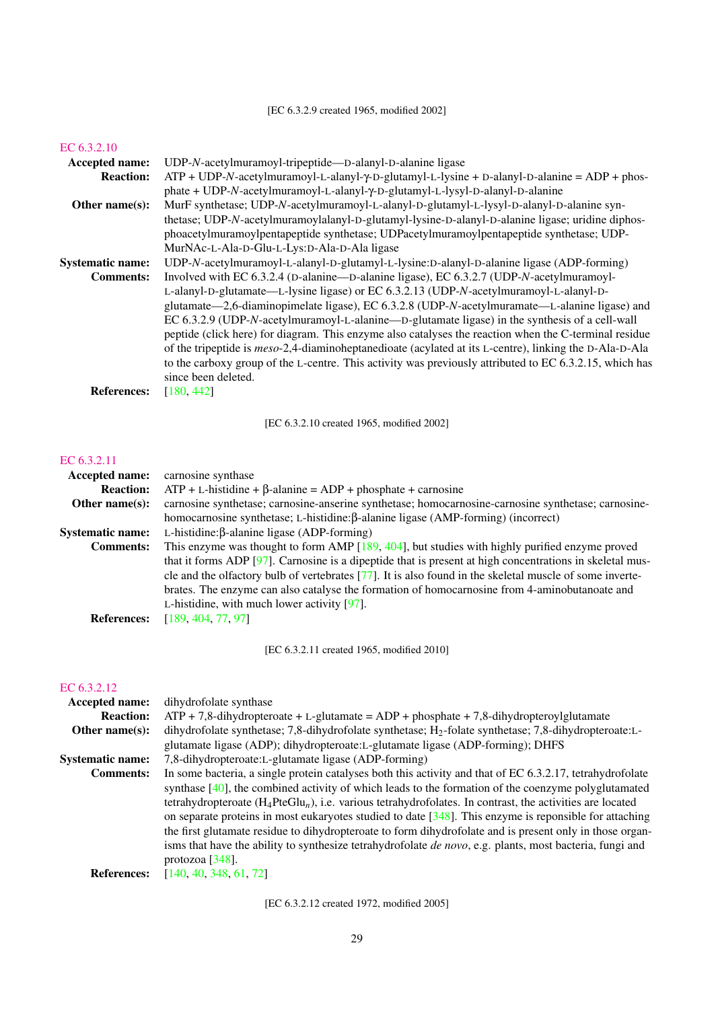| Accepted name:          | UDP-N-acetylmuramoyl-tripeptide—D-alanyl-D-alanine ligase                                                      |
|-------------------------|----------------------------------------------------------------------------------------------------------------|
| <b>Reaction:</b>        | $ATP + UDP-N-accept/lmuramoyl-L-alanyl-Y-D-glutamyl-L-lysine + D-alanyl-D-alanine = ADP + phospholov$          |
|                         | phate + UDP-N-acetylmuramoyl-L-alanyl-γ-D-glutamyl-L-lysyl-D-alanyl-D-alanine                                  |
| Other name $(s)$ :      | MurF synthetase; UDP-N-acetylmuramoyl-L-alanyl-D-glutamyl-L-lysyl-D-alanyl-D-alanine syn-                      |
|                         | thetase; UDP-N-acetylmuramoylalanyl-D-glutamyl-lysine-D-alanyl-D-alanine ligase; uridine diphos-               |
|                         | phoacetylmuramoylpentapeptide synthetase; UDPacetylmuramoylpentapeptide synthetase; UDP-                       |
|                         | MurNAc-L-Ala-D-Glu-L-Lys:D-Ala-D-Ala ligase                                                                    |
| <b>Systematic name:</b> | UDP-N-acetylmuramoyl-L-alanyl-D-glutamyl-L-lysine:D-alanyl-D-alanine ligase (ADP-forming)                      |
| <b>Comments:</b>        | Involved with EC 6.3.2.4 (D-alanine—D-alanine ligase), EC 6.3.2.7 (UDP-N-acetylmuramoyl-                       |
|                         | L-alanyl-D-glutamate—L-lysine ligase) or EC 6.3.2.13 (UDP-N-acetylmuramoyl-L-alanyl-D-                         |
|                         | glutamate—2,6-diaminopimelate ligase), EC 6.3.2.8 (UDP-N-acetylmuramate—L-alanine ligase) and                  |
|                         | EC 6.3.2.9 (UDP-N-acetylmuramoyl-L-alanine—D-glutamate ligase) in the synthesis of a cell-wall                 |
|                         | peptide (click here) for diagram. This enzyme also catalyses the reaction when the C-terminal residue          |
|                         | of the tripeptide is <i>meso</i> -2,4-diaminoheptanedioate (acylated at its L-centre), linking the D-Ala-D-Ala |
|                         | to the carboxy group of the L-centre. This activity was previously attributed to EC 6.3.2.15, which has        |
|                         | since been deleted.                                                                                            |
| <b>References:</b>      | [180, 442]                                                                                                     |
|                         |                                                                                                                |

[EC 6.3.2.10 created 1965, modified 2002]

## [EC 6.3.2.11](http://www.enzyme-database.org/query.php?ec=6.3.2.11)

| <b>Accepted name:</b>   | carnosine synthase                                                                                       |
|-------------------------|----------------------------------------------------------------------------------------------------------|
| <b>Reaction:</b>        | $ATP + L$ -histidine + $\beta$ -alanine = $ADP +$ phosphate + carnosine                                  |
| Other name $(s)$ :      | carnosine synthetase; carnosine-anserine synthetase; homocarnosine-carnosine synthetase; carnosine-      |
|                         | homocarnosine synthetase; L-histidine:β-alanine ligase (AMP-forming) (incorrect)                         |
| <b>Systematic name:</b> | L-histidine: $\beta$ -alanine ligase (ADP-forming)                                                       |
| <b>Comments:</b>        | This enzyme was thought to form AMP $[189, 404]$ , but studies with highly purified enzyme proved        |
|                         | that it forms ADP [97]. Carnosine is a dipeptide that is present at high concentrations in skeletal mus- |
|                         | cle and the olfactory bulb of vertebrates [77]. It is also found in the skeletal muscle of some inverte- |
|                         | brates. The enzyme can also catalyse the formation of homocarnosine from 4-aminobutanoate and            |
|                         | L-histidine, with much lower activity $[97]$ .                                                           |
| <b>References:</b>      | [189, 404, 77, 97]                                                                                       |
|                         |                                                                                                          |

[EC 6.3.2.11 created 1965, modified 2010]

## [EC 6.3.2.12](http://www.enzyme-database.org/query.php?ec=6.3.2.12)

| Accepted name:          | dihydrofolate synthase                                                                                           |
|-------------------------|------------------------------------------------------------------------------------------------------------------|
| <b>Reaction:</b>        | $ATP + 7,8$ -dihydropteroate + L-glutamate = ADP + phosphate + 7,8-dihydropteroylglutamate                       |
| Other name $(s)$ :      | dihydrofolate synthetase; 7,8-dihydrofolate synthetase; $H_2$ -folate synthetase; 7,8-dihydropteroate:L-         |
|                         | glutamate ligase (ADP); dihydropteroate: L-glutamate ligase (ADP-forming); DHFS                                  |
| <b>Systematic name:</b> | 7,8-dihydropteroate:L-glutamate ligase (ADP-forming)                                                             |
| <b>Comments:</b>        | In some bacteria, a single protein catalyses both this activity and that of EC 6.3.2.17, tetrahydrofolate        |
|                         | synthase $[40]$ , the combined activity of which leads to the formation of the coenzyme polyglutamated           |
|                         | tetrahydropteroate $(H_4PteGlu_n)$ , i.e. various tetrahydrofolates. In contrast, the activities are located     |
|                         | on separate proteins in most eukaryotes studied to date $[348]$ . This enzyme is reponsible for attaching        |
|                         | the first glutamate residue to dihydropteroate to form dihydrofolate and is present only in those organ-         |
|                         | isms that have the ability to synthesize tetrahydrofolate <i>de novo</i> , e.g. plants, most bacteria, fungi and |
|                         | protozoa $[348]$ .                                                                                               |
| <b>References:</b>      | [140, 40, 348, 61, 72]                                                                                           |
|                         |                                                                                                                  |

[EC 6.3.2.12 created 1972, modified 2005]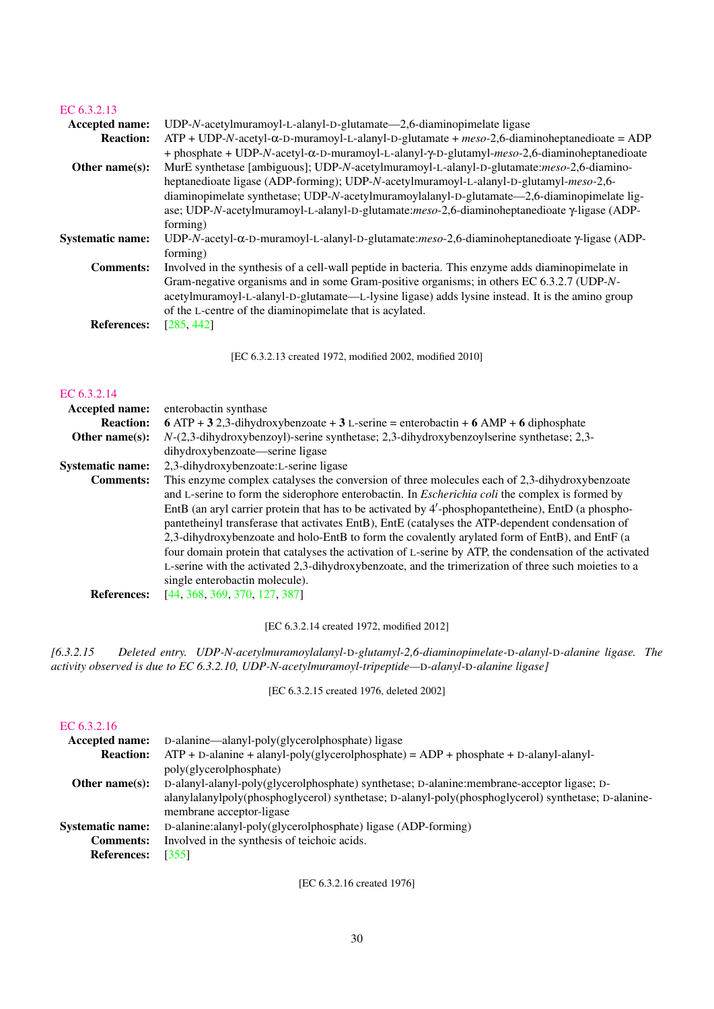| <b>Accepted name:</b>   | $UDP-N$ -acetylmuramoyl-L-alanyl-D-glutamate—2,6-diaminopimelate ligase                                               |
|-------------------------|-----------------------------------------------------------------------------------------------------------------------|
| <b>Reaction:</b>        | $ATP + UDP-N-accept1-α-D-muramoy1-L-alany1-D-glutamate + meso-2,6-diaminoheptane dioate = ADP$                        |
|                         | + phosphate + UDP-N-acetyl- $\alpha$ -D-muramoyl-L-alanyl- $\gamma$ -D-glutamyl-meso-2,6-diaminoheptanedioate         |
| Other name $(s)$ :      | MurE synthetase [ambiguous]; UDP-N-acetylmuramoyl-L-alanyl-D-glutamate:meso-2,6-diamino-                              |
|                         | heptanedioate ligase (ADP-forming); UDP-N-acetylmuramoyl-L-alanyl-D-glutamyl-meso-2,6-                                |
|                         | diaminopimelate synthetase; UDP-N-acetylmuramoylalanyl-D-glutamate—2,6-diaminopimelate lig-                           |
|                         | ase; UDP-N-acetylmuramoyl-L-alanyl-D-glutamate:meso-2,6-diaminoheptanedioate y-ligase (ADP-                           |
|                         | forming)                                                                                                              |
| <b>Systematic name:</b> | UDP-N-acetyl- $\alpha$ -D-muramoyl-L-alanyl-D-glutamate: <i>meso</i> -2,6-diaminoheptanedioate $\gamma$ -ligase (ADP- |
|                         | forming)                                                                                                              |
| <b>Comments:</b>        | Involved in the synthesis of a cell-wall peptide in bacteria. This enzyme adds diaminopimelate in                     |
|                         | Gram-negative organisms and in some Gram-positive organisms; in others EC 6.3.2.7 (UDP-N-                             |
|                         | acetylmuramoyl-L-alanyl-D-glutamate—L-lysine ligase) adds lysine instead. It is the amino group                       |
|                         | of the L-centre of the diaminopimelate that is acylated.                                                              |
| <b>References:</b>      | [285, 442]                                                                                                            |
|                         |                                                                                                                       |

[EC 6.3.2.13 created 1972, modified 2002, modified 2010]

#### [EC 6.3.2.14](http://www.enzyme-database.org/query.php?ec=6.3.2.14)

| Accepted name:          | enterobactin synthase                                                                                   |
|-------------------------|---------------------------------------------------------------------------------------------------------|
| <b>Reaction:</b>        | 6 ATP + 3 2,3-dihydroxybenzoate + 3 L-serine = enterobactin + 6 AMP + 6 diphosphate                     |
| Other name $(s)$ :      | $N-(2,3-dihydroxybenzoyl)$ -serine synthetase; 2,3-dihydroxybenzoylserine synthetase; 2,3-              |
|                         | dihydroxybenzoate—serine ligase                                                                         |
| <b>Systematic name:</b> | 2,3-dihydroxybenzoate:L-serine ligase                                                                   |
| <b>Comments:</b>        | This enzyme complex catalyses the conversion of three molecules each of 2,3-dihydroxybenzoate           |
|                         | and L-serine to form the siderophore enterobactin. In <i>Escherichia coli</i> the complex is formed by  |
|                         | EntB (an aryl carrier protein that has to be activated by 4'-phosphopantetheine), EntD (a phospho-      |
|                         | pantetheinyl transferase that activates EntB), EntE (catalyses the ATP-dependent condensation of        |
|                         | 2,3-dihydroxybenzoate and holo-EntB to form the covalently arylated form of EntB), and EntF (a          |
|                         | four domain protein that catalyses the activation of L-serine by ATP, the condensation of the activated |
|                         | L-serine with the activated 2,3-dihydroxybenzoate, and the trimerization of three such moieties to a    |
|                         | single enterobactin molecule).                                                                          |
| <b>References:</b>      | [44, 368, 369, 370, 127, 387]                                                                           |

[EC 6.3.2.14 created 1972, modified 2012]

*[6.3.2.15 Deleted entry. UDP-N-acetylmuramoylalanyl-*D*-glutamyl-2,6-diaminopimelate-*D*-alanyl-*D*-alanine ligase. The activity observed is due to EC 6.3.2.10, UDP-N-acetylmuramoyl-tripeptide—*D*-alanyl-*D*-alanine ligase]*

[EC 6.3.2.15 created 1976, deleted 2002]

## [EC 6.3.2.16](http://www.enzyme-database.org/query.php?ec=6.3.2.16)

| Accepted name:          | D-alanine—alanyl-poly(glycerolphosphate) ligase                                                     |
|-------------------------|-----------------------------------------------------------------------------------------------------|
| <b>Reaction:</b>        | $ATP + D$ -alanine + alanyl-poly(glycerolphosphate) = $ADP +$ phosphate + D-alanyl-alanyl-          |
|                         | poly(glycerolphosphate)                                                                             |
| Other name $(s)$ :      | D-alanyl-alanyl-poly(glycerolphosphate) synthetase; D-alanine: membrane-acceptor ligase; D-         |
|                         | alanylalanylpoly(phosphoglycerol) synthetase; D-alanyl-poly(phosphoglycerol) synthetase; D-alanine- |
|                         | membrane acceptor-ligase                                                                            |
| <b>Systematic name:</b> | D-alanine: alanyl-poly(glycerolphosphate) ligase (ADP-forming)                                      |
| <b>Comments:</b>        | Involved in the synthesis of teichoic acids.                                                        |
| <b>References:</b>      | [355]                                                                                               |

[EC 6.3.2.16 created 1976]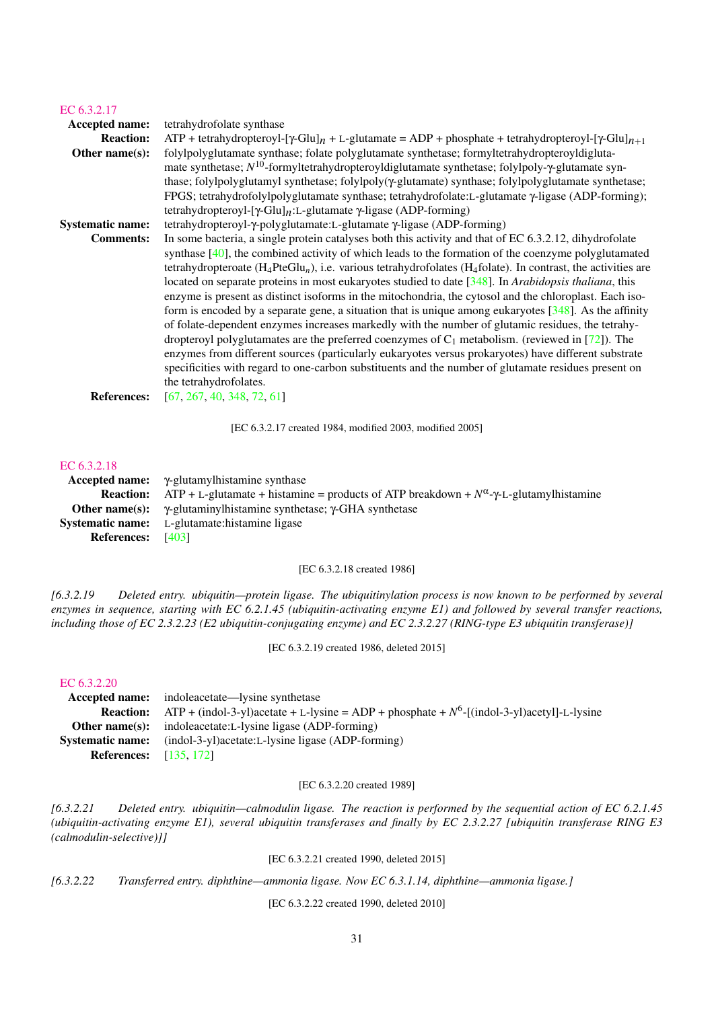| Accepted name:<br>tetrahydrofolate synthase<br><b>Reaction:</b><br>$ATP + tetrahydropteroyl-[Y-Glu]_n + L-glutamate = ADP + phosphate + tetrahydropteroyl-[Y-Glu]_{n+1}$<br>folylpolyglutamate synthase; folate polyglutamate synthetase; formyltetrahydropteroyldigluta-<br>Other name(s):<br>mate synthetase; $N^{10}$ -formyltetrahydropteroyldiglutamate synthetase; folylpoly- $\gamma$ -glutamate syn-<br>thase; folylpolyglutamyl synthetase; folylpoly( $\gamma$ -glutamate) synthase; folylpolyglutamate synthetase;<br>FPGS; tetrahydrofolylpolyglutamate synthase; tetrahydrofolate:L-glutamate $\gamma$ -ligase (ADP-forming);<br>tetrahydropteroyl-[ $\gamma$ -Glu] <sub>n</sub> :L-glutamate $\gamma$ -ligase (ADP-forming)<br>tetrahydropteroyl-γ-polyglutamate: L-glutamate γ-ligase (ADP-forming)<br><b>Systematic name:</b><br>In some bacteria, a single protein catalyses both this activity and that of EC 6.3.2.12, dihydrofolate<br><b>Comments:</b><br>located on separate proteins in most eukaryotes studied to date [348]. In Arabidopsis thaliana, this<br>enzyme is present as distinct isoforms in the mitochondria, the cytosol and the chloroplast. Each iso-<br>form is encoded by a separate gene, a situation that is unique among eukaryotes $\lceil 348 \rceil$ . As the affinity<br>of folate-dependent enzymes increases markedly with the number of glutamic residues, the tetrahy-<br>dropteroyl polyglutamates are the preferred coenzymes of $C_1$ metabolism. (reviewed in [72]). The<br>enzymes from different sources (particularly eukaryotes versus prokaryotes) have different substrate<br>specificities with regard to one-carbon substituents and the number of glutamate residues present on<br>the tetrahydrofolates.<br>[67, 267, 40, 348, 72, 61]<br><b>References:</b> | EC 6.3.2.17 |                                                                                                                                                                                                                                             |
|---------------------------------------------------------------------------------------------------------------------------------------------------------------------------------------------------------------------------------------------------------------------------------------------------------------------------------------------------------------------------------------------------------------------------------------------------------------------------------------------------------------------------------------------------------------------------------------------------------------------------------------------------------------------------------------------------------------------------------------------------------------------------------------------------------------------------------------------------------------------------------------------------------------------------------------------------------------------------------------------------------------------------------------------------------------------------------------------------------------------------------------------------------------------------------------------------------------------------------------------------------------------------------------------------------------------------------------------------------------------------------------------------------------------------------------------------------------------------------------------------------------------------------------------------------------------------------------------------------------------------------------------------------------------------------------------------------------------------------------------------------------------------------------------------------------------------------|-------------|---------------------------------------------------------------------------------------------------------------------------------------------------------------------------------------------------------------------------------------------|
|                                                                                                                                                                                                                                                                                                                                                                                                                                                                                                                                                                                                                                                                                                                                                                                                                                                                                                                                                                                                                                                                                                                                                                                                                                                                                                                                                                                                                                                                                                                                                                                                                                                                                                                                                                                                                                 |             |                                                                                                                                                                                                                                             |
|                                                                                                                                                                                                                                                                                                                                                                                                                                                                                                                                                                                                                                                                                                                                                                                                                                                                                                                                                                                                                                                                                                                                                                                                                                                                                                                                                                                                                                                                                                                                                                                                                                                                                                                                                                                                                                 |             |                                                                                                                                                                                                                                             |
|                                                                                                                                                                                                                                                                                                                                                                                                                                                                                                                                                                                                                                                                                                                                                                                                                                                                                                                                                                                                                                                                                                                                                                                                                                                                                                                                                                                                                                                                                                                                                                                                                                                                                                                                                                                                                                 |             |                                                                                                                                                                                                                                             |
|                                                                                                                                                                                                                                                                                                                                                                                                                                                                                                                                                                                                                                                                                                                                                                                                                                                                                                                                                                                                                                                                                                                                                                                                                                                                                                                                                                                                                                                                                                                                                                                                                                                                                                                                                                                                                                 |             |                                                                                                                                                                                                                                             |
|                                                                                                                                                                                                                                                                                                                                                                                                                                                                                                                                                                                                                                                                                                                                                                                                                                                                                                                                                                                                                                                                                                                                                                                                                                                                                                                                                                                                                                                                                                                                                                                                                                                                                                                                                                                                                                 |             | synthase $[40]$ , the combined activity of which leads to the formation of the coenzyme polyglutamated<br>tetrahydropteroate ( $H_4$ PteGlu <sub>n</sub> ), i.e. various tetrahydrofolates ( $H_4$ folate). In contrast, the activities are |
|                                                                                                                                                                                                                                                                                                                                                                                                                                                                                                                                                                                                                                                                                                                                                                                                                                                                                                                                                                                                                                                                                                                                                                                                                                                                                                                                                                                                                                                                                                                                                                                                                                                                                                                                                                                                                                 |             |                                                                                                                                                                                                                                             |

[EC 6.3.2.17 created 1984, modified 2003, modified 2005]

## [EC 6.3.2.18](http://www.enzyme-database.org/query.php?ec=6.3.2.18)

|                          | Accepted name: $\gamma$ -glutamylhistamine synthase                                                                       |
|--------------------------|---------------------------------------------------------------------------------------------------------------------------|
|                          | <b>Reaction:</b> ATP + L-glutamate + histamine = products of ATP breakdown + $N^{\alpha}$ - $\gamma$ -L-glutamylhistamine |
|                          | <b>Other name(s):</b> $\gamma$ -glutaminylhistamine synthetase; $\gamma$ -GHA synthetase                                  |
|                          | <b>Systematic name:</b> L-glutamate:histamine ligase                                                                      |
| <b>References:</b> [403] |                                                                                                                           |

[EC 6.3.2.18 created 1986]

*[6.3.2.19 Deleted entry. ubiquitin—protein ligase. The ubiquitinylation process is now known to be performed by several enzymes in sequence, starting with EC 6.2.1.45 (ubiquitin-activating enzyme E1) and followed by several transfer reactions, including those of EC 2.3.2.23 (E2 ubiquitin-conjugating enzyme) and EC 2.3.2.27 (RING-type E3 ubiquitin transferase)]*

[EC 6.3.2.19 created 1986, deleted 2015]

#### [EC 6.3.2.20](http://www.enzyme-database.org/query.php?ec=6.3.2.20)

|                               | <b>Accepted name:</b> indoleacetate—lysine synthetase                                                          |
|-------------------------------|----------------------------------------------------------------------------------------------------------------|
|                               | <b>Reaction:</b> ATP + (indol-3-yl)acetate + L-lysine = ADP + phosphate + $N^6$ -[(indol-3-yl)acetyl]-L-lysine |
|                               | <b>Other name(s):</b> indoleacetate: L-lysine ligase $(ADP-forming)$                                           |
| <b>Systematic name:</b>       | (indol-3-yl)acetate:L-lysine ligase (ADP-forming)                                                              |
| <b>References:</b> [135, 172] |                                                                                                                |

### [EC 6.3.2.20 created 1989]

*[6.3.2.21 Deleted entry. ubiquitin—calmodulin ligase. The reaction is performed by the sequential action of EC 6.2.1.45 (ubiquitin-activating enzyme E1), several ubiquitin transferases and finally by EC 2.3.2.27 [ubiquitin transferase RING E3 (calmodulin-selective)]]*

[EC 6.3.2.21 created 1990, deleted 2015]

*[6.3.2.22 Transferred entry. diphthine—ammonia ligase. Now EC 6.3.1.14, diphthine—ammonia ligase.]*

[EC 6.3.2.22 created 1990, deleted 2010]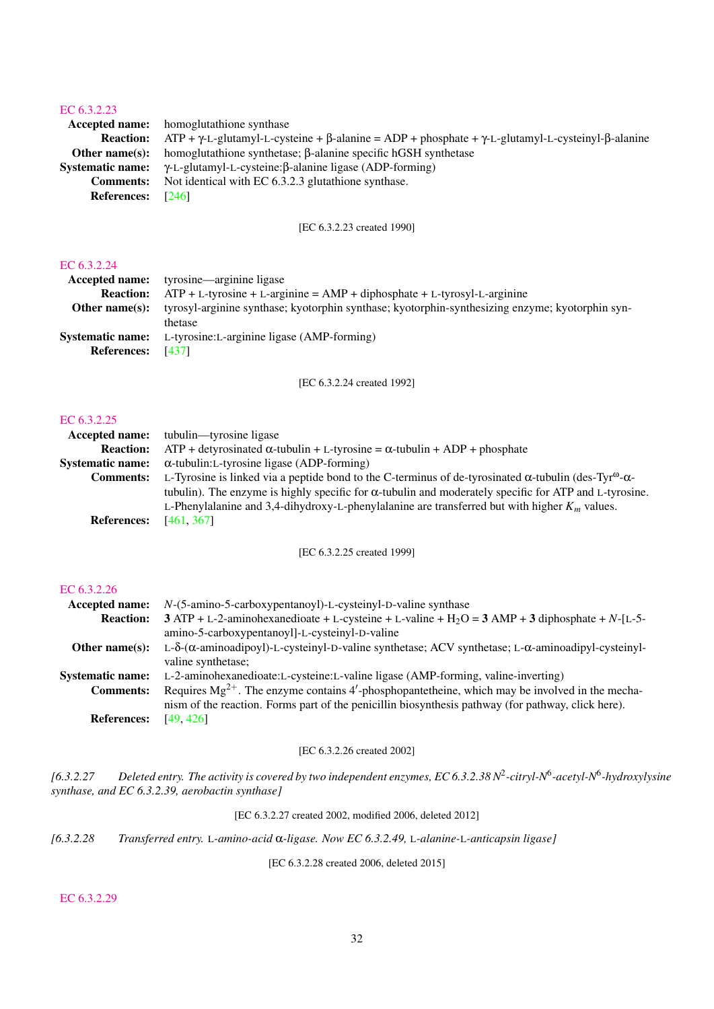| . <i>.</i>              |                                                                                                                                 |
|-------------------------|---------------------------------------------------------------------------------------------------------------------------------|
|                         | <b>Accepted name:</b> homoglutathione synthase                                                                                  |
| <b>Reaction:</b>        | $ATP + \gamma$ -L-glutamyl-L-cysteine + $\beta$ -alanine = ADP + phosphate + $\gamma$ -L-glutamyl-L-cysteinyl- $\beta$ -alanine |
| Other name $(s)$ :      | homoglutathione synthetase; $\beta$ -alanine specific hGSH synthetase                                                           |
| <b>Systematic name:</b> | $\gamma$ -L-glutamyl-L-cysteine: $\beta$ -alanine ligase (ADP-forming)                                                          |
| <b>Comments:</b>        | Not identical with EC 6.3.2.3 glutathione synthase.                                                                             |
| <b>References:</b>      | [246]                                                                                                                           |
|                         |                                                                                                                                 |

[EC 6.3.2.23 created 1990]

## [EC 6.3.2.24](http://www.enzyme-database.org/query.php?ec=6.3.2.24)

|                         | <b>Accepted name:</b> tyrosine—arginine ligase                                                  |
|-------------------------|-------------------------------------------------------------------------------------------------|
| <b>Reaction:</b>        | $ATP + L$ -tyrosine + L-arginine = $AMP + diphosphate + L$ -tyrosyl-L-arginine                  |
| Other name $(s)$ :      | tyrosyl-arginine synthase; kyotorphin synthase; kyotorphin-synthesizing enzyme; kyotorphin syn- |
|                         | thetase                                                                                         |
| <b>Systematic name:</b> | L-tyrosine: L-arginine ligase (AMP-forming)                                                     |
| <b>References:</b>      | [437]                                                                                           |
|                         |                                                                                                 |

[EC 6.3.2.24 created 1992]

#### [EC 6.3.2.25](http://www.enzyme-database.org/query.php?ec=6.3.2.25)

|                    | <b>Accepted name:</b> tubulin—tyrosine ligase                                                                                                      |
|--------------------|----------------------------------------------------------------------------------------------------------------------------------------------------|
| <b>Reaction:</b>   | $ATP + detyrosinated \alpha-tubulin + L-tyrosine = \alpha-tubulin + ADP + phosphate$                                                               |
|                    | <b>Systematic name:</b> $\alpha$ -tubulin:L-tyrosine ligase (ADP-forming)                                                                          |
| <b>Comments:</b>   | L-Tyrosine is linked via a peptide bond to the C-terminus of de-tyrosinated $\alpha$ -tubulin (des-Tyr <sup><math>\omega</math></sup> - $\alpha$ - |
|                    | tubulin). The enzyme is highly specific for $\alpha$ -tubulin and moderately specific for ATP and L-tyrosine.                                      |
|                    | L-Phenylalanine and 3,4-dihydroxy-L-phenylalanine are transferred but with higher $K_m$ values.                                                    |
| <b>References:</b> | [461, 367]                                                                                                                                         |

[EC 6.3.2.25 created 1999]

## [EC 6.3.2.26](http://www.enzyme-database.org/query.php?ec=6.3.2.26)

| <b>Accepted name:</b>   | $N-(5-amino-5-carboxypentanoyl)-L-cysteinyl-D-value synthase$                                                |
|-------------------------|--------------------------------------------------------------------------------------------------------------|
| <b>Reaction:</b>        | $3$ ATP + L-2-aminohexanedioate + L-cysteine + L-valine + H <sub>2</sub> O = 3 AMP + 3 diphosphate + N-[L-5- |
|                         | amino-5-carboxypentanoyl]-L-cysteinyl-D-valine                                                               |
| Other name $(s)$ :      | $L-\delta$ -(α-aminoadipoyl)-L-cysteinyl-D-valine synthetase; ACV synthetase; L-α-aminoadipyl-cysteinyl-     |
|                         | valine synthetase;                                                                                           |
| <b>Systematic name:</b> | L-2-aminohexanedioate:L-cysteine:L-valine ligase (AMP-forming, valine-inverting)                             |
| <b>Comments:</b>        | Requires $Mg^{2+}$ . The enzyme contains 4'-phosphopantetheine, which may be involved in the mecha-          |
|                         | nism of the reaction. Forms part of the penicillin biosynthesis pathway (for pathway, click here).           |
| <b>References:</b>      | [49.426]                                                                                                     |

## [EC 6.3.2.26 created 2002]

*[6.3.2.27 Deleted entry. The activity is covered by two independent enzymes, EC 6.3.2.38 N*<sup>2</sup> *-citryl-N*<sup>6</sup> *-acetyl-N*<sup>6</sup> *-hydroxylysine synthase, and EC 6.3.2.39, aerobactin synthase]*

[EC 6.3.2.27 created 2002, modified 2006, deleted 2012]

*[6.3.2.28 Transferred entry.* L*-amino-acid* α*-ligase. Now EC 6.3.2.49,* L*-alanine-*L*-anticapsin ligase]*

[EC 6.3.2.28 created 2006, deleted 2015]

## [EC 6.3.2.29](http://www.enzyme-database.org/query.php?ec=6.3.2.29)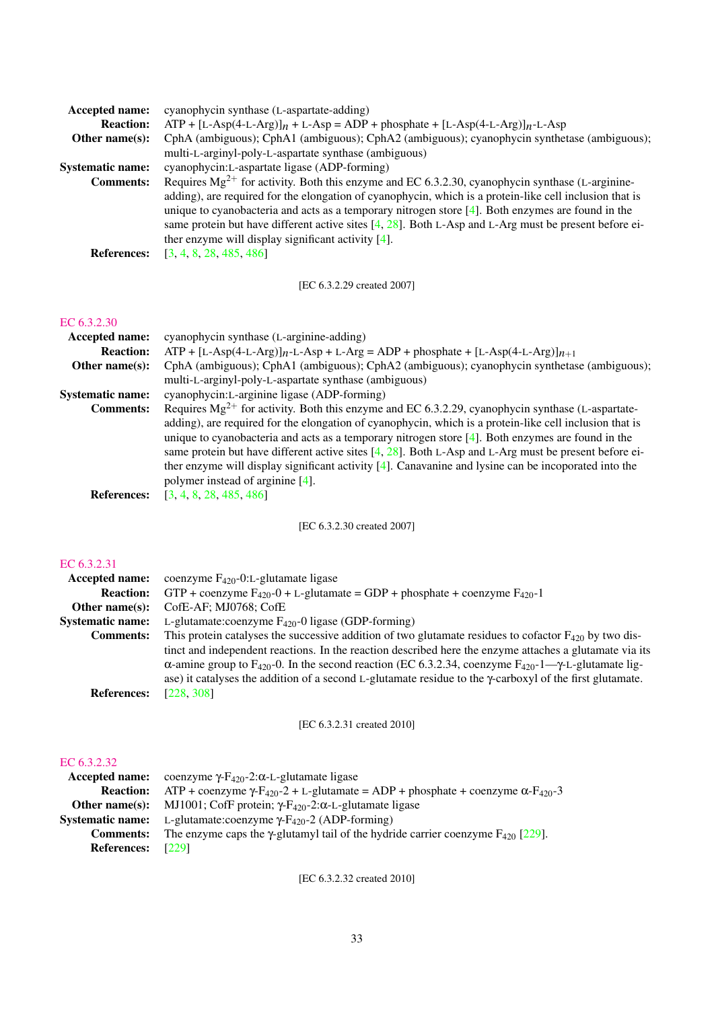| <b>Accepted name:</b>   | cyanophycin synthase (L-aspartate-adding)                                                                                                                                                                                                                                                                                                                                                                    |
|-------------------------|--------------------------------------------------------------------------------------------------------------------------------------------------------------------------------------------------------------------------------------------------------------------------------------------------------------------------------------------------------------------------------------------------------------|
| <b>Reaction:</b>        | $ATP + [L-Asp(4-L-Arg)]_n + L-Asp = ADP + phosphate + [L-Asp(4-L-Arg)]_n - L-Asp$                                                                                                                                                                                                                                                                                                                            |
| Other name $(s)$ :      | CphA (ambiguous); CphA1 (ambiguous); CphA2 (ambiguous); cyanophycin synthetase (ambiguous);                                                                                                                                                                                                                                                                                                                  |
|                         | multi-L-arginyl-poly-L-aspartate synthase (ambiguous)                                                                                                                                                                                                                                                                                                                                                        |
| <b>Systematic name:</b> | cyanophycin: L-aspartate ligase (ADP-forming)                                                                                                                                                                                                                                                                                                                                                                |
| <b>Comments:</b>        | Requires $Mg^{2+}$ for activity. Both this enzyme and EC 6.3.2.30, cyanophycin synthase (L-arginine-                                                                                                                                                                                                                                                                                                         |
| <b>References:</b>      | adding), are required for the elongation of cyanophycin, which is a protein-like cell inclusion that is<br>unique to cyanobacteria and acts as a temporary nitrogen store $[4]$ . Both enzymes are found in the<br>same protein but have different active sites [4, 28]. Both L-Asp and L-Arg must be present before ei-<br>ther enzyme will display significant activity $[4]$ .<br>[3, 4, 8, 28, 485, 486] |
|                         |                                                                                                                                                                                                                                                                                                                                                                                                              |
|                         | [EC 6.3.2.29 created 2007]                                                                                                                                                                                                                                                                                                                                                                                   |

| <b>Accepted name:</b>   | cyanophycin synthase (L-arginine-adding)                                                                |
|-------------------------|---------------------------------------------------------------------------------------------------------|
| <b>Reaction:</b>        | $ATP + [L-Asp(4-L-Arg)]_{n-L-Asp} + L-Arg = ADP + phosphate + [L-Asp(4-L-Arg)]_{n+1}$                   |
| Other name $(s)$ :      | CphA (ambiguous); CphA1 (ambiguous); CphA2 (ambiguous); cyanophycin synthetase (ambiguous);             |
|                         | multi-L-arginyl-poly-L-aspartate synthase (ambiguous)                                                   |
| <b>Systematic name:</b> | cyanophycin: L-arginine ligase (ADP-forming)                                                            |
| <b>Comments:</b>        | Requires $Mg^{2+}$ for activity. Both this enzyme and EC 6.3.2.29, cyanophycin synthase (L-aspartate-   |
|                         | adding), are required for the elongation of cyanophycin, which is a protein-like cell inclusion that is |
|                         | unique to cyanobacteria and acts as a temporary nitrogen store $[4]$ . Both enzymes are found in the    |
|                         | same protein but have different active sites [4, 28]. Both L-Asp and L-Arg must be present before ei-   |
|                         | ther enzyme will display significant activity $[4]$ . Canavanine and lysine can be incoporated into the |
|                         | polymer instead of arginine [4].                                                                        |
| <b>References:</b>      | [3, 4, 8, 28, 485, 486]                                                                                 |
|                         |                                                                                                         |

[EC 6.3.2.30 created 2007]

## [EC 6.3.2.31](http://www.enzyme-database.org/query.php?ec=6.3.2.31)

| Accepted name:          | coenzyme $F_{420}$ -0:L-glutamate ligase                                                                                                    |
|-------------------------|---------------------------------------------------------------------------------------------------------------------------------------------|
| <b>Reaction:</b>        | GTP + coenzyme $F_{420}$ -0 + L-glutamate = GDP + phosphate + coenzyme $F_{420}$ -1                                                         |
| Other name $(s)$ :      | CofE-AF; MJ0768; CofE                                                                                                                       |
| <b>Systematic name:</b> | L-glutamate:coenzyme $F_{420}$ -0 ligase (GDP-forming)                                                                                      |
| <b>Comments:</b>        | This protein catalyses the successive addition of two glutamate residues to cofactor $F_{420}$ by two dis-                                  |
|                         | tinct and independent reactions. In the reaction described here the enzyme attaches a glutamate via its                                     |
|                         | $\alpha$ -amine group to F <sub>420</sub> -0. In the second reaction (EC 6.3.2.34, coenzyme F <sub>420</sub> -1— $\gamma$ -L-glutamate lig- |
|                         | ase) it catalyses the addition of a second L-glutamate residue to the $\gamma$ -carboxyl of the first glutamate.                            |
| <b>References:</b>      | [228, 308]                                                                                                                                  |

[EC 6.3.2.31 created 2010]

## [EC 6.3.2.32](http://www.enzyme-database.org/query.php?ec=6.3.2.32)

| <b>Accepted name:</b>   | coenzyme γ- $F_{420}$ -2:α-L-glutamate ligase                                                                         |
|-------------------------|-----------------------------------------------------------------------------------------------------------------------|
| <b>Reaction:</b>        | ATP + coenzyme $\gamma$ -F <sub>420</sub> -2 + L-glutamate = ADP + phosphate + coenzyme $\alpha$ -F <sub>420</sub> -3 |
| Other name $(s)$ :      | MJ1001; CofF protein; $\gamma$ -F <sub>420</sub> -2: $\alpha$ -L-glutamate ligase                                     |
| <b>Systematic name:</b> | L-glutamate:coenzyme $\gamma$ -F <sub>420</sub> -2 (ADP-forming)                                                      |
| <b>Comments:</b>        | The enzyme caps the $\gamma$ -glutamyl tail of the hydride carrier coenzyme $F_{420}$ [229].                          |
| <b>References:</b>      | [229]                                                                                                                 |

[EC 6.3.2.32 created 2010]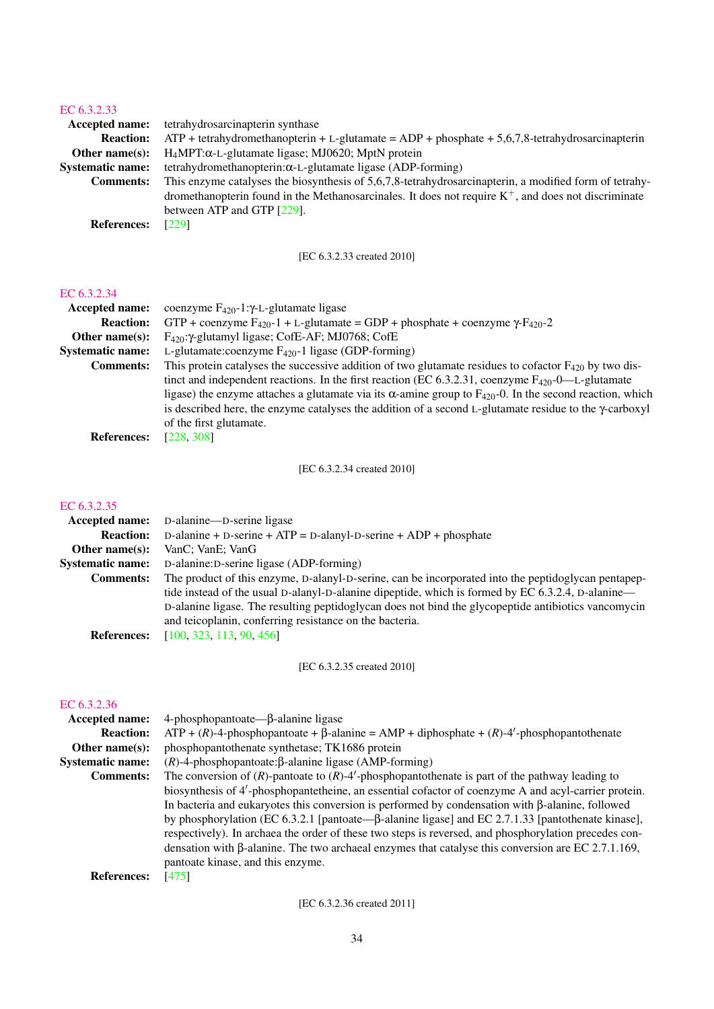| 1 J J J J J J J J J J J J J J |                                                                                                        |
|-------------------------------|--------------------------------------------------------------------------------------------------------|
| <b>Accepted name:</b>         | tetrahydrosarcinapterin synthase                                                                       |
| <b>Reaction:</b>              | $ATP + tetrahydromethanopterin + L-glutamate = ADP + phosphate + 5,6,7,8-tetrahydrosarcinapterin$      |
| Other name $(s)$ :            | $H_4MPT:\alpha$ -L-glutamate ligase; MJ0620; MptN protein                                              |
| <b>Systematic name:</b>       | tetrahydromethanopterin: $\alpha$ -L-glutamate ligase (ADP-forming)                                    |
| <b>Comments:</b>              | This enzyme catalyses the biosynthesis of 5,6,7,8-tetrahydrosarcinapterin, a modified form of tetrahy- |
|                               | dromethanopterin found in the Methanosarcinales. It does not require $K^+$ , and does not discriminate |
|                               | between ATP and GTP [229].                                                                             |
| <b>References:</b>            | [229]                                                                                                  |
|                               |                                                                                                        |

[EC 6.3.2.33 created 2010]

## [EC 6.3.2.34](http://www.enzyme-database.org/query.php?ec=6.3.2.34)

| <b>Accepted name:</b>     | coenzyme $F_{420}$ -1: $\gamma$ -L-glutamate ligase                                                                         |
|---------------------------|-----------------------------------------------------------------------------------------------------------------------------|
| <b>Reaction:</b>          | GTP + coenzyme $F_{420}$ -1 + L-glutamate = GDP + phosphate + coenzyme $\gamma$ - $F_{420}$ -2                              |
| Other name $(s)$ :        | $F_{420}$ : $\gamma$ -glutamyl ligase; CofE-AF; MJ0768; CofE                                                                |
| <b>Systematic name:</b>   | L-glutamate:coenzyme $F_{420}$ -1 ligase (GDP-forming)                                                                      |
| <b>Comments:</b>          | This protein catalyses the successive addition of two glutamate residues to cofactor $F_{420}$ by two dis-                  |
|                           | tinct and independent reactions. In the first reaction (EC 6.3.2.31, coenzyme $F_{420}$ -0—L-glutamate                      |
|                           | ligase) the enzyme attaches a glutamate via its $\alpha$ -amine group to F <sub>420</sub> -0. In the second reaction, which |
|                           | is described here, the enzyme catalyses the addition of a second L-glutamate residue to the $\gamma$ -carboxyl              |
|                           | of the first glutamate.                                                                                                     |
| $\mathbf{r}$ $\mathbf{r}$ | raan anni                                                                                                                   |

**References:** [\[228,](#page-69-9) [308\]](#page-73-12)

[EC 6.3.2.34 created 2010]

## [EC 6.3.2.35](http://www.enzyme-database.org/query.php?ec=6.3.2.35)

| <b>Accepted name:</b>   | D-alanine—D-serine ligase                                                                           |
|-------------------------|-----------------------------------------------------------------------------------------------------|
| <b>Reaction:</b>        | D-alanine + D-serine + $ATP = D$ -alanyl-D-serine + $ADP$ + phosphate                               |
| Other name $(s)$ :      | VanC; VanE; VanG                                                                                    |
| <b>Systematic name:</b> | D-alanine: D-serine ligase (ADP-forming)                                                            |
| <b>Comments:</b>        | The product of this enzyme, D-alanyl-D-serine, can be incorporated into the peptidoglycan pentapep- |
|                         | tide instead of the usual D-alanyl-D-alanine dipeptide, which is formed by EC 6.3.2.4, D-alanine—   |
|                         | D-alanine ligase. The resulting peptidoglycan does not bind the glycopeptide antibiotics vancomycin |
|                         | and teicoplanin, conferring resistance on the bacteria.                                             |
| <b>References:</b>      | [100, 323, 113, 90, 456]                                                                            |

[EC 6.3.2.35 created 2010]

## [EC 6.3.2.36](http://www.enzyme-database.org/query.php?ec=6.3.2.36)

| Accepted name:          | $4$ -phosphopantoate— $\beta$ -alanine ligase                                                             |
|-------------------------|-----------------------------------------------------------------------------------------------------------|
| <b>Reaction:</b>        | $ATP + (R)$ -4-phosphopantoate + $\beta$ -alanine = AMP + diphosphate + $(R)$ -4'-phosphopantothenate     |
| Other name $(s)$ :      | phosphopantothenate synthetase; TK1686 protein                                                            |
| <b>Systematic name:</b> | $(R)$ -4-phosphopantoate: $\beta$ -alanine ligase (AMP-forming)                                           |
| <b>Comments:</b>        | The conversion of $(R)$ -pantoate to $(R)$ -4'-phosphopantothenate is part of the pathway leading to      |
|                         | biosynthesis of 4'-phosphopantetheine, an essential cofactor of coenzyme A and acyl-carrier protein.      |
|                         | In bacteria and eukaryotes this conversion is performed by condensation with $\beta$ -alanine, followed   |
|                         | by phosphorylation (EC 6.3.2.1 [pantoate— $\beta$ -alanine ligase] and EC 2.7.1.33 [pantothenate kinase], |
|                         | respectively). In archaea the order of these two steps is reversed, and phosphorylation precedes con-     |
|                         | densation with $\beta$ -alanine. The two archaeal enzymes that catalyse this conversion are EC 2.7.1.169, |
|                         | pantoate kinase, and this enzyme.                                                                         |
| <b>References:</b>      | [475]                                                                                                     |
|                         |                                                                                                           |

[EC 6.3.2.36 created 2011]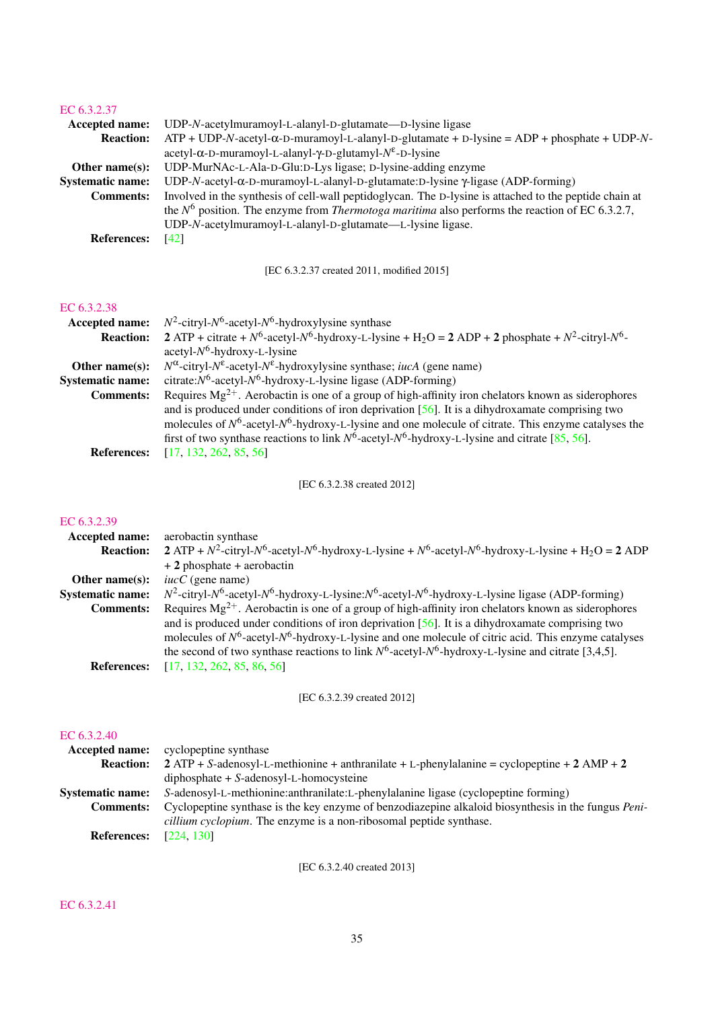| <b>Accepted name:</b>   | UDP-N-acetylmuramoyl-L-alanyl-D-glutamate—D-lysine ligase                                                |
|-------------------------|----------------------------------------------------------------------------------------------------------|
| <b>Reaction:</b>        | $ATP + UDP-N-acety1-\alpha-D-muramoy1-L-alany1-D-glutamate + D-lysine = ADP + phosphate + UDP-N-$        |
|                         | $acetyl-\alpha-D-muramoyl-L-alanyl-\gamma-D-glutamyl-N^{\epsilon}-D-lysine$                              |
| Other name $(s)$ :      | UDP-MurNAc-L-Ala-D-Glu:D-Lys ligase; D-lysine-adding enzyme                                              |
| <b>Systematic name:</b> | UDP-N-acetyl- $\alpha$ -D-muramoyl-L-alanyl-D-glutamate:D-lysine $\gamma$ -ligase (ADP-forming)          |
| <b>Comments:</b>        | Involved in the synthesis of cell-wall peptidoglycan. The D-lysine is attached to the peptide chain at   |
|                         | the $N^6$ position. The enzyme from <i>Thermotoga maritima</i> also performs the reaction of EC 6.3.2.7, |
|                         | UDP-N-acetylmuramoyl-L-alanyl-D-glutamate—L-lysine ligase.                                               |
| <b>References:</b>      | [42]                                                                                                     |
|                         |                                                                                                          |

[EC 6.3.2.37 created 2011, modified 2015]

## [EC 6.3.2.38](http://www.enzyme-database.org/query.php?ec=6.3.2.38)

| <b>Accepted name:</b>   | $N^2$ -citryl- $N^6$ -acetyl- $N^6$ -hydroxylysine synthase                                                                |
|-------------------------|----------------------------------------------------------------------------------------------------------------------------|
| <b>Reaction:</b>        | 2 ATP + citrate + $N^6$ -acetyl- $N^6$ -hydroxy-L-lysine + H <sub>2</sub> O = 2 ADP + 2 phosphate + $N^2$ -citryl- $N^6$ - |
|                         | $acetyl-N6$ -hydroxy-L-lysine                                                                                              |
| Other name $(s)$ :      | $N^{\alpha}$ -citryl- $N^{\epsilon}$ -acetyl- $N^{\epsilon}$ -hydroxylysine synthase; <i>iucA</i> (gene name)              |
| <b>Systematic name:</b> | citrate: $N^6$ -acetyl- $N^6$ -hydroxy-L-lysine ligase (ADP-forming)                                                       |
| <b>Comments:</b>        | Requires $Mg^{2+}$ . Aerobactin is one of a group of high-affinity iron chelators known as siderophores                    |
|                         | and is produced under conditions of iron deprivation $[56]$ . It is a dihydroxamate comprising two                         |
|                         | molecules of $N^6$ -acetyl- $N^6$ -hydroxy-L-lysine and one molecule of citrate. This enzyme catalyses the                 |
|                         | first of two synthase reactions to link $N^6$ -acetyl- $N^6$ -hydroxy-L-lysine and citrate [85, 56].                       |
| <b>References:</b>      | [17, 132, 262, 85, 56]                                                                                                     |

[EC 6.3.2.38 created 2012]

## [EC 6.3.2.39](http://www.enzyme-database.org/query.php?ec=6.3.2.39)

| <b>Accepted name:</b>   | aerobactin synthase                                                                                                               |
|-------------------------|-----------------------------------------------------------------------------------------------------------------------------------|
| <b>Reaction:</b>        | 2 ATP + $N^2$ -citryl- $N^6$ -acetyl- $N^6$ -hydroxy-L-lysine + $N^6$ -acetyl- $N^6$ -hydroxy-L-lysine + H <sub>2</sub> O = 2 ADP |
|                         | $+2$ phosphate $+$ aerobactin                                                                                                     |
| Other name $(s)$ :      | $iucC$ (gene name)                                                                                                                |
| <b>Systematic name:</b> | $N^2$ -citryl- $N^6$ -acetyl- $N^6$ -hydroxy-L-lysine: $N^6$ -acetyl- $N^6$ -hydroxy-L-lysine ligase (ADP-forming)                |
| <b>Comments:</b>        | Requires $Mg^{2+}$ . Aerobactin is one of a group of high-affinity iron chelators known as siderophores                           |
|                         | and is produced under conditions of iron deprivation $[56]$ . It is a dihydroxamate comprising two                                |
|                         | molecules of $N^6$ -acetyl- $N^6$ -hydroxy-L-lysine and one molecule of citric acid. This enzyme catalyses                        |
|                         | the second of two synthase reactions to link $N^6$ -acetyl- $N^6$ -hydroxy-L-lysine and citrate [3,4,5].                          |
| <b>References:</b>      | [17, 132, 262, 85, 86, 56]                                                                                                        |
|                         |                                                                                                                                   |

[EC 6.3.2.39 created 2012]

## [EC 6.3.2.40](http://www.enzyme-database.org/query.php?ec=6.3.2.40)

| <b>Accepted name:</b>   | cyclopeptine synthase                                                                                       |
|-------------------------|-------------------------------------------------------------------------------------------------------------|
| <b>Reaction:</b>        | $2$ ATP + S-adenosyl-L-methionine + anthranilate + L-phenylalanine = cyclopeptine + 2 AMP + 2               |
|                         | $diphosphate + S-adenosyl-L-homocysteine$                                                                   |
| <b>Systematic name:</b> | S-adenosyl-L-methionine: anthranilate: L-phenylalanine ligase (cyclopeptine forming)                        |
| <b>Comments:</b>        | Cyclopeptine synthase is the key enzyme of benzodiazepine alkaloid biosynthesis in the fungus <i>Peni</i> - |
|                         | <i>cillium cyclopium</i> . The enzyme is a non-ribosomal peptide synthase.                                  |
| <b>References:</b>      | [224, 130]                                                                                                  |

[EC 6.3.2.40 created 2013]

## [EC 6.3.2.41](http://www.enzyme-database.org/query.php?ec=6.3.2.41)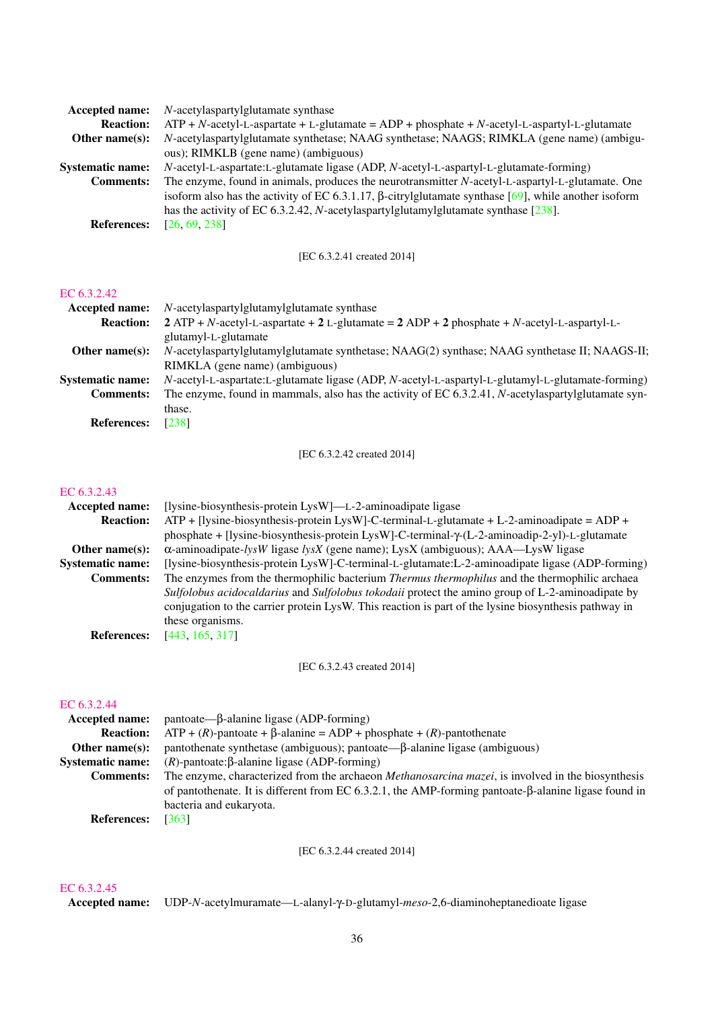| Accepted name:          | N-acetylaspartylglutamate synthase                                                                          |
|-------------------------|-------------------------------------------------------------------------------------------------------------|
| <b>Reaction:</b>        | $ATP + N$ -acetyl-L-aspartate + L-glutamate = ADP + phosphate + N-acetyl-L-aspartyl-L-glutamate             |
| Other name $(s)$ :      | N-acetylaspartylglutamate synthetase; NAAG synthetase; NAAGS; RIMKLA (gene name) (ambigu-                   |
|                         | ous); RIMKLB (gene name) (ambiguous)                                                                        |
| <b>Systematic name:</b> | N-acetyl-L-aspartate:L-glutamate ligase (ADP, N-acetyl-L-aspartyl-L-glutamate-forming)                      |
| <b>Comments:</b>        | The enzyme, found in animals, produces the neurotransmitter N-acetyl-L-aspartyl-L-glutamate. One            |
|                         | isoform also has the activity of EC 6.3.1.17, $\beta$ -citrylglutamate synthase [69], while another isoform |
|                         | has the activity of EC 6.3.2.42, <i>N</i> -acetylaspartylglutamylglutamate synthase $[238]$ .               |
| <b>References:</b>      | [26, 69, 238]                                                                                               |

[EC 6.3.2.41 created 2014]

### [EC 6.3.2.42](http://www.enzyme-database.org/query.php?ec=6.3.2.42)

| Accepted name:          | N-acetylaspartylglutamylglutamate synthase                                                         |
|-------------------------|----------------------------------------------------------------------------------------------------|
| <b>Reaction:</b>        | $2$ ATP + N-acetyl-L-aspartate + 2 L-glutamate = 2 ADP + 2 phosphate + N-acetyl-L-aspartyl-L-      |
|                         | glutamyl-L-glutamate                                                                               |
| Other name $(s)$ :      | N-acetylaspartylglutamylglutamate synthetase; NAAG(2) synthase; NAAG synthetase II; NAAGS-II;      |
|                         | RIMKLA (gene name) (ambiguous)                                                                     |
| <b>Systematic name:</b> | N-acetyl-L-aspartate:L-glutamate ligase (ADP, N-acetyl-L-aspartyl-L-glutamyl-L-glutamate-forming)  |
| <b>Comments:</b>        | The enzyme, found in mammals, also has the activity of EC 6.3.2.41, N-acetylaspartylglutamate syn- |
|                         | thase.                                                                                             |
| <b>References:</b>      | [238]                                                                                              |

[EC 6.3.2.42 created 2014]

## [EC 6.3.2.43](http://www.enzyme-database.org/query.php?ec=6.3.2.43)

| [lysine-biosynthesis-protein LysW]—L-2-aminoadipate ligase                                            |
|-------------------------------------------------------------------------------------------------------|
| $ATP + [Iysine-biosynthesis-protein LysW] - C-terminal-L-glutamate + L-2-aminoadipate = ADP +$        |
| phosphate + [lysine-biosynthesis-protein LysW]-C-terminal- $\gamma$ -(L-2-aminoadip-2-yl)-L-glutamate |
| $\alpha$ -aminoadipate- <i>lysW</i> ligase <i>lysX</i> (gene name); LysX (ambiguous); AAA—LysW ligase |
| [lysine-biosynthesis-protein LysW]-C-terminal-L-glutamate: L-2-aminoadipate ligase (ADP-forming)      |
| The enzymes from the thermophilic bacterium Thermus thermophilus and the thermophilic archaea         |
| Sulfolobus acidocaldarius and Sulfolobus tokodaii protect the amino group of L-2-aminoadipate by      |
| conjugation to the carrier protein LysW. This reaction is part of the lysine biosynthesis pathway in  |
| these organisms.                                                                                      |
| [443, 165, 317]                                                                                       |
|                                                                                                       |

[EC 6.3.2.43 created 2014]

## [EC 6.3.2.44](http://www.enzyme-database.org/query.php?ec=6.3.2.44)

| <b>Accepted name:</b>   | $p$ antoate— $\beta$ -alanine ligase (ADP-forming)                                                           |
|-------------------------|--------------------------------------------------------------------------------------------------------------|
| <b>Reaction:</b>        | $ATP + (R)$ -pantoate + $\beta$ -alanine = ADP + phosphate + $(R)$ -pantothenate                             |
| Other name $(s)$ :      | pantothenate synthetase (ambiguous); pantoate— $\beta$ -alanine ligase (ambiguous)                           |
| <b>Systematic name:</b> | $(R)$ -pantoate: $\beta$ -alanine ligase (ADP-forming)                                                       |
| <b>Comments:</b>        | The enzyme, characterized from the archaeon <i>Methanosarcina mazei</i> , is involved in the biosynthesis    |
|                         | of pantothenate. It is different from EC 6.3.2.1, the AMP-forming pantoate- $\beta$ -alanine ligase found in |
|                         | bacteria and eukaryota.                                                                                      |
| <b>References:</b>      | [363]                                                                                                        |
|                         |                                                                                                              |

[EC 6.3.2.44 created 2014]

## [EC 6.3.2.45](http://www.enzyme-database.org/query.php?ec=6.3.2.45)

Accepted name: UDP-*N*-acetylmuramate—L-alanyl-γ-D-glutamyl-*meso*-2,6-diaminoheptanedioate ligase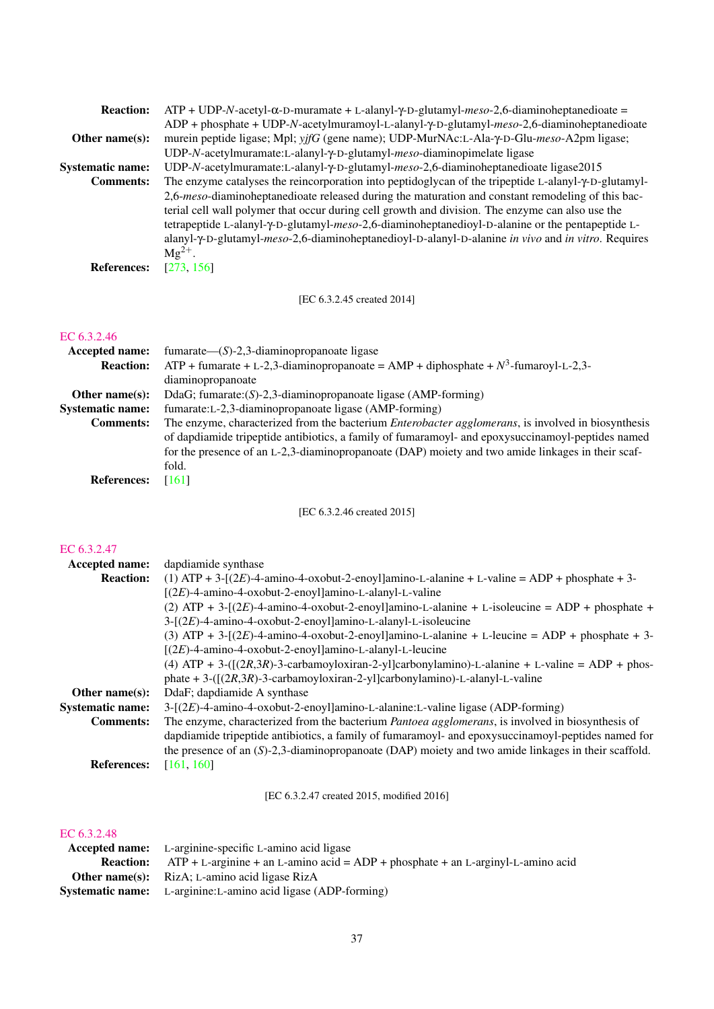| ADP + phosphate + UDP-N-acetylmuramoyl-L-alanyl-y-D-glutamyl-meso-2,6-diaminoheptanedioate<br>murein peptide ligase; Mpl; yjfG (gene name); UDP-MurNAc:L-Ala-γ-D-Glu-meso-A2pm ligase;<br>Other name $(s)$ : |  |
|--------------------------------------------------------------------------------------------------------------------------------------------------------------------------------------------------------------|--|
|                                                                                                                                                                                                              |  |
|                                                                                                                                                                                                              |  |
| UDP-N-acetylmuramate:L-alanyl-y-D-glutamyl-meso-diaminopimelate ligase                                                                                                                                       |  |
| UDP-N-acetylmuramate:L-alanyl-y-D-glutamyl-meso-2,6-diaminoheptanedioate ligase2015<br><b>Systematic name:</b>                                                                                               |  |
| The enzyme catalyses the reincorporation into peptidoglycan of the tripeptide L-alanyl- $\gamma$ -D-glutamyl-<br><b>Comments:</b>                                                                            |  |
| 2,6-meso-diaminoheptanedioate released during the maturation and constant remodeling of this bac-                                                                                                            |  |
| terial cell wall polymer that occur during cell growth and division. The enzyme can also use the                                                                                                             |  |
| tetrapeptide L-alanyl-Y-D-glutamyl-meso-2,6-diaminoheptanedioyl-D-alanine or the pentapeptide L-                                                                                                             |  |
| alanyl- $\gamma$ -D-glutamyl- <i>meso</i> -2,6-diaminoheptanedioyl-D-alanyl-D-alanine in vivo and in vitro. Requires                                                                                         |  |
| $Mg^{2+}$ .                                                                                                                                                                                                  |  |
| [273, 156]<br><b>References:</b>                                                                                                                                                                             |  |

[EC 6.3.2.45 created 2014]

#### [EC 6.3.2.46](http://www.enzyme-database.org/query.php?ec=6.3.2.46)

| Accepted name:          | fumarate— $(S)$ -2,3-diaminopropanoate ligase                                                              |
|-------------------------|------------------------------------------------------------------------------------------------------------|
| <b>Reaction:</b>        | ATP + fumarate + L-2,3-diaminopropanoate = AMP + diphosphate + $N^3$ -fumaroyl-L-2,3-                      |
|                         | diaminopropanoate                                                                                          |
| Other name $(s)$ :      | DdaG; fumarate: $(S)$ -2,3-diaminopropanoate ligase (AMP-forming)                                          |
| <b>Systematic name:</b> | fumarate: L-2,3-diaminopropanoate ligase (AMP-forming)                                                     |
| <b>Comments:</b>        | The enzyme, characterized from the bacterium <i>Enterobacter agglomerans</i> , is involved in biosynthesis |
|                         | of dapdiamide tripeptide antibiotics, a family of fumaramoyl- and epoxysuccinamoyl-peptides named          |
|                         | for the presence of an L-2,3-diaminopropanoate (DAP) moiety and two amide linkages in their scaf-          |
|                         | fold.                                                                                                      |
| <b>References:</b>      | [161]                                                                                                      |

[EC 6.3.2.46 created 2015]

# [EC 6.3.2.47](http://www.enzyme-database.org/query.php?ec=6.3.2.47)

| Accepted name:          | dapdiamide synthase                                                                                      |
|-------------------------|----------------------------------------------------------------------------------------------------------|
| <b>Reaction:</b>        | (1) ATP + 3-[ $(2E)$ -4-amino-4-oxobut-2-enoyl]amino-L-alanine + L-valine = ADP + phosphate + 3-         |
|                         | $[(2E)-4-amino-4-oxobut-2-enoyl]$ amino-L-alanyl-L-valine                                                |
|                         | (2) ATP + 3-[(2E)-4-amino-4-oxobut-2-enoyl]amino-L-alanine + L-isoleucine = ADP + phosphate +            |
|                         | $3-[2E)-4-$ amino-4-oxobut-2-enoyl]amino-L-alanyl-L-isoleucine                                           |
|                         | (3) ATP + 3-[(2E)-4-amino-4-oxobut-2-enoyl amino-L-alanine + L-leucine = ADP + phosphate + 3-            |
|                         | $[(2E)$ -4-amino-4-oxobut-2-enoyllamino-L-alanyl-L-leucine                                               |
|                         | (4) ATP + 3-( $[(2R,3R)-3$ -carbamoyloxiran-2-yl]carbonylamino)-L-alanine + L-valine = ADP + phos-       |
|                         | phate $+3-([(2R,3R)-3-carbamoyloxiran-2-y1]carbonylamino)-L-alanyl-L-value$                              |
| Other name $(s)$ :      | DdaF; dapdiamide A synthase                                                                              |
| <b>Systematic name:</b> | $3-[2E)-4$ -amino-4-oxobut-2-enoyl]amino-L-alanine:L-valine ligase (ADP-forming)                         |
| <b>Comments:</b>        | The enzyme, characterized from the bacterium <i>Pantoea agglomerans</i> , is involved in biosynthesis of |
|                         | dapdiamide tripeptide antibiotics, a family of fumaramoyl- and epoxysuccinamoyl-peptides named for       |
|                         | the presence of an $(S)$ -2,3-diaminopropanoate $(DAP)$ moiety and two amide linkages in their scaffold. |
| <b>References:</b>      | [161, 160]                                                                                               |

[EC 6.3.2.47 created 2015, modified 2016]

## [EC 6.3.2.48](http://www.enzyme-database.org/query.php?ec=6.3.2.48)

| <b>Accepted name:</b> L-arginine-specific L-amino acid ligase                                       |
|-----------------------------------------------------------------------------------------------------|
| <b>Reaction:</b> $ATP + L-arginine + an L-amino acid = ADP + phosphate + an L-arginyl-L-amino acid$ |
| <b>Other name(s):</b> RizA; L-amino acid ligase RizA                                                |
| <b>Systematic name:</b> L-arginine: L-amino acid ligase (ADP-forming)                               |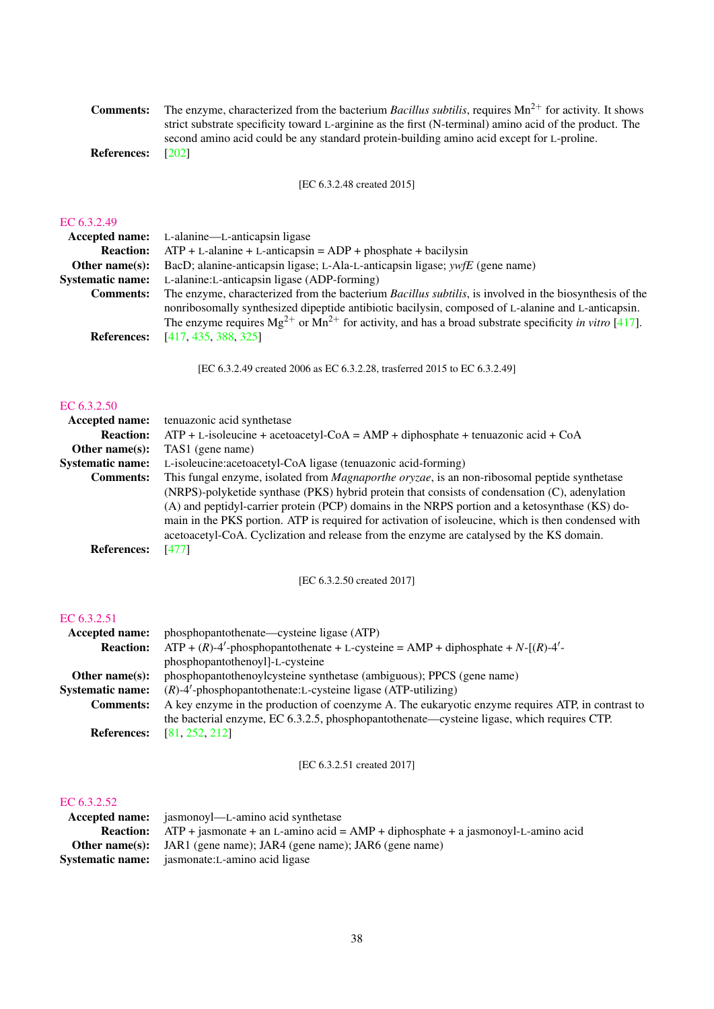| Comments:   | The enzyme, characterized from the bacterium <i>Bacillus subtilis</i> , requires $Mn^{2+}$ for activity. It shows |
|-------------|-------------------------------------------------------------------------------------------------------------------|
|             | strict substrate specificity toward L-arginine as the first (N-terminal) amino acid of the product. The           |
|             | second amino acid could be any standard protein-building amino acid except for L-proline.                         |
| References• | ാരാ                                                                                                               |

References: [\[202\]](#page-67-0)

[EC 6.3.2.48 created 2015]

#### [EC 6.3.2.49](http://www.enzyme-database.org/query.php?ec=6.3.2.49)

|                         | <b>Accepted name:</b> L-alanine—L-anticapsin ligase                                                            |
|-------------------------|----------------------------------------------------------------------------------------------------------------|
| <b>Reaction:</b>        | $ATP + L$ -alanine + L-anticapsin = $ADP +$ phosphate + bacilysin                                              |
| Other name $(s)$ :      | BacD; alanine-anticapsin ligase; L-Ala-L-anticapsin ligase; ywfE (gene name)                                   |
| <b>Systematic name:</b> | L-alanine: L-anticapsin ligase (ADP-forming)                                                                   |
| <b>Comments:</b>        | The enzyme, characterized from the bacterium <i>Bacillus subtilis</i> , is involved in the biosynthesis of the |
|                         | nonribosomally synthesized dipeptide antibiotic bacilysin, composed of L-alanine and L-anticapsin.             |
|                         | The enzyme requires $Mg^{2+}$ or $Mn^{2+}$ for activity, and has a broad substrate specificity in vitro [417]. |
| <b>References:</b>      | [417, 435, 388, 325]                                                                                           |
|                         |                                                                                                                |

[EC 6.3.2.49 created 2006 as EC 6.3.2.28, trasferred 2015 to EC 6.3.2.49]

#### [EC 6.3.2.50](http://www.enzyme-database.org/query.php?ec=6.3.2.50)

| <b>Accepted name:</b>   | tenuazonic acid synthetase                                                                           |
|-------------------------|------------------------------------------------------------------------------------------------------|
| <b>Reaction:</b>        | $ATP + L$ -isoleucine + acetoacetyl-CoA = AMP + diphosphate + tenuazonic acid + CoA                  |
| Other name $(s)$ :      | TAS1 (gene name)                                                                                     |
| <b>Systematic name:</b> | L-isoleucine: acetoacetyl-CoA ligase (tenuazonic acid-forming)                                       |
| <b>Comments:</b>        | This fungal enzyme, isolated from <i>Magnaporthe oryzae</i> , is an non-ribosomal peptide synthetase |
|                         | (NRPS)-polyketide synthase (PKS) hybrid protein that consists of condensation (C), adenylation       |
|                         | (A) and peptidyl-carrier protein (PCP) domains in the NRPS portion and a ketosynthase (KS) do-       |
|                         | main in the PKS portion. ATP is required for activation of isoleucine, which is then condensed with  |
|                         | acetoacetyl-CoA. Cyclization and release from the enzyme are catalysed by the KS domain.             |
| <b>References:</b>      | [477]                                                                                                |

[EC 6.3.2.50 created 2017]

#### [EC 6.3.2.51](http://www.enzyme-database.org/query.php?ec=6.3.2.51)

| Accepted name:          | phosphopantothenate—cysteine ligase (ATP)                                                        |
|-------------------------|--------------------------------------------------------------------------------------------------|
| <b>Reaction:</b>        | $ATP + (R)-4'$ -phosphopantothenate + L-cysteine = AMP + diphosphate + N- $[(R)-4' -$            |
|                         | phosphopantothenoyl]-L-cysteine                                                                  |
| Other name $(s)$ :      | phosphopantothenoylcysteine synthetase (ambiguous); PPCS (gene name)                             |
| <b>Systematic name:</b> | $(R)$ -4'-phosphopantothenate:L-cysteine ligase (ATP-utilizing)                                  |
| <b>Comments:</b>        | A key enzyme in the production of coenzyme A. The eukaryotic enzyme requires ATP, in contrast to |
|                         | the bacterial enzyme, EC 6.3.2.5, phosphopantothenate—cysteine ligase, which requires CTP.       |
| <b>References:</b>      | [81, 252, 212]                                                                                   |

[EC 6.3.2.51 created 2017]

#### [EC 6.3.2.52](http://www.enzyme-database.org/query.php?ec=6.3.2.52)

| <b>Accepted name:</b> jasmonoyl—L-amino acid synthetase                                             |
|-----------------------------------------------------------------------------------------------------|
| <b>Reaction:</b> ATP + jasmonate + an L-amino acid = $AMP + diphosphate + a$ jasmonoyl-L-amino acid |
| <b>Other name(s):</b> JAR1 (gene name); JAR4 (gene name); JAR6 (gene name)                          |
| <b>Systematic name:</b> jasmonate:L-amino acid ligase                                               |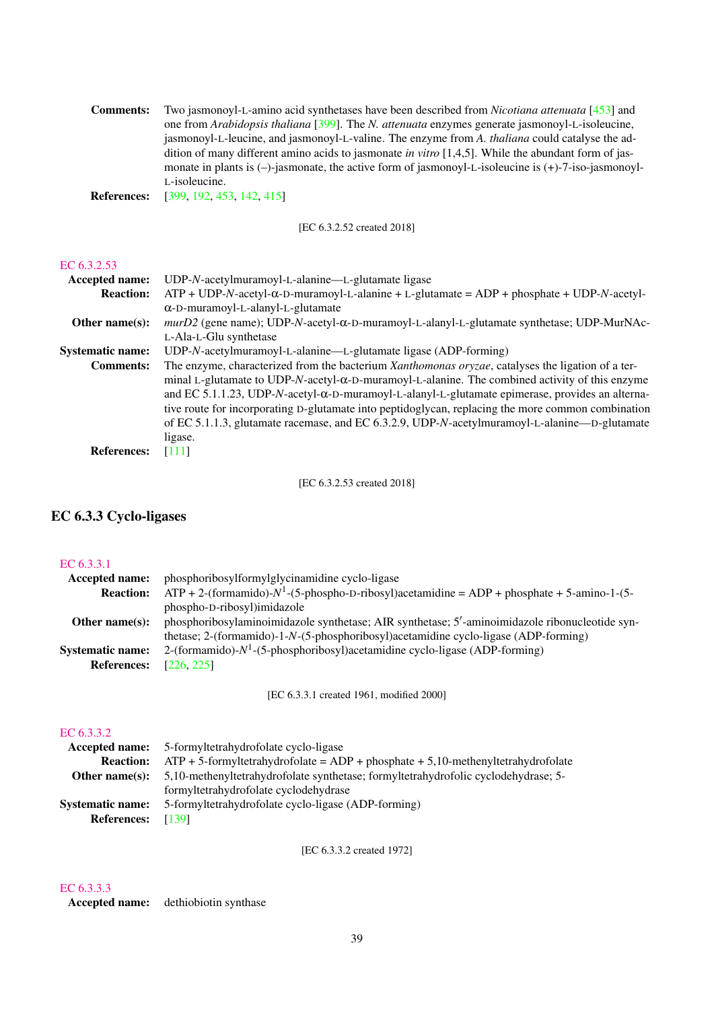Comments: Two jasmonoyl-L-amino acid synthetases have been described from *Nicotiana attenuata* [\[453\]](#page-80-0) and one from *Arabidopsis thaliana* [\[399\]](#page-77-1). The *N. attenuata* enzymes generate jasmonoyl-L-isoleucine, jasmonoyl-L-leucine, and jasmonoyl-L-valine. The enzyme from *A. thaliana* could catalyse the addition of many different amino acids to jasmonate *in vitro* [1,4,5]. While the abundant form of jasmonate in plants is (–)-jasmonate, the active form of jasmonoyl-L-isoleucine is (+)-7-iso-jasmonoyl-L-isoleucine.

References: [\[399,](#page-77-1) [192,](#page-67-1) [453,](#page-80-0) [142,](#page-64-0) [415\]](#page-78-1)

[EC 6.3.2.52 created 2018]

#### [EC 6.3.2.53](http://www.enzyme-database.org/query.php?ec=6.3.2.53)

| <b>Accepted name:</b>   | UDP-N-acetylmuramoyl-L-alanine—L-glutamate ligase                                                        |
|-------------------------|----------------------------------------------------------------------------------------------------------|
| <b>Reaction:</b>        | $ATP + UDP-N-accept1-α-D-muramoy1-L-alanine + L-glutamate = ADP + phosphate + UDP-N-accept1-$            |
|                         | $\alpha$ -D-muramoyl-L-alanyl-L-glutamate                                                                |
| Other name $(s)$ :      | murD2 (gene name); UDP-N-acetyl- $\alpha$ -D-muramoyl-L-alanyl-L-glutamate synthetase; UDP-MurNAc-       |
|                         | L-Ala-L-Glu synthetase                                                                                   |
| <b>Systematic name:</b> | UDP-N-acetylmuramoyl-L-alanine—L-glutamate ligase (ADP-forming)                                          |
| <b>Comments:</b>        | The enzyme, characterized from the bacterium Xanthomonas oryzae, catalyses the ligation of a ter-        |
|                         | minal L-glutamate to UDP-N-acetyl- $\alpha$ -D-muramoyl-L-alanine. The combined activity of this enzyme  |
|                         | and EC 5.1.1.23, UDP-N-acetyl- $\alpha$ -D-muramoyl-L-alanyl-L-glutamate epimerase, provides an alterna- |
|                         | tive route for incorporating D-glutamate into peptidoglycan, replacing the more common combination       |
|                         | of EC 5.1.1.3, glutamate racemase, and EC 6.3.2.9, UDP-N-acetylmuramoyl-L-alanine—D-glutamate            |
|                         | ligase.                                                                                                  |
| <b>References:</b>      | [111]                                                                                                    |

[EC 6.3.2.53 created 2018]

### EC 6.3.3 Cyclo-ligases

#### [EC 6.3.3.1](http://www.enzyme-database.org/query.php?ec=6.3.3.1)

| <b>Accepted name:</b>   | phosphoribosylformylglycinamidine cyclo-ligase                                                    |
|-------------------------|---------------------------------------------------------------------------------------------------|
| <b>Reaction:</b>        | $ATP + 2$ -(formamido)- $N^1$ -(5-phospho-D-ribosyl)acetamidine = ADP + phosphate + 5-amino-1-(5- |
|                         | phospho-D-ribosyl)imidazole                                                                       |
| Other name $(s)$ :      | phosphoribosylaminoimidazole synthetase; AIR synthetase; 5'-aminoimidazole ribonucleotide syn-    |
|                         | thetase; 2-(formamido)-1-N-(5-phosphoribosyl)acetamidine cyclo-ligase (ADP-forming)               |
| <b>Systematic name:</b> | 2-(formamido)- $N^1$ -(5-phosphoribosyl)acetamidine cyclo-ligase (ADP-forming)                    |
| <b>References:</b>      | [226, 225]                                                                                        |
|                         |                                                                                                   |

[EC 6.3.3.1 created 1961, modified 2000]

#### [EC 6.3.3.2](http://www.enzyme-database.org/query.php?ec=6.3.3.2)

| <b>Accepted name:</b> 5-formyltetrahydrofolate cyclo-ligase                                       |
|---------------------------------------------------------------------------------------------------|
| <b>Reaction:</b> ATP + 5-formyltetrahydrofolate = ADP + phosphate + 5,10-methenyltetrahydrofolate |
| 5.10-methenyltetrahydrofolate synthetase; formyltetrahydrofolic cyclodehydrase; 5                 |
| formyltetrahydrofolate cyclodehydrase                                                             |
| 5-formyltetrahydrofolate cyclo-ligase (ADP-forming)                                               |
| <b>References:</b><br>[139]                                                                       |
|                                                                                                   |

[EC 6.3.3.2 created 1972]

#### [EC 6.3.3.3](http://www.enzyme-database.org/query.php?ec=6.3.3.3)

Accepted name: dethiobiotin synthase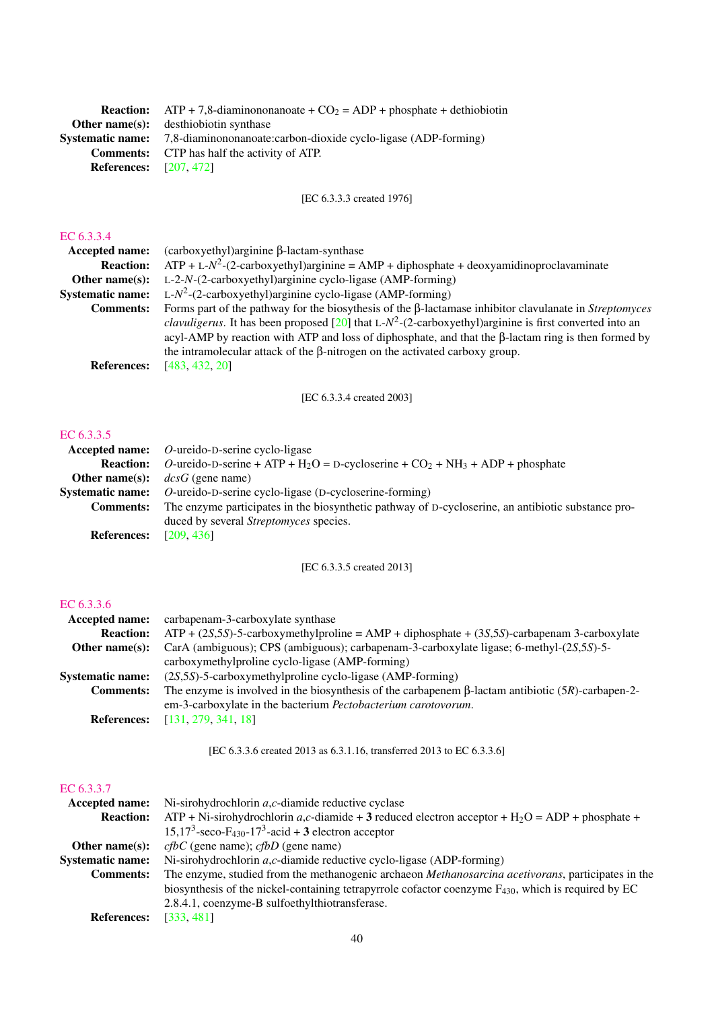|                               | <b>Reaction:</b> ATP + 7,8-diaminononanoate + $CO_2$ = ADP + phosphate + dethiobiotin |
|-------------------------------|---------------------------------------------------------------------------------------|
|                               | <b>Other name(s):</b> desthiobiotin synthase                                          |
| <b>Systematic name:</b>       | 7,8-diaminononanoate:carbon-dioxide cyclo-ligase (ADP-forming)                        |
|                               | <b>Comments:</b> CTP has half the activity of ATP.                                    |
| <b>References:</b> [207, 472] |                                                                                       |
|                               |                                                                                       |

[EC 6.3.3.3 created 1976]

#### [EC 6.3.3.4](http://www.enzyme-database.org/query.php?ec=6.3.3.4)

|                         | <b>Accepted name:</b> $(carboxyethyl)arginine \beta-lactam-synthase$                                                 |
|-------------------------|----------------------------------------------------------------------------------------------------------------------|
| <b>Reaction:</b>        | $ATP + L-N2-(2-carboxyethyl)arginine = AMP + diphosphate + deoxyamidinoproclavaminate$                               |
| Other name $(s)$ :      | $L-2-N-(2-carboxyethyl)arginine cyclo-ligase (AMP-forming)$                                                          |
| <b>Systematic name:</b> | L- $N^2$ -(2-carboxyethyl) arginine cyclo-ligase (AMP-forming)                                                       |
| <b>Comments:</b>        | Forms part of the pathway for the biosythesis of the $\beta$ -lactamase inhibitor clavulanate in <i>Streptomyces</i> |
|                         | <i>clavuligerus</i> . It has been proposed [20] that L- $N^2$ -(2-carboxyethyl) arginine is first converted into an  |
|                         | acyl-AMP by reaction with ATP and loss of diphosphate, and that the $\beta$ -lactam ring is then formed by           |
|                         | the intramolecular attack of the $\beta$ -nitrogen on the activated carboxy group.                                   |
| <b>References:</b>      | [483, 432, 20]                                                                                                       |
|                         |                                                                                                                      |

[EC 6.3.3.4 created 2003]

#### [EC 6.3.3.5](http://www.enzyme-database.org/query.php?ec=6.3.3.5)

|                    | Accepted name: $O$ -ureido-D-serine cyclo-ligase                                                                 |
|--------------------|------------------------------------------------------------------------------------------------------------------|
| <b>Reaction:</b>   | O-ureido-D-serine + ATP + H <sub>2</sub> O = D-cycloserine + CO <sub>2</sub> + NH <sub>3</sub> + ADP + phosphate |
| Other name $(s)$ : | $dcsG$ (gene name)                                                                                               |
|                    | <b>Systematic name:</b> O-ureido-D-serine cyclo-ligase (D-cycloserine-forming)                                   |
| <b>Comments:</b>   | The enzyme participates in the biosynthetic pathway of D-cycloserine, an antibiotic substance pro-               |
|                    | duced by several <i>Streptomyces</i> species.                                                                    |
| <b>References:</b> | [209, 436]                                                                                                       |

[EC 6.3.3.5 created 2013]

### [EC 6.3.3.6](http://www.enzyme-database.org/query.php?ec=6.3.3.6)

| Accepted name:          | carbapenam-3-carboxylate synthase                                                                        |
|-------------------------|----------------------------------------------------------------------------------------------------------|
| <b>Reaction:</b>        | $ATP + (2S, 5S)$ -5-carboxymethylproline = AMP + diphosphate + (3S,5S)-carbapenam 3-carboxylate          |
| Other name $(s)$ :      | CarA (ambiguous); CPS (ambiguous); carbapenam-3-carboxylate ligase; 6-methyl- $(25,55)$ -5-              |
|                         | carboxymethylproline cyclo-ligase (AMP-forming)                                                          |
| <b>Systematic name:</b> | $(2S,5S)$ -5-carboxymethylproline cyclo-ligase (AMP-forming)                                             |
| <b>Comments:</b>        | The enzyme is involved in the biosynthesis of the carbapener $\beta$ -lactam antibiotic (5R)-carbapen-2- |
|                         | em-3-carboxylate in the bacterium <i>Pectobacterium carotovorum</i> .                                    |
| <b>References:</b>      | [131, 279, 341, 18]                                                                                      |

[EC 6.3.3.6 created 2013 as 6.3.1.16, transferred 2013 to EC 6.3.3.6]

#### [EC 6.3.3.7](http://www.enzyme-database.org/query.php?ec=6.3.3.7)

| <b>Accepted name:</b>   | Ni-sirohydrochlorin $a, c$ -diamide reductive cyclase                                                         |
|-------------------------|---------------------------------------------------------------------------------------------------------------|
| <b>Reaction:</b>        | $ATP + Ni$ -sirohydrochlorin a,c-diamide + 3 reduced electron acceptor + H <sub>2</sub> O = ADP + phosphate + |
|                         | $15,173$ -seco-F <sub>430</sub> -17 <sup>3</sup> -acid + 3 electron acceptor                                  |
| Other name $(s)$ :      | $cfbC$ (gene name); $cfbD$ (gene name)                                                                        |
| <b>Systematic name:</b> | Ni-sirohydrochlorin $a, c$ -diamide reductive cyclo-ligase (ADP-forming)                                      |
| <b>Comments:</b>        | The enzyme, studied from the methanogenic archaeon Methanosarcina acetivorans, participates in the            |
|                         | biosynthesis of the nickel-containing tetrapyrrole cofactor coenzyme $F_{430}$ , which is required by EC      |
|                         | 2.8.4.1, coenzyme-B sulfoethylthiotransferase.                                                                |
| <b>References:</b>      | [333, 481]                                                                                                    |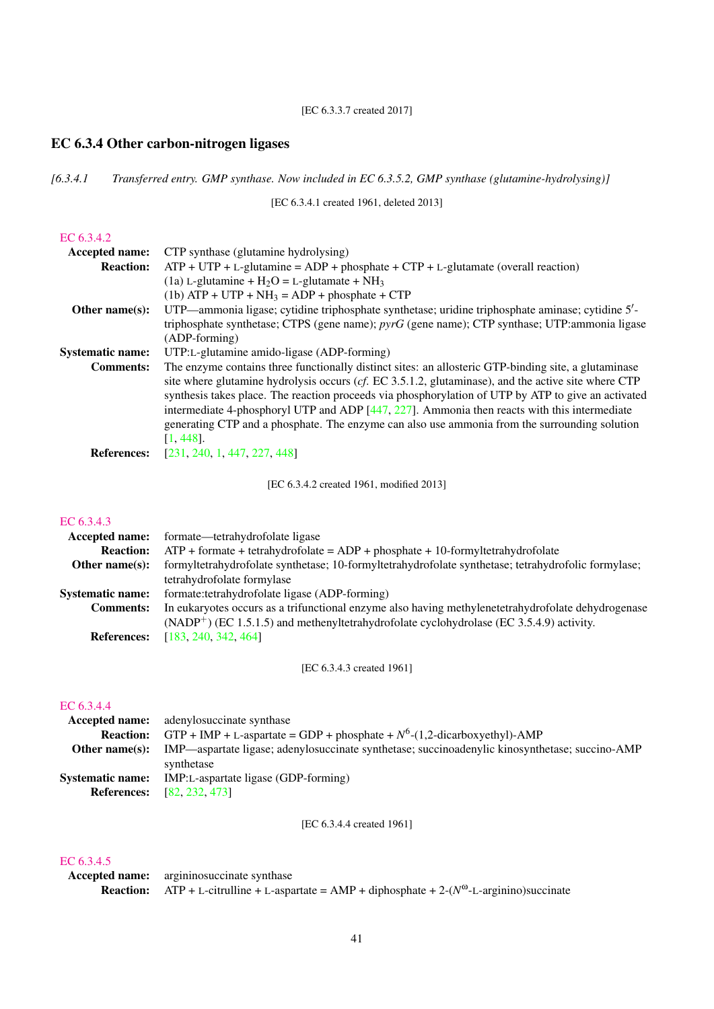[EC 6.3.3.7 created 2017]

# EC 6.3.4 Other carbon-nitrogen ligases

*[6.3.4.1 Transferred entry. GMP synthase. Now included in EC 6.3.5.2, GMP synthase (glutamine-hydrolysing)]*

[EC 6.3.4.1 created 1961, deleted 2013]

#### [EC 6.3.4.2](http://www.enzyme-database.org/query.php?ec=6.3.4.2)

| <b>Accepted name:</b>   | CTP synthase (glutamine hydrolysing)                                                                   |
|-------------------------|--------------------------------------------------------------------------------------------------------|
| <b>Reaction:</b>        | $ATP + UTP + L$ -glutamine = ADP + phosphate + CTP + L-glutamate (overall reaction)                    |
|                         | (1a) L-glutamine + $H_2O = L$ -glutamate + NH <sub>3</sub>                                             |
|                         | $(1b)$ ATP + UTP + NH <sub>3</sub> = ADP + phosphate + CTP                                             |
| Other name $(s)$ :      | UTP—ammonia ligase; cytidine triphosphate synthetase; uridine triphosphate aminase; cytidine 5'-       |
|                         | triphosphate synthetase; CTPS (gene name); pyrG (gene name); CTP synthase; UTP:ammonia ligase          |
|                         | (ADP-forming)                                                                                          |
| <b>Systematic name:</b> | UTP:L-glutamine amido-ligase (ADP-forming)                                                             |
| <b>Comments:</b>        | The enzyme contains three functionally distinct sites: an allosteric GTP-binding site, a glutaminase   |
|                         | site where glutamine hydrolysis occurs ( $cf.$ EC 3.5.1.2, glutaminase), and the active site where CTP |
|                         | synthesis takes place. The reaction proceeds via phosphorylation of UTP by ATP to give an activated    |
|                         | intermediate 4-phosphoryl UTP and ADP $[447, 227]$ . Ammonia then reacts with this intermediate        |
|                         | generating CTP and a phosphate. The enzyme can also use ammonia from the surrounding solution          |
|                         | $[1, 448]$ .                                                                                           |
| <b>References:</b>      | [231, 240, 1, 447, 227, 448]                                                                           |

[EC 6.3.4.2 created 1961, modified 2013]

#### [EC 6.3.4.3](http://www.enzyme-database.org/query.php?ec=6.3.4.3)

| Accepted name:          | formate—tetrahydrofolate ligase                                                                                                                                                                 |
|-------------------------|-------------------------------------------------------------------------------------------------------------------------------------------------------------------------------------------------|
| <b>Reaction:</b>        | $ATP +$ formate + tetrahydrofolate = $ADP +$ phosphate + 10-formyltetrahydrofolate                                                                                                              |
| Other name $(s)$ :      | formyltetrahydrofolate synthetase; 10-formyltetrahydrofolate synthetase; tetrahydrofolic formylase;                                                                                             |
|                         | tetrahydrofolate formylase                                                                                                                                                                      |
| <b>Systematic name:</b> | formate:tetrahydrofolate ligase (ADP-forming)                                                                                                                                                   |
| <b>Comments:</b>        | In eukaryotes occurs as a trifunctional enzyme also having methylenetetrahydrofolate dehydrogenase<br>$(NADP+)$ (EC 1.5.1.5) and methenyltetrahydrofolate cyclohydrolase (EC 3.5.4.9) activity. |
| <b>References:</b>      | [183, 240, 342, 464]                                                                                                                                                                            |

[EC 6.3.4.3 created 1961]

#### [EC 6.3.4.4](http://www.enzyme-database.org/query.php?ec=6.3.4.4)

|                         | <b>Accepted name:</b> adenylosuccinate synthase                                                |
|-------------------------|------------------------------------------------------------------------------------------------|
| <b>Reaction:</b>        | GTP + IMP + L-aspartate = GDP + phosphate + $N^6$ -(1,2-dicarboxyethyl)-AMP                    |
| Other name(s):          | IMP—aspartate ligase; adenylosuccinate synthetase; succinoadenylic kinosynthetase; succino-AMP |
|                         | synthetase                                                                                     |
| <b>Systematic name:</b> | IMP:L-aspartate ligase (GDP-forming)                                                           |
|                         | <b>References:</b> [82, 232, 473]                                                              |
|                         |                                                                                                |

[EC 6.3.4.4 created 1961]

### [EC 6.3.4.5](http://www.enzyme-database.org/query.php?ec=6.3.4.5)

Accepted name: argininosuccinate synthase **Reaction:** ATP + L-citrulline + L-aspartate = AMP + diphosphate +  $2-(N^{\omega}$ -L-arginino)succinate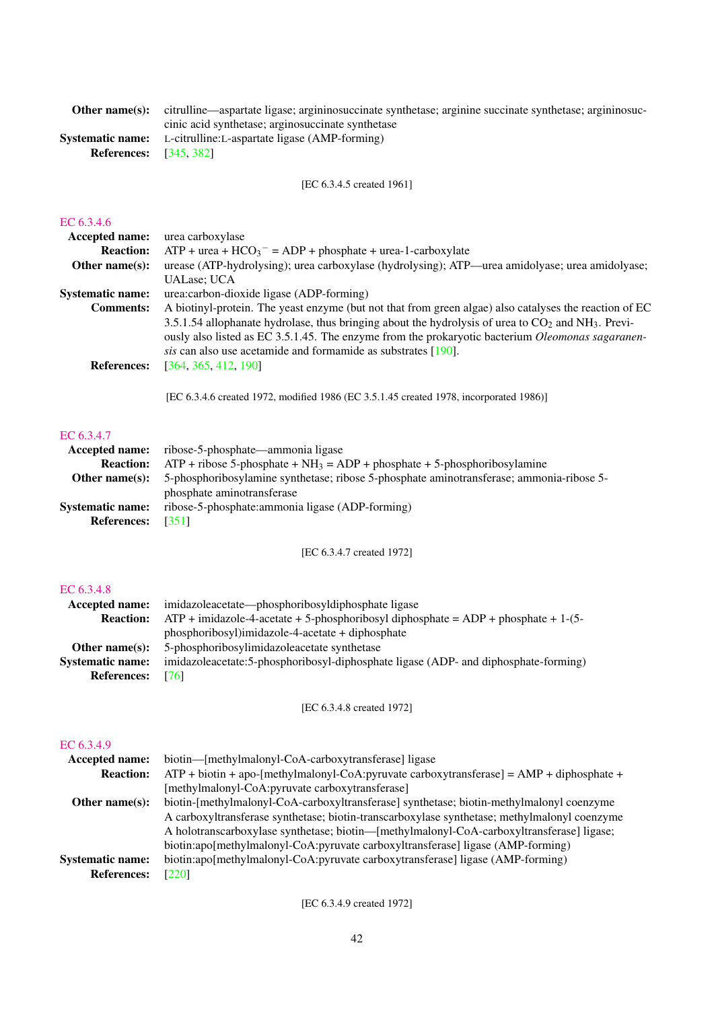| <b>Other name(s):</b> citrulline—aspartate ligase; argininosuccinate synthetase; arginine succinate synthetase; argininosuc- |
|------------------------------------------------------------------------------------------------------------------------------|
| cinic acid synthetase; arginosuccinate synthetase                                                                            |
| <b>Systematic name:</b> L-citrulline: L-aspartate ligase (AMP-forming)                                                       |
| <b>References:</b> [345, 382]                                                                                                |
|                                                                                                                              |

[EC 6.3.4.5 created 1961]

#### [EC 6.3.4.6](http://www.enzyme-database.org/query.php?ec=6.3.4.6)

| <b>Accepted name:</b>   | urea carboxylase                                                                                                                                                                                                           |
|-------------------------|----------------------------------------------------------------------------------------------------------------------------------------------------------------------------------------------------------------------------|
| <b>Reaction:</b>        | $ATP +$ urea + $HCO_3^-$ = ADP + phosphate + urea-1-carboxylate                                                                                                                                                            |
| Other name $(s)$ :      | urease (ATP-hydrolysing); urea carboxylase (hydrolysing); ATP—urea amidolyase; urea amidolyase;                                                                                                                            |
|                         | <b>UALase</b> : UCA                                                                                                                                                                                                        |
| <b>Systematic name:</b> | urea: carbon-dioxide ligase (ADP-forming)                                                                                                                                                                                  |
| <b>Comments:</b>        | A biotinyl-protein. The yeast enzyme (but not that from green algae) also catalyses the reaction of EC<br>3.5.1.54 allophanate hydrolase, thus bringing about the hydrolysis of urea to $CO2$ and NH <sub>3</sub> . Previ- |
|                         | ously also listed as EC 3.5.1.45. The enzyme from the prokaryotic bacterium Oleomonas sagaranen-<br>sis can also use acetamide and formamide as substrates [190].                                                          |
| <b>References:</b>      | [364, 365, 412, 190]                                                                                                                                                                                                       |

[EC 6.3.4.6 created 1972, modified 1986 (EC 3.5.1.45 created 1978, incorporated 1986)]

#### [EC 6.3.4.7](http://www.enzyme-database.org/query.php?ec=6.3.4.7)

|                          | <b>Accepted name:</b> ribose-5-phosphate—ammonia ligase                                                        |
|--------------------------|----------------------------------------------------------------------------------------------------------------|
|                          | <b>Reaction:</b> ATP + ribose 5-phosphate + $NH_3 = ADP$ + phosphate + 5-phosphoribosylamine                   |
|                          | <b>Other name(s):</b> 5-phosphoribosylamine synthetase; ribose 5-phosphate aminotransferase; ammonia-ribose 5- |
|                          | phosphate aminotransferase                                                                                     |
| <b>Systematic name:</b>  | ribose-5-phosphate: ammonia ligase (ADP-forming)                                                               |
| <b>References:</b> [351] |                                                                                                                |

[EC 6.3.4.7 created 1972]

### [EC 6.3.4.8](http://www.enzyme-database.org/query.php?ec=6.3.4.8)

| Accepted name:          | imidazoleacetate—phosphoribosyldiphosphate ligase                                      |
|-------------------------|----------------------------------------------------------------------------------------|
| <b>Reaction:</b>        | $ATP$ + imidazole-4-acetate + 5-phosphoribosyl diphosphate = $ADP$ + phosphate + 1-(5- |
|                         | phosphoribosyl)imidazole-4-acetate + diphosphate                                       |
| Other name $(s)$ :      | 5-phosphoribosylimidazoleacetate synthetase                                            |
| <b>Systematic name:</b> | imidazoleacetate: 5-phosphoribosyl-diphosphate ligase (ADP- and diphosphate-forming)   |
| <b>References:</b>      | 1761                                                                                   |

[EC 6.3.4.8 created 1972]

## [EC 6.3.4.9](http://www.enzyme-database.org/query.php?ec=6.3.4.9)

| <b>Accepted name:</b>   | biotin—[methylmalonyl-CoA-carboxytransferase] ligase                                         |
|-------------------------|----------------------------------------------------------------------------------------------|
| <b>Reaction:</b>        | $ATP + biotin + apo-[methylmalonyl-CoA:pyruvate carboxytransferase] = AMP + diphosphate +$   |
|                         | [methylmalonyl-CoA:pyruvate carboxytransferase]                                              |
| Other name $(s)$ :      | biotin-[methylmalonyl-CoA-carboxyltransferase] synthetase; biotin-methylmalonyl coenzyme     |
|                         | A carboxyltransferase synthetase; biotin-transcarboxylase synthetase; methylmalonyl coenzyme |
|                         | A holotranscarboxylase synthetase; biotin—[methylmalonyl-CoA-carboxyltransferase] ligase;    |
|                         | biotin:apo[methylmalonyl-CoA:pyruvate carboxyltransferase] ligase (AMP-forming)              |
| <b>Systematic name:</b> | biotin:apo[methylmalonyl-CoA:pyruvate carboxytransferase] ligase (AMP-forming)               |
| <b>References:</b>      | [220]                                                                                        |

[EC 6.3.4.9 created 1972]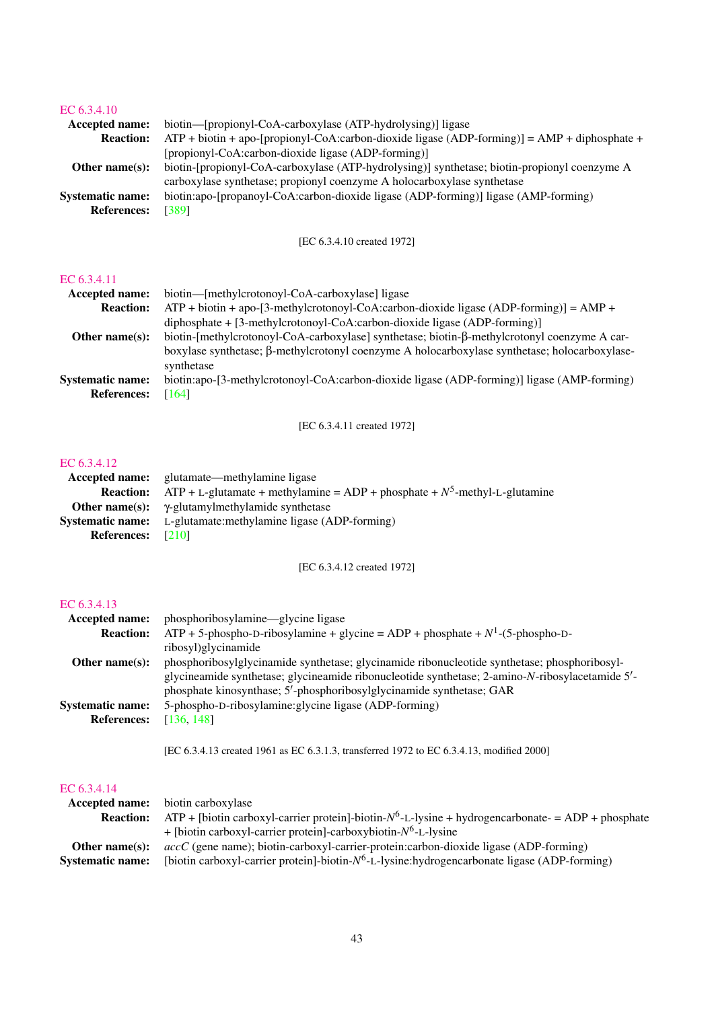#### [EC 6.3.4.10](http://www.enzyme-database.org/query.php?ec=6.3.4.10)

| Accepted name:          | biotin—[propionyl-CoA-carboxylase (ATP-hydrolysing)] ligase                                    |  |
|-------------------------|------------------------------------------------------------------------------------------------|--|
| <b>Reaction:</b>        | $ATP + biotin + apo-[propionyl-CoA:carbon-dioxide ligase (ADP-forming)] = AMP + diphosphate +$ |  |
|                         | [propionyl-CoA:carbon-dioxide ligase (ADP-forming)]                                            |  |
| Other name $(s)$ :      | biotin-[propionyl-CoA-carboxylase (ATP-hydrolysing)] synthetase; biotin-propionyl coenzyme A   |  |
|                         | carboxylase synthetase; propionyl coenzyme A holocarboxylase synthetase                        |  |
| <b>Systematic name:</b> | biotin:apo-[propanoyl-CoA:carbon-dioxide ligase (ADP-forming)] ligase (AMP-forming)            |  |
| <b>References:</b>      | [389]                                                                                          |  |
|                         |                                                                                                |  |

#### [EC 6.3.4.10 created 1972]

#### [EC 6.3.4.11](http://www.enzyme-database.org/query.php?ec=6.3.4.11)

| Accepted name:          | biotin—[methylcrotonoyl-CoA-carboxylase] ligase                                               |
|-------------------------|-----------------------------------------------------------------------------------------------|
| <b>Reaction:</b>        | $ATP + biotin + apo-[3-methylcrotonoyl-CoA:carbon-dioxide ligase (ADP-forming)] = AMP +$      |
|                         | diphosphate $+[3-methylcrotonyl-CoA:carbon-dioxide ligase (ADP-forming)]$                     |
| Other name $(s)$ :      | biotin-[methylcrotonoyl-CoA-carboxylase] synthetase; biotin-β-methylcrotonyl coenzyme A car-  |
|                         | boxylase synthetase; β-methylcrotonyl coenzyme A holocarboxylase synthetase; holocarboxylase- |
|                         | synthetase                                                                                    |
| <b>Systematic name:</b> | biotin:apo-[3-methylcrotonoyl-CoA:carbon-dioxide ligase (ADP-forming)] ligase (AMP-forming)   |
| <b>References:</b>      | [164]                                                                                         |

[EC 6.3.4.11 created 1972]

#### [EC 6.3.4.12](http://www.enzyme-database.org/query.php?ec=6.3.4.12)

|                          | <b>Accepted name:</b> glutamate—methylamine ligase                               |
|--------------------------|----------------------------------------------------------------------------------|
| <b>Reaction:</b>         | $ATP + L$ -glutamate + methylamine = ADP + phosphate + $N^5$ -methyl-L-glutamine |
|                          | <b>Other name(s):</b> $\gamma$ -glutamylmethylamide synthetase                   |
|                          | <b>Systematic name:</b> L-glutamate:methylamine ligase (ADP-forming)             |
| <b>References:</b> [210] |                                                                                  |

[EC 6.3.4.12 created 1972]

#### [EC 6.3.4.13](http://www.enzyme-database.org/query.php?ec=6.3.4.13)

| Accepted name:                                | phosphoribosylamine—glycine ligase                                                                                                                                                              |
|-----------------------------------------------|-------------------------------------------------------------------------------------------------------------------------------------------------------------------------------------------------|
| <b>Reaction:</b>                              | $ATP + 5$ -phospho-D-ribosylamine + glycine = ADP + phosphate + $N^1$ -(5-phospho-D-                                                                                                            |
|                                               | ribosyl)glycinamide                                                                                                                                                                             |
| Other name $(s)$ :                            | phosphoribosylglycinamide synthetase; glycinamide ribonucleotide synthetase; phosphoribosyl-<br>glycineamide synthetase; glycineamide ribonucleotide synthetase; 2-amino-N-ribosylacetamide 5'- |
| <b>Systematic name:</b><br><b>References:</b> | phosphate kinosynthase; 5'-phosphoribosylglycinamide synthetase; GAR<br>5-phospho-D-ribosylamine: glycine ligase (ADP-forming)<br>[136, 148]                                                    |

[EC 6.3.4.13 created 1961 as EC 6.3.1.3, transferred 1972 to EC 6.3.4.13, modified 2000]

# EC  $6.3.4.14$

| EC 6.3.4.14             |                                                                                                          |
|-------------------------|----------------------------------------------------------------------------------------------------------|
| <b>Accepted name:</b>   | biotin carboxylase                                                                                       |
| <b>Reaction:</b>        | $ATP +$ [biotin carboxyl-carrier protein]-biotin- $N^6$ -L-lysine + hydrogencarbonate- = ADP + phosphate |
|                         | + [biotin carboxyl-carrier protein]-carboxybiotin- $N^6$ -L-lysine                                       |
| Other name $(s)$ :      | $accC$ (gene name); biotin-carboxyl-carrier-protein:carbon-dioxide ligase (ADP-forming)                  |
| <b>Systematic name:</b> | [biotin carboxyl-carrier protein]-biotin- $N^6$ -L-lysine:hydrogencarbonate ligase (ADP-forming)         |
|                         |                                                                                                          |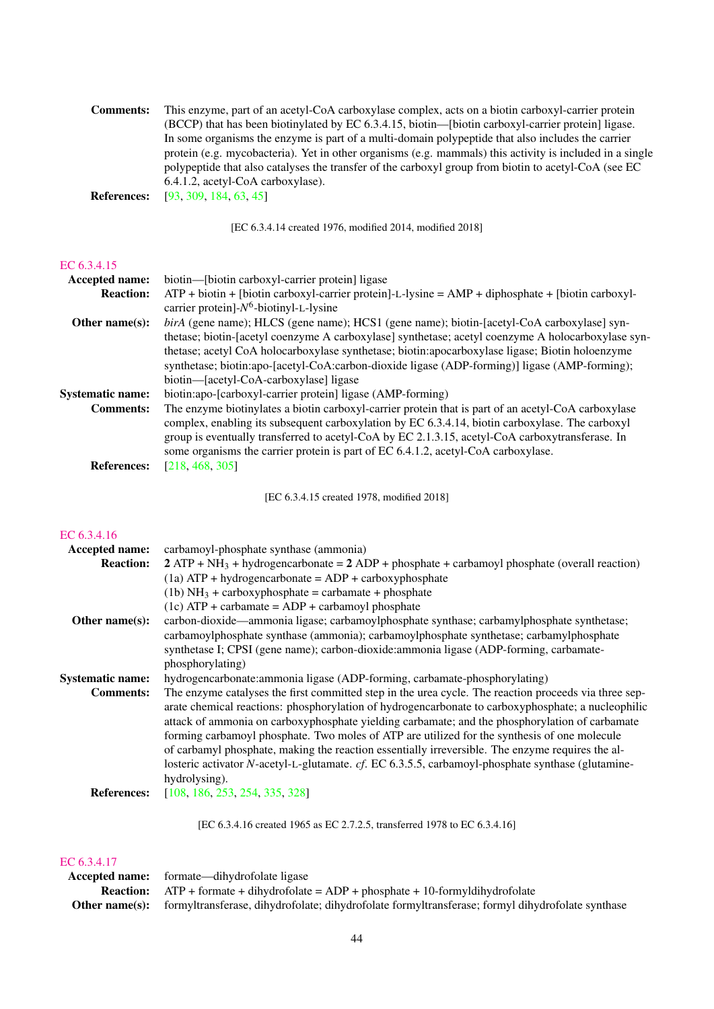| This enzyme, part of an acetyl-CoA carboxylase complex, acts on a biotin carboxyl-carrier protein        |
|----------------------------------------------------------------------------------------------------------|
| (BCCP) that has been biotinylated by EC 6.3.4.15, biotin—[biotin carboxyl-carrier protein] ligase.       |
| In some organisms the enzyme is part of a multi-domain polypeptide that also includes the carrier        |
| protein (e.g. mycobacteria). Yet in other organisms (e.g. mammals) this activity is included in a single |
| polypeptide that also catalyses the transfer of the carboxyl group from biotin to acetyl-CoA (see EC     |
| 6.4.1.2, acetyl-CoA carboxylase).                                                                        |
|                                                                                                          |

**References:** [\[93,](#page-62-2) [309,](#page-73-1) [184,](#page-67-3) [63,](#page-61-1) [45\]](#page-60-0)

[EC 6.3.4.14 created 1976, modified 2014, modified 2018]

#### [EC 6.3.4.15](http://www.enzyme-database.org/query.php?ec=6.3.4.15)

| <b>Accepted name:</b>   | biotin—[biotin carboxyl-carrier protein] ligase                                                       |  |
|-------------------------|-------------------------------------------------------------------------------------------------------|--|
| <b>Reaction:</b>        | $ATP + biotin + [biotin carboxyl-carrier protein] - L-lysine = AMP + diphosphate + [biotin carboxyl-$ |  |
|                         | carrier protein]- $N^6$ -biotinyl-L-lysine                                                            |  |
| Other name $(s)$ :      | birA (gene name); HLCS (gene name); HCS1 (gene name); biotin-[acetyl-CoA carboxylase] syn-            |  |
|                         | thetase; biotin-[acetyl coenzyme A carboxylase] synthetase; acetyl coenzyme A holocarboxylase syn-    |  |
|                         | thetase; acetyl CoA holocarboxylase synthetase; biotin:apocarboxylase ligase; Biotin holoenzyme       |  |
|                         | synthetase; biotin:apo-[acetyl-CoA:carbon-dioxide ligase (ADP-forming)] ligase (AMP-forming);         |  |
|                         | biotin—[acetyl-CoA-carboxylase] ligase                                                                |  |
| <b>Systematic name:</b> | biotin:apo-[carboxyl-carrier protein] ligase (AMP-forming)                                            |  |
| <b>Comments:</b>        | The enzyme biotinylates a biotin carboxyl-carrier protein that is part of an acetyl-CoA carboxylase   |  |
|                         | complex, enabling its subsequent carboxylation by EC 6.3.4.14, biotin carboxylase. The carboxyl       |  |
|                         | group is eventually transferred to acetyl-CoA by EC 2.1.3.15, acetyl-CoA carboxytransferase. In       |  |
|                         | some organisms the carrier protein is part of EC 6.4.1.2, acetyl-CoA carboxylase.                     |  |
| <b>References:</b>      | [218, 468, 305]                                                                                       |  |

[EC 6.3.4.15 created 1978, modified 2018]

#### [EC 6.3.4.16](http://www.enzyme-database.org/query.php?ec=6.3.4.16)

| Accepted name:<br><b>Reaction:</b> | carbamoyl-phosphate synthase (ammonia)<br>$2$ ATP + NH <sub>3</sub> + hydrogencarbonate = $2$ ADP + phosphate + carbamoyl phosphate (overall reaction) |
|------------------------------------|--------------------------------------------------------------------------------------------------------------------------------------------------------|
|                                    | $(1a) ATP + hydrogencarbonate = ADP + carboxyphosphate$                                                                                                |
|                                    | (1b) $NH_3$ + carboxyphosphate = carbamate + phosphate                                                                                                 |
|                                    | $(1c)$ ATP + carbamate = ADP + carbamoyl phosphate                                                                                                     |
| Other name $(s)$ :                 | carbon-dioxide—ammonia ligase; carbamoylphosphate synthase; carbamylphosphate synthetase;                                                              |
|                                    | carbamoylphosphate synthase (ammonia); carbamoylphosphate synthetase; carbamylphosphate                                                                |
|                                    | synthetase I; CPSI (gene name); carbon-dioxide: ammonia ligase (ADP-forming, carbamate-                                                                |
|                                    | phosphorylating)                                                                                                                                       |
| <b>Systematic name:</b>            | hydrogencarbonate: ammonia ligase (ADP-forming, carbamate-phosphorylating)                                                                             |
| <b>Comments:</b>                   | The enzyme catalyses the first committed step in the urea cycle. The reaction proceeds via three sep-                                                  |
|                                    | arate chemical reactions: phosphorylation of hydrogencarbonate to carboxyphosphate; a nucleophilic                                                     |
|                                    | attack of ammonia on carboxyphosphate yielding carbamate; and the phosphorylation of carbamate                                                         |
|                                    | forming carbamoyl phosphate. Two moles of ATP are utilized for the synthesis of one molecule                                                           |
|                                    | of carbamyl phosphate, making the reaction essentially irreversible. The enzyme requires the al-                                                       |
|                                    | losteric activator N-acetyl-L-glutamate. cf. EC 6.3.5.5, carbamoyl-phosphate synthase (glutamine-                                                      |
|                                    | hydrolysing).                                                                                                                                          |
| <b>References:</b>                 | [108, 186, 253, 254, 335, 328]                                                                                                                         |

[EC 6.3.4.16 created 1965 as EC 2.7.2.5, transferred 1978 to EC 6.3.4.16]

# [EC 6.3.4.17](http://www.enzyme-database.org/query.php?ec=6.3.4.17)

| JU, J, T, I/I |                                                                                                                        |
|---------------|------------------------------------------------------------------------------------------------------------------------|
|               | <b>Accepted name:</b> formate—dihydrofolate ligase                                                                     |
|               | <b>Reaction:</b> $ATP + formate + dihydrofolate = ADP + phosphate + 10-formyldihydrofolate$                            |
|               | <b>Other name(s):</b> formyltransferase, dihydrofolate; dihydrofolate formyltransferase; formyl dihydrofolate synthase |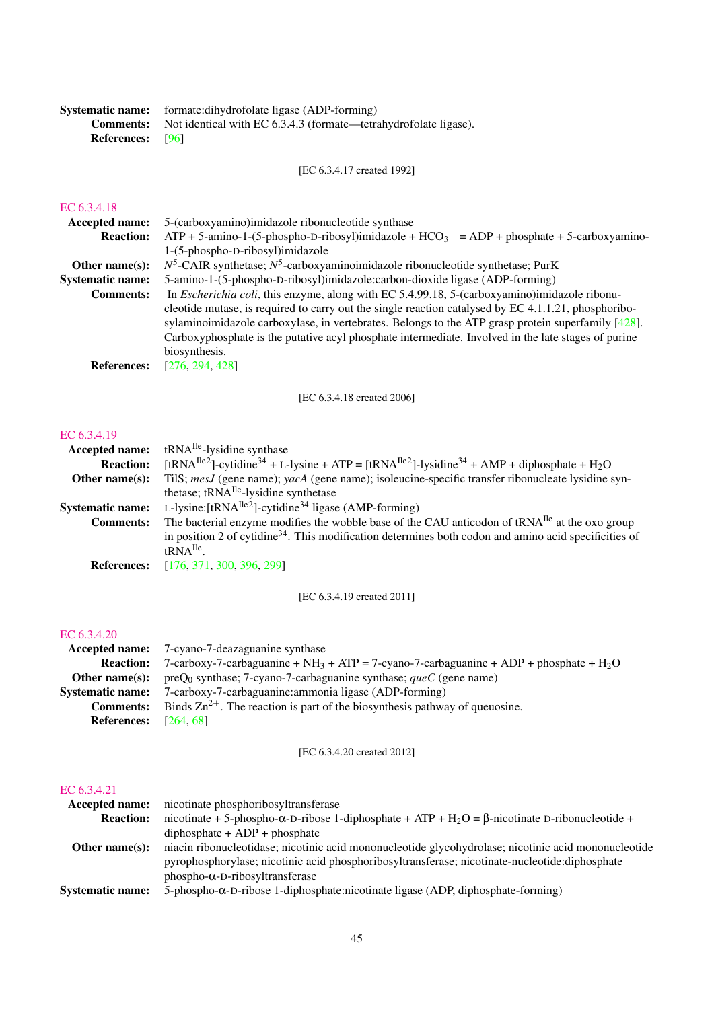|                         | <b>Systematic name:</b> formate: dihydrofolate ligase (ADP-forming)               |
|-------------------------|-----------------------------------------------------------------------------------|
|                         | <b>Comments:</b> Not identical with EC 6.3.4.3 (formate—tetrahydrofolate ligase). |
| <b>References:</b> [96] |                                                                                   |

[EC 6.3.4.17 created 1992]

# [EC 6.3.4.18](http://www.enzyme-database.org/query.php?ec=6.3.4.18)

| LU 0.9.7.10             |                                                                                                                                                                                                                                                                                                                                                                                                                                                 |
|-------------------------|-------------------------------------------------------------------------------------------------------------------------------------------------------------------------------------------------------------------------------------------------------------------------------------------------------------------------------------------------------------------------------------------------------------------------------------------------|
| <b>Accepted name:</b>   | 5-(carboxyamino) imidazole ribonucleotide synthase                                                                                                                                                                                                                                                                                                                                                                                              |
| <b>Reaction:</b>        | $ATP + 5$ -amino-1-(5-phospho-D-ribosyl)imidazole + HCO <sub>3</sub> <sup>-</sup> = ADP + phosphate + 5-carboxyamino-                                                                                                                                                                                                                                                                                                                           |
|                         | 1-(5-phospho-D-ribosyl)imidazole                                                                                                                                                                                                                                                                                                                                                                                                                |
| Other name $(s)$ :      | $N^5$ -CAIR synthetase; $N^5$ -carboxyaminoimidazole ribonucleotide synthetase; PurK                                                                                                                                                                                                                                                                                                                                                            |
| <b>Systematic name:</b> | 5-amino-1-(5-phospho-D-ribosyl)imidazole:carbon-dioxide ligase (ADP-forming)                                                                                                                                                                                                                                                                                                                                                                    |
| <b>Comments:</b>        | In <i>Escherichia coli</i> , this enzyme, along with EC 5.4.99.18, 5-(carboxyamino)imidazole ribonu-<br>cleotide mutase, is required to carry out the single reaction catalysed by $EC$ 4.1.1.21, phosphoribo-<br>sylaminoimidazole carboxylase, in vertebrates. Belongs to the ATP grasp protein superfamily $[428]$ .<br>Carboxyphosphate is the putative acyl phosphate intermediate. Involved in the late stages of purine<br>biosynthesis. |
| <b>References:</b>      | [276, 294, 428]                                                                                                                                                                                                                                                                                                                                                                                                                                 |
|                         |                                                                                                                                                                                                                                                                                                                                                                                                                                                 |

[EC 6.3.4.18 created 2006]

#### [EC 6.3.4.19](http://www.enzyme-database.org/query.php?ec=6.3.4.19)

| Accepted name:          | tRNA <sup>Ile</sup> -lysidine synthase                                                                                                                  |
|-------------------------|---------------------------------------------------------------------------------------------------------------------------------------------------------|
| <b>Reaction:</b>        | [tRNA <sup>Ile2</sup> ]-cytidine <sup>34</sup> + L-lysine + ATP = [tRNA <sup>Ile2</sup> ]-lysidine <sup>34</sup> + AMP + diphosphate + H <sub>2</sub> O |
| Other name $(s)$ :      | TilS; mesJ (gene name); yacA (gene name); isoleucine-specific transfer ribonucleate lysidine syn-                                                       |
|                         | thetase; tRNA <sup>Ile</sup> -lysidine synthetase                                                                                                       |
| <b>Systematic name:</b> | L-lysine: $[tRNA^{Ile2}]$ -cytidine <sup>34</sup> ligase (AMP-forming)                                                                                  |
| <b>Comments:</b>        | The bacterial enzyme modifies the wobble base of the CAU anticodon of tRNA <sup>Ile</sup> at the oxo group                                              |
|                         | in position 2 of cytidine <sup>34</sup> . This modification determines both codon and amino acid specificities of                                       |
|                         | $fRNA$ <sup>Ile</sup>                                                                                                                                   |
| <b>References:</b>      | [176, 371, 300, 396, 299]                                                                                                                               |
|                         |                                                                                                                                                         |

[EC 6.3.4.19 created 2011]

#### [EC 6.3.4.20](http://www.enzyme-database.org/query.php?ec=6.3.4.20)

|                                | <b>Accepted name:</b> 7-cyano-7-deazaguanine synthase                                       |
|--------------------------------|---------------------------------------------------------------------------------------------|
| <b>Reaction:</b>               | 7-carboxy-7-carbaguanine + $NH_3$ + ATP = 7-cyano-7-carbaguanine + ADP + phosphate + $H_2O$ |
| Other name(s):                 | $\text{preO}_0$ synthase; 7-cyano-7-carbaguanine synthase; <i>queC</i> (gene name)          |
| <b>Systematic name:</b>        | 7-carboxy-7-carbaguanine: ammonia ligase (ADP-forming)                                      |
| <b>Comments:</b>               | Binds $\text{Zn}^{2+}$ . The reaction is part of the biosynthesis pathway of queuosine.     |
| <b>References:</b> $[264, 68]$ |                                                                                             |
|                                |                                                                                             |

[EC 6.3.4.20 created 2012]

#### [EC 6.3.4.21](http://www.enzyme-database.org/query.php?ec=6.3.4.21)

| nicotinate phosphoribosyltransferase<br><b>Accepted name:</b>                                                              |
|----------------------------------------------------------------------------------------------------------------------------|
| nicotinate + 5-phospho- $\alpha$ -D-ribose 1-diphosphate + ATP + H <sub>2</sub> O = $\beta$ -nicotinate D-ribonucleotide + |
| $diphosphate + ADP + phosphate$                                                                                            |
| niacin ribonucleotidase; nicotinic acid mononucleotide glycohydrolase; nicotinic acid mononucleotide                       |
| pyrophosphorylase; nicotinic acid phosphoribosyltransferase; nicotinate-nucleotide:diphosphate                             |
| $phospho-\alpha-D-riboxyltransferase$                                                                                      |
| 5-phospho- $\alpha$ -D-ribose 1-diphosphate:nicotinate ligase (ADP, diphosphate-forming)                                   |
|                                                                                                                            |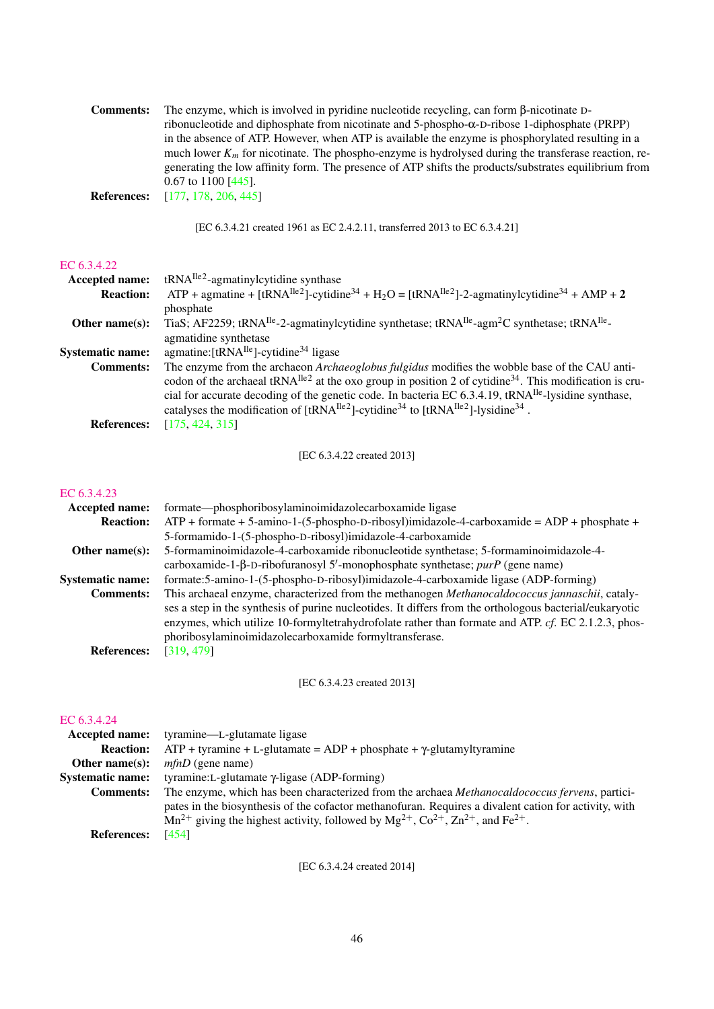| The enzyme, which is involved in pyridine nucleotide recycling, can form $\beta$ -nicotinate D-        |
|--------------------------------------------------------------------------------------------------------|
| ribonucleotide and diphosphate from nicotinate and 5-phospho- $\alpha$ -D-ribose 1-diphosphate (PRPP)  |
| in the absence of ATP. However, when ATP is available the enzyme is phosphorylated resulting in a      |
| much lower $K_m$ for nicotinate. The phospho-enzyme is hydrolysed during the transferase reaction, re- |
| generating the low affinity form. The presence of ATP shifts the products/substrates equilibrium from  |
| $0.67$ to 1100 [445].                                                                                  |
| [177, 178, 206, 445]                                                                                   |
|                                                                                                        |

[EC 6.3.4.21 created 1961 as EC 2.4.2.11, transferred 2013 to EC 6.3.4.21]

### [EC 6.3.4.22](http://www.enzyme-database.org/query.php?ec=6.3.4.22)

| <b>Accepted name:</b>   | $tRNA^{Ile2}$ -agmatinylcytidine synthase                                                                                                                |
|-------------------------|----------------------------------------------------------------------------------------------------------------------------------------------------------|
| <b>Reaction:</b>        | ATP + agmatine + [tRNA <sup>Ile2</sup> ]-cytidine <sup>34</sup> + H <sub>2</sub> O = [tRNA <sup>Ile2</sup> ]-2-agmatinylcytidine <sup>34</sup> + AMP + 2 |
|                         | phosphate                                                                                                                                                |
| Other name $(s)$ :      | TiaS; AF2259; tRNA <sup>Ile</sup> -2-agmatinylcytidine synthetase; tRNA <sup>Ile</sup> -agm <sup>2</sup> C synthetase; tRNA <sup>Ile</sup> -             |
|                         | agmatidine synthetase                                                                                                                                    |
| <b>Systematic name:</b> | agmatine: $[tRNA^{Ile}]$ -cytidine <sup>34</sup> ligase                                                                                                  |
| <b>Comments:</b>        | The enzyme from the archaeon Archaeoglobus fulgidus modifies the wobble base of the CAU anti-                                                            |
|                         | codon of the archaeal tRNA $^{Ile2}$ at the oxo group in position 2 of cytidine <sup>34</sup> . This modification is cru-                                |
|                         | cial for accurate decoding of the genetic code. In bacteria EC 6.3.4.19, $tRNA^{Ile}$ -lysidine synthase,                                                |
|                         | catalyses the modification of $[tRNA^{Ile2}]$ -cytidine <sup>34</sup> to $[tRNA^{Ile2}]$ -lysidine <sup>34</sup> .                                       |
| <b>References:</b>      | [175, 424, 315]                                                                                                                                          |

[EC 6.3.4.22 created 2013]

#### [EC 6.3.4.23](http://www.enzyme-database.org/query.php?ec=6.3.4.23)

| <b>Accepted name:</b>   | formate—phosphoribosylaminoimidazolecarboxamide ligase                                                  |
|-------------------------|---------------------------------------------------------------------------------------------------------|
| <b>Reaction:</b>        | $ATP +$ formate + 5-amino-1-(5-phospho-D-ribosyl)imidazole-4-carboxamide = ADP + phosphate +            |
|                         | 5-formamido-1-(5-phospho-D-ribosyl)imidazole-4-carboxamide                                              |
| Other name $(s)$ :      | 5-formaminoimidazole-4-carboxamide ribonucleotide synthetase; 5-formaminoimidazole-4-                   |
|                         | carboxamide-1- $\beta$ -D-ribofuranosyl 5'-monophosphate synthetase; purP (gene name)                   |
| <b>Systematic name:</b> | formate:5-amino-1-(5-phospho-D-ribosyl)imidazole-4-carboxamide ligase (ADP-forming)                     |
| <b>Comments:</b>        | This archaeal enzyme, characterized from the methanogen Methanocaldococcus jannaschii, cataly-          |
|                         | ses a step in the synthesis of purine nucleotides. It differs from the orthologous bacterial/eukaryotic |
|                         | enzymes, which utilize 10-formyltetrahydrofolate rather than formate and ATP. cf. EC 2.1.2.3, phos-     |
|                         | phoribosylaminoimidazolecarboxamide formyltransferase.                                                  |
| <b>References:</b>      | [319, 479]                                                                                              |

[EC 6.3.4.23 created 2013]

#### [EC 6.3.4.24](http://www.enzyme-database.org/query.php?ec=6.3.4.24)

| <b>Accepted name:</b>   | tyramine—L-glutamate ligase                                                                                   |
|-------------------------|---------------------------------------------------------------------------------------------------------------|
| <b>Reaction:</b>        | $ATP + tyramine + L-glutamate = ADP + phosphate + \gamma-glutamyltyramine$                                    |
| Other name $(s)$ :      | $mfnD$ (gene name)                                                                                            |
| <b>Systematic name:</b> | tyramine: L-glutamate $\gamma$ -ligase (ADP-forming)                                                          |
| <b>Comments:</b>        | The enzyme, which has been characterized from the archaea Methanocaldococcus fervens, partici-                |
|                         | pates in the biosynthesis of the cofactor methanofuran. Requires a divalent cation for activity, with         |
|                         | $Mn^{2+}$ giving the highest activity, followed by $Mg^{2+}$ , $Co^{2+}$ , $Zn^{2+}$ , and Fe <sup>2+</sup> . |
| <b>References:</b>      | [454]                                                                                                         |

[EC 6.3.4.24 created 2014]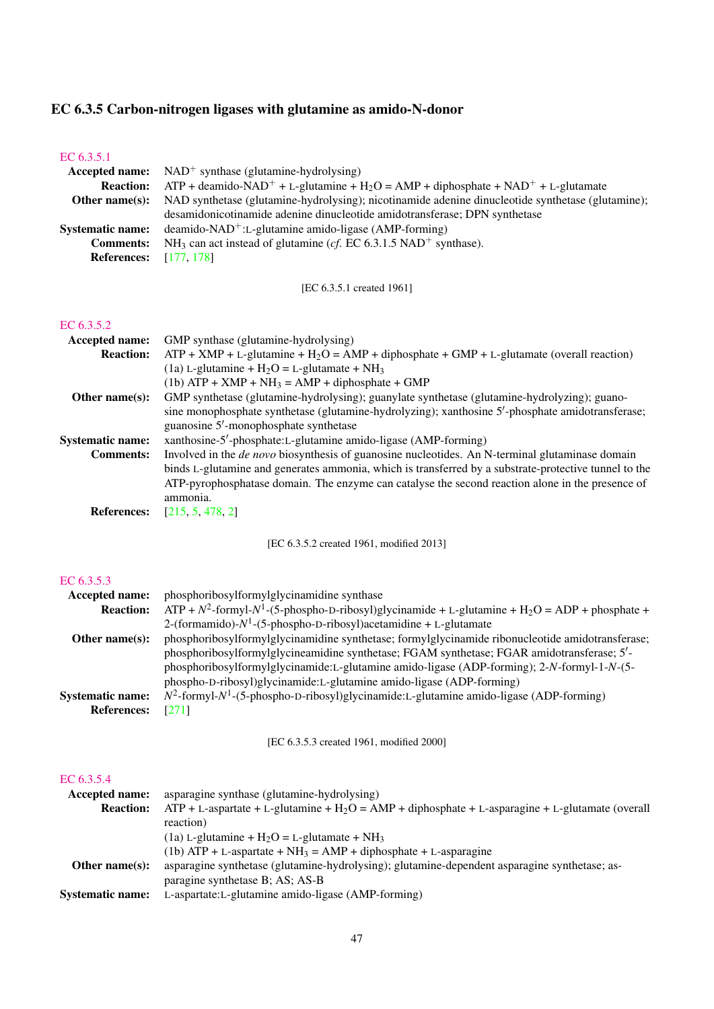# EC 6.3.5 Carbon-nitrogen ligases with glutamine as amido-N-donor

| EC 6.3.5.1<br>Accepted name:<br><b>Reaction:</b><br>Other name(s):<br><b>Systematic name:</b><br><b>Comments:</b><br><b>References:</b> | $NAD^{+}$ synthase (glutamine-hydrolysing)<br>$ATP +$ deamido-NAD <sup>+</sup> + L-glutamine + H <sub>2</sub> O = AMP + diphosphate + NAD <sup>+</sup> + L-glutamate<br>NAD synthetase (glutamine-hydrolysing); nicotinamide adenine dinucleotide synthetase (glutamine);<br>desamidonicotinamide adenine dinucleotide amidotransferase; DPN synthetase<br>deamido-NAD <sup>+</sup> :L-glutamine amido-ligase (AMP-forming)<br>NH <sub>3</sub> can act instead of glutamine ( <i>cf.</i> EC 6.3.1.5 NAD <sup>+</sup> synthase).<br>[177, 178] |
|-----------------------------------------------------------------------------------------------------------------------------------------|-----------------------------------------------------------------------------------------------------------------------------------------------------------------------------------------------------------------------------------------------------------------------------------------------------------------------------------------------------------------------------------------------------------------------------------------------------------------------------------------------------------------------------------------------|
|                                                                                                                                         | [EC 6.3.5.1 created 1961]                                                                                                                                                                                                                                                                                                                                                                                                                                                                                                                     |
| EC 6.3.5.2<br>Accepted name:<br><b>Reaction:</b>                                                                                        | GMP synthase (glutamine-hydrolysing)<br>$ATP + XMP + L$ -glutamine + H <sub>2</sub> O = AMP + diphosphate + GMP + L-glutamate (overall reaction)<br>(1a) L-glutamine + $H_2O = L$ -glutamate + N $H_3$<br>$(1b)$ ATP + XMP + NH <sub>3</sub> = AMP + diphosphate + GMP                                                                                                                                                                                                                                                                        |
| Other name(s):                                                                                                                          | GMP synthetase (glutamine-hydrolysing); guanylate synthetase (glutamine-hydrolyzing); guano-<br>sine monophosphate synthetase (glutamine-hydrolyzing); xanthosine 5'-phosphate amidotransferase;                                                                                                                                                                                                                                                                                                                                              |
| <b>Systematic name:</b><br><b>Comments:</b>                                                                                             | guanosine 5'-monophosphate synthetase<br>xanthosine-5'-phosphate:L-glutamine amido-ligase (AMP-forming)<br>Involved in the <i>de novo</i> biosynthesis of guanosine nucleotides. An N-terminal glutaminase domain<br>binds L-glutamine and generates ammonia, which is transferred by a substrate-protective tunnel to the<br>ATP-pyrophosphatase domain. The enzyme can catalyse the second reaction alone in the presence of<br>ammonia.                                                                                                    |
| <b>References:</b>                                                                                                                      | [215, 5, 478, 2]                                                                                                                                                                                                                                                                                                                                                                                                                                                                                                                              |
|                                                                                                                                         | [EC 6.3.5.2 created 1961, modified 2013]                                                                                                                                                                                                                                                                                                                                                                                                                                                                                                      |
| EC 6.3.5.3<br>Accepted name:<br><b>Reaction:</b><br>Other name(s):                                                                      | phosphoribosylformylglycinamidine synthase<br>$ATP + N^2$ -formyl- $N^1$ -(5-phospho-D-ribosyl)glycinamide + L-glutamine + H <sub>2</sub> O = ADP + phosphate +<br>2-(formamido)- $N^1$ -(5-phospho-D-ribosyl)acetamidine + L-glutamate<br>phosphoribosylformylglycinamidine synthetase; formylglycinamide ribonucleotide amidotransferase;<br>phosphoribosylformylglycineamidine synthetase; FGAM synthetase; FGAR amidotransferase; 5'-                                                                                                     |
| <b>Systematic name:</b><br><b>References:</b>                                                                                           | phosphoribosylformylglycinamide:L-glutamine amido-ligase (ADP-forming); 2-N-formyl-1-N-(5-<br>phospho-D-ribosyl)glycinamide:L-glutamine amido-ligase (ADP-forming)<br>$N^2$ -formyl- $N^1$ -(5-phospho-D-ribosyl)glycinamide:L-glutamine amido-ligase (ADP-forming)<br>$[271]$                                                                                                                                                                                                                                                                |
|                                                                                                                                         | [EC 6.3.5.3 created 1961, modified 2000]                                                                                                                                                                                                                                                                                                                                                                                                                                                                                                      |
| EC 6.3.5.4<br>Accepted name:<br><b>Reaction:</b>                                                                                        | asparagine synthase (glutamine-hydrolysing)<br>$ATP + L$ -aspartate + L-glutamine + H <sub>2</sub> O = AMP + diphosphate + L-asparagine + L-glutamate (overall<br>reaction)                                                                                                                                                                                                                                                                                                                                                                   |
| Other name(s):                                                                                                                          | (1a) L-glutamine + $H_2O = L$ -glutamate + NH <sub>3</sub><br>(1b) $ATP + L$ -aspartate + $NH_3 = AMP + diphosphate + L$ -asparagine<br>asparagine synthetase (glutamine-hydrolysing); glutamine-dependent asparagine synthetase; as-<br>paragine synthetase B; AS; AS-B                                                                                                                                                                                                                                                                      |
| <b>Systematic name:</b>                                                                                                                 | L-aspartate: L-glutamine amido-ligase (AMP-forming)                                                                                                                                                                                                                                                                                                                                                                                                                                                                                           |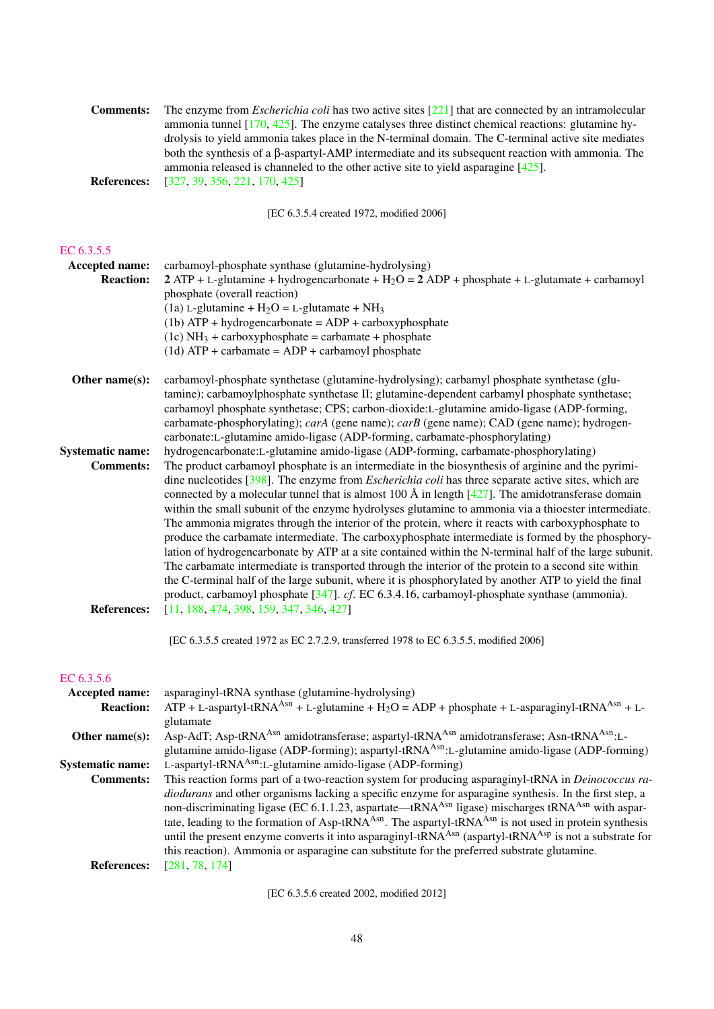| <b>Comments:</b>                                 | The enzyme from <i>Escherichia coli</i> has two active sites $[221]$ that are connected by an intramolecular<br>ammonia tunnel $[170, 425]$ . The enzyme catalyses three distinct chemical reactions: glutamine hy-                                                                                                                                                                                                                                                                                                                                                                                                                                                                                                                                                                                                                                                                                                                                                                                                                                                                                                                                                 |
|--------------------------------------------------|---------------------------------------------------------------------------------------------------------------------------------------------------------------------------------------------------------------------------------------------------------------------------------------------------------------------------------------------------------------------------------------------------------------------------------------------------------------------------------------------------------------------------------------------------------------------------------------------------------------------------------------------------------------------------------------------------------------------------------------------------------------------------------------------------------------------------------------------------------------------------------------------------------------------------------------------------------------------------------------------------------------------------------------------------------------------------------------------------------------------------------------------------------------------|
| <b>References:</b>                               | drolysis to yield ammonia takes place in the N-terminal domain. The C-terminal active site mediates<br>both the synthesis of a $\beta$ -aspartyl-AMP intermediate and its subsequent reaction with ammonia. The<br>ammonia released is channeled to the other active site to yield asparagine $[425]$ .<br>[327, 39, 356, 221, 170, 425]                                                                                                                                                                                                                                                                                                                                                                                                                                                                                                                                                                                                                                                                                                                                                                                                                            |
|                                                  | [EC 6.3.5.4 created 1972, modified 2006]                                                                                                                                                                                                                                                                                                                                                                                                                                                                                                                                                                                                                                                                                                                                                                                                                                                                                                                                                                                                                                                                                                                            |
| EC 6.3.5.5<br>Accepted name:<br><b>Reaction:</b> | carbamoyl-phosphate synthase (glutamine-hydrolysing)<br>$2$ ATP + L-glutamine + hydrogencarbonate + H <sub>2</sub> O = 2 ADP + phosphate + L-glutamate + carbamoyl<br>phosphate (overall reaction)                                                                                                                                                                                                                                                                                                                                                                                                                                                                                                                                                                                                                                                                                                                                                                                                                                                                                                                                                                  |
|                                                  | (1a) L-glutamine + $H_2O = L$ -glutamate + NH <sub>3</sub><br>$(1b)$ ATP + hydrogencarbonate = ADP + carboxyphosphate<br>$(1c) NH3 + carboxyphosphate = carbanate + phosphate$<br>$(1d)$ ATP + carbamate = ADP + carbamoyl phosphate                                                                                                                                                                                                                                                                                                                                                                                                                                                                                                                                                                                                                                                                                                                                                                                                                                                                                                                                |
| Other name(s):                                   | carbamoyl-phosphate synthetase (glutamine-hydrolysing); carbamyl phosphate synthetase (glu-<br>tamine); carbamoylphosphate synthetase II; glutamine-dependent carbamyl phosphate synthetase;<br>carbamoyl phosphate synthetase; CPS; carbon-dioxide:L-glutamine amido-ligase (ADP-forming,<br>carbamate-phosphorylating); carA (gene name); carB (gene name); CAD (gene name); hydrogen-<br>carbonate:L-glutamine amido-ligase (ADP-forming, carbamate-phosphorylating)                                                                                                                                                                                                                                                                                                                                                                                                                                                                                                                                                                                                                                                                                             |
| <b>Systematic name:</b><br><b>Comments:</b>      | hydrogencarbonate:L-glutamine amido-ligase (ADP-forming, carbamate-phosphorylating)<br>The product carbamoyl phosphate is an intermediate in the biosynthesis of arginine and the pyrimi-<br>dine nucleotides $[398]$ . The enzyme from <i>Escherichia coli</i> has three separate active sites, which are<br>connected by a molecular tunnel that is almost 100 Å in length $[427]$ . The amidotransferase domain<br>within the small subunit of the enzyme hydrolyses glutamine to ammonia via a thioester intermediate.<br>The ammonia migrates through the interior of the protein, where it reacts with carboxyphosphate to<br>produce the carbamate intermediate. The carboxyphosphate intermediate is formed by the phosphory-<br>lation of hydrogencarbonate by ATP at a site contained within the N-terminal half of the large subunit.<br>The carbamate intermediate is transported through the interior of the protein to a second site within<br>the C-terminal half of the large subunit, where it is phosphorylated by another ATP to yield the final<br>product, carbamoyl phosphate [347]. cf. EC 6.3.4.16, carbamoyl-phosphate synthase (ammonia). |
| <b>References:</b>                               | $[11, 188, 474, 398, 159, 347, 346, 427]$<br>[EC 6.3.5.5 created 1972 as EC 2.7.2.9, transferred 1978 to EC 6.3.5.5, modified 2006]                                                                                                                                                                                                                                                                                                                                                                                                                                                                                                                                                                                                                                                                                                                                                                                                                                                                                                                                                                                                                                 |
|                                                  |                                                                                                                                                                                                                                                                                                                                                                                                                                                                                                                                                                                                                                                                                                                                                                                                                                                                                                                                                                                                                                                                                                                                                                     |
| EC 6.3.5.6<br>Accepted name:<br><b>Reaction:</b> | asparaginyl-tRNA synthase (glutamine-hydrolysing)<br>$ATP + L$ -aspartyl-tRNA <sup>Asn</sup> + L-glutamine + H <sub>2</sub> O = ADP + phosphate + L-asparaginyl-tRNA <sup>Asn</sup> + L-<br>glutamate                                                                                                                                                                                                                                                                                                                                                                                                                                                                                                                                                                                                                                                                                                                                                                                                                                                                                                                                                               |
| Other name(s):                                   | Asp-AdT; Asp-tRNA <sup>Asn</sup> amidotransferase; aspartyl-tRNA <sup>Asn</sup> amidotransferase; Asn-tRNA <sup>Asn</sup> :L-<br>glutamine amido-ligase (ADP-forming); aspartyl-tRNA <sup>Asn</sup> :L-glutamine amido-ligase (ADP-forming)                                                                                                                                                                                                                                                                                                                                                                                                                                                                                                                                                                                                                                                                                                                                                                                                                                                                                                                         |
| <b>Systematic name:</b><br><b>Comments:</b>      | L-aspartyl-tRNA <sup>Asn</sup> :L-glutamine amido-ligase (ADP-forming)<br>This reaction forms part of a two-reaction system for producing asparaginyl-tRNA in <i>Deinococcus ra-</i><br>diodurans and other organisms lacking a specific enzyme for asparagine synthesis. In the first step, a                                                                                                                                                                                                                                                                                                                                                                                                                                                                                                                                                                                                                                                                                                                                                                                                                                                                      |

non-discriminating ligase (EC 6.1.1.23, aspartate—tRNA<sup>Asn</sup> ligase) mischarges tRNA<sup>Asn</sup> with aspartate, leading to the formation of Asp-tRNA<sup>Asn</sup>. The aspartyl-tRNA<sup>Asn</sup> is not used in protein synthesis until the present enzyme converts it into asparaginyl-tRNA<sup>Asn</sup> (aspartyl-tRNA<sup>Asp</sup> is not a substrate for this reaction). Ammonia or asparagine can substitute for the preferred substrate glutamine.

References: [\[281,](#page-71-4) [78,](#page-61-3) [174\]](#page-66-7)

[EC 6.3.5.6 created 2002, modified 2012]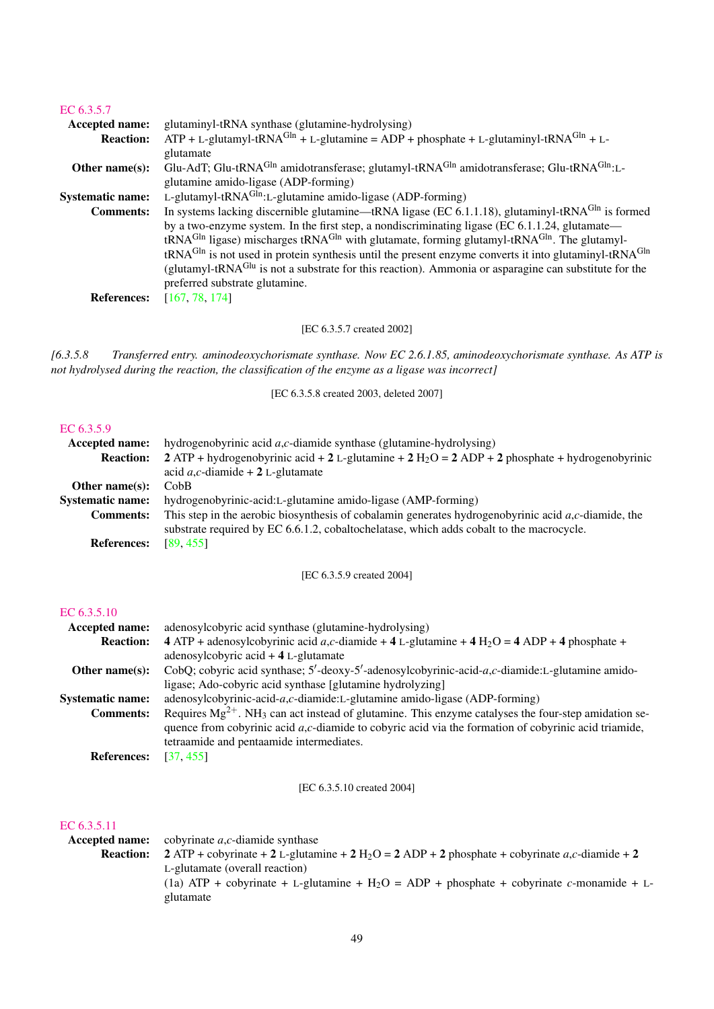| EC $6.3.5.7$            |                                                                                                                                 |
|-------------------------|---------------------------------------------------------------------------------------------------------------------------------|
| Accepted name:          | glutaminyl-tRNA synthase (glutamine-hydrolysing)                                                                                |
| <b>Reaction:</b>        | $ATP + L$ -glutamyl-tRNA <sup>Gln</sup> + L-glutamine = ADP + phosphate + L-glutaminyl-tRNA <sup>Gln</sup> + L-                 |
|                         | glutamate                                                                                                                       |
| Other name $(s)$ :      | Glu-AdT; Glu-tRNA <sup>Gln</sup> amidotransferase; glutamyl-tRNA <sup>Gln</sup> amidotransferase; Glu-tRNA <sup>Gln</sup> :L-   |
|                         | glutamine amido-ligase (ADP-forming)                                                                                            |
| <b>Systematic name:</b> | L-glutamyl-tRNA $^{Gln}$ :L-glutamine amido-ligase (ADP-forming)                                                                |
| <b>Comments:</b>        | In systems lacking discernible glutamine—tRNA ligase (EC 6.1.1.18), glutaminyl-tRNA $^{GIn}$ is formed                          |
|                         | by a two-enzyme system. In the first step, a nondiscriminating ligase (EC $6.1.1.24$ , glutamate—                               |
|                         | tRNA <sup>Gln</sup> ligase) mischarges tRNA <sup>Gln</sup> with glutamate, forming glutamyl-tRNA <sup>Gln</sup> . The glutamyl- |
|                         | tRNA <sup>Gln</sup> is not used in protein synthesis until the present enzyme converts it into glutaminyl-tRNA <sup>Gln</sup>   |
|                         | (glutamyl-tRNA <sup>Glu</sup> is not a substrate for this reaction). Ammonia or asparagine can substitute for the               |
|                         | preferred substrate glutamine.                                                                                                  |
| <b>References:</b>      | [167, 78, 174]                                                                                                                  |

[EC 6.3.5.7 created 2002]

*[6.3.5.8 Transferred entry. aminodeoxychorismate synthase. Now EC 2.6.1.85, aminodeoxychorismate synthase. As ATP is not hydrolysed during the reaction, the classification of the enzyme as a ligase was incorrect]*

[EC 6.3.5.8 created 2003, deleted 2007]

# [EC 6.3.5.9](http://www.enzyme-database.org/query.php?ec=6.3.5.9)

| Accepted name:          | hydrogenobyrinic acid $a, c$ -diamide synthase (glutamine-hydrolysing)                                      |
|-------------------------|-------------------------------------------------------------------------------------------------------------|
| <b>Reaction:</b>        | 2 ATP + hydrogenobyrinic acid + 2 L-glutamine + 2 H <sub>2</sub> O = 2 ADP + 2 phosphate + hydrogenobyrinic |
|                         | acid <i>a</i> , <i>c</i> -diamide + 2 L-glutamate                                                           |
| Other name $(s)$ :      | Cob <sub>B</sub>                                                                                            |
| <b>Systematic name:</b> | hydrogenobyrinic-acid:L-glutamine amido-ligase (AMP-forming)                                                |
| <b>Comments:</b>        | This step in the aerobic biosynthesis of cobalamin generates hydrogenobyrinic acid $a,c$ -diamide, the      |
|                         | substrate required by EC 6.6.1.2, cobaltochelatase, which adds cobalt to the macrocycle.                    |
| <b>References:</b>      | [89, 455]                                                                                                   |

[EC 6.3.5.9 created 2004]

#### [EC 6.3.5.10](http://www.enzyme-database.org/query.php?ec=6.3.5.10)

| adenosylcobyric acid synthase (glutamine-hydrolysing)                                                                |
|----------------------------------------------------------------------------------------------------------------------|
| 4 ATP + adenosylcobyrinic acid a,c-diamide + 4 L-glutamine + 4 H <sub>2</sub> O = 4 ADP + 4 phosphate +              |
| adenosylcobyric $\text{acid} + 4$ L-glutamate                                                                        |
| CobQ; cobyric acid synthase; $5'$ -deoxy- $5'$ -adenosylcobyrinic-acid-a,c-diamide:L-glutamine amido-                |
| ligase; Ado-cobyric acid synthase [glutamine hydrolyzing]                                                            |
| adenosylcobyrinic-acid- $a,c$ -diamide:L-glutamine amido-ligase (ADP-forming)                                        |
| Requires $Mg^{2+}$ . NH <sub>3</sub> can act instead of glutamine. This enzyme catalyses the four-step amidation se- |
| quence from cobyrinic acid $a,c$ -diamide to cobyric acid via the formation of cobyrinic acid triamide,              |
| tetraamide and pentaamide intermediates.                                                                             |
| [37, 455]                                                                                                            |
|                                                                                                                      |

[EC 6.3.5.10 created 2004]

#### [EC 6.3.5.11](http://www.enzyme-database.org/query.php?ec=6.3.5.11)

| Accepted name:   | cobyrinate $a, c$ -diamide synthase                                                                        |
|------------------|------------------------------------------------------------------------------------------------------------|
| <b>Reaction:</b> | 2 ATP + cobyrinate + 2 L-glutamine + 2 H <sub>2</sub> O = 2 ADP + 2 phosphate + cobyrinate a,c-diamide + 2 |
|                  | L-glutamate (overall reaction)                                                                             |
|                  | (1a) ATP + cobyrinate + L-glutamine + H <sub>2</sub> O = ADP + phosphate + cobyrinate c-monamide + L-      |
|                  | glutamate                                                                                                  |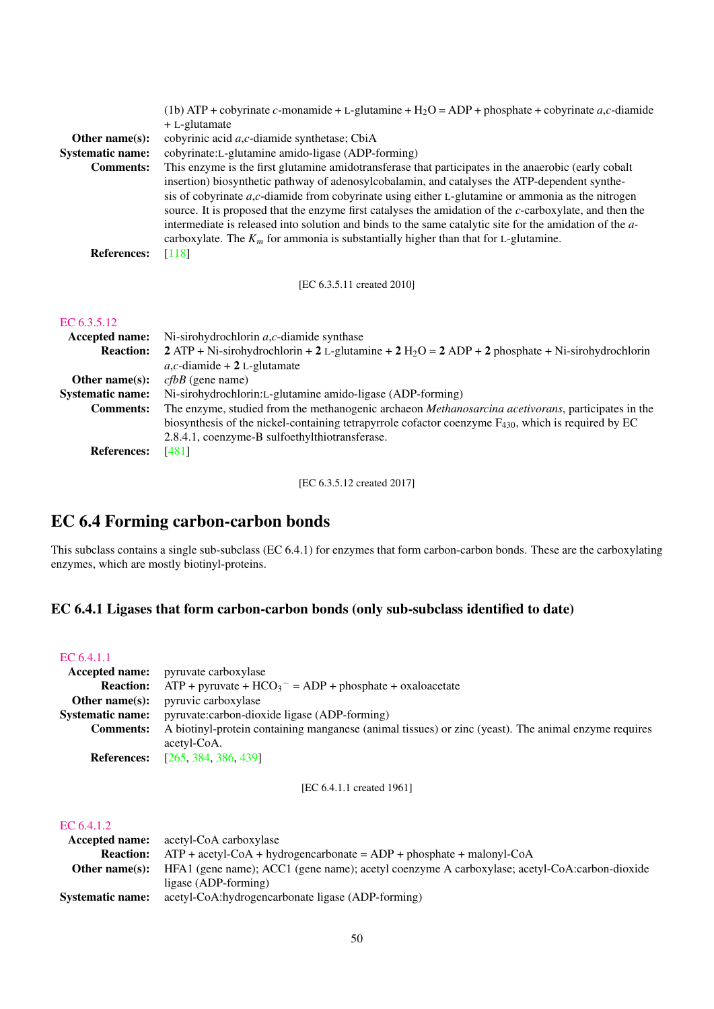| Other name(s):<br><b>Systematic name:</b><br><b>Comments:</b> | (1b) ATP + cobyrinate c-monamide + L-glutamine + H <sub>2</sub> O = ADP + phosphate + cobyrinate a,c-diamide<br>$+ L$ -glutamate<br>cobyrinic acid a,c-diamide synthetase; CbiA<br>cobyrinate:L-glutamine amido-ligase (ADP-forming)<br>This enzyme is the first glutamine amidotransferase that participates in the anaerobic (early cobalt<br>insertion) biosynthetic pathway of adenosylcobalamin, and catalyses the ATP-dependent synthe-<br>sis of cobyrinate $a, c$ -diamide from cobyrinate using either L-glutamine or ammonia as the nitrogen<br>source. It is proposed that the enzyme first catalyses the amidation of the c-carboxylate, and then the<br>intermediate is released into solution and binds to the same catalytic site for the amidation of the a- |
|---------------------------------------------------------------|------------------------------------------------------------------------------------------------------------------------------------------------------------------------------------------------------------------------------------------------------------------------------------------------------------------------------------------------------------------------------------------------------------------------------------------------------------------------------------------------------------------------------------------------------------------------------------------------------------------------------------------------------------------------------------------------------------------------------------------------------------------------------|
| <b>References:</b>                                            | carboxylate. The $K_m$ for ammonia is substantially higher than that for L-glutamine.<br>$[118]$                                                                                                                                                                                                                                                                                                                                                                                                                                                                                                                                                                                                                                                                             |
|                                                               | [EC 6.3.5.11 created 2010]                                                                                                                                                                                                                                                                                                                                                                                                                                                                                                                                                                                                                                                                                                                                                   |
| EC 6.3.5.12<br>Accepted name:<br><b>Reaction:</b>             | Ni-sirohydrochlorin $a, c$ -diamide synthase<br>$2$ ATP + Ni-sirohydrochlorin + 2 L-glutamine + 2 H <sub>2</sub> O = 2 ADP + 2 phosphate + Ni-sirohydrochlorin                                                                                                                                                                                                                                                                                                                                                                                                                                                                                                                                                                                                               |
| Other name(s):<br><b>Systematic name:</b><br><b>Comments:</b> | $a, c$ -diamide + 2 L-glutamate<br>$cfbB$ (gene name)<br>Ni-sirohydrochlorin:L-glutamine amido-ligase (ADP-forming)<br>The enzyme, studied from the methanogenic archaeon Methanosarcina acetivorans, participates in the<br>biosynthesis of the nickel-containing tetrapyrrole cofactor coenzyme $F_{430}$ , which is required by EC<br>2.8.4.1, coenzyme-B sulfoethylthiotransferase.                                                                                                                                                                                                                                                                                                                                                                                      |
| <b>References:</b>                                            | $[481]$                                                                                                                                                                                                                                                                                                                                                                                                                                                                                                                                                                                                                                                                                                                                                                      |

[EC 6.3.5.12 created 2017]

# EC 6.4 Forming carbon-carbon bonds

This subclass contains a single sub-subclass (EC 6.4.1) for enzymes that form carbon-carbon bonds. These are the carboxylating enzymes, which are mostly biotinyl-proteins.

# EC 6.4.1 Ligases that form carbon-carbon bonds (only sub-subclass identified to date)

#### [EC 6.4.1.1](http://www.enzyme-database.org/query.php?ec=6.4.1.1)

|                         | <b>Accepted name:</b> pyruvate carboxylase                                                           |
|-------------------------|------------------------------------------------------------------------------------------------------|
| <b>Reaction:</b>        | $ATP + pyruvate + HCO3- = ADP + phosphate + oxaloacetate$                                            |
| Other name $(s)$ :      | <i>pyruvic carboxylase</i>                                                                           |
| <b>Systematic name:</b> | pyruvate:carbon-dioxide ligase (ADP-forming)                                                         |
| <b>Comments:</b>        | A biotinyl-protein containing manganese (animal tissues) or zinc (yeast). The animal enzyme requires |
|                         | acetyl-CoA.                                                                                          |
|                         | <b>References:</b> [265, 384, 386, 439]                                                              |

[EC 6.4.1.1 created 1961]

#### [EC 6.4.1.2](http://www.enzyme-database.org/query.php?ec=6.4.1.2)

|                         | <b>Accepted name:</b> acetyl-CoA carboxylase                                                 |
|-------------------------|----------------------------------------------------------------------------------------------|
|                         | <b>Reaction:</b> $ATP + acetyl-CoA + hydrogencarbonate = ADP + phosphate + malonyl-CoA$      |
| Other name $(s)$ :      | HFA1 (gene name); ACC1 (gene name); acetyl coenzyme A carboxylase; acetyl-CoA:carbon-dioxide |
|                         | ligase (ADP-forming)                                                                         |
| <b>Systematic name:</b> | acetyl-CoA:hydrogencarbonate ligase (ADP-forming)                                            |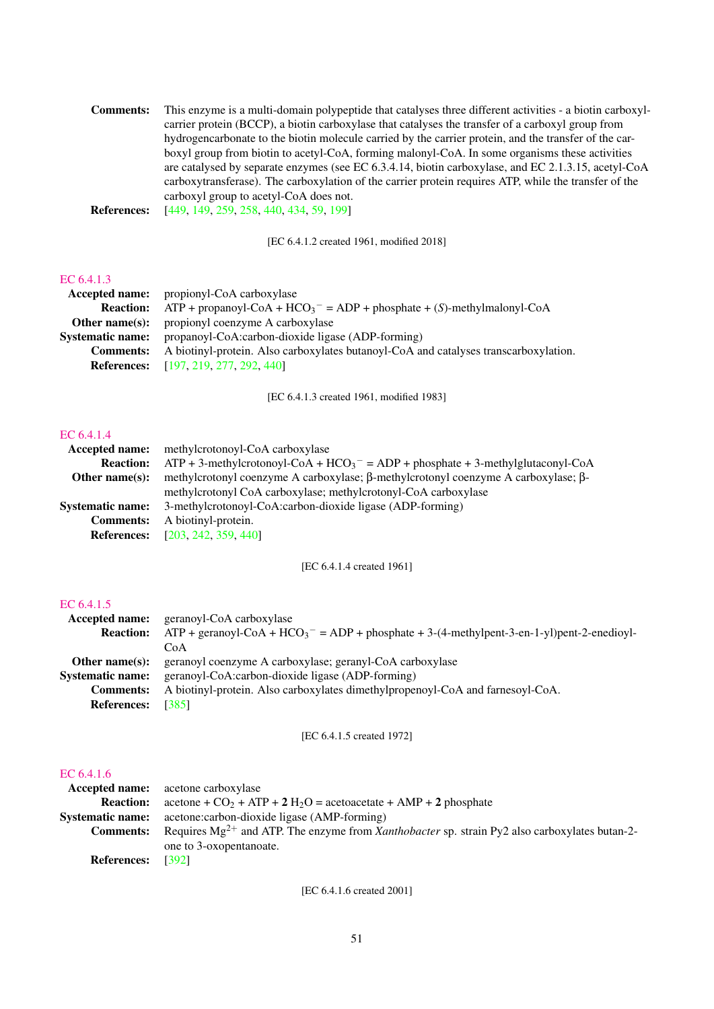| <b>Comments:</b> | This enzyme is a multi-domain polypeptide that catalyses three different activities - a biotin carboxyl- |
|------------------|----------------------------------------------------------------------------------------------------------|
|                  | carrier protein (BCCP), a biotin carboxylase that catalyses the transfer of a carboxyl group from        |
|                  | hydrogencarbonate to the biotin molecule carried by the carrier protein, and the transfer of the car-    |
|                  | boxyl group from biotin to acetyl-CoA, forming malonyl-CoA. In some organisms these activities           |
|                  | are catalysed by separate enzymes (see EC 6.3.4.14, biotin carboxylase, and EC 2.1.3.15, acetyl-CoA      |
|                  | carboxytransferase). The carboxylation of the carrier protein requires ATP, while the transfer of the    |
|                  | carboxyl group to acetyl-CoA does not.                                                                   |
|                  | <b>D C</b> (440 140 050 050 440 404 50 1001                                                              |

References: [\[449,](#page-80-6) [149,](#page-65-5) [259,](#page-70-5) [258,](#page-70-6) [440,](#page-79-7) [434,](#page-79-8) [59,](#page-61-4) [199\]](#page-67-6)

[EC 6.4.1.2 created 1961, modified 2018]

#### [EC 6.4.1.3](http://www.enzyme-database.org/query.php?ec=6.4.1.3)

|                         | <b>Accepted name:</b> propionyl-CoA carboxylase                                            |
|-------------------------|--------------------------------------------------------------------------------------------|
|                         | <b>Reaction:</b> ATP + propanoyl-CoA + $HCO_3^-$ = ADP + phosphate + (S)-methylmalonyl-CoA |
|                         | <b>Other name(s):</b> propionyl coenzyme A carboxylase                                     |
| <b>Systematic name:</b> | propanoyl-CoA:carbon-dioxide ligase (ADP-forming)                                          |
| <b>Comments:</b>        | A biotinyl-protein. Also carboxylates butanoyl-CoA and catalyses transcarboxylation.       |
|                         | <b>References:</b> [197, 219, 277, 292, 440]                                               |
|                         |                                                                                            |

[EC 6.4.1.3 created 1961, modified 1983]

#### [EC 6.4.1.4](http://www.enzyme-database.org/query.php?ec=6.4.1.4)

| Accepted name:          | methylcrotonoyl-CoA carboxylase                                                                           |
|-------------------------|-----------------------------------------------------------------------------------------------------------|
| <b>Reaction:</b>        | $ATP + 3$ -methylcrotonoyl-CoA + HCO <sub>3</sub> <sup>-</sup> = ADP + phosphate + 3-methylglutaconyl-CoA |
| Other name $(s)$ :      | methylcrotonyl coenzyme A carboxylase; $\beta$ -methylcrotonyl coenzyme A carboxylase; $\beta$ -          |
|                         | methylcrotonyl CoA carboxylase; methylcrotonyl-CoA carboxylase                                            |
| <b>Systematic name:</b> | 3-methylcrotonoyl-CoA:carbon-dioxide ligase (ADP-forming)                                                 |
| <b>Comments:</b>        | A biotinyl-protein.                                                                                       |
| <b>References:</b>      | [203, 242, 359, 440]                                                                                      |

[EC 6.4.1.4 created 1961]

#### [EC 6.4.1.5](http://www.enzyme-database.org/query.php?ec=6.4.1.5)

| geranoyl-CoA carboxylase                                                                                            |
|---------------------------------------------------------------------------------------------------------------------|
| $ATP +$ geranoyl-CoA + HCO <sub>3</sub> <sup>-</sup> = ADP + phosphate + 3-(4-methylpent-3-en-1-yl)pent-2-enedioyl- |
| CoA                                                                                                                 |
| geranoyl coenzyme A carboxylase; geranyl-CoA carboxylase                                                            |
| geranoyl-CoA:carbon-dioxide ligase (ADP-forming)                                                                    |
| A biotinyl-protein. Also carboxylates dimethylpropenoyl-CoA and farnesoyl-CoA.                                      |
| [385]                                                                                                               |
|                                                                                                                     |

#### [EC 6.4.1.5 created 1972]

#### [EC 6.4.1.6](http://www.enzyme-database.org/query.php?ec=6.4.1.6)

| $\text{acetone} + \text{CO}_2 + \text{ATP} + 2 \text{ H}_2\text{O} = \text{acetoacetate} + \text{AMP} + 2 \text{ phosphate}$<br><b>Reaction:</b><br>acetone: carbon-dioxide ligase (AMP-forming)<br><b>Systematic name:</b><br>Requires $Mg^{2+}$ and ATP. The enzyme from <i>Xanthobacter</i> sp. strain Py2 also carboxylates butan-2-<br><b>Comments:</b><br>one to 3-oxopentanoate. |  |
|-----------------------------------------------------------------------------------------------------------------------------------------------------------------------------------------------------------------------------------------------------------------------------------------------------------------------------------------------------------------------------------------|--|
|                                                                                                                                                                                                                                                                                                                                                                                         |  |
|                                                                                                                                                                                                                                                                                                                                                                                         |  |
|                                                                                                                                                                                                                                                                                                                                                                                         |  |
|                                                                                                                                                                                                                                                                                                                                                                                         |  |
| [392]<br><b>References:</b>                                                                                                                                                                                                                                                                                                                                                             |  |

[EC 6.4.1.6 created 2001]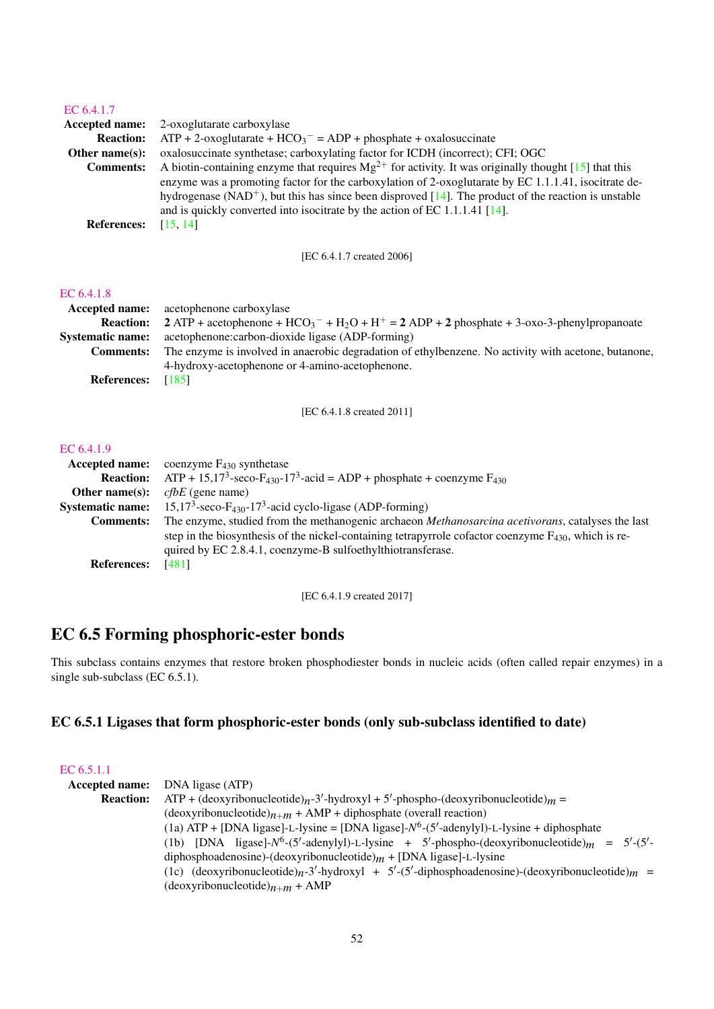#### [EC 6.4.1.7](http://www.enzyme-database.org/query.php?ec=6.4.1.7)

|                       | <b>Accepted name:</b> 2-oxoglutarate carboxylase                                                                 |
|-----------------------|------------------------------------------------------------------------------------------------------------------|
| <b>Reaction:</b>      | $ATP + 2$ -oxoglutarate + HCO <sub>3</sub> <sup>-</sup> = ADP + phosphate + oxalosuccinate                       |
| <b>Other name(s):</b> | oxalosuccinate synthetase; carboxylating factor for ICDH (incorrect); CFI; OGC                                   |
| <b>Comments:</b>      | A biotin-containing enzyme that requires $Mg^{2+}$ for activity. It was originally thought [15] that this        |
|                       | enzyme was a promoting factor for the carboxylation of 2-oxoglutarate by EC 1.1.1.41, isocitrate de-             |
|                       | hydrogenase (NAD <sup>+</sup> ), but this has since been disproved [14]. The product of the reaction is unstable |
|                       | and is quickly converted into isocitrate by the action of EC 1.1.1.41 $[14]$ .                                   |
| <b>References:</b>    | [15, 14]                                                                                                         |

[EC 6.4.1.7 created 2006]

#### [EC 6.4.1.8](http://www.enzyme-database.org/query.php?ec=6.4.1.8)

|                    | <b>Accepted name:</b> acetophenone carboxylase                                                       |
|--------------------|------------------------------------------------------------------------------------------------------|
| <b>Reaction:</b>   | 2 ATP + acetophenone + $HCO_3^-$ + $H_2O$ + $H^+$ = 2 ADP + 2 phosphate + 3-oxo-3-phenylpropanoate   |
| Systematic name:   | acetophenone: carbon-dioxide ligase (ADP-forming)                                                    |
| <b>Comments:</b>   | The enzyme is involved in anaerobic degradation of ethylbenzene. No activity with acetone, butanone, |
|                    | 4-hydroxy-acetophenone or 4-amino-acetophenone.                                                      |
| <b>References:</b> | [185]                                                                                                |

[EC 6.4.1.8 created 2011]

#### [EC 6.4.1.9](http://www.enzyme-database.org/query.php?ec=6.4.1.9)

| <b>Accepted name:</b>   | coenzyme $F_{430}$ synthetase                                                                                        |
|-------------------------|----------------------------------------------------------------------------------------------------------------------|
| <b>Reaction:</b>        | ATP + 15,17 <sup>3</sup> -seco-F <sub>430</sub> -17 <sup>3</sup> -acid = ADP + phosphate + coenzyme F <sub>430</sub> |
| Other name $(s)$ :      | $cfbE$ (gene name)                                                                                                   |
| <b>Systematic name:</b> | $15,173$ -seco-F <sub>430</sub> -17 <sup>3</sup> -acid cyclo-ligase (ADP-forming)                                    |
| <b>Comments:</b>        | The enzyme, studied from the methanogenic archaeon Methanosarcina acetivorans, catalyses the last                    |
|                         | step in the biosynthesis of the nickel-containing tetrapyrrole cofactor coenzyme $F_{430}$ , which is re-            |
|                         | quired by EC 2.8.4.1, coenzyme-B sulfoethylthiotransferase.                                                          |
| <b>References:</b>      | [481]                                                                                                                |

[EC 6.4.1.9 created 2017]

# EC 6.5 Forming phosphoric-ester bonds

This subclass contains enzymes that restore broken phosphodiester bonds in nucleic acids (often called repair enzymes) in a single sub-subclass (EC 6.5.1).

# EC 6.5.1 Ligases that form phosphoric-ester bonds (only sub-subclass identified to date)

| EC 6.5.1.1            |                                                                                                         |
|-----------------------|---------------------------------------------------------------------------------------------------------|
| <b>Accepted name:</b> | DNA ligase (ATP)                                                                                        |
| <b>Reaction:</b>      | $ATP + (deoxyribonucleotide)n - 3' - hydroxyl + 5' -phospho-(deoxyribonucleotide)m =$                   |
|                       | $(deoxyribonucleotide)n+m + AMP + diphosphate (overall reaction)$                                       |
|                       | (1a) ATP + [DNA ligase]-L-lysine = [DNA ligase]- $N^6$ -(5'-adenylyl)-L-lysine + diphosphate            |
|                       | (1b) [DNA ligase]- $N^6$ -(5'-adenylyl)-L-lysine + 5'-phospho-(deoxyribonucleotide) $m = 5'$ -(5'-      |
|                       | diphosphoadenosine)-(deoxyribonucleotide) $m + [DNA$ ligase]-L-lysine                                   |
|                       | (1c) (deoxyribonucleotide) $n^{-3'}$ -hydroxyl + 5'-(5'-diphosphoadenosine)-(deoxyribonucleotide) $m =$ |
|                       | $(deoxyribonucleotide)n+m + AMP$                                                                        |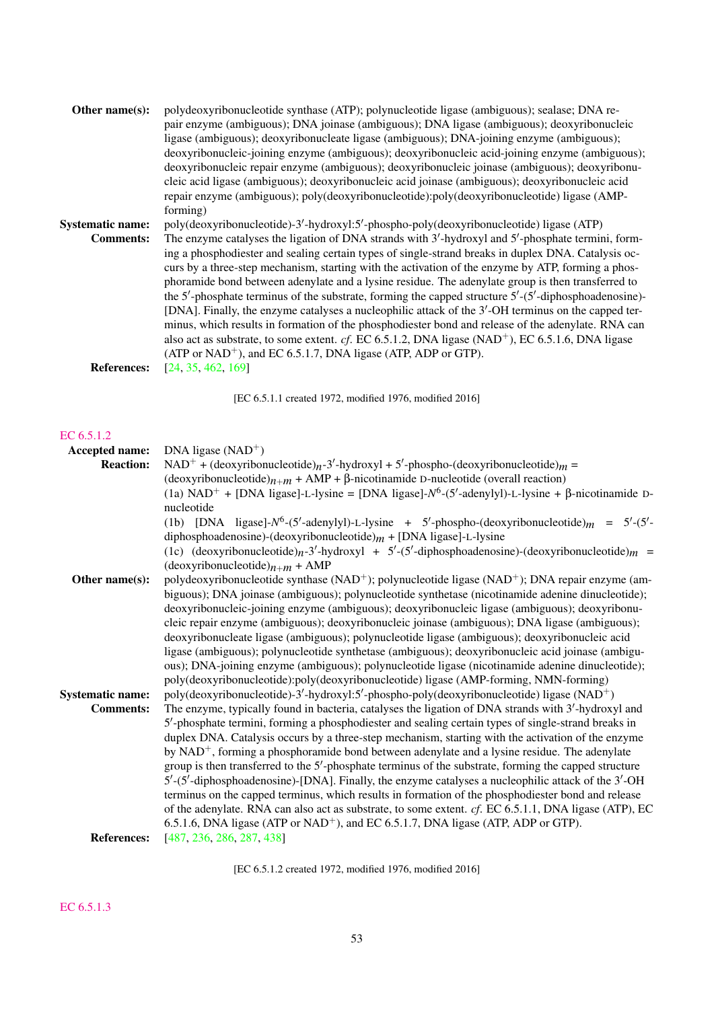| Other name $(s)$ :      | polydeoxyribonucleotide synthase (ATP); polynucleotide ligase (ambiguous); sealase; DNA re-                   |
|-------------------------|---------------------------------------------------------------------------------------------------------------|
|                         | pair enzyme (ambiguous); DNA joinase (ambiguous); DNA ligase (ambiguous); deoxyribonucleic                    |
|                         | ligase (ambiguous); deoxyribonucleate ligase (ambiguous); DNA-joining enzyme (ambiguous);                     |
|                         | deoxyribonucleic-joining enzyme (ambiguous); deoxyribonucleic acid-joining enzyme (ambiguous);                |
|                         | deoxyribonucleic repair enzyme (ambiguous); deoxyribonucleic joinase (ambiguous); deoxyribonu-                |
|                         | cleic acid ligase (ambiguous); deoxyribonucleic acid joinase (ambiguous); deoxyribonucleic acid               |
|                         | repair enzyme (ambiguous); poly(deoxyribonucleotide):poly(deoxyribonucleotide) ligase (AMP-                   |
|                         | forming)                                                                                                      |
| <b>Systematic name:</b> | poly(deoxyribonucleotide)-3'-hydroxyl:5'-phospho-poly(deoxyribonucleotide) ligase (ATP)                       |
| <b>Comments:</b>        | The enzyme catalyses the ligation of DNA strands with 3'-hydroxyl and 5'-phosphate termini, form-             |
|                         | ing a phosphodiester and sealing certain types of single-strand breaks in duplex DNA. Catalysis oc-           |
|                         | curs by a three-step mechanism, starting with the activation of the enzyme by ATP, forming a phos-            |
|                         | phoramide bond between adenylate and a lysine residue. The adenylate group is then transferred to             |
|                         | the 5'-phosphate terminus of the substrate, forming the capped structure $5'$ - $(5'$ -diphosphoadenosine)-   |
|                         | [DNA]. Finally, the enzyme catalyses a nucleophilic attack of the 3'-OH terminus on the capped ter-           |
|                         | minus, which results in formation of the phosphodiester bond and release of the adenylate. RNA can            |
|                         | also act as substrate, to some extent. cf. EC 6.5.1.2, DNA ligase (NAD <sup>+</sup> ), EC 6.5.1.6, DNA ligase |
|                         | $(ATP or NAD+)$ , and EC 6.5.1.7, DNA ligase (ATP, ADP or GTP).                                               |
| <b>References:</b>      | [24, 35, 462, 169]                                                                                            |
|                         |                                                                                                               |

[EC 6.5.1.1 created 1972, modified 1976, modified 2016]

#### [EC 6.5.1.2](http://www.enzyme-database.org/query.php?ec=6.5.1.2)

| Accepted name:          | DNA ligase $(NAD+)$                                                                                                     |
|-------------------------|-------------------------------------------------------------------------------------------------------------------------|
| <b>Reaction:</b>        | NAD <sup>+</sup> + (deoxyribonucleotide) <sub>n</sub> -3'-hydroxyl + 5'-phospho-(deoxyribonucleotide) <sub>m</sub> =    |
|                         | (deoxyribonucleotide) $n+m +$ AMP + $\beta$ -nicotinamide D-nucleotide (overall reaction)                               |
|                         | (1a) NAD <sup>+</sup> + [DNA ligase]-L-lysine = [DNA ligase]- $N^6$ -(5'-adenylyl)-L-lysine + $\beta$ -nicotinamide D-  |
|                         | nucleotide                                                                                                              |
|                         |                                                                                                                         |
|                         | (1b) [DNA ligase]- $N^6$ -(5'-adenylyl)-L-lysine + 5'-phospho-(deoxyribonucleotide) $m = 5'$ -(5'-                      |
|                         | diphosphoadenosine)-(deoxyribonucleotide) $m + [DNA$ ligase]-L-lysine                                                   |
|                         | (1c) (deoxyribonucleotide) $n-3'$ -hydroxyl + 5'-(5'-diphosphoadenosine)-(deoxyribonucleotide) $m =$                    |
|                         | $(deoxyribonucleotide)n+m + AMP$                                                                                        |
| Other name(s):          | polydeoxyribonucleotide synthase (NAD <sup>+</sup> ); polynucleotide ligase (NAD <sup>+</sup> ); DNA repair enzyme (am- |
|                         | biguous); DNA joinase (ambiguous); polynucleotide synthetase (nicotinamide adenine dinucleotide);                       |
|                         | deoxyribonucleic-joining enzyme (ambiguous); deoxyribonucleic ligase (ambiguous); deoxyribonu-                          |
|                         | cleic repair enzyme (ambiguous); deoxyribonucleic joinase (ambiguous); DNA ligase (ambiguous);                          |
|                         | deoxyribonucleate ligase (ambiguous); polynucleotide ligase (ambiguous); deoxyribonucleic acid                          |
|                         | ligase (ambiguous); polynucleotide synthetase (ambiguous); deoxyribonucleic acid joinase (ambigu-                       |
|                         | ous); DNA-joining enzyme (ambiguous); polynucleotide ligase (nicotinamide adenine dinucleotide);                        |
|                         | poly(deoxyribonucleotide):poly(deoxyribonucleotide) ligase (AMP-forming, NMN-forming)                                   |
| <b>Systematic name:</b> | poly(deoxyribonucleotide)-3'-hydroxyl:5'-phospho-poly(deoxyribonucleotide) ligase (NAD <sup>+</sup> )                   |
| <b>Comments:</b>        | The enzyme, typically found in bacteria, catalyses the ligation of DNA strands with 3'-hydroxyl and                     |
|                         | 5'-phosphate termini, forming a phosphodiester and sealing certain types of single-strand breaks in                     |
|                         | duplex DNA. Catalysis occurs by a three-step mechanism, starting with the activation of the enzyme                      |
|                         | by $NAD^+$ , forming a phosphoramide bond between adenylate and a lysine residue. The adenylate                         |
|                         | group is then transferred to the $5'$ -phosphate terminus of the substrate, forming the capped structure                |
|                         |                                                                                                                         |
|                         | $5'$ -(5'-diphosphoadenosine)-[DNA]. Finally, the enzyme catalyses a nucleophilic attack of the $3'$ -OH                |
|                         | terminus on the capped terminus, which results in formation of the phosphodiester bond and release                      |
|                         | of the adenylate. RNA can also act as substrate, to some extent. cf. EC 6.5.1.1, DNA ligase (ATP), EC                   |
|                         | 6.5.1.6, DNA ligase (ATP or NAD <sup>+</sup> ), and EC 6.5.1.7, DNA ligase (ATP, ADP or GTP).                           |
| <b>References:</b>      | [487, 236, 286, 287, 438]                                                                                               |
|                         |                                                                                                                         |

[EC 6.5.1.2 created 1972, modified 1976, modified 2016]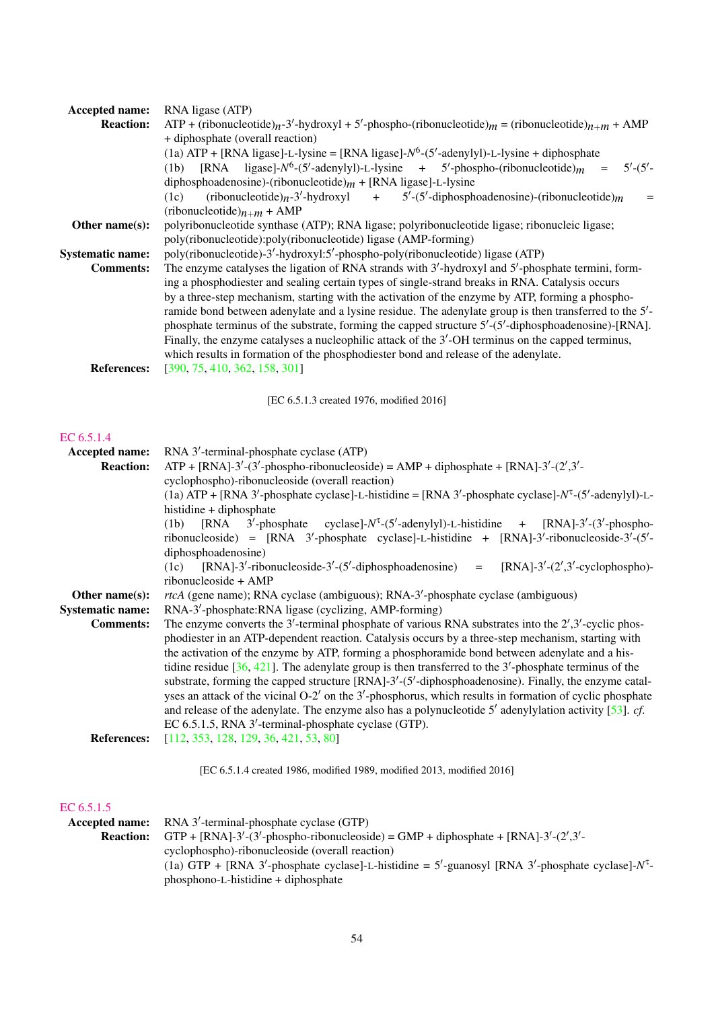| <b>Reaction:</b>        | RNA ligase (ATP)                                                                                                                                                |
|-------------------------|-----------------------------------------------------------------------------------------------------------------------------------------------------------------|
|                         | $ATP + (ribonucleotide)n - 3'$ -hydroxyl + 5'-phospho-(ribonucleotide) <sub>m</sub> = (ribonucleotide) <sub>n+m</sub> + AMP                                     |
|                         | + diphosphate (overall reaction)                                                                                                                                |
|                         | (1a) ATP + [RNA ligase]-L-lysine = [RNA ligase]- $N^6$ -(5'-adenylyl)-L-lysine + diphosphate                                                                    |
|                         | (1b) [RNA ligase]- $N^6$ -(5'-adenylyl)-L-lysine + 5'-phospho-(ribonucleotide) <sub>m</sub> =<br>$5'$ - $(5'$ -                                                 |
|                         | diphosphoadenosine)-(ribonucleotide) $m +$ [RNA ligase]-L-lysine                                                                                                |
|                         | $+$ 5'-(5'-diphosphoadenosine)-(ribonucleotide) <sub>m</sub><br>$(ribonucleotide)n$ -3'-hydroxyl<br>(1c)<br>$=$<br>(ribonucleotide) $n+m +$ AMP                 |
| Other name(s):          | polyribonucleotide synthase (ATP); RNA ligase; polyribonucleotide ligase; ribonucleic ligase;<br>poly(ribonucleotide):poly(ribonucleotide) ligase (AMP-forming) |
| <b>Systematic name:</b> | poly(ribonucleotide)-3'-hydroxyl:5'-phospho-poly(ribonucleotide) ligase (ATP)                                                                                   |
| <b>Comments:</b>        | The enzyme catalyses the ligation of RNA strands with 3'-hydroxyl and 5'-phosphate termini, form-                                                               |
|                         | ing a phosphodiester and sealing certain types of single-strand breaks in RNA. Catalysis occurs                                                                 |
|                         | by a three-step mechanism, starting with the activation of the enzyme by ATP, forming a phospho-                                                                |
|                         | ramide bond between adenylate and a lysine residue. The adenylate group is then transferred to the 5'-                                                          |
|                         | phosphate terminus of the substrate, forming the capped structure 5'-(5'-diphosphoadenosine)-[RNA].                                                             |
|                         | Finally, the enzyme catalyses a nucleophilic attack of the 3'-OH terminus on the capped terminus,                                                               |
|                         | which results in formation of the phosphodiester bond and release of the adenylate.                                                                             |
| <b>References:</b>      | [390, 75, 410, 362, 158, 301]                                                                                                                                   |
|                         | [EC 6.5.1.3 created 1976, modified 2016]                                                                                                                        |
|                         |                                                                                                                                                                 |
| EC 6.5.1.4              |                                                                                                                                                                 |
| Accepted name:          | RNA 3'-terminal-phosphate cyclase (ATP)                                                                                                                         |
| <b>Reaction:</b>        | $ATP + [RNA]-3'-(3'-phospho-ribonucleoside) = AMP + diphosphate + [RNA]-3'-(2',3'-1')$                                                                          |
|                         | cyclophospho)-ribonucleoside (overall reaction)                                                                                                                 |
|                         | (1a) ATP + [RNA 3'-phosphate cyclase]-L-histidine = [RNA 3'-phosphate cyclase]- $N^{\tau}$ -(5'-adenylyl)-L-                                                    |
|                         |                                                                                                                                                                 |
|                         |                                                                                                                                                                 |
|                         | histidine + diphosphate                                                                                                                                         |
|                         | $3'$ -phosphate cyclase]- $N^{\tau}$ -(5'-adenylyl)-L-histidine + [RNA]-3'-(3'-phospho-<br>[RNA<br>(1b)                                                         |
|                         | ribonucleoside) = [RNA $3'$ -phosphate cyclase]-L-histidine + [RNA]-3'-ribonucleoside- $3'$ -(5'-<br>diphosphoadenosine)                                        |
|                         | $[RNA]-3'-ribonucleoside-3'-(5'-diphosphoadenosine)$ = $[RNA]-3'-(2',3'-cyclophospho)-$<br>(1c)                                                                 |
|                         | ribonucleoside + AMP                                                                                                                                            |
| Other name(s):          | <i>rtcA</i> (gene name); RNA cyclase (ambiguous); RNA-3'-phosphate cyclase (ambiguous)                                                                          |
| <b>Systematic name:</b> | RNA-3'-phosphate:RNA ligase (cyclizing, AMP-forming)                                                                                                            |
| <b>Comments:</b>        | The enzyme converts the 3'-terminal phosphate of various RNA substrates into the $2^{\prime},3^{\prime}$ -cyclic phos-                                          |
|                         | phodiester in an ATP-dependent reaction. Catalysis occurs by a three-step mechanism, starting with                                                              |
|                         | the activation of the enzyme by ATP, forming a phosphoramide bond between adenylate and a his-                                                                  |
|                         | tidine residue $[36, 421]$ . The adenylate group is then transferred to the 3'-phosphate terminus of the                                                        |
|                         | substrate, forming the capped structure [RNA]-3'-(5'-diphosphoadenosine). Finally, the enzyme catal-                                                            |
|                         | yses an attack of the vicinal O-2' on the 3'-phosphorus, which results in formation of cyclic phosphate                                                         |
|                         | and release of the adenylate. The enzyme also has a polynucleotide 5' adenylylation activity [53]. $cf.$                                                        |
|                         | EC 6.5.1.5, RNA 3'-terminal-phosphate cyclase (GTP).                                                                                                            |
| <b>References:</b>      | [112, 353, 128, 129, 36, 421, 53, 80]                                                                                                                           |
|                         | [EC 6.5.1.4 created 1986, modified 1989, modified 2013, modified 2016]                                                                                          |

#### [EC 6.5.1.5](http://www.enzyme-database.org/query.php?ec=6.5.1.5)

|                  | <b>Accepted name:</b> RNA 3'-terminal-phosphate cyclase (GTP)                                               |
|------------------|-------------------------------------------------------------------------------------------------------------|
| <b>Reaction:</b> | GTP + [RNA]-3'-(3'-phospho-ribonucleoside) = GMP + diphosphate + [RNA]-3'-(2',3'-                           |
|                  | cyclophospho)-ribonucleoside (overall reaction)                                                             |
|                  | (1a) GTP + [RNA 3'-phosphate cyclase]-L-histidine = $5'$ -guanosyl [RNA 3'-phosphate cyclase]- $N^{\tau}$ - |
|                  | phosphono-L-histidine + diphosphate                                                                         |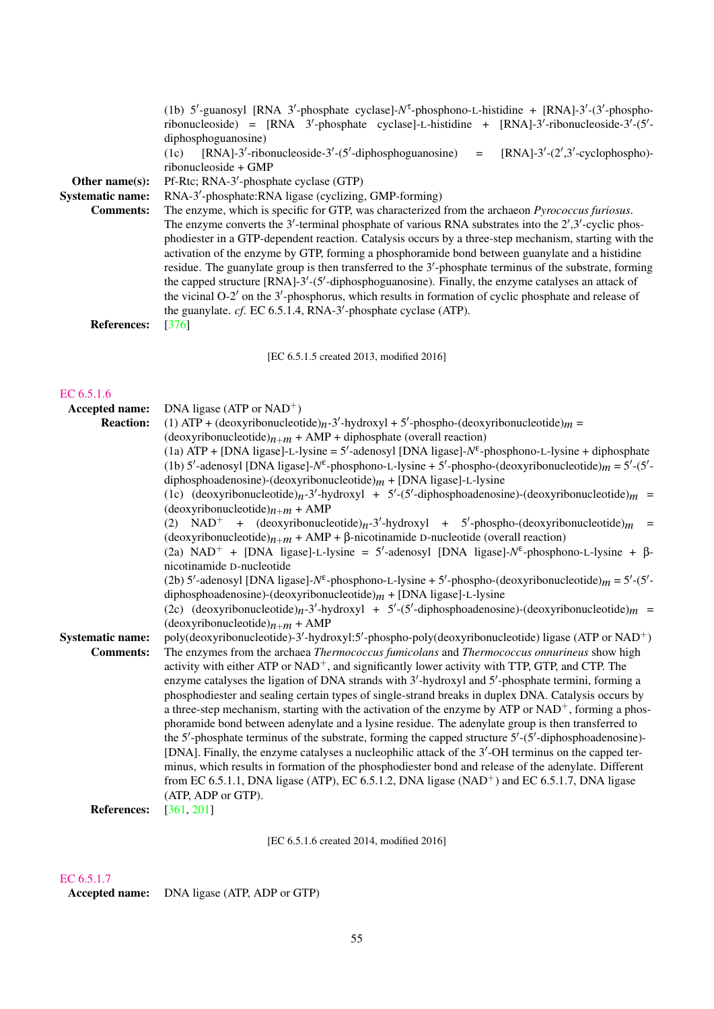| Other name(s):<br><b>Systematic name:</b><br><b>Comments:</b><br><b>References:</b> | (1b) 5'-guanosyl [RNA 3'-phosphate cyclase]-N <sup>T</sup> -phosphono-L-histidine + [RNA]-3'-(3'-phospho-<br>ribonucleoside) = [RNA $3'$ -phosphate cyclase]-L-histidine + [RNA]-3'-ribonucleoside- $3'$ -(5'-<br>diphosphoguanosine)<br>$[RNA]-3'-ribonucleoside-3'-(5'-diphosphoguanosine)$ = $[RNA]-3'-(2',3'-cyclophospho)-$<br>(1c)<br>ribonucleoside + GMP<br>Pf-Rtc; RNA-3'-phosphate cyclase (GTP)<br>RNA-3'-phosphate:RNA ligase (cyclizing, GMP-forming)<br>The enzyme, which is specific for GTP, was characterized from the archaeon Pyrococcus furiosus.<br>The enzyme converts the 3'-terminal phosphate of various RNA substrates into the $2^{\prime},3^{\prime}$ -cyclic phos-<br>phodiester in a GTP-dependent reaction. Catalysis occurs by a three-step mechanism, starting with the<br>activation of the enzyme by GTP, forming a phosphoramide bond between guanylate and a histidine<br>residue. The guanylate group is then transferred to the 3'-phosphate terminus of the substrate, forming<br>the capped structure [RNA]-3'-(5'-diphosphoguanosine). Finally, the enzyme catalyses an attack of<br>the vicinal O-2' on the 3'-phosphorus, which results in formation of cyclic phosphate and release of<br>the guanylate. cf. EC 6.5.1.4, RNA-3'-phosphate cyclase (ATP).<br>$[376]$                                                                                                                                                                                                                                                                                                           |
|-------------------------------------------------------------------------------------|----------------------------------------------------------------------------------------------------------------------------------------------------------------------------------------------------------------------------------------------------------------------------------------------------------------------------------------------------------------------------------------------------------------------------------------------------------------------------------------------------------------------------------------------------------------------------------------------------------------------------------------------------------------------------------------------------------------------------------------------------------------------------------------------------------------------------------------------------------------------------------------------------------------------------------------------------------------------------------------------------------------------------------------------------------------------------------------------------------------------------------------------------------------------------------------------------------------------------------------------------------------------------------------------------------------------------------------------------------------------------------------------------------------------------------------------------------------------------------------------------------------------------------------------------------------------------------------------------------------------------|
|                                                                                     | [EC 6.5.1.5 created 2013, modified 2016]                                                                                                                                                                                                                                                                                                                                                                                                                                                                                                                                                                                                                                                                                                                                                                                                                                                                                                                                                                                                                                                                                                                                                                                                                                                                                                                                                                                                                                                                                                                                                                                   |
| EC 6.5.1.6<br>Accepted name:<br><b>Reaction:</b>                                    | DNA ligase (ATP or NAD <sup>+</sup> )<br>(1) ATP + (deoxyribonucleotide) $n-3'$ -hydroxyl + 5'-phospho-(deoxyribonucleotide) $m =$<br>$(deoxyribonucleotide)_{n+m} + AMP + diphosphate (overall reaction)$<br>(1a) ATP + [DNA ligase]-L-lysine = $5'$ -adenosyl [DNA ligase]- $N^{\epsilon}$ -phosphono-L-lysine + diphosphate<br>(1b) 5'-adenosyl [DNA ligase]- $N^{\epsilon}$ -phosphono-L-lysine + 5'-phospho-(deoxyribonucleotide) $m = 5'$ -(5'-<br>diphosphoadenosine)-(deoxyribonucleotide) $m + [DNA$ ligase]-L-lysine<br>(1c) (deoxyribonucleotide) $n-3'$ -hydroxyl + 5'-(5'-diphosphoadenosine)-(deoxyribonucleotide) $m =$<br>$(deoxyribonucleotide)_{n+m} + AMP$<br>(2) NAD <sup>+</sup> + (deoxyribonucleotide) <sub>n</sub> -3'-hydroxyl + 5'-phospho-(deoxyribonucleotide) <sub>m</sub> =<br>$(deoxyribonucleotide)_{n+m} + AMP + \beta-nicotinamide D-nucleotide (overall reaction)$<br>(2a) NAD <sup>+</sup> + [DNA ligase]-L-lysine = 5'-adenosyl [DNA ligase]- $N^{\epsilon}$ -phosphono-L-lysine + $\beta$ -                                                                                                                                                                                                                                                                                                                                                                                                                                                                                                                                                                                          |
| <b>Systematic name:</b><br><b>Comments:</b><br><b>References:</b>                   | nicotinamide D-nucleotide<br>(2b) 5'-adenosyl [DNA ligase]- $N^{\epsilon}$ -phosphono-L-lysine + 5'-phospho-(deoxyribonucleotide) $m = 5'$ -(5'-<br>diphosphoadenosine)-(deoxyribonucleotide) $m + [DNA$ ligase]-L-lysine<br>(2c) (deoxyribonucleotide) $n-3'$ -hydroxyl + 5'-(5'-diphosphoadenosine)-(deoxyribonucleotide) $m =$<br>$(deoxyribonucleotide)_{n+m} + AMP$<br>poly(deoxyribonucleotide)-3'-hydroxyl:5'-phospho-poly(deoxyribonucleotide) ligase (ATP or NAD <sup>+</sup> )<br>The enzymes from the archaea Thermococcus fumicolans and Thermococcus onnurineus show high<br>activity with either ATP or NAD <sup>+</sup> , and significantly lower activity with TTP, GTP, and CTP. The<br>enzyme catalyses the ligation of DNA strands with 3'-hydroxyl and 5'-phosphate termini, forming a<br>phosphodiester and sealing certain types of single-strand breaks in duplex DNA. Catalysis occurs by<br>a three-step mechanism, starting with the activation of the enzyme by ATP or NAD <sup>+</sup> , forming a phos-<br>phoramide bond between adenylate and a lysine residue. The adenylate group is then transferred to<br>the $5'$ -phosphate terminus of the substrate, forming the capped structure $5'$ - $(5'$ -diphosphoadenosine)-<br>[DNA]. Finally, the enzyme catalyses a nucleophilic attack of the 3'-OH terminus on the capped ter-<br>minus, which results in formation of the phosphodiester bond and release of the adenylate. Different<br>from EC 6.5.1.1, DNA ligase (ATP), EC 6.5.1.2, DNA ligase (NAD <sup>+</sup> ) and EC 6.5.1.7, DNA ligase<br>(ATP, ADP or GTP).<br>[361, 201] |
|                                                                                     |                                                                                                                                                                                                                                                                                                                                                                                                                                                                                                                                                                                                                                                                                                                                                                                                                                                                                                                                                                                                                                                                                                                                                                                                                                                                                                                                                                                                                                                                                                                                                                                                                            |

[EC 6.5.1.6 created 2014, modified 2016]

#### [EC 6.5.1.7](http://www.enzyme-database.org/query.php?ec=6.5.1.7)

Accepted name: DNA ligase (ATP, ADP or GTP)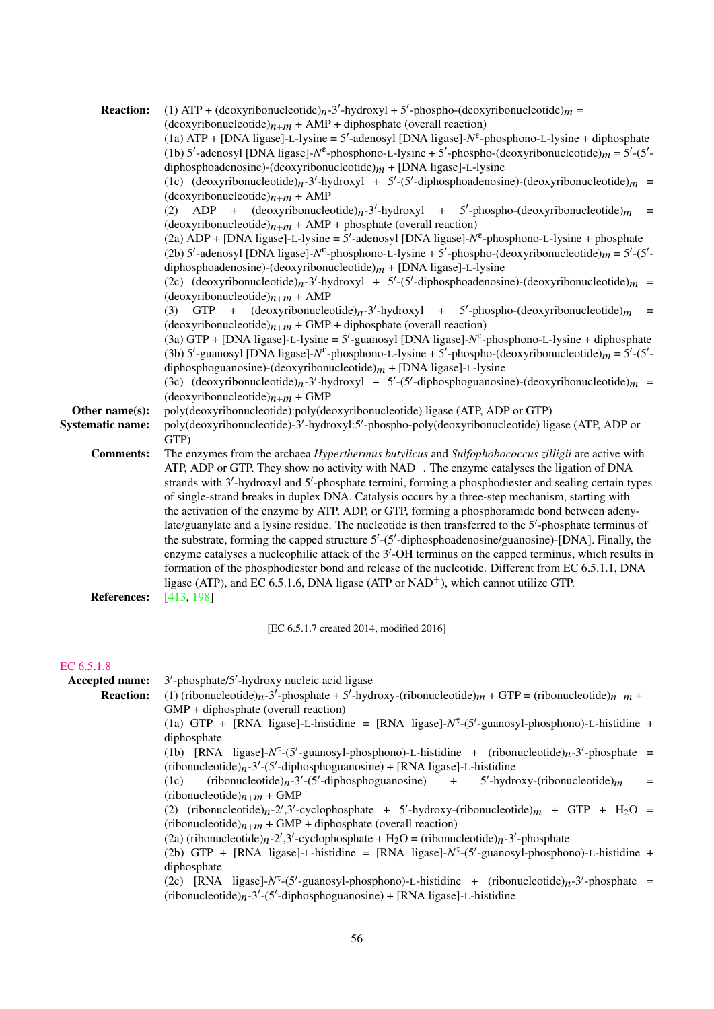| <b>Reaction:</b>        | (1) ATP + (deoxyribonucleotide) $n-3'$ -hydroxyl + 5'-phospho-(deoxyribonucleotide) $m =$                           |
|-------------------------|---------------------------------------------------------------------------------------------------------------------|
|                         | $(deoxyribonucleotide)_{n+m} + AMP + diphosphate (overall reaction)$                                                |
|                         | (1a) ATP + [DNA ligase]-L-lysine = 5'-adenosyl [DNA ligase]- $N^{\epsilon}$ -phosphono-L-lysine + diphosphate       |
|                         | (1b) 5'-adenosyl [DNA ligase]- $N^{\epsilon}$ -phosphono-L-lysine + 5'-phospho-(deoxyribonucleotide) $m = 5'$ -(5'- |
|                         | diphosphoadenosine)-(deoxyribonucleotide) $m + [DNA$ ligase]-L-lysine                                               |
|                         | (1c) (deoxyribonucleotide) $n-3'$ -hydroxyl + 5'-(5'-diphosphoadenosine)-(deoxyribonucleotide) $m =$                |
|                         | $(deoxyribonucleotide)_{n+m} + AMP$                                                                                 |
|                         | ADP + $(deoxyribonucleotide)n-3'-hydroxyl$ + 5'-phospho-(deoxyribonucleotide) <sub>m</sub> =<br>(2)                 |
|                         | $(deoxyribonucleotide)_{n+m} + AMP + phosphate (overall reaction)$                                                  |
|                         | (2a) ADP + [DNA ligase]-L-lysine = 5'-adenosyl [DNA ligase]- $N^{\epsilon}$ -phosphono-L-lysine + phosphate         |
|                         | (2b) 5'-adenosyl [DNA ligase]- $N^{\epsilon}$ -phosphono-L-lysine + 5'-phospho-(deoxyribonucleotide) $m = 5'$ -(5'- |
|                         | diphosphoadenosine)-(deoxyribonucleotide) $m +$ [DNA ligase]-L-lysine                                               |
|                         | (2c) (deoxyribonucleotide) $n-3'$ -hydroxyl + 5'-(5'-diphosphoadenosine)-(deoxyribonucleotide) $m =$                |
|                         | $(deoxyribonucleotide)_{n+m} + AMP$                                                                                 |
|                         | GTP + $(deoxyribonucleotide)n$ -3'-hydroxyl + 5'-phospho-(deoxyribonucleotide) <sub>m</sub><br>(3)                  |
|                         | $(deoxyribonucleotide)_{n+m} + GMP + diphosphate (overall reaction)$                                                |
|                         | (3a) GTP + [DNA ligase]-L-lysine = $5'$ -guanosyl [DNA ligase]- $N^{\epsilon}$ -phosphono-L-lysine + diphosphate    |
|                         | (3b) 5'-guanosyl [DNA ligase]- $N^{\epsilon}$ -phosphono-L-lysine + 5'-phospho-(deoxyribonucleotide) $m = 5'$ -(5'- |
|                         | diphosphoguanosine)-(deoxyribonucleotide) $m + [DNA$ ligase]-L-lysine                                               |
|                         | (3c) (deoxyribonucleotide) $n-3$ -hydroxyl + 5'-(5'-diphosphoguanosine)-(deoxyribonucleotide) $m =$                 |
|                         | $(deoxyribonucleotide)_{n+m} + GMP$                                                                                 |
| Other name(s):          | poly(deoxyribonucleotide):poly(deoxyribonucleotide) ligase (ATP, ADP or GTP)                                        |
| <b>Systematic name:</b> | poly(deoxyribonucleotide)-3'-hydroxyl:5'-phospho-poly(deoxyribonucleotide) ligase (ATP, ADP or<br>GTP)              |
| <b>Comments:</b>        | The enzymes from the archaea Hyperthermus butylicus and Sulfophobococcus zilligii are active with                   |
|                         | ATP, ADP or GTP. They show no activity with $NAD+$ . The enzyme catalyses the ligation of DNA                       |
|                         | strands with $3'$ -hydroxyl and $5'$ -phosphate termini, forming a phosphodiester and sealing certain types         |
|                         | of single-strand breaks in duplex DNA. Catalysis occurs by a three-step mechanism, starting with                    |
|                         | the activation of the enzyme by ATP, ADP, or GTP, forming a phosphoramide bond between adeny-                       |
|                         | late/guanylate and a lysine residue. The nucleotide is then transferred to the $5'$ -phosphate terminus of          |
|                         | the substrate, forming the capped structure 5'-(5'-diphosphoadenosine/guanosine)-[DNA]. Finally, the                |
|                         | enzyme catalyses a nucleophilic attack of the 3'-OH terminus on the capped terminus, which results in               |
|                         | formation of the phosphodiester bond and release of the nucleotide. Different from EC 6.5.1.1, DNA                  |
|                         | ligase (ATP), and EC 6.5.1.6, DNA ligase (ATP or $NAD^+$ ), which cannot utilize GTP.                               |
| <b>References:</b>      | [413, 198]                                                                                                          |
|                         |                                                                                                                     |
|                         | [EC 6.5.1.7 created 2014, modified 2016]                                                                            |
| EC 6.5.1.8              |                                                                                                                     |
| Accepted name:          | $3'$ -phosphate/ $5'$ -hydroxy nucleic acid ligase                                                                  |
| <b>Reaction:</b>        | (1) (ribonucleotide) $n-3'$ -phosphate + 5'-hydroxy-(ribonucleotide) $m + GTP = (ribonucleotide)_{n+m} +$           |
|                         | GMP + diphosphate (overall reaction)                                                                                |
|                         | (1a) GTP + [RNA ligase]-L-histidine = [RNA ligase]- $N^{\tau}$ -(5'-guanosyl-phosphono)-L-histidine +               |
|                         | diphosphate                                                                                                         |

(1b) [RNA ligase]- $N^{\tau}$ -(5'-guanosyl-phosphono)-L-histidine + (ribonucleotide)<sub>*n*</sub>-3'-phosphate =  $(ribonucleotide)<sub>n</sub> - 3' - (5'-diphosphoguanosine) + [RNA ligase] - L-histidine$ 

(1c) (ribonucleotide) $n-3'$ -(5<sup>'</sup>-diphosphoguanosine) + 5<sup>'</sup>-hydroxy-(ribonucleotide) $m =$  $(ribonucleotide)_{n+m}$  + GMP

(2) (ribonucleotide)<sub>n</sub>-2',3'-cyclophosphate + 5'-hydroxy-(ribonucleotide)<sub>m</sub> + GTP + H<sub>2</sub>O =  $(ribonucleotide)<sub>n+m</sub> + GMP + diphosphate (overall reaction)$ 

 $(2a)$  (ribonucleotide)<sub>n</sub>-2',3'-cyclophosphate + H<sub>2</sub>O = (ribonucleotide)<sub>n</sub>-3'-phosphate

(2b) GTP + [RNA ligase]-L-histidine = [RNA ligase]- $N^{\tau}$ -(5'-guanosyl-phosphono)-L-histidine + diphosphate

(2c) [RNA ligase]- $N^{\tau}$ -(5'-guanosyl-phosphono)-L-histidine + (ribonucleotide)<sub>*n*</sub>-3'-phosphate =  $(ribonucleotide)<sub>n</sub> - 3' - (5'-diphosphoguanosine) + [RNA ligase] - L-histidine$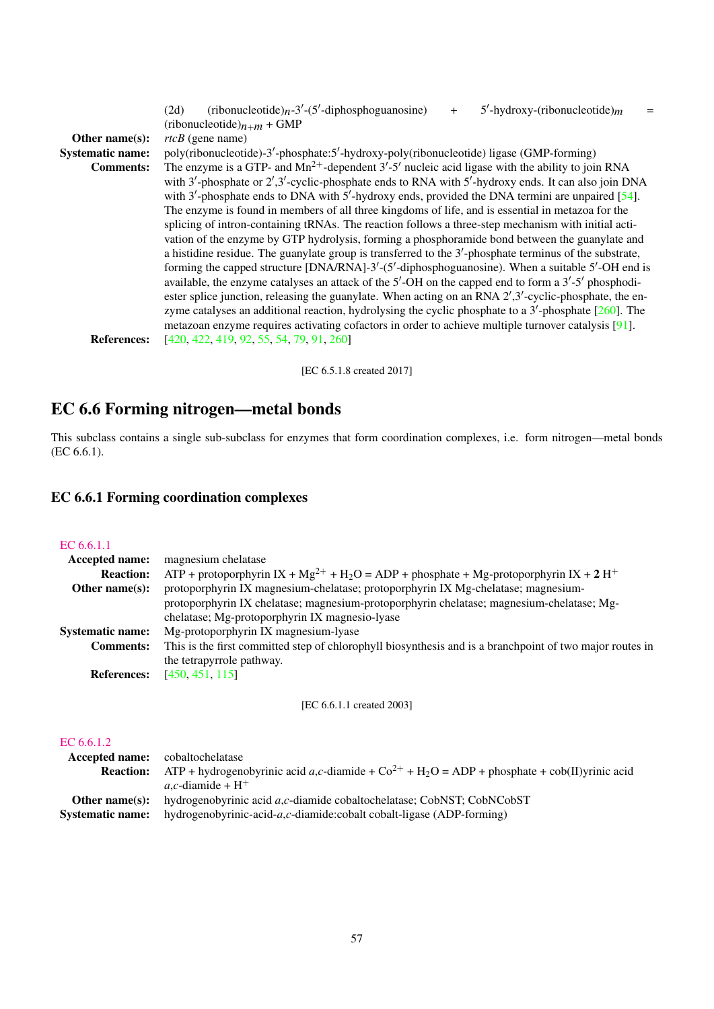|                         | (ribonucleotide) $n-3'$ -(5'-diphosphoguanosine)<br>$5'$ -hydroxy-(ribonucleotide) <sub>m</sub><br>(2d)<br>$+$           |
|-------------------------|--------------------------------------------------------------------------------------------------------------------------|
|                         | (ribonucleotide) $n+m +$ GMP                                                                                             |
| Other name $(s)$ :      | $rtcB$ (gene name)                                                                                                       |
| <b>Systematic name:</b> | poly(ribonucleotide)-3'-phosphate:5'-hydroxy-poly(ribonucleotide) ligase (GMP-forming)                                   |
| <b>Comments:</b>        | The enzyme is a GTP- and $Mn^{2+}$ -dependent 3'-5' nucleic acid ligase with the ability to join RNA                     |
|                         | with $3'$ -phosphate or $2',3'$ -cyclic-phosphate ends to RNA with $5'$ -hydroxy ends. It can also join DNA              |
|                         | with 3'-phosphate ends to DNA with 5'-hydroxy ends, provided the DNA termini are unpaired $[54]$ .                       |
|                         | The enzyme is found in members of all three kingdoms of life, and is essential in metazoa for the                        |
|                         | splicing of intron-containing tRNAs. The reaction follows a three-step mechanism with initial acti-                      |
|                         | vation of the enzyme by GTP hydrolysis, forming a phosphoramide bond between the guanylate and                           |
|                         | a histidine residue. The guanylate group is transferred to the $3'$ -phosphate terminus of the substrate,                |
|                         | forming the capped structure [DNA/RNA]-3'-(5'-diphosphoguanosine). When a suitable 5'-OH end is                          |
|                         | available, the enzyme catalyses an attack of the $5'$ -OH on the capped end to form a $3'-5'$ phosphodi-                 |
|                         | ester splice junction, releasing the guanylate. When acting on an RNA $2^{\prime},3^{\prime}$ -cyclic-phosphate, the en- |
|                         | zyme catalyses an additional reaction, hydrolysing the cyclic phosphate to a $3'$ -phosphate [260]. The                  |
|                         | metazoan enzyme requires activating cofactors in order to achieve multiple turnover catalysis $[91]$ .                   |
| <b>References:</b>      | [420, 422, 419, 92, 55, 54, 79, 91, 260]                                                                                 |
|                         |                                                                                                                          |

[EC 6.5.1.8 created 2017]

# EC 6.6 Forming nitrogen—metal bonds

This subclass contains a single sub-subclass for enzymes that form coordination complexes, i.e. form nitrogen—metal bonds (EC 6.6.1).

# EC 6.6.1 Forming coordination complexes

#### [EC 6.6.1.1](http://www.enzyme-database.org/query.php?ec=6.6.1.1)

| magnesium chelatase                                                                                                |
|--------------------------------------------------------------------------------------------------------------------|
| ATP + protoporphyrin IX + $Mg^{2+}$ + H <sub>2</sub> O = ADP + phosphate + Mg-protoporphyrin IX + 2 H <sup>+</sup> |
| protoporphyrin IX magnesium-chelatase; protoporphyrin IX Mg-chelatase; magnesium-                                  |
| protoporphyrin IX chelatase; magnesium-protoporphyrin chelatase; magnesium-chelatase; Mg-                          |
| chelatase; Mg-protoporphyrin IX magnesio-lyase                                                                     |
| Mg-protoporphyrin IX magnesium-lyase                                                                               |
| This is the first committed step of chlorophyll biosynthesis and is a branchpoint of two major routes in           |
| the tetrapyrrole pathway.                                                                                          |
| [450, 451, 115]                                                                                                    |
|                                                                                                                    |

[EC 6.6.1.1 created 2003]

# [EC 6.6.1.2](http://www.enzyme-database.org/query.php?ec=6.6.1.2)

| <b>Accepted name:</b> cobaltochelatase |                                                                                                               |
|----------------------------------------|---------------------------------------------------------------------------------------------------------------|
| <b>Reaction:</b>                       | ATP + hydrogenobyrinic acid a,c-diamide + $Co^{2+}$ + H <sub>2</sub> O = ADP + phosphate + cob(II)yrinic acid |
|                                        | $a, c$ -diamide + H <sup>+</sup>                                                                              |
| Other name $(s)$ :                     | hydrogenobyrinic acid a,c-diamide cobaltochelatase; CobNST; CobNCobST                                         |
| <b>Systematic name:</b>                | hydrogenobyrinic-acid- $a,c$ -diamide:cobalt cobalt-ligase (ADP-forming)                                      |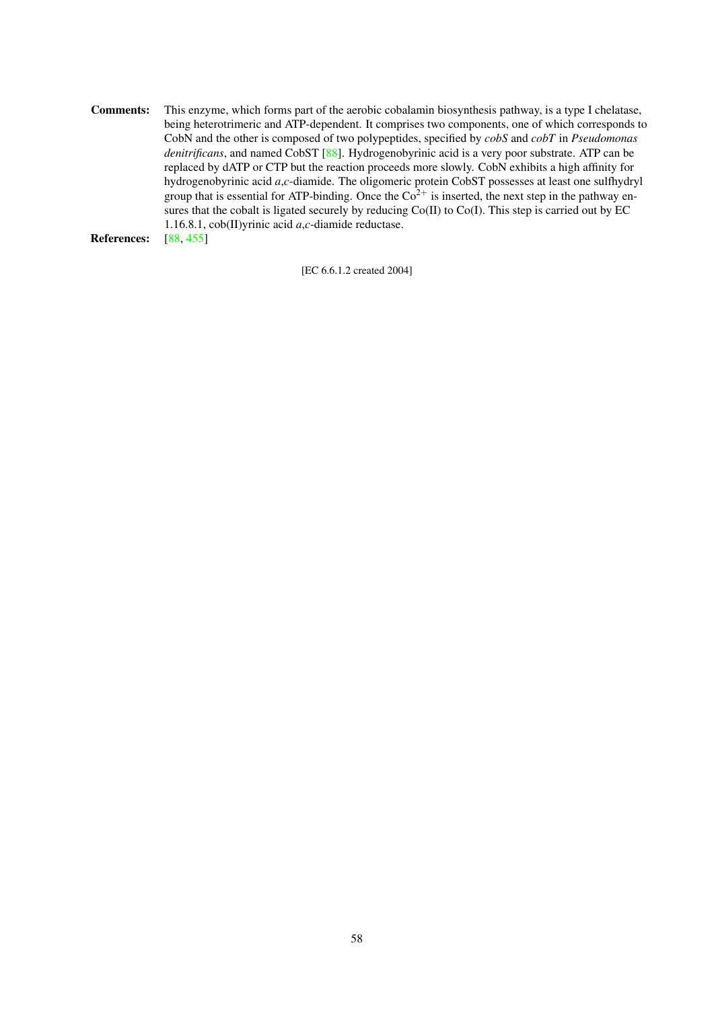Comments: This enzyme, which forms part of the aerobic cobalamin biosynthesis pathway, is a type I chelatase, being heterotrimeric and ATP-dependent. It comprises two components, one of which corresponds to CobN and the other is composed of two polypeptides, specified by *cobS* and *cobT* in *Pseudomonas denitrificans*, and named CobST [\[88\]](#page-62-8). Hydrogenobyrinic acid is a very poor substrate. ATP can be replaced by dATP or CTP but the reaction proceeds more slowly. CobN exhibits a high affinity for hydrogenobyrinic acid *a*,*c*-diamide. The oligomeric protein CobST possesses at least one sulfhydryl group that is essential for ATP-binding. Once the  $Co<sup>2+</sup>$  is inserted, the next step in the pathway ensures that the cobalt is ligated securely by reducing  $Co(II)$  to  $Co(I)$ . This step is carried out by EC 1.16.8.1, cob(II)yrinic acid *a*,*c*-diamide reductase. References: [\[88,](#page-62-8) [455\]](#page-80-5)

[EC 6.6.1.2 created 2004]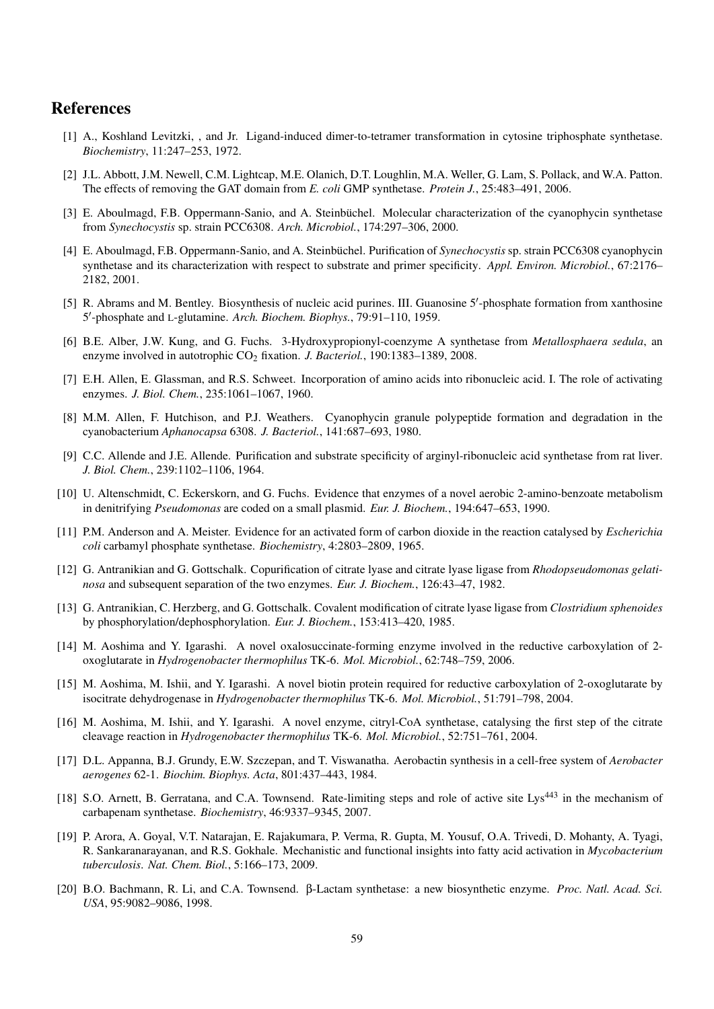# References

- <span id="page-58-2"></span>[1] A., Koshland Levitzki, , and Jr. Ligand-induced dimer-to-tetramer transformation in cytosine triphosphate synthetase. *Biochemistry*, 11:247–253, 1972.
- <span id="page-58-4"></span>[2] J.L. Abbott, J.M. Newell, C.M. Lightcap, M.E. Olanich, D.T. Loughlin, M.A. Weller, G. Lam, S. Pollack, and W.A. Patton. The effects of removing the GAT domain from *E. coli* GMP synthetase. *Protein J.*, 25:483–491, 2006.
- [3] E. Aboulmagd, F.B. Oppermann-Sanio, and A. Steinbüchel. Molecular characterization of the cyanophycin synthetase from *Synechocystis* sp. strain PCC6308. *Arch. Microbiol.*, 174:297–306, 2000.
- [4] E. Aboulmagd, F.B. Oppermann-Sanio, and A. Steinbüchel. Purification of *Synechocystis* sp. strain PCC6308 cyanophycin synthetase and its characterization with respect to substrate and primer specificity. *Appl. Environ. Microbiol.*, 67:2176– 2182, 2001.
- <span id="page-58-3"></span>[5] R. Abrams and M. Bentley. Biosynthesis of nucleic acid purines. III. Guanosine 5'-phosphate formation from xanthosine 5 0 -phosphate and L-glutamine. *Arch. Biochem. Biophys.*, 79:91–110, 1959.
- [6] B.E. Alber, J.W. Kung, and G. Fuchs. 3-Hydroxypropionyl-coenzyme A synthetase from *Metallosphaera sedula*, an enzyme involved in autotrophic CO<sup>2</sup> fixation. *J. Bacteriol.*, 190:1383–1389, 2008.
- [7] E.H. Allen, E. Glassman, and R.S. Schweet. Incorporation of amino acids into ribonucleic acid. I. The role of activating enzymes. *J. Biol. Chem.*, 235:1061–1067, 1960.
- [8] M.M. Allen, F. Hutchison, and P.J. Weathers. Cyanophycin granule polypeptide formation and degradation in the cyanobacterium *Aphanocapsa* 6308. *J. Bacteriol.*, 141:687–693, 1980.
- [9] C.C. Allende and J.E. Allende. Purification and substrate specificity of arginyl-ribonucleic acid synthetase from rat liver. *J. Biol. Chem.*, 239:1102–1106, 1964.
- [10] U. Altenschmidt, C. Eckerskorn, and G. Fuchs. Evidence that enzymes of a novel aerobic 2-amino-benzoate metabolism in denitrifying *Pseudomonas* are coded on a small plasmid. *Eur. J. Biochem.*, 194:647–653, 1990.
- <span id="page-58-5"></span>[11] P.M. Anderson and A. Meister. Evidence for an activated form of carbon dioxide in the reaction catalysed by *Escherichia coli* carbamyl phosphate synthetase. *Biochemistry*, 4:2803–2809, 1965.
- [12] G. Antranikian and G. Gottschalk. Copurification of citrate lyase and citrate lyase ligase from *Rhodopseudomonas gelatinosa* and subsequent separation of the two enzymes. *Eur. J. Biochem.*, 126:43–47, 1982.
- [13] G. Antranikian, C. Herzberg, and G. Gottschalk. Covalent modification of citrate lyase ligase from *Clostridium sphenoides* by phosphorylation/dephosphorylation. *Eur. J. Biochem.*, 153:413–420, 1985.
- <span id="page-58-7"></span>[14] M. Aoshima and Y. Igarashi. A novel oxalosuccinate-forming enzyme involved in the reductive carboxylation of 2 oxoglutarate in *Hydrogenobacter thermophilus* TK-6. *Mol. Microbiol.*, 62:748–759, 2006.
- <span id="page-58-6"></span>[15] M. Aoshima, M. Ishii, and Y. Igarashi. A novel biotin protein required for reductive carboxylation of 2-oxoglutarate by isocitrate dehydrogenase in *Hydrogenobacter thermophilus* TK-6. *Mol. Microbiol.*, 51:791–798, 2004.
- [16] M. Aoshima, M. Ishii, and Y. Igarashi. A novel enzyme, citryl-CoA synthetase, catalysing the first step of the citrate cleavage reaction in *Hydrogenobacter thermophilus* TK-6. *Mol. Microbiol.*, 52:751–761, 2004.
- [17] D.L. Appanna, B.J. Grundy, E.W. Szczepan, and T. Viswanatha. Aerobactin synthesis in a cell-free system of *Aerobacter aerogenes* 62-1. *Biochim. Biophys. Acta*, 801:437–443, 1984.
- <span id="page-58-1"></span>[18] S.O. Arnett, B. Gerratana, and C.A. Townsend. Rate-limiting steps and role of active site Lys<sup>443</sup> in the mechanism of carbapenam synthetase. *Biochemistry*, 46:9337–9345, 2007.
- [19] P. Arora, A. Goyal, V.T. Natarajan, E. Rajakumara, P. Verma, R. Gupta, M. Yousuf, O.A. Trivedi, D. Mohanty, A. Tyagi, R. Sankaranarayanan, and R.S. Gokhale. Mechanistic and functional insights into fatty acid activation in *Mycobacterium tuberculosis*. *Nat. Chem. Biol.*, 5:166–173, 2009.
- <span id="page-58-0"></span>[20] B.O. Bachmann, R. Li, and C.A. Townsend. β-Lactam synthetase: a new biosynthetic enzyme. *Proc. Natl. Acad. Sci. USA*, 95:9082–9086, 1998.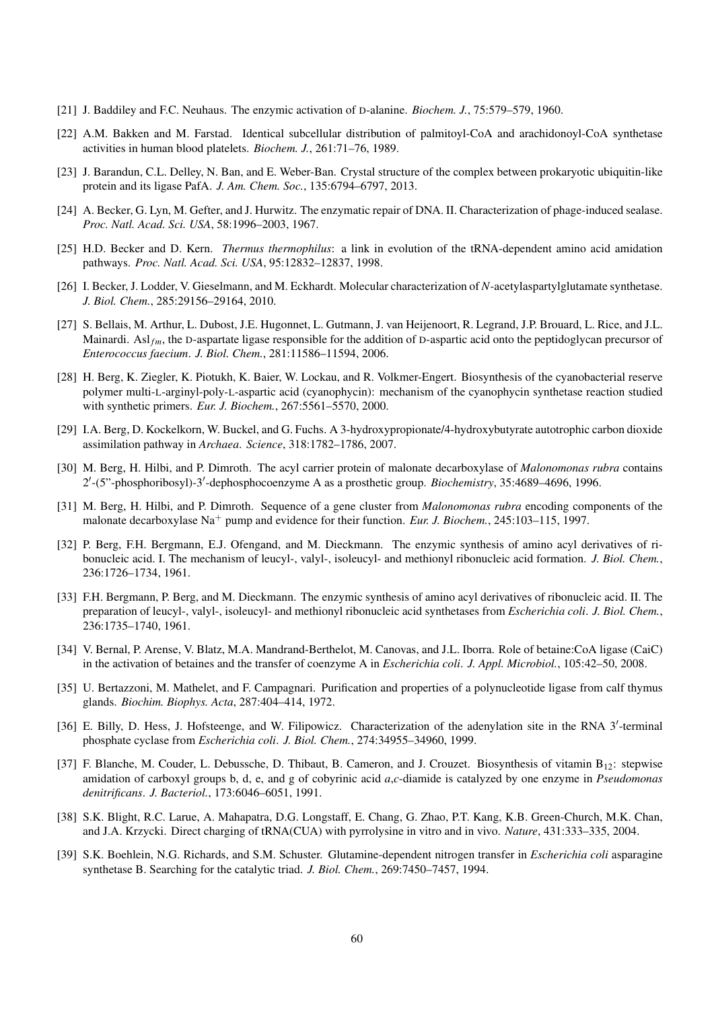- [21] J. Baddiley and F.C. Neuhaus. The enzymic activation of D-alanine. *Biochem. J.*, 75:579–579, 1960.
- [22] A.M. Bakken and M. Farstad. Identical subcellular distribution of palmitoyl-CoA and arachidonoyl-CoA synthetase activities in human blood platelets. *Biochem. J.*, 261:71–76, 1989.
- [23] J. Barandun, C.L. Delley, N. Ban, and E. Weber-Ban. Crystal structure of the complex between prokaryotic ubiquitin-like protein and its ligase PafA. *J. Am. Chem. Soc.*, 135:6794–6797, 2013.
- <span id="page-59-2"></span>[24] A. Becker, G. Lyn, M. Gefter, and J. Hurwitz. The enzymatic repair of DNA. II. Characterization of phage-induced sealase. *Proc. Natl. Acad. Sci. USA*, 58:1996–2003, 1967.
- [25] H.D. Becker and D. Kern. *Thermus thermophilus*: a link in evolution of the tRNA-dependent amino acid amidation pathways. *Proc. Natl. Acad. Sci. USA*, 95:12832–12837, 1998.
- [26] I. Becker, J. Lodder, V. Gieselmann, and M. Eckhardt. Molecular characterization of *N*-acetylaspartylglutamate synthetase. *J. Biol. Chem.*, 285:29156–29164, 2010.
- [27] S. Bellais, M. Arthur, L. Dubost, J.E. Hugonnet, L. Gutmann, J. van Heijenoort, R. Legrand, J.P. Brouard, L. Rice, and J.L. Mainardi. Asl<sub>fm</sub>, the D-aspartate ligase responsible for the addition of D-aspartic acid onto the peptidoglycan precursor of *Enterococcus faecium*. *J. Biol. Chem.*, 281:11586–11594, 2006.
- [28] H. Berg, K. Ziegler, K. Piotukh, K. Baier, W. Lockau, and R. Volkmer-Engert. Biosynthesis of the cyanobacterial reserve polymer multi-L-arginyl-poly-L-aspartic acid (cyanophycin): mechanism of the cyanophycin synthetase reaction studied with synthetic primers. *Eur. J. Biochem.*, 267:5561–5570, 2000.
- [29] I.A. Berg, D. Kockelkorn, W. Buckel, and G. Fuchs. A 3-hydroxypropionate/4-hydroxybutyrate autotrophic carbon dioxide assimilation pathway in *Archaea*. *Science*, 318:1782–1786, 2007.
- [30] M. Berg, H. Hilbi, and P. Dimroth. The acyl carrier protein of malonate decarboxylase of *Malonomonas rubra* contains 2'-(5"-phosphoribosyl)-3'-dephosphocoenzyme A as a prosthetic group. *Biochemistry*, 35:4689-4696, 1996.
- [31] M. Berg, H. Hilbi, and P. Dimroth. Sequence of a gene cluster from *Malonomonas rubra* encoding components of the malonate decarboxylase Na<sup>+</sup> pump and evidence for their function. *Eur. J. Biochem.*, 245:103–115, 1997.
- [32] P. Berg, F.H. Bergmann, E.J. Ofengand, and M. Dieckmann. The enzymic synthesis of amino acyl derivatives of ribonucleic acid. I. The mechanism of leucyl-, valyl-, isoleucyl- and methionyl ribonucleic acid formation. *J. Biol. Chem.*, 236:1726–1734, 1961.
- [33] F.H. Bergmann, P. Berg, and M. Dieckmann. The enzymic synthesis of amino acyl derivatives of ribonucleic acid. II. The preparation of leucyl-, valyl-, isoleucyl- and methionyl ribonucleic acid synthetases from *Escherichia coli*. *J. Biol. Chem.*, 236:1735–1740, 1961.
- [34] V. Bernal, P. Arense, V. Blatz, M.A. Mandrand-Berthelot, M. Canovas, and J.L. Iborra. Role of betaine:CoA ligase (CaiC) in the activation of betaines and the transfer of coenzyme A in *Escherichia coli*. *J. Appl. Microbiol.*, 105:42–50, 2008.
- <span id="page-59-3"></span>[35] U. Bertazzoni, M. Mathelet, and F. Campagnari. Purification and properties of a polynucleotide ligase from calf thymus glands. *Biochim. Biophys. Acta*, 287:404–414, 1972.
- <span id="page-59-4"></span>[36] E. Billy, D. Hess, J. Hofsteenge, and W. Filipowicz. Characterization of the adenylation site in the RNA 3'-terminal phosphate cyclase from *Escherichia coli*. *J. Biol. Chem.*, 274:34955–34960, 1999.
- <span id="page-59-1"></span>[37] F. Blanche, M. Couder, L. Debussche, D. Thibaut, B. Cameron, and J. Crouzet. Biosynthesis of vitamin B<sub>12</sub>: stepwise amidation of carboxyl groups b, d, e, and g of cobyrinic acid *a*,*c*-diamide is catalyzed by one enzyme in *Pseudomonas denitrificans*. *J. Bacteriol.*, 173:6046–6051, 1991.
- [38] S.K. Blight, R.C. Larue, A. Mahapatra, D.G. Longstaff, E. Chang, G. Zhao, P.T. Kang, K.B. Green-Church, M.K. Chan, and J.A. Krzycki. Direct charging of tRNA(CUA) with pyrrolysine in vitro and in vivo. *Nature*, 431:333–335, 2004.
- <span id="page-59-0"></span>[39] S.K. Boehlein, N.G. Richards, and S.M. Schuster. Glutamine-dependent nitrogen transfer in *Escherichia coli* asparagine synthetase B. Searching for the catalytic triad. *J. Biol. Chem.*, 269:7450–7457, 1994.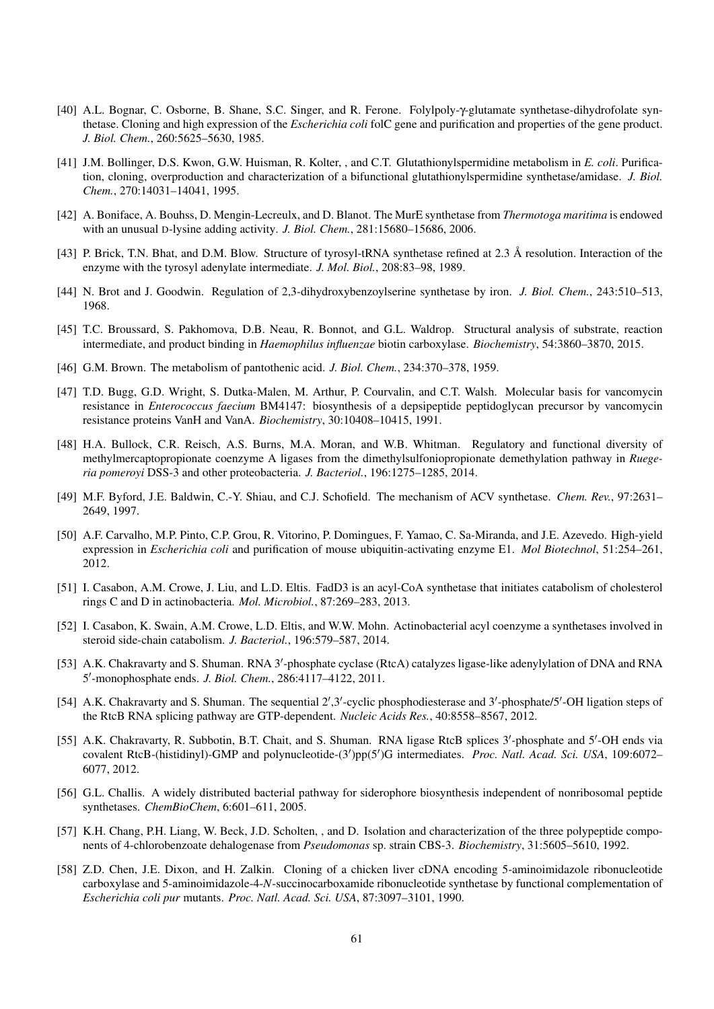- [40] A.L. Bognar, C. Osborne, B. Shane, S.C. Singer, and R. Ferone. Folylpoly-γ-glutamate synthetase-dihydrofolate synthetase. Cloning and high expression of the *Escherichia coli* folC gene and purification and properties of the gene product. *J. Biol. Chem.*, 260:5625–5630, 1985.
- [41] J.M. Bollinger, D.S. Kwon, G.W. Huisman, R. Kolter, , and C.T. Glutathionylspermidine metabolism in *E. coli*. Purification, cloning, overproduction and characterization of a bifunctional glutathionylspermidine synthetase/amidase. *J. Biol. Chem.*, 270:14031–14041, 1995.
- [42] A. Boniface, A. Bouhss, D. Mengin-Lecreulx, and D. Blanot. The MurE synthetase from *Thermotoga maritima* is endowed with an unusual D-lysine adding activity. *J. Biol. Chem.*, 281:15680–15686, 2006.
- [43] P. Brick, T.N. Bhat, and D.M. Blow. Structure of tyrosyl-tRNA synthetase refined at 2.3 Å resolution. Interaction of the enzyme with the tyrosyl adenylate intermediate. *J. Mol. Biol.*, 208:83–98, 1989.
- [44] N. Brot and J. Goodwin. Regulation of 2,3-dihydroxybenzoylserine synthetase by iron. *J. Biol. Chem.*, 243:510–513, 1968.
- <span id="page-60-0"></span>[45] T.C. Broussard, S. Pakhomova, D.B. Neau, R. Bonnot, and G.L. Waldrop. Structural analysis of substrate, reaction intermediate, and product binding in *Haemophilus influenzae* biotin carboxylase. *Biochemistry*, 54:3860–3870, 2015.
- [46] G.M. Brown. The metabolism of pantothenic acid. *J. Biol. Chem.*, 234:370–378, 1959.
- [47] T.D. Bugg, G.D. Wright, S. Dutka-Malen, M. Arthur, P. Courvalin, and C.T. Walsh. Molecular basis for vancomycin resistance in *Enterococcus faecium* BM4147: biosynthesis of a depsipeptide peptidoglycan precursor by vancomycin resistance proteins VanH and VanA. *Biochemistry*, 30:10408–10415, 1991.
- [48] H.A. Bullock, C.R. Reisch, A.S. Burns, M.A. Moran, and W.B. Whitman. Regulatory and functional diversity of methylmercaptopropionate coenzyme A ligases from the dimethylsulfoniopropionate demethylation pathway in *Ruegeria pomeroyi* DSS-3 and other proteobacteria. *J. Bacteriol.*, 196:1275–1285, 2014.
- [49] M.F. Byford, J.E. Baldwin, C.-Y. Shiau, and C.J. Schofield. The mechanism of ACV synthetase. *Chem. Rev.*, 97:2631– 2649, 1997.
- [50] A.F. Carvalho, M.P. Pinto, C.P. Grou, R. Vitorino, P. Domingues, F. Yamao, C. Sa-Miranda, and J.E. Azevedo. High-yield expression in *Escherichia coli* and purification of mouse ubiquitin-activating enzyme E1. *Mol Biotechnol*, 51:254–261, 2012.
- [51] I. Casabon, A.M. Crowe, J. Liu, and L.D. Eltis. FadD3 is an acyl-CoA synthetase that initiates catabolism of cholesterol rings C and D in actinobacteria. *Mol. Microbiol.*, 87:269–283, 2013.
- [52] I. Casabon, K. Swain, A.M. Crowe, L.D. Eltis, and W.W. Mohn. Actinobacterial acyl coenzyme a synthetases involved in steroid side-chain catabolism. *J. Bacteriol.*, 196:579–587, 2014.
- <span id="page-60-1"></span>[53] A.K. Chakravarty and S. Shuman. RNA 3'-phosphate cyclase (RtcA) catalyzes ligase-like adenylylation of DNA and RNA 5 0 -monophosphate ends. *J. Biol. Chem.*, 286:4117–4122, 2011.
- <span id="page-60-2"></span>[54] A.K. Chakravarty and S. Shuman. The sequential 2',3'-cyclic phosphodiesterase and 3'-phosphate/5'-OH ligation steps of the RtcB RNA splicing pathway are GTP-dependent. *Nucleic Acids Res.*, 40:8558–8567, 2012.
- <span id="page-60-3"></span>[55] A.K. Chakravarty, R. Subbotin, B.T. Chait, and S. Shuman. RNA ligase RtcB splices 3'-phosphate and 5'-OH ends via covalent RtcB-(histidinyl)-GMP and polynucleotide-(3')pp(5')G intermediates. *Proc. Natl. Acad. Sci. USA*, 109:6072-6077, 2012.
- [56] G.L. Challis. A widely distributed bacterial pathway for siderophore biosynthesis independent of nonribosomal peptide synthetases. *ChemBioChem*, 6:601–611, 2005.
- [57] K.H. Chang, P.H. Liang, W. Beck, J.D. Scholten, , and D. Isolation and characterization of the three polypeptide components of 4-chlorobenzoate dehalogenase from *Pseudomonas* sp. strain CBS-3. *Biochemistry*, 31:5605–5610, 1992.
- [58] Z.D. Chen, J.E. Dixon, and H. Zalkin. Cloning of a chicken liver cDNA encoding 5-aminoimidazole ribonucleotide carboxylase and 5-aminoimidazole-4-*N*-succinocarboxamide ribonucleotide synthetase by functional complementation of *Escherichia coli pur* mutants. *Proc. Natl. Acad. Sci. USA*, 87:3097–3101, 1990.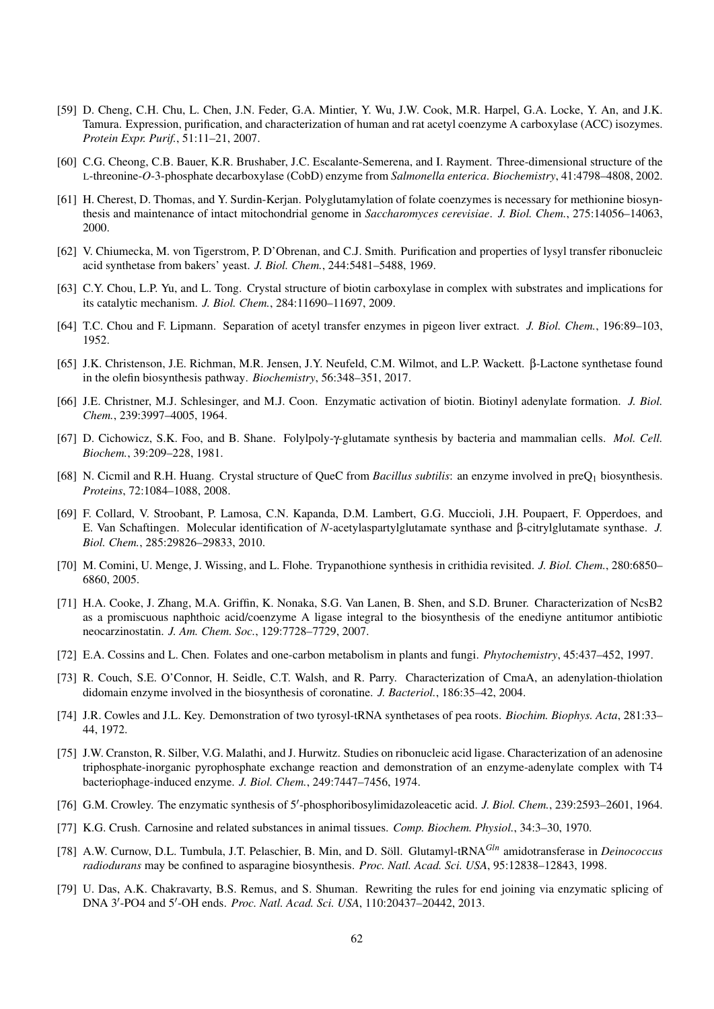- <span id="page-61-4"></span>[59] D. Cheng, C.H. Chu, L. Chen, J.N. Feder, G.A. Mintier, Y. Wu, J.W. Cook, M.R. Harpel, G.A. Locke, Y. An, and J.K. Tamura. Expression, purification, and characterization of human and rat acetyl coenzyme A carboxylase (ACC) isozymes. *Protein Expr. Purif.*, 51:11–21, 2007.
- [60] C.G. Cheong, C.B. Bauer, K.R. Brushaber, J.C. Escalante-Semerena, and I. Rayment. Three-dimensional structure of the L-threonine-*O*-3-phosphate decarboxylase (CobD) enzyme from *Salmonella enterica*. *Biochemistry*, 41:4798–4808, 2002.
- [61] H. Cherest, D. Thomas, and Y. Surdin-Kerjan. Polyglutamylation of folate coenzymes is necessary for methionine biosynthesis and maintenance of intact mitochondrial genome in *Saccharomyces cerevisiae*. *J. Biol. Chem.*, 275:14056–14063, 2000.
- [62] V. Chiumecka, M. von Tigerstrom, P. D'Obrenan, and C.J. Smith. Purification and properties of lysyl transfer ribonucleic acid synthetase from bakers' yeast. *J. Biol. Chem.*, 244:5481–5488, 1969.
- <span id="page-61-1"></span>[63] C.Y. Chou, L.P. Yu, and L. Tong. Crystal structure of biotin carboxylase in complex with substrates and implications for its catalytic mechanism. *J. Biol. Chem.*, 284:11690–11697, 2009.
- [64] T.C. Chou and F. Lipmann. Separation of acetyl transfer enzymes in pigeon liver extract. *J. Biol. Chem.*, 196:89–103, 1952.
- [65] J.K. Christenson, J.E. Richman, M.R. Jensen, J.Y. Neufeld, C.M. Wilmot, and L.P. Wackett. β-Lactone synthetase found in the olefin biosynthesis pathway. *Biochemistry*, 56:348–351, 2017.
- [66] J.E. Christner, M.J. Schlesinger, and M.J. Coon. Enzymatic activation of biotin. Biotinyl adenylate formation. *J. Biol. Chem.*, 239:3997–4005, 1964.
- [67] D. Cichowicz, S.K. Foo, and B. Shane. Folylpoly-γ-glutamate synthesis by bacteria and mammalian cells. *Mol. Cell. Biochem.*, 39:209–228, 1981.
- <span id="page-61-2"></span>[68] N. Cicmil and R.H. Huang. Crystal structure of QueC from *Bacillus subtilis*: an enzyme involved in preQ<sup>1</sup> biosynthesis. *Proteins*, 72:1084–1088, 2008.
- [69] F. Collard, V. Stroobant, P. Lamosa, C.N. Kapanda, D.M. Lambert, G.G. Muccioli, J.H. Poupaert, F. Opperdoes, and E. Van Schaftingen. Molecular identification of *N*-acetylaspartylglutamate synthase and β-citrylglutamate synthase. *J. Biol. Chem.*, 285:29826–29833, 2010.
- [70] M. Comini, U. Menge, J. Wissing, and L. Flohe. Trypanothione synthesis in crithidia revisited. *J. Biol. Chem.*, 280:6850– 6860, 2005.
- [71] H.A. Cooke, J. Zhang, M.A. Griffin, K. Nonaka, S.G. Van Lanen, B. Shen, and S.D. Bruner. Characterization of NcsB2 as a promiscuous naphthoic acid/coenzyme A ligase integral to the biosynthesis of the enediyne antitumor antibiotic neocarzinostatin. *J. Am. Chem. Soc.*, 129:7728–7729, 2007.
- [72] E.A. Cossins and L. Chen. Folates and one-carbon metabolism in plants and fungi. *Phytochemistry*, 45:437–452, 1997.
- [73] R. Couch, S.E. O'Connor, H. Seidle, C.T. Walsh, and R. Parry. Characterization of CmaA, an adenylation-thiolation didomain enzyme involved in the biosynthesis of coronatine. *J. Bacteriol.*, 186:35–42, 2004.
- [74] J.R. Cowles and J.L. Key. Demonstration of two tyrosyl-tRNA synthetases of pea roots. *Biochim. Biophys. Acta*, 281:33– 44, 1972.
- <span id="page-61-5"></span>[75] J.W. Cranston, R. Silber, V.G. Malathi, and J. Hurwitz. Studies on ribonucleic acid ligase. Characterization of an adenosine triphosphate-inorganic pyrophosphate exchange reaction and demonstration of an enzyme-adenylate complex with T4 bacteriophage-induced enzyme. *J. Biol. Chem.*, 249:7447–7456, 1974.
- <span id="page-61-0"></span>[76] G.M. Crowley. The enzymatic synthesis of 5'-phosphoribosylimidazoleacetic acid. *J. Biol. Chem.*, 239:2593-2601, 1964.
- [77] K.G. Crush. Carnosine and related substances in animal tissues. *Comp. Biochem. Physiol.*, 34:3–30, 1970.
- <span id="page-61-3"></span>[78] A.W. Curnow, D.L. Tumbula, J.T. Pelaschier, B. Min, and D. Söll. Glutamyl-tRNA<sup>GIn</sup> amidotransferase in *Deinococcus radiodurans* may be confined to asparagine biosynthesis. *Proc. Natl. Acad. Sci. USA*, 95:12838–12843, 1998.
- <span id="page-61-6"></span>[79] U. Das, A.K. Chakravarty, B.S. Remus, and S. Shuman. Rewriting the rules for end joining via enzymatic splicing of DNA 3'-PO4 and 5'-OH ends. *Proc. Natl. Acad. Sci. USA*, 110:20437-20442, 2013.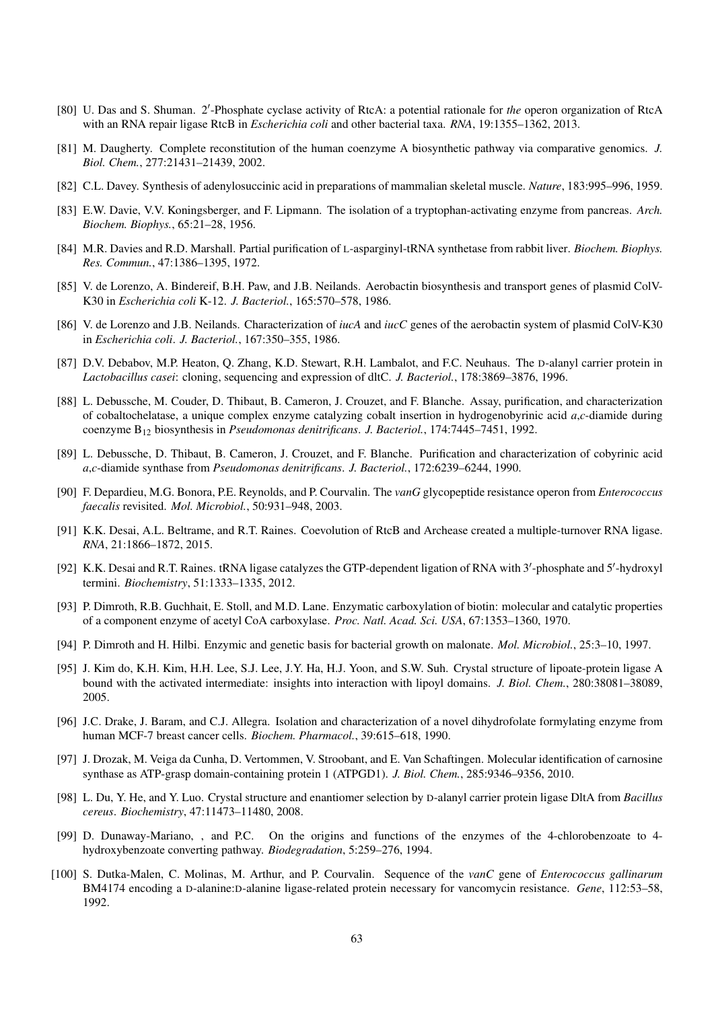- <span id="page-62-5"></span>[80] U. Das and S. Shuman. 2'-Phosphate cyclase activity of RtcA: a potential rationale for *the* operon organization of RtcA with an RNA repair ligase RtcB in *Escherichia coli* and other bacterial taxa. *RNA*, 19:1355–1362, 2013.
- <span id="page-62-0"></span>[81] M. Daugherty. Complete reconstitution of the human coenzyme A biosynthetic pathway via comparative genomics. *J. Biol. Chem.*, 277:21431–21439, 2002.
- <span id="page-62-1"></span>[82] C.L. Davey. Synthesis of adenylosuccinic acid in preparations of mammalian skeletal muscle. *Nature*, 183:995–996, 1959.
- [83] E.W. Davie, V.V. Koningsberger, and F. Lipmann. The isolation of a tryptophan-activating enzyme from pancreas. *Arch. Biochem. Biophys.*, 65:21–28, 1956.
- [84] M.R. Davies and R.D. Marshall. Partial purification of L-asparginyl-tRNA synthetase from rabbit liver. *Biochem. Biophys. Res. Commun.*, 47:1386–1395, 1972.
- [85] V. de Lorenzo, A. Bindereif, B.H. Paw, and J.B. Neilands. Aerobactin biosynthesis and transport genes of plasmid ColV-K30 in *Escherichia coli* K-12. *J. Bacteriol.*, 165:570–578, 1986.
- [86] V. de Lorenzo and J.B. Neilands. Characterization of *iucA* and *iucC* genes of the aerobactin system of plasmid ColV-K30 in *Escherichia coli*. *J. Bacteriol.*, 167:350–355, 1986.
- [87] D.V. Debabov, M.P. Heaton, Q. Zhang, K.D. Stewart, R.H. Lambalot, and F.C. Neuhaus. The D-alanyl carrier protein in *Lactobacillus casei*: cloning, sequencing and expression of dltC. *J. Bacteriol.*, 178:3869–3876, 1996.
- <span id="page-62-8"></span>[88] L. Debussche, M. Couder, D. Thibaut, B. Cameron, J. Crouzet, and F. Blanche. Assay, purification, and characterization of cobaltochelatase, a unique complex enzyme catalyzing cobalt insertion in hydrogenobyrinic acid *a*,*c*-diamide during coenzyme B<sup>12</sup> biosynthesis in *Pseudomonas denitrificans*. *J. Bacteriol.*, 174:7445–7451, 1992.
- <span id="page-62-4"></span>[89] L. Debussche, D. Thibaut, B. Cameron, J. Crouzet, and F. Blanche. Purification and characterization of cobyrinic acid *a*,*c*-diamide synthase from *Pseudomonas denitrificans*. *J. Bacteriol.*, 172:6239–6244, 1990.
- [90] F. Depardieu, M.G. Bonora, P.E. Reynolds, and P. Courvalin. The *vanG* glycopeptide resistance operon from *Enterococcus faecalis* revisited. *Mol. Microbiol.*, 50:931–948, 2003.
- <span id="page-62-6"></span>[91] K.K. Desai, A.L. Beltrame, and R.T. Raines. Coevolution of RtcB and Archease created a multiple-turnover RNA ligase. *RNA*, 21:1866–1872, 2015.
- <span id="page-62-7"></span>[92] K.K. Desai and R.T. Raines. tRNA ligase catalyzes the GTP-dependent ligation of RNA with 3'-phosphate and 5'-hydroxyl termini. *Biochemistry*, 51:1333–1335, 2012.
- <span id="page-62-2"></span>[93] P. Dimroth, R.B. Guchhait, E. Stoll, and M.D. Lane. Enzymatic carboxylation of biotin: molecular and catalytic properties of a component enzyme of acetyl CoA carboxylase. *Proc. Natl. Acad. Sci. USA*, 67:1353–1360, 1970.
- [94] P. Dimroth and H. Hilbi. Enzymic and genetic basis for bacterial growth on malonate. *Mol. Microbiol.*, 25:3–10, 1997.
- [95] J. Kim do, K.H. Kim, H.H. Lee, S.J. Lee, J.Y. Ha, H.J. Yoon, and S.W. Suh. Crystal structure of lipoate-protein ligase A bound with the activated intermediate: insights into interaction with lipoyl domains. *J. Biol. Chem.*, 280:38081–38089, 2005.
- <span id="page-62-3"></span>[96] J.C. Drake, J. Baram, and C.J. Allegra. Isolation and characterization of a novel dihydrofolate formylating enzyme from human MCF-7 breast cancer cells. *Biochem. Pharmacol.*, 39:615–618, 1990.
- [97] J. Drozak, M. Veiga da Cunha, D. Vertommen, V. Stroobant, and E. Van Schaftingen. Molecular identification of carnosine synthase as ATP-grasp domain-containing protein 1 (ATPGD1). *J. Biol. Chem.*, 285:9346–9356, 2010.
- [98] L. Du, Y. He, and Y. Luo. Crystal structure and enantiomer selection by D-alanyl carrier protein ligase DltA from *Bacillus cereus*. *Biochemistry*, 47:11473–11480, 2008.
- [99] D. Dunaway-Mariano, , and P.C. On the origins and functions of the enzymes of the 4-chlorobenzoate to 4 hydroxybenzoate converting pathway. *Biodegradation*, 5:259–276, 1994.
- [100] S. Dutka-Malen, C. Molinas, M. Arthur, and P. Courvalin. Sequence of the *vanC* gene of *Enterococcus gallinarum* BM4174 encoding a D-alanine:D-alanine ligase-related protein necessary for vancomycin resistance. *Gene*, 112:53–58, 1992.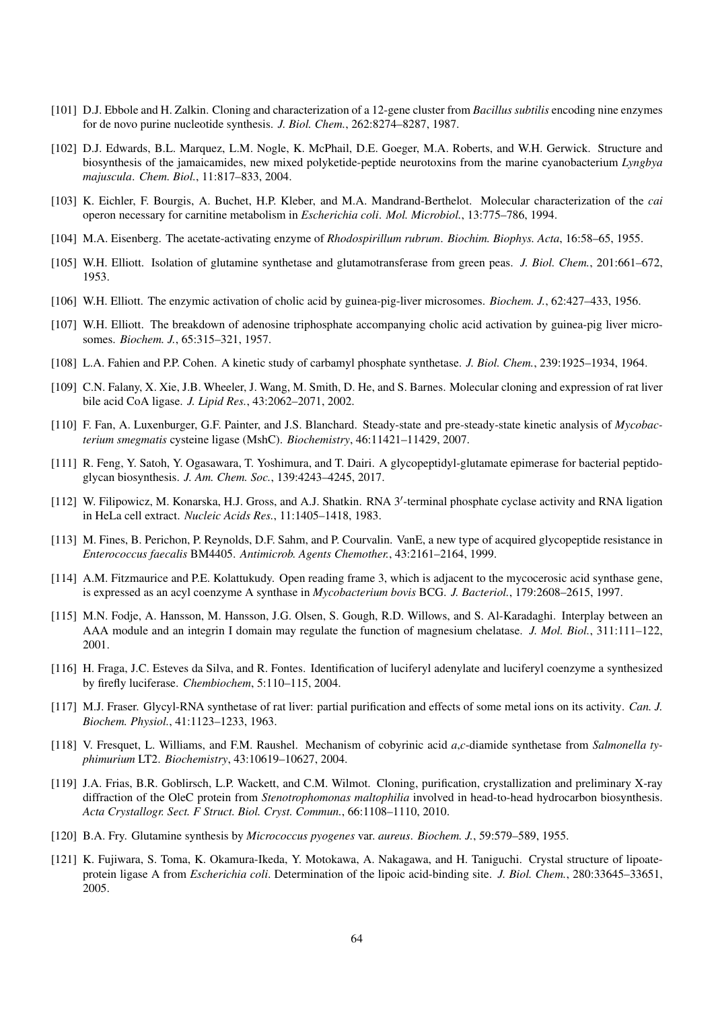- [101] D.J. Ebbole and H. Zalkin. Cloning and characterization of a 12-gene cluster from *Bacillus subtilis* encoding nine enzymes for de novo purine nucleotide synthesis. *J. Biol. Chem.*, 262:8274–8287, 1987.
- [102] D.J. Edwards, B.L. Marquez, L.M. Nogle, K. McPhail, D.E. Goeger, M.A. Roberts, and W.H. Gerwick. Structure and biosynthesis of the jamaicamides, new mixed polyketide-peptide neurotoxins from the marine cyanobacterium *Lyngbya majuscula*. *Chem. Biol.*, 11:817–833, 2004.
- [103] K. Eichler, F. Bourgis, A. Buchet, H.P. Kleber, and M.A. Mandrand-Berthelot. Molecular characterization of the *cai* operon necessary for carnitine metabolism in *Escherichia coli*. *Mol. Microbiol.*, 13:775–786, 1994.
- [104] M.A. Eisenberg. The acetate-activating enzyme of *Rhodospirillum rubrum*. *Biochim. Biophys. Acta*, 16:58–65, 1955.
- [105] W.H. Elliott. Isolation of glutamine synthetase and glutamotransferase from green peas. *J. Biol. Chem.*, 201:661–672, 1953.
- [106] W.H. Elliott. The enzymic activation of cholic acid by guinea-pig-liver microsomes. *Biochem. J.*, 62:427–433, 1956.
- [107] W.H. Elliott. The breakdown of adenosine triphosphate accompanying cholic acid activation by guinea-pig liver microsomes. *Biochem. J.*, 65:315–321, 1957.
- <span id="page-63-1"></span>[108] L.A. Fahien and P.P. Cohen. A kinetic study of carbamyl phosphate synthetase. *J. Biol. Chem.*, 239:1925–1934, 1964.
- [109] C.N. Falany, X. Xie, J.B. Wheeler, J. Wang, M. Smith, D. He, and S. Barnes. Molecular cloning and expression of rat liver bile acid CoA ligase. *J. Lipid Res.*, 43:2062–2071, 2002.
- [110] F. Fan, A. Luxenburger, G.F. Painter, and J.S. Blanchard. Steady-state and pre-steady-state kinetic analysis of *Mycobacterium smegmatis* cysteine ligase (MshC). *Biochemistry*, 46:11421–11429, 2007.
- <span id="page-63-0"></span>[111] R. Feng, Y. Satoh, Y. Ogasawara, T. Yoshimura, and T. Dairi. A glycopeptidyl-glutamate epimerase for bacterial peptidoglycan biosynthesis. *J. Am. Chem. Soc.*, 139:4243–4245, 2017.
- <span id="page-63-3"></span>[112] W. Filipowicz, M. Konarska, H.J. Gross, and A.J. Shatkin. RNA 3'-terminal phosphate cyclase activity and RNA ligation in HeLa cell extract. *Nucleic Acids Res.*, 11:1405–1418, 1983.
- [113] M. Fines, B. Perichon, P. Reynolds, D.F. Sahm, and P. Courvalin. VanE, a new type of acquired glycopeptide resistance in *Enterococcus faecalis* BM4405. *Antimicrob. Agents Chemother.*, 43:2161–2164, 1999.
- [114] A.M. Fitzmaurice and P.E. Kolattukudy. Open reading frame 3, which is adjacent to the mycocerosic acid synthase gene, is expressed as an acyl coenzyme A synthase in *Mycobacterium bovis* BCG. *J. Bacteriol.*, 179:2608–2615, 1997.
- <span id="page-63-4"></span>[115] M.N. Fodje, A. Hansson, M. Hansson, J.G. Olsen, S. Gough, R.D. Willows, and S. Al-Karadaghi. Interplay between an AAA module and an integrin I domain may regulate the function of magnesium chelatase. *J. Mol. Biol.*, 311:111–122, 2001.
- [116] H. Fraga, J.C. Esteves da Silva, and R. Fontes. Identification of luciferyl adenylate and luciferyl coenzyme a synthesized by firefly luciferase. *Chembiochem*, 5:110–115, 2004.
- [117] M.J. Fraser. Glycyl-RNA synthetase of rat liver: partial purification and effects of some metal ions on its activity. *Can. J. Biochem. Physiol.*, 41:1123–1233, 1963.
- <span id="page-63-2"></span>[118] V. Fresquet, L. Williams, and F.M. Raushel. Mechanism of cobyrinic acid *a*,*c*-diamide synthetase from *Salmonella typhimurium* LT2. *Biochemistry*, 43:10619–10627, 2004.
- [119] J.A. Frias, B.R. Goblirsch, L.P. Wackett, and C.M. Wilmot. Cloning, purification, crystallization and preliminary X-ray diffraction of the OleC protein from *Stenotrophomonas maltophilia* involved in head-to-head hydrocarbon biosynthesis. *Acta Crystallogr. Sect. F Struct. Biol. Cryst. Commun.*, 66:1108–1110, 2010.
- [120] B.A. Fry. Glutamine synthesis by *Micrococcus pyogenes* var. *aureus*. *Biochem. J.*, 59:579–589, 1955.
- [121] K. Fujiwara, S. Toma, K. Okamura-Ikeda, Y. Motokawa, A. Nakagawa, and H. Taniguchi. Crystal structure of lipoateprotein ligase A from *Escherichia coli*. Determination of the lipoic acid-binding site. *J. Biol. Chem.*, 280:33645–33651, 2005.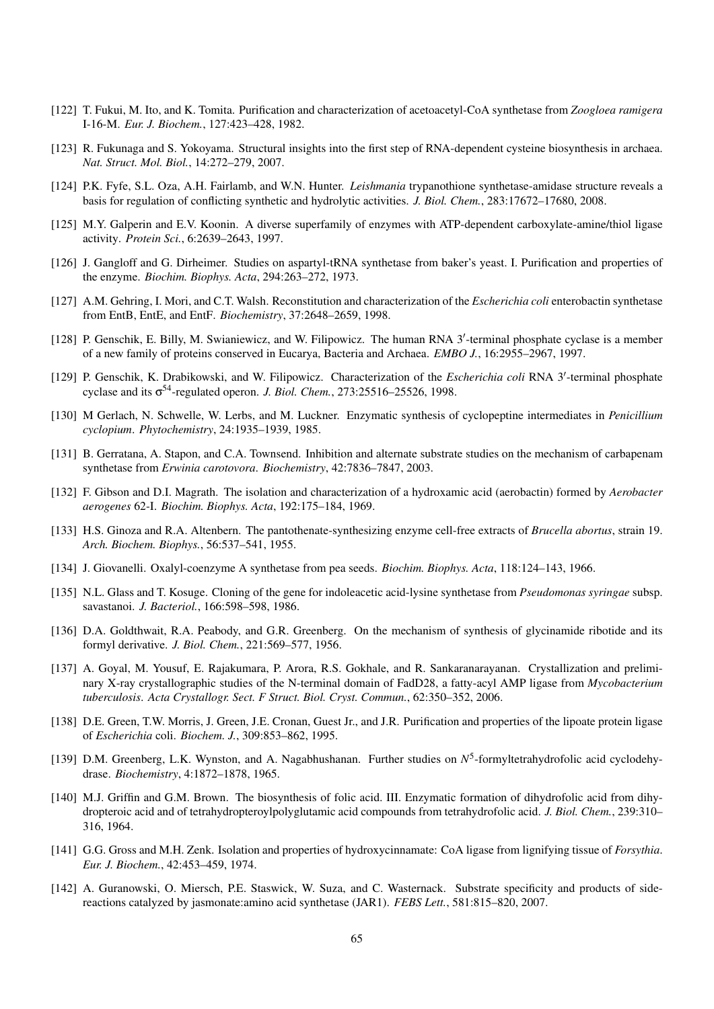- [122] T. Fukui, M. Ito, and K. Tomita. Purification and characterization of acetoacetyl-CoA synthetase from *Zoogloea ramigera* I-16-M. *Eur. J. Biochem.*, 127:423–428, 1982.
- [123] R. Fukunaga and S. Yokoyama. Structural insights into the first step of RNA-dependent cysteine biosynthesis in archaea. *Nat. Struct. Mol. Biol.*, 14:272–279, 2007.
- [124] P.K. Fyfe, S.L. Oza, A.H. Fairlamb, and W.N. Hunter. *Leishmania* trypanothione synthetase-amidase structure reveals a basis for regulation of conflicting synthetic and hydrolytic activities. *J. Biol. Chem.*, 283:17672–17680, 2008.
- [125] M.Y. Galperin and E.V. Koonin. A diverse superfamily of enzymes with ATP-dependent carboxylate-amine/thiol ligase activity. *Protein Sci.*, 6:2639–2643, 1997.
- [126] J. Gangloff and G. Dirheimer. Studies on aspartyl-tRNA synthetase from baker's yeast. I. Purification and properties of the enzyme. *Biochim. Biophys. Acta*, 294:263–272, 1973.
- [127] A.M. Gehring, I. Mori, and C.T. Walsh. Reconstitution and characterization of the *Escherichia coli* enterobactin synthetase from EntB, EntE, and EntF. *Biochemistry*, 37:2648–2659, 1998.
- <span id="page-64-4"></span>[128] P. Genschik, E. Billy, M. Swianiewicz, and W. Filipowicz. The human RNA 3'-terminal phosphate cyclase is a member of a new family of proteins conserved in Eucarya, Bacteria and Archaea. *EMBO J.*, 16:2955–2967, 1997.
- <span id="page-64-5"></span>[129] P. Genschik, K. Drabikowski, and W. Filipowicz. Characterization of the *Escherichia coli* RNA 3'-terminal phosphate cyclase and its σ <sup>54</sup>-regulated operon. *J. Biol. Chem.*, 273:25516–25526, 1998.
- [130] M Gerlach, N. Schwelle, W. Lerbs, and M. Luckner. Enzymatic synthesis of cyclopeptine intermediates in *Penicillium cyclopium*. *Phytochemistry*, 24:1935–1939, 1985.
- <span id="page-64-2"></span>[131] B. Gerratana, A. Stapon, and C.A. Townsend. Inhibition and alternate substrate studies on the mechanism of carbapenam synthetase from *Erwinia carotovora*. *Biochemistry*, 42:7836–7847, 2003.
- [132] F. Gibson and D.I. Magrath. The isolation and characterization of a hydroxamic acid (aerobactin) formed by *Aerobacter aerogenes* 62-I. *Biochim. Biophys. Acta*, 192:175–184, 1969.
- [133] H.S. Ginoza and R.A. Altenbern. The pantothenate-synthesizing enzyme cell-free extracts of *Brucella abortus*, strain 19. *Arch. Biochem. Biophys.*, 56:537–541, 1955.
- [134] J. Giovanelli. Oxalyl-coenzyme A synthetase from pea seeds. *Biochim. Biophys. Acta*, 118:124–143, 1966.
- [135] N.L. Glass and T. Kosuge. Cloning of the gene for indoleacetic acid-lysine synthetase from *Pseudomonas syringae* subsp. savastanoi. *J. Bacteriol.*, 166:598–598, 1986.
- <span id="page-64-3"></span>[136] D.A. Goldthwait, R.A. Peabody, and G.R. Greenberg. On the mechanism of synthesis of glycinamide ribotide and its formyl derivative. *J. Biol. Chem.*, 221:569–577, 1956.
- [137] A. Goyal, M. Yousuf, E. Rajakumara, P. Arora, R.S. Gokhale, and R. Sankaranarayanan. Crystallization and preliminary X-ray crystallographic studies of the N-terminal domain of FadD28, a fatty-acyl AMP ligase from *Mycobacterium tuberculosis*. *Acta Crystallogr. Sect. F Struct. Biol. Cryst. Commun.*, 62:350–352, 2006.
- [138] D.E. Green, T.W. Morris, J. Green, J.E. Cronan, Guest Jr., and J.R. Purification and properties of the lipoate protein ligase of *Escherichia* coli. *Biochem. J.*, 309:853–862, 1995.
- <span id="page-64-1"></span>[139] D.M. Greenberg, L.K. Wynston, and A. Nagabhushanan. Further studies on  $N^5$ -formyltetrahydrofolic acid cyclodehydrase. *Biochemistry*, 4:1872–1878, 1965.
- [140] M.J. Griffin and G.M. Brown. The biosynthesis of folic acid. III. Enzymatic formation of dihydrofolic acid from dihydropteroic acid and of tetrahydropteroylpolyglutamic acid compounds from tetrahydrofolic acid. *J. Biol. Chem.*, 239:310– 316, 1964.
- [141] G.G. Gross and M.H. Zenk. Isolation and properties of hydroxycinnamate: CoA ligase from lignifying tissue of *Forsythia*. *Eur. J. Biochem.*, 42:453–459, 1974.
- <span id="page-64-0"></span>[142] A. Guranowski, O. Miersch, P.E. Staswick, W. Suza, and C. Wasternack. Substrate specificity and products of sidereactions catalyzed by jasmonate:amino acid synthetase (JAR1). *FEBS Lett.*, 581:815–820, 2007.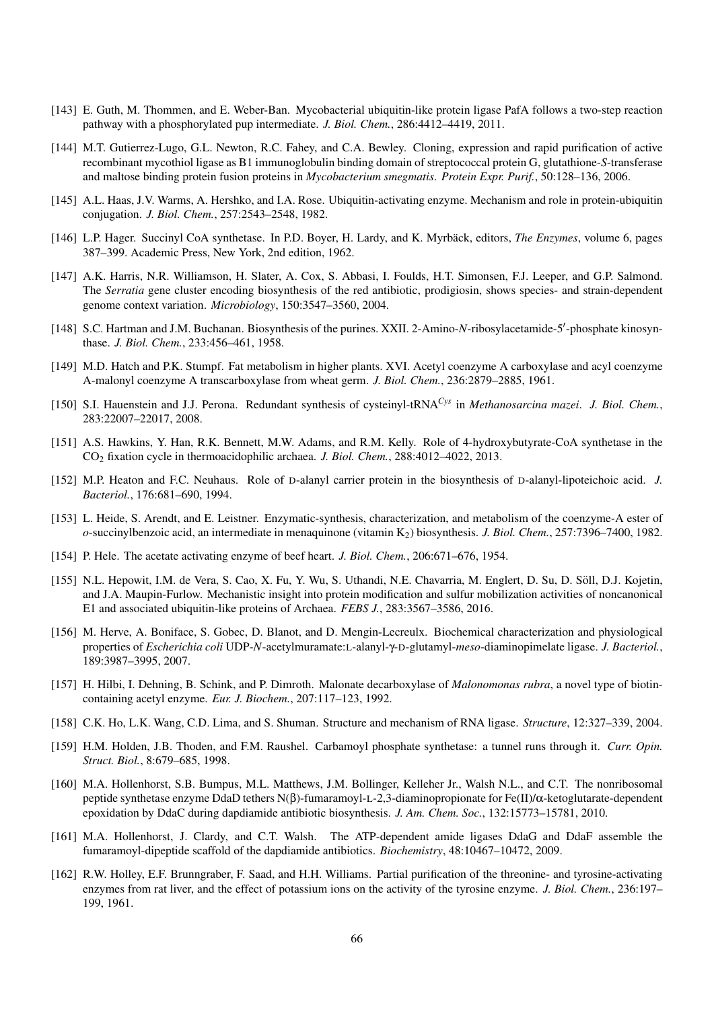- [143] E. Guth, M. Thommen, and E. Weber-Ban. Mycobacterial ubiquitin-like protein ligase PafA follows a two-step reaction pathway with a phosphorylated pup intermediate. *J. Biol. Chem.*, 286:4412–4419, 2011.
- [144] M.T. Gutierrez-Lugo, G.L. Newton, R.C. Fahey, and C.A. Bewley. Cloning, expression and rapid purification of active recombinant mycothiol ligase as B1 immunoglobulin binding domain of streptococcal protein G, glutathione-*S*-transferase and maltose binding protein fusion proteins in *Mycobacterium smegmatis*. *Protein Expr. Purif.*, 50:128–136, 2006.
- [145] A.L. Haas, J.V. Warms, A. Hershko, and I.A. Rose. Ubiquitin-activating enzyme. Mechanism and role in protein-ubiquitin conjugation. *J. Biol. Chem.*, 257:2543–2548, 1982.
- [146] L.P. Hager. Succinyl CoA synthetase. In P.D. Boyer, H. Lardy, and K. Myrbäck, editors, *The Enzymes*, volume 6, pages 387–399. Academic Press, New York, 2nd edition, 1962.
- [147] A.K. Harris, N.R. Williamson, H. Slater, A. Cox, S. Abbasi, I. Foulds, H.T. Simonsen, F.J. Leeper, and G.P. Salmond. The *Serratia* gene cluster encoding biosynthesis of the red antibiotic, prodigiosin, shows species- and strain-dependent genome context variation. *Microbiology*, 150:3547–3560, 2004.
- <span id="page-65-3"></span>[148] S.C. Hartman and J.M. Buchanan. Biosynthesis of the purines. XXII. 2-Amino-N-ribosylacetamide-5'-phosphate kinosynthase. *J. Biol. Chem.*, 233:456–461, 1958.
- <span id="page-65-5"></span>[149] M.D. Hatch and P.K. Stumpf. Fat metabolism in higher plants. XVI. Acetyl coenzyme A carboxylase and acyl coenzyme A-malonyl coenzyme A transcarboxylase from wheat germ. *J. Biol. Chem.*, 236:2879–2885, 1961.
- [150] S.I. Hauenstein and J.J. Perona. Redundant synthesis of cysteinyl-tRNA*Cys* in *Methanosarcina mazei*. *J. Biol. Chem.*, 283:22007–22017, 2008.
- [151] A.S. Hawkins, Y. Han, R.K. Bennett, M.W. Adams, and R.M. Kelly. Role of 4-hydroxybutyrate-CoA synthetase in the CO<sup>2</sup> fixation cycle in thermoacidophilic archaea. *J. Biol. Chem.*, 288:4012–4022, 2013.
- [152] M.P. Heaton and F.C. Neuhaus. Role of D-alanyl carrier protein in the biosynthesis of D-alanyl-lipoteichoic acid. *J. Bacteriol.*, 176:681–690, 1994.
- [153] L. Heide, S. Arendt, and E. Leistner. Enzymatic-synthesis, characterization, and metabolism of the coenzyme-A ester of *o*-succinylbenzoic acid, an intermediate in menaquinone (vitamin K2) biosynthesis. *J. Biol. Chem.*, 257:7396–7400, 1982.
- [154] P. Hele. The acetate activating enzyme of beef heart. *J. Biol. Chem.*, 206:671–676, 1954.
- [155] N.L. Hepowit, I.M. de Vera, S. Cao, X. Fu, Y. Wu, S. Uthandi, N.E. Chavarria, M. Englert, D. Su, D. Soll, D.J. Kojetin, ¨ and J.A. Maupin-Furlow. Mechanistic insight into protein modification and sulfur mobilization activities of noncanonical E1 and associated ubiquitin-like proteins of Archaea. *FEBS J.*, 283:3567–3586, 2016.
- <span id="page-65-0"></span>[156] M. Herve, A. Boniface, S. Gobec, D. Blanot, and D. Mengin-Lecreulx. Biochemical characterization and physiological properties of *Escherichia coli* UDP-*N*-acetylmuramate:L-alanyl-γ-D-glutamyl-*meso*-diaminopimelate ligase. *J. Bacteriol.*, 189:3987–3995, 2007.
- [157] H. Hilbi, I. Dehning, B. Schink, and P. Dimroth. Malonate decarboxylase of *Malonomonas rubra*, a novel type of biotincontaining acetyl enzyme. *Eur. J. Biochem.*, 207:117–123, 1992.
- <span id="page-65-6"></span>[158] C.K. Ho, L.K. Wang, C.D. Lima, and S. Shuman. Structure and mechanism of RNA ligase. *Structure*, 12:327–339, 2004.
- <span id="page-65-4"></span>[159] H.M. Holden, J.B. Thoden, and F.M. Raushel. Carbamoyl phosphate synthetase: a tunnel runs through it. *Curr. Opin. Struct. Biol.*, 8:679–685, 1998.
- <span id="page-65-2"></span>[160] M.A. Hollenhorst, S.B. Bumpus, M.L. Matthews, J.M. Bollinger, Kelleher Jr., Walsh N.L., and C.T. The nonribosomal peptide synthetase enzyme DdaD tethers N(β)-fumaramoyl-L-2,3-diaminopropionate for Fe(II)/α-ketoglutarate-dependent epoxidation by DdaC during dapdiamide antibiotic biosynthesis. *J. Am. Chem. Soc.*, 132:15773–15781, 2010.
- <span id="page-65-1"></span>[161] M.A. Hollenhorst, J. Clardy, and C.T. Walsh. The ATP-dependent amide ligases DdaG and DdaF assemble the fumaramoyl-dipeptide scaffold of the dapdiamide antibiotics. *Biochemistry*, 48:10467–10472, 2009.
- [162] R.W. Holley, E.F. Brunngraber, F. Saad, and H.H. Williams. Partial purification of the threonine- and tyrosine-activating enzymes from rat liver, and the effect of potassium ions on the activity of the tyrosine enzyme. *J. Biol. Chem.*, 236:197– 199, 1961.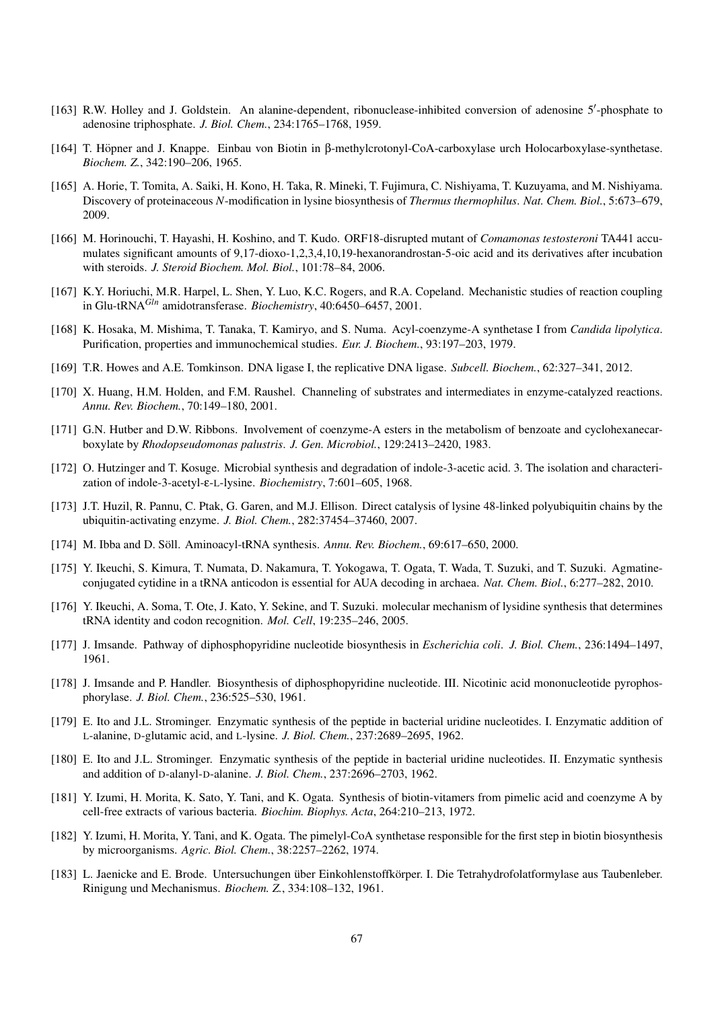- [163] R.W. Holley and J. Goldstein. An alanine-dependent, ribonuclease-inhibited conversion of adenosine 5'-phosphate to adenosine triphosphate. *J. Biol. Chem.*, 234:1765–1768, 1959.
- <span id="page-66-1"></span>[164] T. Höpner and J. Knappe. Einbau von Biotin in β-methylcrotonyl-CoA-carboxylase urch Holocarboxylase-synthetase. *Biochem. Z.*, 342:190–206, 1965.
- [165] A. Horie, T. Tomita, A. Saiki, H. Kono, H. Taka, R. Mineki, T. Fujimura, C. Nishiyama, T. Kuzuyama, and M. Nishiyama. Discovery of proteinaceous *N*-modification in lysine biosynthesis of *Thermus thermophilus*. *Nat. Chem. Biol.*, 5:673–679, 2009.
- [166] M. Horinouchi, T. Hayashi, H. Koshino, and T. Kudo. ORF18-disrupted mutant of *Comamonas testosteroni* TA441 accumulates significant amounts of 9,17-dioxo-1,2,3,4,10,19-hexanorandrostan-5-oic acid and its derivatives after incubation with steroids. *J. Steroid Biochem. Mol. Biol.*, 101:78–84, 2006.
- <span id="page-66-8"></span>[167] K.Y. Horiuchi, M.R. Harpel, L. Shen, Y. Luo, K.C. Rogers, and R.A. Copeland. Mechanistic studies of reaction coupling in Glu-tRNA*Gln* amidotransferase. *Biochemistry*, 40:6450–6457, 2001.
- [168] K. Hosaka, M. Mishima, T. Tanaka, T. Kamiryo, and S. Numa. Acyl-coenzyme-A synthetase I from *Candida lipolytica*. Purification, properties and immunochemical studies. *Eur. J. Biochem.*, 93:197–203, 1979.
- <span id="page-66-9"></span>[169] T.R. Howes and A.E. Tomkinson. DNA ligase I, the replicative DNA ligase. *Subcell. Biochem.*, 62:327–341, 2012.
- <span id="page-66-6"></span>[170] X. Huang, H.M. Holden, and F.M. Raushel. Channeling of substrates and intermediates in enzyme-catalyzed reactions. *Annu. Rev. Biochem.*, 70:149–180, 2001.
- [171] G.N. Hutber and D.W. Ribbons. Involvement of coenzyme-A esters in the metabolism of benzoate and cyclohexanecarboxylate by *Rhodopseudomonas palustris*. *J. Gen. Microbiol.*, 129:2413–2420, 1983.
- [172] O. Hutzinger and T. Kosuge. Microbial synthesis and degradation of indole-3-acetic acid. 3. The isolation and characterization of indole-3-acetyl-ε-L-lysine. *Biochemistry*, 7:601–605, 1968.
- [173] J.T. Huzil, R. Pannu, C. Ptak, G. Garen, and M.J. Ellison. Direct catalysis of lysine 48-linked polyubiquitin chains by the ubiquitin-activating enzyme. *J. Biol. Chem.*, 282:37454–37460, 2007.
- <span id="page-66-7"></span>[174] M. Ibba and D. Söll. Aminoacyl-tRNA synthesis. Annu. Rev. Biochem., 69:617–650, 2000.
- <span id="page-66-5"></span>[175] Y. Ikeuchi, S. Kimura, T. Numata, D. Nakamura, T. Yokogawa, T. Ogata, T. Wada, T. Suzuki, and T. Suzuki. Agmatineconjugated cytidine in a tRNA anticodon is essential for AUA decoding in archaea. *Nat. Chem. Biol.*, 6:277–282, 2010.
- <span id="page-66-2"></span>[176] Y. Ikeuchi, A. Soma, T. Ote, J. Kato, Y. Sekine, and T. Suzuki. molecular mechanism of lysidine synthesis that determines tRNA identity and codon recognition. *Mol. Cell*, 19:235–246, 2005.
- <span id="page-66-3"></span>[177] J. Imsande. Pathway of diphosphopyridine nucleotide biosynthesis in *Escherichia coli*. *J. Biol. Chem.*, 236:1494–1497, 1961.
- <span id="page-66-4"></span>[178] J. Imsande and P. Handler. Biosynthesis of diphosphopyridine nucleotide. III. Nicotinic acid mononucleotide pyrophosphorylase. *J. Biol. Chem.*, 236:525–530, 1961.
- [179] E. Ito and J.L. Strominger. Enzymatic synthesis of the peptide in bacterial uridine nucleotides. I. Enzymatic addition of L-alanine, D-glutamic acid, and L-lysine. *J. Biol. Chem.*, 237:2689–2695, 1962.
- [180] E. Ito and J.L. Strominger. Enzymatic synthesis of the peptide in bacterial uridine nucleotides. II. Enzymatic synthesis and addition of D-alanyl-D-alanine. *J. Biol. Chem.*, 237:2696–2703, 1962.
- [181] Y. Izumi, H. Morita, K. Sato, Y. Tani, and K. Ogata. Synthesis of biotin-vitamers from pimelic acid and coenzyme A by cell-free extracts of various bacteria. *Biochim. Biophys. Acta*, 264:210–213, 1972.
- [182] Y. Izumi, H. Morita, Y. Tani, and K. Ogata. The pimelyl-CoA synthetase responsible for the first step in biotin biosynthesis by microorganisms. *Agric. Biol. Chem.*, 38:2257–2262, 1974.
- <span id="page-66-0"></span>[183] L. Jaenicke and E. Brode. Untersuchungen über Einkohlenstoffkörper. I. Die Tetrahydrofolatformylase aus Taubenleber. Rinigung und Mechanismus. *Biochem. Z.*, 334:108–132, 1961.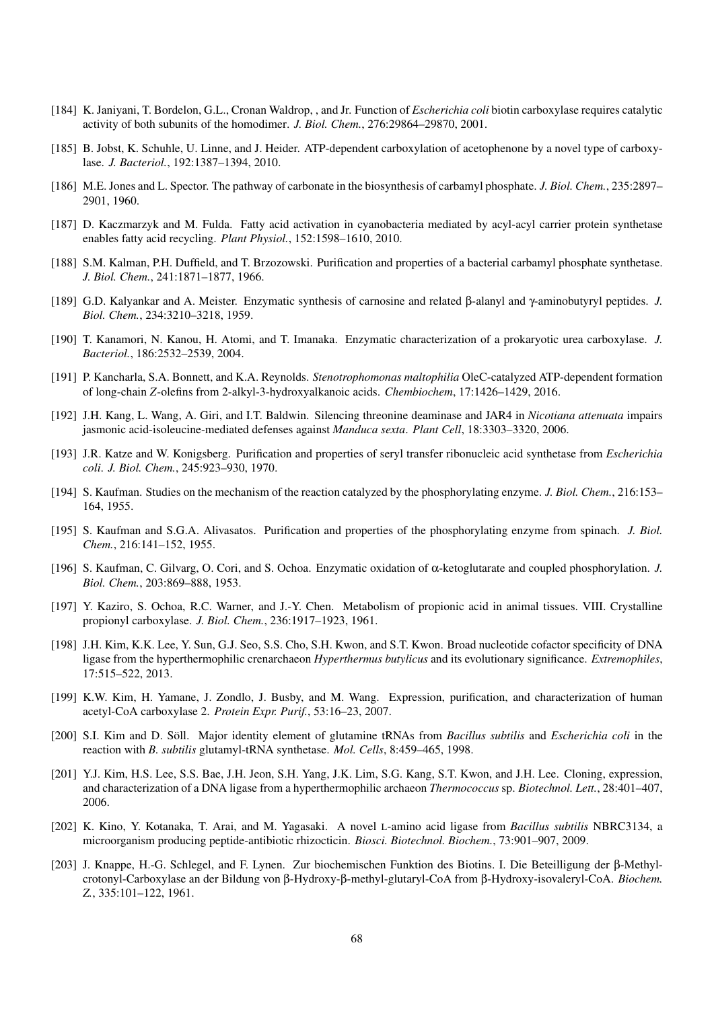- <span id="page-67-3"></span>[184] K. Janiyani, T. Bordelon, G.L., Cronan Waldrop, , and Jr. Function of *Escherichia coli* biotin carboxylase requires catalytic activity of both subunits of the homodimer. *J. Biol. Chem.*, 276:29864–29870, 2001.
- <span id="page-67-9"></span>[185] B. Jobst, K. Schuhle, U. Linne, and J. Heider. ATP-dependent carboxylation of acetophenone by a novel type of carboxylase. *J. Bacteriol.*, 192:1387–1394, 2010.
- <span id="page-67-4"></span>[186] M.E. Jones and L. Spector. The pathway of carbonate in the biosynthesis of carbamyl phosphate. *J. Biol. Chem.*, 235:2897– 2901, 1960.
- [187] D. Kaczmarzyk and M. Fulda. Fatty acid activation in cyanobacteria mediated by acyl-acyl carrier protein synthetase enables fatty acid recycling. *Plant Physiol.*, 152:1598–1610, 2010.
- <span id="page-67-5"></span>[188] S.M. Kalman, P.H. Duffield, and T. Brzozowski. Purification and properties of a bacterial carbamyl phosphate synthetase. *J. Biol. Chem.*, 241:1871–1877, 1966.
- [189] G.D. Kalyankar and A. Meister. Enzymatic synthesis of carnosine and related β-alanyl and γ-aminobutyryl peptides. *J. Biol. Chem.*, 234:3210–3218, 1959.
- <span id="page-67-2"></span>[190] T. Kanamori, N. Kanou, H. Atomi, and T. Imanaka. Enzymatic characterization of a prokaryotic urea carboxylase. *J. Bacteriol.*, 186:2532–2539, 2004.
- [191] P. Kancharla, S.A. Bonnett, and K.A. Reynolds. *Stenotrophomonas maltophilia* OleC-catalyzed ATP-dependent formation of long-chain *Z*-olefins from 2-alkyl-3-hydroxyalkanoic acids. *Chembiochem*, 17:1426–1429, 2016.
- <span id="page-67-1"></span>[192] J.H. Kang, L. Wang, A. Giri, and I.T. Baldwin. Silencing threonine deaminase and JAR4 in *Nicotiana attenuata* impairs jasmonic acid-isoleucine-mediated defenses against *Manduca sexta*. *Plant Cell*, 18:3303–3320, 2006.
- [193] J.R. Katze and W. Konigsberg. Purification and properties of seryl transfer ribonucleic acid synthetase from *Escherichia coli*. *J. Biol. Chem.*, 245:923–930, 1970.
- [194] S. Kaufman. Studies on the mechanism of the reaction catalyzed by the phosphorylating enzyme. *J. Biol. Chem.*, 216:153– 164, 1955.
- [195] S. Kaufman and S.G.A. Alivasatos. Purification and properties of the phosphorylating enzyme from spinach. *J. Biol. Chem.*, 216:141–152, 1955.
- [196] S. Kaufman, C. Gilvarg, O. Cori, and S. Ochoa. Enzymatic oxidation of α-ketoglutarate and coupled phosphorylation. *J. Biol. Chem.*, 203:869–888, 1953.
- <span id="page-67-7"></span>[197] Y. Kaziro, S. Ochoa, R.C. Warner, and J.-Y. Chen. Metabolism of propionic acid in animal tissues. VIII. Crystalline propionyl carboxylase. *J. Biol. Chem.*, 236:1917–1923, 1961.
- <span id="page-67-11"></span>[198] J.H. Kim, K.K. Lee, Y. Sun, G.J. Seo, S.S. Cho, S.H. Kwon, and S.T. Kwon. Broad nucleotide cofactor specificity of DNA ligase from the hyperthermophilic crenarchaeon *Hyperthermus butylicus* and its evolutionary significance. *Extremophiles*, 17:515–522, 2013.
- <span id="page-67-6"></span>[199] K.W. Kim, H. Yamane, J. Zondlo, J. Busby, and M. Wang. Expression, purification, and characterization of human acetyl-CoA carboxylase 2. *Protein Expr. Purif.*, 53:16–23, 2007.
- [200] S.I. Kim and D. Söll. Major identity element of glutamine tRNAs from *Bacillus subtilis* and *Escherichia coli* in the reaction with *B. subtilis* glutamyl-tRNA synthetase. *Mol. Cells*, 8:459–465, 1998.
- <span id="page-67-10"></span>[201] Y.J. Kim, H.S. Lee, S.S. Bae, J.H. Jeon, S.H. Yang, J.K. Lim, S.G. Kang, S.T. Kwon, and J.H. Lee. Cloning, expression, and characterization of a DNA ligase from a hyperthermophilic archaeon *Thermococcus* sp. *Biotechnol. Lett.*, 28:401–407, 2006.
- <span id="page-67-0"></span>[202] K. Kino, Y. Kotanaka, T. Arai, and M. Yagasaki. A novel L-amino acid ligase from *Bacillus subtilis* NBRC3134, a microorganism producing peptide-antibiotic rhizocticin. *Biosci. Biotechnol. Biochem.*, 73:901–907, 2009.
- <span id="page-67-8"></span>[203] J. Knappe, H.-G. Schlegel, and F. Lynen. Zur biochemischen Funktion des Biotins. I. Die Beteilligung der β-Methylcrotonyl-Carboxylase an der Bildung von β-Hydroxy-β-methyl-glutaryl-CoA from β-Hydroxy-isovaleryl-CoA. *Biochem. Z.*, 335:101–122, 1961.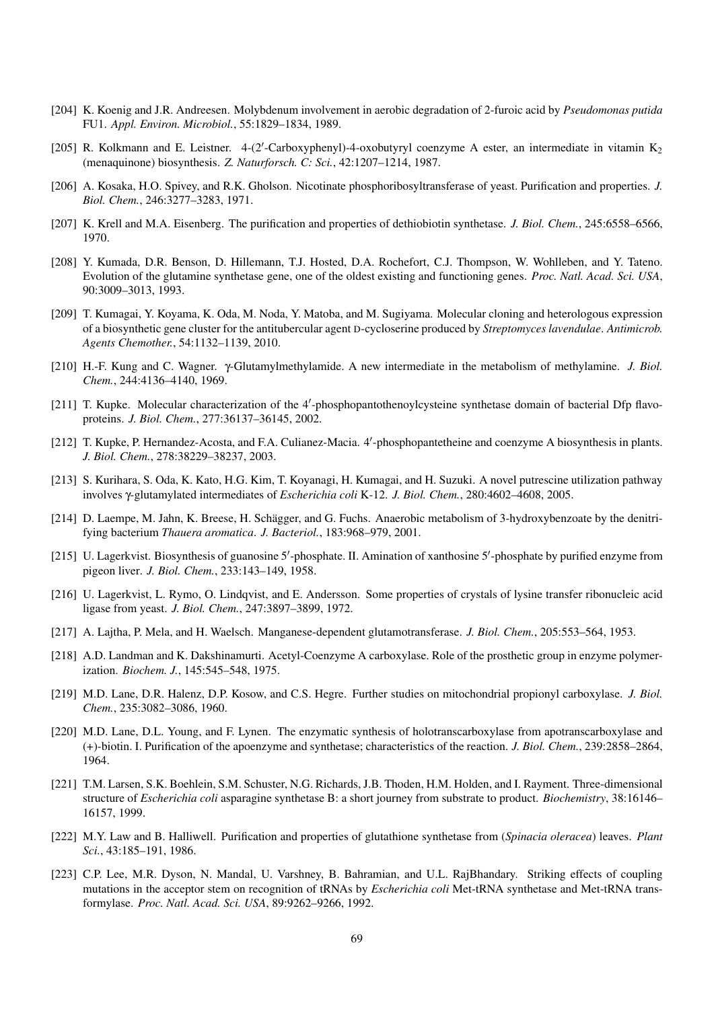- [204] K. Koenig and J.R. Andreesen. Molybdenum involvement in aerobic degradation of 2-furoic acid by *Pseudomonas putida* FU1. *Appl. Environ. Microbiol.*, 55:1829–1834, 1989.
- [205] R. Kolkmann and E. Leistner. 4-(2'-Carboxyphenyl)-4-oxobutyryl coenzyme A ester, an intermediate in vitamin K<sub>2</sub> (menaquinone) biosynthesis. *Z. Naturforsch. C: Sci.*, 42:1207–1214, 1987.
- <span id="page-68-6"></span>[206] A. Kosaka, H.O. Spivey, and R.K. Gholson. Nicotinate phosphoribosyltransferase of yeast. Purification and properties. *J. Biol. Chem.*, 246:3277–3283, 1971.
- <span id="page-68-1"></span>[207] K. Krell and M.A. Eisenberg. The purification and properties of dethiobiotin synthetase. *J. Biol. Chem.*, 245:6558–6566, 1970.
- [208] Y. Kumada, D.R. Benson, D. Hillemann, T.J. Hosted, D.A. Rochefort, C.J. Thompson, W. Wohlleben, and Y. Tateno. Evolution of the glutamine synthetase gene, one of the oldest existing and functioning genes. *Proc. Natl. Acad. Sci. USA*, 90:3009–3013, 1993.
- <span id="page-68-2"></span>[209] T. Kumagai, Y. Koyama, K. Oda, M. Noda, Y. Matoba, and M. Sugiyama. Molecular cloning and heterologous expression of a biosynthetic gene cluster for the antitubercular agent D-cycloserine produced by *Streptomyces lavendulae*. *Antimicrob. Agents Chemother.*, 54:1132–1139, 2010.
- <span id="page-68-4"></span>[210] H.-F. Kung and C. Wagner. γ-Glutamylmethylamide. A new intermediate in the metabolism of methylamine. *J. Biol. Chem.*, 244:4136–4140, 1969.
- [211] T. Kupke. Molecular characterization of the 4'-phosphopantothenoylcysteine synthetase domain of bacterial Dfp flavoproteins. *J. Biol. Chem.*, 277:36137–36145, 2002.
- <span id="page-68-0"></span>[212] T. Kupke, P. Hernandez-Acosta, and F.A. Culianez-Macia. 4'-phosphopantetheine and coenzyme A biosynthesis in plants. *J. Biol. Chem.*, 278:38229–38237, 2003.
- [213] S. Kurihara, S. Oda, K. Kato, H.G. Kim, T. Koyanagi, H. Kumagai, and H. Suzuki. A novel putrescine utilization pathway involves γ-glutamylated intermediates of *Escherichia coli* K-12. *J. Biol. Chem.*, 280:4602–4608, 2005.
- [214] D. Laempe, M. Jahn, K. Breese, H. Schägger, and G. Fuchs. Anaerobic metabolism of 3-hydroxybenzoate by the denitrifying bacterium *Thauera aromatica*. *J. Bacteriol.*, 183:968–979, 2001.
- <span id="page-68-7"></span>[215] U. Lagerkvist. Biosynthesis of guanosine 5'-phosphate. II. Amination of xanthosine 5'-phosphate by purified enzyme from pigeon liver. *J. Biol. Chem.*, 233:143–149, 1958.
- [216] U. Lagerkvist, L. Rymo, O. Lindqvist, and E. Andersson. Some properties of crystals of lysine transfer ribonucleic acid ligase from yeast. *J. Biol. Chem.*, 247:3897–3899, 1972.
- [217] A. Lajtha, P. Mela, and H. Waelsch. Manganese-dependent glutamotransferase. *J. Biol. Chem.*, 205:553–564, 1953.
- <span id="page-68-5"></span>[218] A.D. Landman and K. Dakshinamurti. Acetyl-Coenzyme A carboxylase. Role of the prosthetic group in enzyme polymerization. *Biochem. J.*, 145:545–548, 1975.
- <span id="page-68-9"></span>[219] M.D. Lane, D.R. Halenz, D.P. Kosow, and C.S. Hegre. Further studies on mitochondrial propionyl carboxylase. *J. Biol. Chem.*, 235:3082–3086, 1960.
- <span id="page-68-3"></span>[220] M.D. Lane, D.L. Young, and F. Lynen. The enzymatic synthesis of holotranscarboxylase from apotranscarboxylase and (+)-biotin. I. Purification of the apoenzyme and synthetase; characteristics of the reaction. *J. Biol. Chem.*, 239:2858–2864, 1964.
- <span id="page-68-8"></span>[221] T.M. Larsen, S.K. Boehlein, S.M. Schuster, N.G. Richards, J.B. Thoden, H.M. Holden, and I. Rayment. Three-dimensional structure of *Escherichia coli* asparagine synthetase B: a short journey from substrate to product. *Biochemistry*, 38:16146– 16157, 1999.
- [222] M.Y. Law and B. Halliwell. Purification and properties of glutathione synthetase from (*Spinacia oleracea*) leaves. *Plant Sci.*, 43:185–191, 1986.
- [223] C.P. Lee, M.R. Dyson, N. Mandal, U. Varshney, B. Bahramian, and U.L. RajBhandary. Striking effects of coupling mutations in the acceptor stem on recognition of tRNAs by *Escherichia coli* Met-tRNA synthetase and Met-tRNA transformylase. *Proc. Natl. Acad. Sci. USA*, 89:9262–9266, 1992.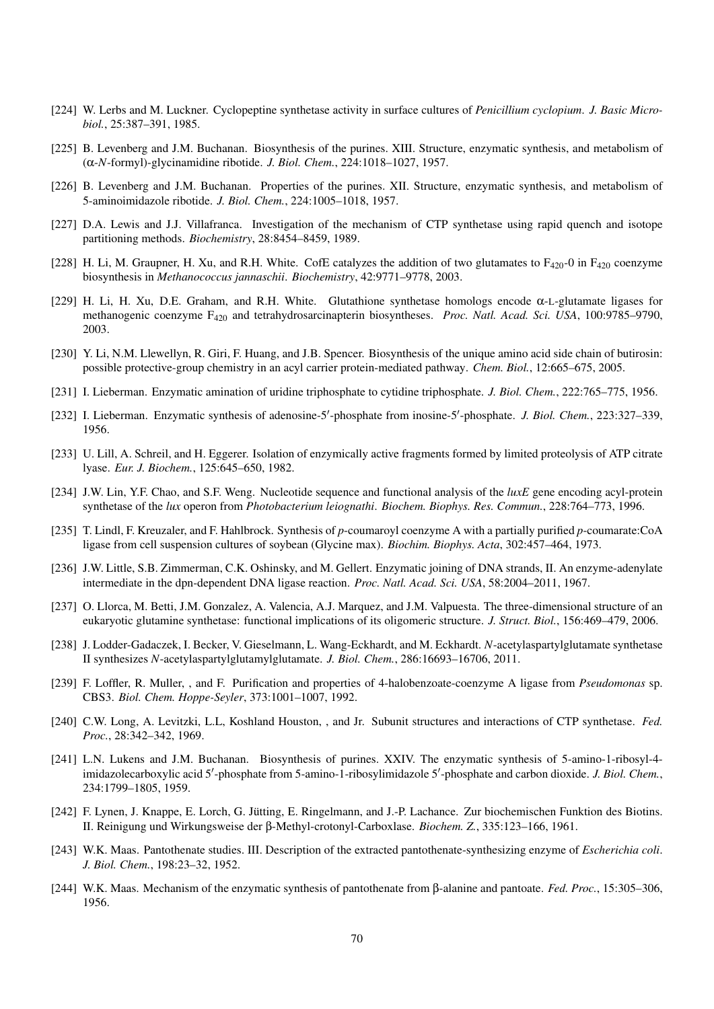- [224] W. Lerbs and M. Luckner. Cyclopeptine synthetase activity in surface cultures of *Penicillium cyclopium*. *J. Basic Microbiol.*, 25:387–391, 1985.
- <span id="page-69-1"></span>[225] B. Levenberg and J.M. Buchanan. Biosynthesis of the purines. XIII. Structure, enzymatic synthesis, and metabolism of (α-*N*-formyl)-glycinamidine ribotide. *J. Biol. Chem.*, 224:1018–1027, 1957.
- <span id="page-69-0"></span>[226] B. Levenberg and J.M. Buchanan. Properties of the purines. XII. Structure, enzymatic synthesis, and metabolism of 5-aminoimidazole ribotide. *J. Biol. Chem.*, 224:1005–1018, 1957.
- <span id="page-69-2"></span>[227] D.A. Lewis and J.J. Villafranca. Investigation of the mechanism of CTP synthetase using rapid quench and isotope partitioning methods. *Biochemistry*, 28:8454–8459, 1989.
- [228] H. Li, M. Graupner, H. Xu, and R.H. White. CofE catalyzes the addition of two glutamates to  $F_{420}$ -0 in  $F_{420}$  coenzyme biosynthesis in *Methanococcus jannaschii*. *Biochemistry*, 42:9771–9778, 2003.
- [229] H. Li, H. Xu, D.E. Graham, and R.H. White. Glutathione synthetase homologs encode α-L-glutamate ligases for methanogenic coenzyme F<sup>420</sup> and tetrahydrosarcinapterin biosyntheses. *Proc. Natl. Acad. Sci. USA*, 100:9785–9790, 2003.
- [230] Y. Li, N.M. Llewellyn, R. Giri, F. Huang, and J.B. Spencer. Biosynthesis of the unique amino acid side chain of butirosin: possible protective-group chemistry in an acyl carrier protein-mediated pathway. *Chem. Biol.*, 12:665–675, 2005.
- <span id="page-69-3"></span>[231] I. Lieberman. Enzymatic amination of uridine triphosphate to cytidine triphosphate. *J. Biol. Chem.*, 222:765–775, 1956.
- <span id="page-69-5"></span>[232] I. Lieberman. Enzymatic synthesis of adenosine-5'-phosphate from inosine-5'-phosphate. *J. Biol. Chem.*, 223:327-339, 1956.
- [233] U. Lill, A. Schreil, and H. Eggerer. Isolation of enzymically active fragments formed by limited proteolysis of ATP citrate lyase. *Eur. J. Biochem.*, 125:645–650, 1982.
- [234] J.W. Lin, Y.F. Chao, and S.F. Weng. Nucleotide sequence and functional analysis of the *luxE* gene encoding acyl-protein synthetase of the *lux* operon from *Photobacterium leiognathi*. *Biochem. Biophys. Res. Commun.*, 228:764–773, 1996.
- [235] T. Lindl, F. Kreuzaler, and F. Hahlbrock. Synthesis of *p*-coumaroyl coenzyme A with a partially purified *p*-coumarate:CoA ligase from cell suspension cultures of soybean (Glycine max). *Biochim. Biophys. Acta*, 302:457–464, 1973.
- <span id="page-69-7"></span>[236] J.W. Little, S.B. Zimmerman, C.K. Oshinsky, and M. Gellert. Enzymatic joining of DNA strands, II. An enzyme-adenylate intermediate in the dpn-dependent DNA ligase reaction. *Proc. Natl. Acad. Sci. USA*, 58:2004–2011, 1967.
- [237] O. Llorca, M. Betti, J.M. Gonzalez, A. Valencia, A.J. Marquez, and J.M. Valpuesta. The three-dimensional structure of an eukaryotic glutamine synthetase: functional implications of its oligomeric structure. *J. Struct. Biol.*, 156:469–479, 2006.
- [238] J. Lodder-Gadaczek, I. Becker, V. Gieselmann, L. Wang-Eckhardt, and M. Eckhardt. *N*-acetylaspartylglutamate synthetase II synthesizes *N*-acetylaspartylglutamylglutamate. *J. Biol. Chem.*, 286:16693–16706, 2011.
- [239] F. Loffler, R. Muller, , and F. Purification and properties of 4-halobenzoate-coenzyme A ligase from *Pseudomonas* sp. CBS3. *Biol. Chem. Hoppe-Seyler*, 373:1001–1007, 1992.
- <span id="page-69-4"></span>[240] C.W. Long, A. Levitzki, L.L, Koshland Houston, , and Jr. Subunit structures and interactions of CTP synthetase. *Fed. Proc.*, 28:342–342, 1969.
- [241] L.N. Lukens and J.M. Buchanan. Biosynthesis of purines. XXIV. The enzymatic synthesis of 5-amino-1-ribosyl-4 imidazolecarboxylic acid 5'-phosphate from 5-amino-1-ribosylimidazole 5'-phosphate and carbon dioxide. *J. Biol. Chem.*, 234:1799–1805, 1959.
- <span id="page-69-6"></span>[242] F. Lynen, J. Knappe, E. Lorch, G. Jutting, E. Ringelmann, and J.-P. Lachance. Zur biochemischen Funktion des Biotins. ¨ II. Reinigung und Wirkungsweise der β-Methyl-crotonyl-Carboxlase. *Biochem. Z.*, 335:123–166, 1961.
- [243] W.K. Maas. Pantothenate studies. III. Description of the extracted pantothenate-synthesizing enzyme of *Escherichia coli*. *J. Biol. Chem.*, 198:23–32, 1952.
- [244] W.K. Maas. Mechanism of the enzymatic synthesis of pantothenate from β-alanine and pantoate. *Fed. Proc.*, 15:305–306, 1956.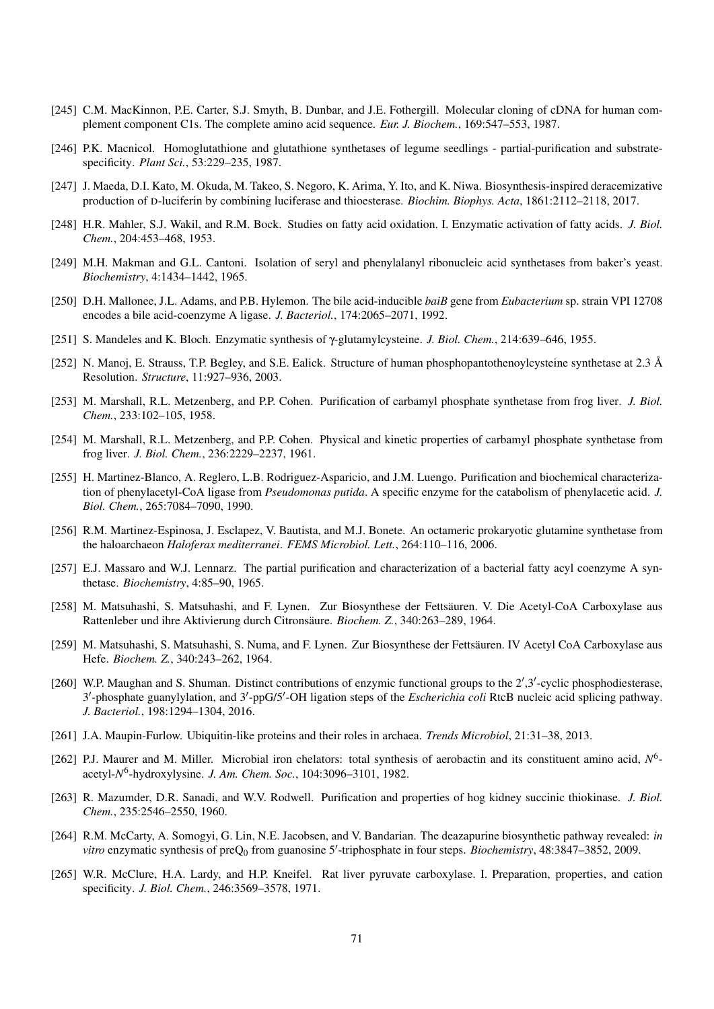- [245] C.M. MacKinnon, P.E. Carter, S.J. Smyth, B. Dunbar, and J.E. Fothergill. Molecular cloning of cDNA for human complement component C1s. The complete amino acid sequence. *Eur. J. Biochem.*, 169:547–553, 1987.
- [246] P.K. Macnicol. Homoglutathione and glutathione synthetases of legume seedlings partial-purification and substratespecificity. *Plant Sci.*, 53:229–235, 1987.
- [247] J. Maeda, D.I. Kato, M. Okuda, M. Takeo, S. Negoro, K. Arima, Y. Ito, and K. Niwa. Biosynthesis-inspired deracemizative production of D-luciferin by combining luciferase and thioesterase. *Biochim. Biophys. Acta*, 1861:2112–2118, 2017.
- [248] H.R. Mahler, S.J. Wakil, and R.M. Bock. Studies on fatty acid oxidation. I. Enzymatic activation of fatty acids. *J. Biol. Chem.*, 204:453–468, 1953.
- [249] M.H. Makman and G.L. Cantoni. Isolation of seryl and phenylalanyl ribonucleic acid synthetases from baker's yeast. *Biochemistry*, 4:1434–1442, 1965.
- [250] D.H. Mallonee, J.L. Adams, and P.B. Hylemon. The bile acid-inducible *baiB* gene from *Eubacterium* sp. strain VPI 12708 encodes a bile acid-coenzyme A ligase. *J. Bacteriol.*, 174:2065–2071, 1992.
- [251] S. Mandeles and K. Bloch. Enzymatic synthesis of γ-glutamylcysteine. *J. Biol. Chem.*, 214:639–646, 1955.
- <span id="page-70-0"></span>[252] N. Manoj, E. Strauss, T.P. Begley, and S.E. Ealick. Structure of human phosphopantothenoylcysteine synthetase at 2.3  $\AA$ Resolution. *Structure*, 11:927–936, 2003.
- <span id="page-70-1"></span>[253] M. Marshall, R.L. Metzenberg, and P.P. Cohen. Purification of carbamyl phosphate synthetase from frog liver. *J. Biol. Chem.*, 233:102–105, 1958.
- <span id="page-70-2"></span>[254] M. Marshall, R.L. Metzenberg, and P.P. Cohen. Physical and kinetic properties of carbamyl phosphate synthetase from frog liver. *J. Biol. Chem.*, 236:2229–2237, 1961.
- [255] H. Martinez-Blanco, A. Reglero, L.B. Rodriguez-Asparicio, and J.M. Luengo. Purification and biochemical characterization of phenylacetyl-CoA ligase from *Pseudomonas putida*. A specific enzyme for the catabolism of phenylacetic acid. *J. Biol. Chem.*, 265:7084–7090, 1990.
- [256] R.M. Martinez-Espinosa, J. Esclapez, V. Bautista, and M.J. Bonete. An octameric prokaryotic glutamine synthetase from the haloarchaeon *Haloferax mediterranei*. *FEMS Microbiol. Lett.*, 264:110–116, 2006.
- [257] E.J. Massaro and W.J. Lennarz. The partial purification and characterization of a bacterial fatty acyl coenzyme A synthetase. *Biochemistry*, 4:85–90, 1965.
- <span id="page-70-6"></span>[258] M. Matsuhashi, S. Matsuhashi, and F. Lynen. Zur Biosynthese der Fettsäuren. V. Die Acetyl-CoA Carboxylase aus Rattenleber und ihre Aktivierung durch Citronsäure. Biochem. Z., 340:263-289, 1964.
- <span id="page-70-5"></span>[259] M. Matsuhashi, S. Matsuhashi, S. Numa, and F. Lynen. Zur Biosynthese der Fettsäuren. IV Acetyl CoA Carboxylase aus Hefe. *Biochem. Z.*, 340:243–262, 1964.
- <span id="page-70-7"></span>[260] W.P. Maughan and S. Shuman. Distinct contributions of enzymic functional groups to the 2',3'-cyclic phosphodiesterase, 3'-phosphate guanylylation, and 3'-ppG/5'-OH ligation steps of the *Escherichia coli* RtcB nucleic acid splicing pathway. *J. Bacteriol.*, 198:1294–1304, 2016.
- [261] J.A. Maupin-Furlow. Ubiquitin-like proteins and their roles in archaea. *Trends Microbiol*, 21:31–38, 2013.
- [262] P.J. Maurer and M. Miller. Microbial iron chelators: total synthesis of aerobactin and its constituent amino acid, N<sup>6</sup>acetyl-*N* 6 -hydroxylysine. *J. Am. Chem. Soc.*, 104:3096–3101, 1982.
- [263] R. Mazumder, D.R. Sanadi, and W.V. Rodwell. Purification and properties of hog kidney succinic thiokinase. *J. Biol. Chem.*, 235:2546–2550, 1960.
- <span id="page-70-3"></span>[264] R.M. McCarty, A. Somogyi, G. Lin, N.E. Jacobsen, and V. Bandarian. The deazapurine biosynthetic pathway revealed: *in* vitro enzymatic synthesis of preQ<sub>0</sub> from guanosine 5'-triphosphate in four steps. *Biochemistry*, 48:3847–3852, 2009.
- <span id="page-70-4"></span>[265] W.R. McClure, H.A. Lardy, and H.P. Kneifel. Rat liver pyruvate carboxylase. I. Preparation, properties, and cation specificity. *J. Biol. Chem.*, 246:3569–3578, 1971.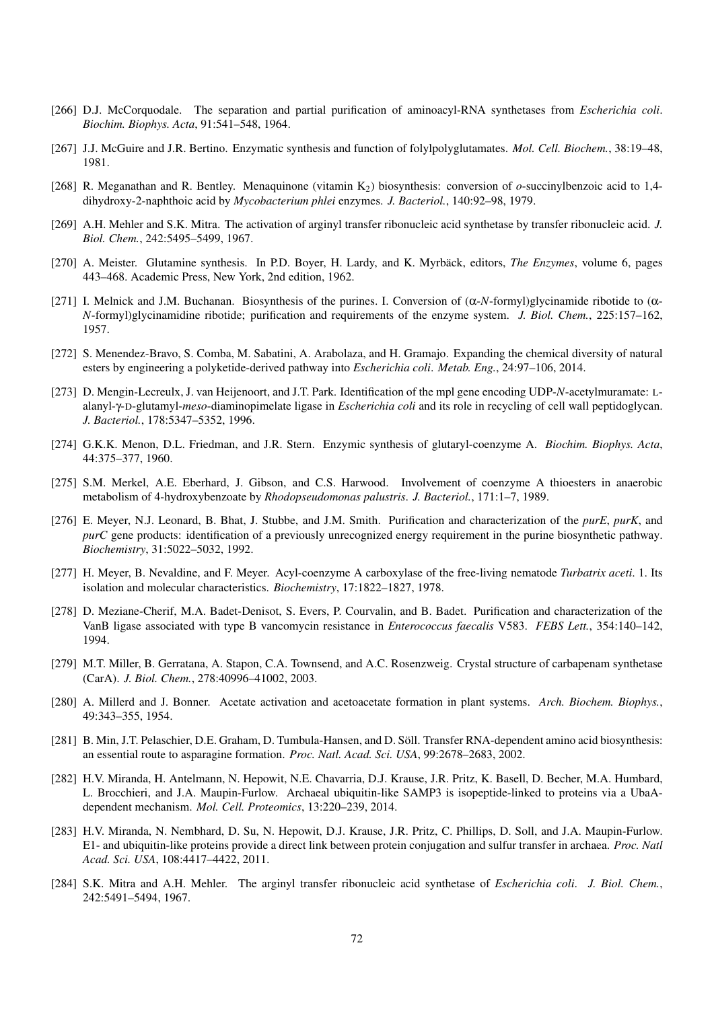- [266] D.J. McCorquodale. The separation and partial purification of aminoacyl-RNA synthetases from *Escherichia coli*. *Biochim. Biophys. Acta*, 91:541–548, 1964.
- [267] J.J. McGuire and J.R. Bertino. Enzymatic synthesis and function of folylpolyglutamates. *Mol. Cell. Biochem.*, 38:19–48, 1981.
- [268] R. Meganathan and R. Bentley. Menaquinone (vitamin K2) biosynthesis: conversion of *o*-succinylbenzoic acid to 1,4 dihydroxy-2-naphthoic acid by *Mycobacterium phlei* enzymes. *J. Bacteriol.*, 140:92–98, 1979.
- [269] A.H. Mehler and S.K. Mitra. The activation of arginyl transfer ribonucleic acid synthetase by transfer ribonucleic acid. *J. Biol. Chem.*, 242:5495–5499, 1967.
- [270] A. Meister. Glutamine synthesis. In P.D. Boyer, H. Lardy, and K. Myrbäck, editors, *The Enzymes*, volume 6, pages 443–468. Academic Press, New York, 2nd edition, 1962.
- <span id="page-71-3"></span>[271] I. Melnick and J.M. Buchanan. Biosynthesis of the purines. I. Conversion of (α-*N*-formyl)glycinamide ribotide to (α-*N*-formyl)glycinamidine ribotide; purification and requirements of the enzyme system. *J. Biol. Chem.*, 225:157–162, 1957.
- [272] S. Menendez-Bravo, S. Comba, M. Sabatini, A. Arabolaza, and H. Gramajo. Expanding the chemical diversity of natural esters by engineering a polyketide-derived pathway into *Escherichia coli*. *Metab. Eng.*, 24:97–106, 2014.
- <span id="page-71-0"></span>[273] D. Mengin-Lecreulx, J. van Heijenoort, and J.T. Park. Identification of the mpl gene encoding UDP-*N*-acetylmuramate: Lalanyl-γ-D-glutamyl-*meso*-diaminopimelate ligase in *Escherichia coli* and its role in recycling of cell wall peptidoglycan. *J. Bacteriol.*, 178:5347–5352, 1996.
- [274] G.K.K. Menon, D.L. Friedman, and J.R. Stern. Enzymic synthesis of glutaryl-coenzyme A. *Biochim. Biophys. Acta*, 44:375–377, 1960.
- [275] S.M. Merkel, A.E. Eberhard, J. Gibson, and C.S. Harwood. Involvement of coenzyme A thioesters in anaerobic metabolism of 4-hydroxybenzoate by *Rhodopseudomonas palustris*. *J. Bacteriol.*, 171:1–7, 1989.
- <span id="page-71-2"></span>[276] E. Meyer, N.J. Leonard, B. Bhat, J. Stubbe, and J.M. Smith. Purification and characterization of the *purE*, *purK*, and *purC* gene products: identification of a previously unrecognized energy requirement in the purine biosynthetic pathway. *Biochemistry*, 31:5022–5032, 1992.
- <span id="page-71-5"></span>[277] H. Meyer, B. Nevaldine, and F. Meyer. Acyl-coenzyme A carboxylase of the free-living nematode *Turbatrix aceti*. 1. Its isolation and molecular characteristics. *Biochemistry*, 17:1822–1827, 1978.
- [278] D. Meziane-Cherif, M.A. Badet-Denisot, S. Evers, P. Courvalin, and B. Badet. Purification and characterization of the VanB ligase associated with type B vancomycin resistance in *Enterococcus faecalis* V583. *FEBS Lett.*, 354:140–142, 1994.
- <span id="page-71-1"></span>[279] M.T. Miller, B. Gerratana, A. Stapon, C.A. Townsend, and A.C. Rosenzweig. Crystal structure of carbapenam synthetase (CarA). *J. Biol. Chem.*, 278:40996–41002, 2003.
- [280] A. Millerd and J. Bonner. Acetate activation and acetoacetate formation in plant systems. *Arch. Biochem. Biophys.*, 49:343–355, 1954.
- <span id="page-71-4"></span>[281] B. Min, J.T. Pelaschier, D.E. Graham, D. Tumbula-Hansen, and D. Söll. Transfer RNA-dependent amino acid biosynthesis: an essential route to asparagine formation. *Proc. Natl. Acad. Sci. USA*, 99:2678–2683, 2002.
- [282] H.V. Miranda, H. Antelmann, N. Hepowit, N.E. Chavarria, D.J. Krause, J.R. Pritz, K. Basell, D. Becher, M.A. Humbard, L. Brocchieri, and J.A. Maupin-Furlow. Archaeal ubiquitin-like SAMP3 is isopeptide-linked to proteins via a UbaAdependent mechanism. *Mol. Cell. Proteomics*, 13:220–239, 2014.
- [283] H.V. Miranda, N. Nembhard, D. Su, N. Hepowit, D.J. Krause, J.R. Pritz, C. Phillips, D. Soll, and J.A. Maupin-Furlow. E1- and ubiquitin-like proteins provide a direct link between protein conjugation and sulfur transfer in archaea. *Proc. Natl Acad. Sci. USA*, 108:4417–4422, 2011.
- [284] S.K. Mitra and A.H. Mehler. The arginyl transfer ribonucleic acid synthetase of *Escherichia coli*. *J. Biol. Chem.*, 242:5491–5494, 1967.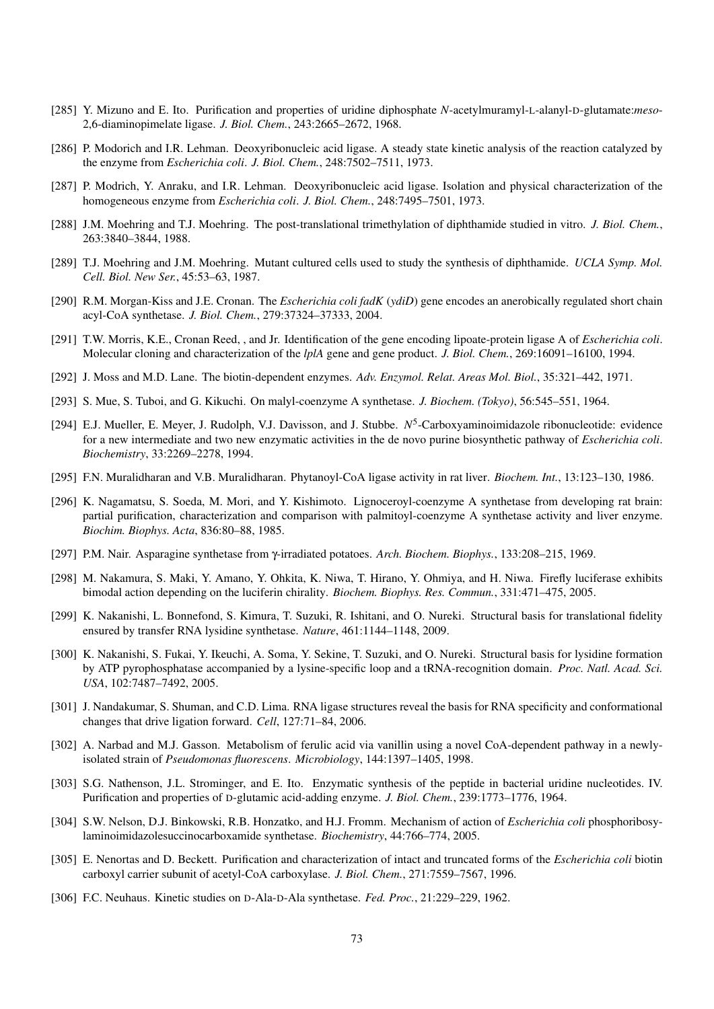- [285] Y. Mizuno and E. Ito. Purification and properties of uridine diphosphate *N*-acetylmuramyl-L-alanyl-D-glutamate:*meso*-2,6-diaminopimelate ligase. *J. Biol. Chem.*, 243:2665–2672, 1968.
- [286] P. Modorich and I.R. Lehman. Deoxyribonucleic acid ligase. A steady state kinetic analysis of the reaction catalyzed by the enzyme from *Escherichia coli*. *J. Biol. Chem.*, 248:7502–7511, 1973.
- [287] P. Modrich, Y. Anraku, and I.R. Lehman. Deoxyribonucleic acid ligase. Isolation and physical characterization of the homogeneous enzyme from *Escherichia coli*. *J. Biol. Chem.*, 248:7495–7501, 1973.
- [288] J.M. Moehring and T.J. Moehring. The post-translational trimethylation of diphthamide studied in vitro. *J. Biol. Chem.*, 263:3840–3844, 1988.
- [289] T.J. Moehring and J.M. Moehring. Mutant cultured cells used to study the synthesis of diphthamide. *UCLA Symp. Mol. Cell. Biol. New Ser.*, 45:53–63, 1987.
- [290] R.M. Morgan-Kiss and J.E. Cronan. The *Escherichia coli fadK* (*ydiD*) gene encodes an anerobically regulated short chain acyl-CoA synthetase. *J. Biol. Chem.*, 279:37324–37333, 2004.
- [291] T.W. Morris, K.E., Cronan Reed, , and Jr. Identification of the gene encoding lipoate-protein ligase A of *Escherichia coli*. Molecular cloning and characterization of the *lplA* gene and gene product. *J. Biol. Chem.*, 269:16091–16100, 1994.
- [292] J. Moss and M.D. Lane. The biotin-dependent enzymes. *Adv. Enzymol. Relat. Areas Mol. Biol.*, 35:321–442, 1971.
- [293] S. Mue, S. Tuboi, and G. Kikuchi. On malyl-coenzyme A synthetase. *J. Biochem. (Tokyo)*, 56:545–551, 1964.
- [294] E.J. Mueller, E. Meyer, J. Rudolph, V.J. Davisson, and J. Stubbe. N<sup>5</sup>-Carboxyaminoimidazole ribonucleotide: evidence for a new intermediate and two new enzymatic activities in the de novo purine biosynthetic pathway of *Escherichia coli*. *Biochemistry*, 33:2269–2278, 1994.
- [295] F.N. Muralidharan and V.B. Muralidharan. Phytanoyl-CoA ligase activity in rat liver. *Biochem. Int.*, 13:123–130, 1986.
- [296] K. Nagamatsu, S. Soeda, M. Mori, and Y. Kishimoto. Lignoceroyl-coenzyme A synthetase from developing rat brain: partial purification, characterization and comparison with palmitoyl-coenzyme A synthetase activity and liver enzyme. *Biochim. Biophys. Acta*, 836:80–88, 1985.
- [297] P.M. Nair. Asparagine synthetase from γ-irradiated potatoes. *Arch. Biochem. Biophys.*, 133:208–215, 1969.
- [298] M. Nakamura, S. Maki, Y. Amano, Y. Ohkita, K. Niwa, T. Hirano, Y. Ohmiya, and H. Niwa. Firefly luciferase exhibits bimodal action depending on the luciferin chirality. *Biochem. Biophys. Res. Commun.*, 331:471–475, 2005.
- [299] K. Nakanishi, L. Bonnefond, S. Kimura, T. Suzuki, R. Ishitani, and O. Nureki. Structural basis for translational fidelity ensured by transfer RNA lysidine synthetase. *Nature*, 461:1144–1148, 2009.
- [300] K. Nakanishi, S. Fukai, Y. Ikeuchi, A. Soma, Y. Sekine, T. Suzuki, and O. Nureki. Structural basis for lysidine formation by ATP pyrophosphatase accompanied by a lysine-specific loop and a tRNA-recognition domain. *Proc. Natl. Acad. Sci. USA*, 102:7487–7492, 2005.
- [301] J. Nandakumar, S. Shuman, and C.D. Lima. RNA ligase structures reveal the basis for RNA specificity and conformational changes that drive ligation forward. *Cell*, 127:71–84, 2006.
- [302] A. Narbad and M.J. Gasson. Metabolism of ferulic acid via vanillin using a novel CoA-dependent pathway in a newlyisolated strain of *Pseudomonas fluorescens*. *Microbiology*, 144:1397–1405, 1998.
- [303] S.G. Nathenson, J.L. Strominger, and E. Ito. Enzymatic synthesis of the peptide in bacterial uridine nucleotides. IV. Purification and properties of D-glutamic acid-adding enzyme. *J. Biol. Chem.*, 239:1773–1776, 1964.
- [304] S.W. Nelson, D.J. Binkowski, R.B. Honzatko, and H.J. Fromm. Mechanism of action of *Escherichia coli* phosphoribosylaminoimidazolesuccinocarboxamide synthetase. *Biochemistry*, 44:766–774, 2005.
- [305] E. Nenortas and D. Beckett. Purification and characterization of intact and truncated forms of the *Escherichia coli* biotin carboxyl carrier subunit of acetyl-CoA carboxylase. *J. Biol. Chem.*, 271:7559–7567, 1996.
- [306] F.C. Neuhaus. Kinetic studies on D-Ala-D-Ala synthetase. *Fed. Proc.*, 21:229–229, 1962.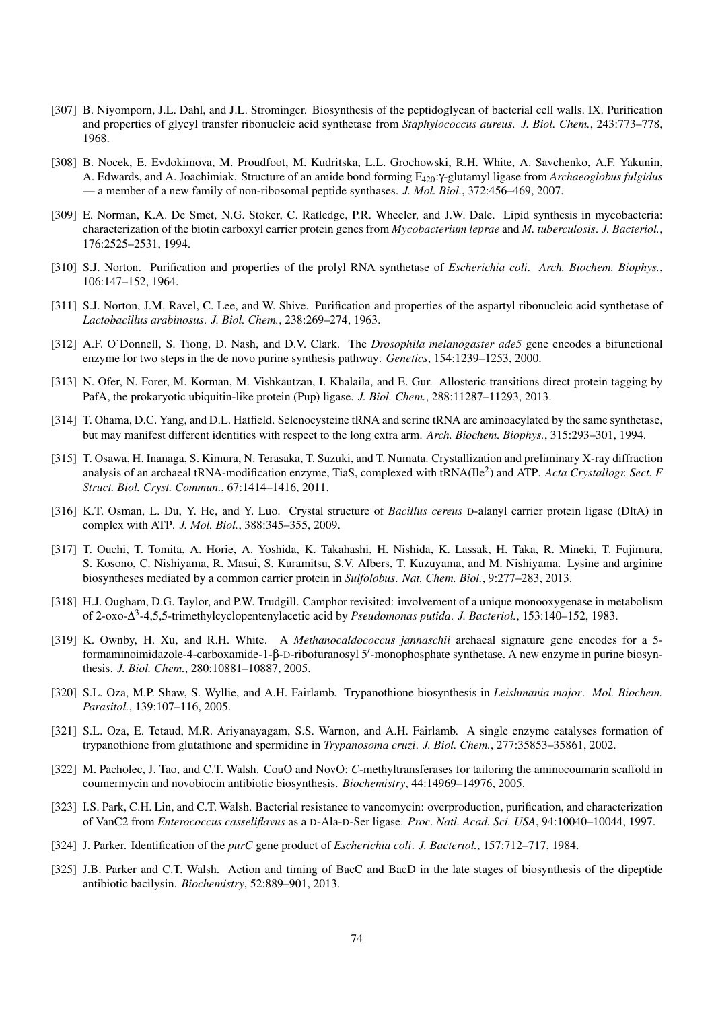- [307] B. Niyomporn, J.L. Dahl, and J.L. Strominger. Biosynthesis of the peptidoglycan of bacterial cell walls. IX. Purification and properties of glycyl transfer ribonucleic acid synthetase from *Staphylococcus aureus*. *J. Biol. Chem.*, 243:773–778, 1968.
- [308] B. Nocek, E. Evdokimova, M. Proudfoot, M. Kudritska, L.L. Grochowski, R.H. White, A. Savchenko, A.F. Yakunin, A. Edwards, and A. Joachimiak. Structure of an amide bond forming F420:γ-glutamyl ligase from *Archaeoglobus fulgidus* — a member of a new family of non-ribosomal peptide synthases. *J. Mol. Biol.*, 372:456–469, 2007.
- [309] E. Norman, K.A. De Smet, N.G. Stoker, C. Ratledge, P.R. Wheeler, and J.W. Dale. Lipid synthesis in mycobacteria: characterization of the biotin carboxyl carrier protein genes from *Mycobacterium leprae* and *M. tuberculosis*. *J. Bacteriol.*, 176:2525–2531, 1994.
- [310] S.J. Norton. Purification and properties of the prolyl RNA synthetase of *Escherichia coli*. *Arch. Biochem. Biophys.*, 106:147–152, 1964.
- [311] S.J. Norton, J.M. Ravel, C. Lee, and W. Shive. Purification and properties of the aspartyl ribonucleic acid synthetase of *Lactobacillus arabinosus*. *J. Biol. Chem.*, 238:269–274, 1963.
- [312] A.F. O'Donnell, S. Tiong, D. Nash, and D.V. Clark. The *Drosophila melanogaster ade5* gene encodes a bifunctional enzyme for two steps in the de novo purine synthesis pathway. *Genetics*, 154:1239–1253, 2000.
- [313] N. Ofer, N. Forer, M. Korman, M. Vishkautzan, I. Khalaila, and E. Gur. Allosteric transitions direct protein tagging by PafA, the prokaryotic ubiquitin-like protein (Pup) ligase. *J. Biol. Chem.*, 288:11287–11293, 2013.
- [314] T. Ohama, D.C. Yang, and D.L. Hatfield. Selenocysteine tRNA and serine tRNA are aminoacylated by the same synthetase, but may manifest different identities with respect to the long extra arm. *Arch. Biochem. Biophys.*, 315:293–301, 1994.
- [315] T. Osawa, H. Inanaga, S. Kimura, N. Terasaka, T. Suzuki, and T. Numata. Crystallization and preliminary X-ray diffraction analysis of an archaeal tRNA-modification enzyme, TiaS, complexed with tRNA(Ile<sup>2</sup> ) and ATP. *Acta Crystallogr. Sect. F Struct. Biol. Cryst. Commun.*, 67:1414–1416, 2011.
- [316] K.T. Osman, L. Du, Y. He, and Y. Luo. Crystal structure of *Bacillus cereus* D-alanyl carrier protein ligase (DltA) in complex with ATP. *J. Mol. Biol.*, 388:345–355, 2009.
- [317] T. Ouchi, T. Tomita, A. Horie, A. Yoshida, K. Takahashi, H. Nishida, K. Lassak, H. Taka, R. Mineki, T. Fujimura, S. Kosono, C. Nishiyama, R. Masui, S. Kuramitsu, S.V. Albers, T. Kuzuyama, and M. Nishiyama. Lysine and arginine biosyntheses mediated by a common carrier protein in *Sulfolobus*. *Nat. Chem. Biol.*, 9:277–283, 2013.
- [318] H.J. Ougham, D.G. Taylor, and P.W. Trudgill. Camphor revisited: involvement of a unique monooxygenase in metabolism of 2-oxo-∆ 3 -4,5,5-trimethylcyclopentenylacetic acid by *Pseudomonas putida*. *J. Bacteriol.*, 153:140–152, 1983.
- [319] K. Ownby, H. Xu, and R.H. White. A *Methanocaldococcus jannaschii* archaeal signature gene encodes for a 5 formaminoimidazole-4-carboxamide-1-β-D-ribofuranosyl 5'-monophosphate synthetase. A new enzyme in purine biosynthesis. *J. Biol. Chem.*, 280:10881–10887, 2005.
- [320] S.L. Oza, M.P. Shaw, S. Wyllie, and A.H. Fairlamb. Trypanothione biosynthesis in *Leishmania major*. *Mol. Biochem. Parasitol.*, 139:107–116, 2005.
- [321] S.L. Oza, E. Tetaud, M.R. Ariyanayagam, S.S. Warnon, and A.H. Fairlamb. A single enzyme catalyses formation of trypanothione from glutathione and spermidine in *Trypanosoma cruzi*. *J. Biol. Chem.*, 277:35853–35861, 2002.
- [322] M. Pacholec, J. Tao, and C.T. Walsh. CouO and NovO: *C*-methyltransferases for tailoring the aminocoumarin scaffold in coumermycin and novobiocin antibiotic biosynthesis. *Biochemistry*, 44:14969–14976, 2005.
- [323] I.S. Park, C.H. Lin, and C.T. Walsh. Bacterial resistance to vancomycin: overproduction, purification, and characterization of VanC2 from *Enterococcus casseliflavus* as a D-Ala-D-Ser ligase. *Proc. Natl. Acad. Sci. USA*, 94:10040–10044, 1997.
- [324] J. Parker. Identification of the *purC* gene product of *Escherichia coli*. *J. Bacteriol.*, 157:712–717, 1984.
- [325] J.B. Parker and C.T. Walsh. Action and timing of BacC and BacD in the late stages of biosynthesis of the dipeptide antibiotic bacilysin. *Biochemistry*, 52:889–901, 2013.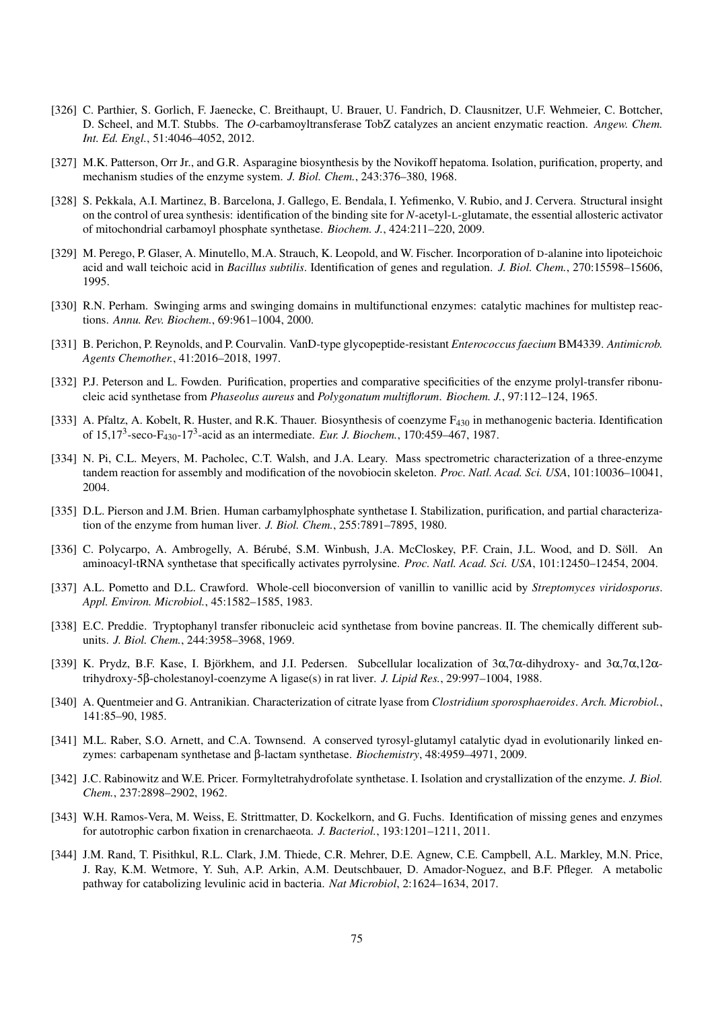- [326] C. Parthier, S. Gorlich, F. Jaenecke, C. Breithaupt, U. Brauer, U. Fandrich, D. Clausnitzer, U.F. Wehmeier, C. Bottcher, D. Scheel, and M.T. Stubbs. The *O*-carbamoyltransferase TobZ catalyzes an ancient enzymatic reaction. *Angew. Chem. Int. Ed. Engl.*, 51:4046–4052, 2012.
- [327] M.K. Patterson, Orr Jr., and G.R. Asparagine biosynthesis by the Novikoff hepatoma. Isolation, purification, property, and mechanism studies of the enzyme system. *J. Biol. Chem.*, 243:376–380, 1968.
- [328] S. Pekkala, A.I. Martinez, B. Barcelona, J. Gallego, E. Bendala, I. Yefimenko, V. Rubio, and J. Cervera. Structural insight on the control of urea synthesis: identification of the binding site for *N*-acetyl-L-glutamate, the essential allosteric activator of mitochondrial carbamoyl phosphate synthetase. *Biochem. J.*, 424:211–220, 2009.
- [329] M. Perego, P. Glaser, A. Minutello, M.A. Strauch, K. Leopold, and W. Fischer. Incorporation of D-alanine into lipoteichoic acid and wall teichoic acid in *Bacillus subtilis*. Identification of genes and regulation. *J. Biol. Chem.*, 270:15598–15606, 1995.
- [330] R.N. Perham. Swinging arms and swinging domains in multifunctional enzymes: catalytic machines for multistep reactions. *Annu. Rev. Biochem.*, 69:961–1004, 2000.
- [331] B. Perichon, P. Reynolds, and P. Courvalin. VanD-type glycopeptide-resistant *Enterococcus faecium* BM4339. *Antimicrob. Agents Chemother.*, 41:2016–2018, 1997.
- [332] P.J. Peterson and L. Fowden. Purification, properties and comparative specificities of the enzyme prolyl-transfer ribonucleic acid synthetase from *Phaseolus aureus* and *Polygonatum multiflorum*. *Biochem. J.*, 97:112–124, 1965.
- [333] A. Pfaltz, A. Kobelt, R. Huster, and R.K. Thauer. Biosynthesis of coenzyme  $F_{430}$  in methanogenic bacteria. Identification of 15,17<sup>3</sup> -seco-F430-17<sup>3</sup> -acid as an intermediate. *Eur. J. Biochem.*, 170:459–467, 1987.
- [334] N. Pi, C.L. Meyers, M. Pacholec, C.T. Walsh, and J.A. Leary. Mass spectrometric characterization of a three-enzyme tandem reaction for assembly and modification of the novobiocin skeleton. *Proc. Natl. Acad. Sci. USA*, 101:10036–10041, 2004.
- [335] D.L. Pierson and J.M. Brien. Human carbamylphosphate synthetase I. Stabilization, purification, and partial characterization of the enzyme from human liver. *J. Biol. Chem.*, 255:7891–7895, 1980.
- [336] C. Polycarpo, A. Ambrogelly, A. Bérubé, S.M. Winbush, J.A. McCloskey, P.F. Crain, J.L. Wood, and D. Söll. An aminoacyl-tRNA synthetase that specifically activates pyrrolysine. *Proc. Natl. Acad. Sci. USA*, 101:12450–12454, 2004.
- [337] A.L. Pometto and D.L. Crawford. Whole-cell bioconversion of vanillin to vanillic acid by *Streptomyces viridosporus*. *Appl. Environ. Microbiol.*, 45:1582–1585, 1983.
- [338] E.C. Preddie. Tryptophanyl transfer ribonucleic acid synthetase from bovine pancreas. II. The chemically different subunits. *J. Biol. Chem.*, 244:3958–3968, 1969.
- [339] K. Prydz, B.F. Kase, I. Björkhem, and J.I. Pedersen. Subcellular localization of  $3\alpha$ ,7 $\alpha$ -dihydroxy- and  $3\alpha$ ,7 $\alpha$ ,12 $\alpha$ trihydroxy-5β-cholestanoyl-coenzyme A ligase(s) in rat liver. *J. Lipid Res.*, 29:997–1004, 1988.
- [340] A. Quentmeier and G. Antranikian. Characterization of citrate lyase from *Clostridium sporosphaeroides*. *Arch. Microbiol.*, 141:85–90, 1985.
- [341] M.L. Raber, S.O. Arnett, and C.A. Townsend. A conserved tyrosyl-glutamyl catalytic dyad in evolutionarily linked enzymes: carbapenam synthetase and β-lactam synthetase. *Biochemistry*, 48:4959–4971, 2009.
- [342] J.C. Rabinowitz and W.E. Pricer. Formyltetrahydrofolate synthetase. I. Isolation and crystallization of the enzyme. *J. Biol. Chem.*, 237:2898–2902, 1962.
- [343] W.H. Ramos-Vera, M. Weiss, E. Strittmatter, D. Kockelkorn, and G. Fuchs. Identification of missing genes and enzymes for autotrophic carbon fixation in crenarchaeota. *J. Bacteriol.*, 193:1201–1211, 2011.
- [344] J.M. Rand, T. Pisithkul, R.L. Clark, J.M. Thiede, C.R. Mehrer, D.E. Agnew, C.E. Campbell, A.L. Markley, M.N. Price, J. Ray, K.M. Wetmore, Y. Suh, A.P. Arkin, A.M. Deutschbauer, D. Amador-Noguez, and B.F. Pfleger. A metabolic pathway for catabolizing levulinic acid in bacteria. *Nat Microbiol*, 2:1624–1634, 2017.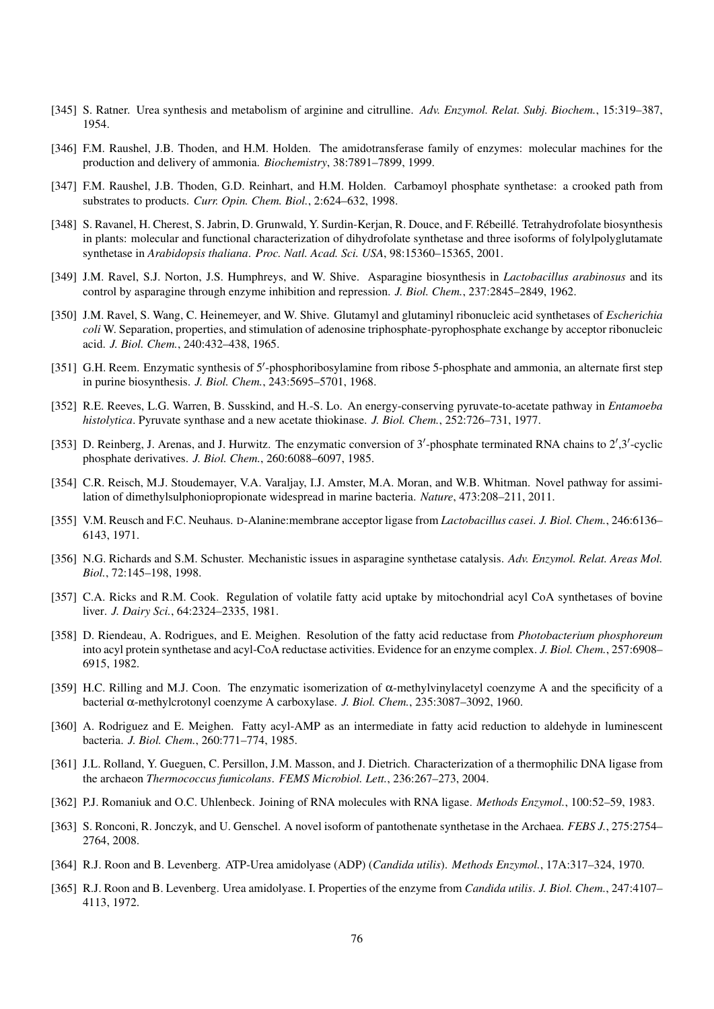- [345] S. Ratner. Urea synthesis and metabolism of arginine and citrulline. *Adv. Enzymol. Relat. Subj. Biochem.*, 15:319–387, 1954.
- [346] F.M. Raushel, J.B. Thoden, and H.M. Holden. The amidotransferase family of enzymes: molecular machines for the production and delivery of ammonia. *Biochemistry*, 38:7891–7899, 1999.
- [347] F.M. Raushel, J.B. Thoden, G.D. Reinhart, and H.M. Holden. Carbamoyl phosphate synthetase: a crooked path from substrates to products. *Curr. Opin. Chem. Biol.*, 2:624–632, 1998.
- [348] S. Ravanel, H. Cherest, S. Jabrin, D. Grunwald, Y. Surdin-Kerjan, R. Douce, and F. Rébeillé. Tetrahydrofolate biosynthesis in plants: molecular and functional characterization of dihydrofolate synthetase and three isoforms of folylpolyglutamate synthetase in *Arabidopsis thaliana*. *Proc. Natl. Acad. Sci. USA*, 98:15360–15365, 2001.
- [349] J.M. Ravel, S.J. Norton, J.S. Humphreys, and W. Shive. Asparagine biosynthesis in *Lactobacillus arabinosus* and its control by asparagine through enzyme inhibition and repression. *J. Biol. Chem.*, 237:2845–2849, 1962.
- [350] J.M. Ravel, S. Wang, C. Heinemeyer, and W. Shive. Glutamyl and glutaminyl ribonucleic acid synthetases of *Escherichia coli* W. Separation, properties, and stimulation of adenosine triphosphate-pyrophosphate exchange by acceptor ribonucleic acid. *J. Biol. Chem.*, 240:432–438, 1965.
- [351] G.H. Reem. Enzymatic synthesis of 5'-phosphoribosylamine from ribose 5-phosphate and ammonia, an alternate first step in purine biosynthesis. *J. Biol. Chem.*, 243:5695–5701, 1968.
- [352] R.E. Reeves, L.G. Warren, B. Susskind, and H.-S. Lo. An energy-conserving pyruvate-to-acetate pathway in *Entamoeba histolytica*. Pyruvate synthase and a new acetate thiokinase. *J. Biol. Chem.*, 252:726–731, 1977.
- [353] D. Reinberg, J. Arenas, and J. Hurwitz. The enzymatic conversion of  $3'$ -phosphate terminated RNA chains to  $2',3'$ -cyclic phosphate derivatives. *J. Biol. Chem.*, 260:6088–6097, 1985.
- [354] C.R. Reisch, M.J. Stoudemayer, V.A. Varaljay, I.J. Amster, M.A. Moran, and W.B. Whitman. Novel pathway for assimilation of dimethylsulphoniopropionate widespread in marine bacteria. *Nature*, 473:208–211, 2011.
- [355] V.M. Reusch and F.C. Neuhaus. D-Alanine:membrane acceptor ligase from *Lactobacillus casei*. *J. Biol. Chem.*, 246:6136– 6143, 1971.
- [356] N.G. Richards and S.M. Schuster. Mechanistic issues in asparagine synthetase catalysis. *Adv. Enzymol. Relat. Areas Mol. Biol.*, 72:145–198, 1998.
- [357] C.A. Ricks and R.M. Cook. Regulation of volatile fatty acid uptake by mitochondrial acyl CoA synthetases of bovine liver. *J. Dairy Sci.*, 64:2324–2335, 1981.
- [358] D. Riendeau, A. Rodrigues, and E. Meighen. Resolution of the fatty acid reductase from *Photobacterium phosphoreum* into acyl protein synthetase and acyl-CoA reductase activities. Evidence for an enzyme complex. *J. Biol. Chem.*, 257:6908– 6915, 1982.
- [359] H.C. Rilling and M.J. Coon. The enzymatic isomerization of α-methylvinylacetyl coenzyme A and the specificity of a bacterial α-methylcrotonyl coenzyme A carboxylase. *J. Biol. Chem.*, 235:3087–3092, 1960.
- [360] A. Rodriguez and E. Meighen. Fatty acyl-AMP as an intermediate in fatty acid reduction to aldehyde in luminescent bacteria. *J. Biol. Chem.*, 260:771–774, 1985.
- [361] J.L. Rolland, Y. Gueguen, C. Persillon, J.M. Masson, and J. Dietrich. Characterization of a thermophilic DNA ligase from the archaeon *Thermococcus fumicolans*. *FEMS Microbiol. Lett.*, 236:267–273, 2004.
- [362] P.J. Romaniuk and O.C. Uhlenbeck. Joining of RNA molecules with RNA ligase. *Methods Enzymol.*, 100:52–59, 1983.
- [363] S. Ronconi, R. Jonczyk, and U. Genschel. A novel isoform of pantothenate synthetase in the Archaea. *FEBS J.*, 275:2754– 2764, 2008.
- [364] R.J. Roon and B. Levenberg. ATP-Urea amidolyase (ADP) (*Candida utilis*). *Methods Enzymol.*, 17A:317–324, 1970.
- [365] R.J. Roon and B. Levenberg. Urea amidolyase. I. Properties of the enzyme from *Candida utilis*. *J. Biol. Chem.*, 247:4107– 4113, 1972.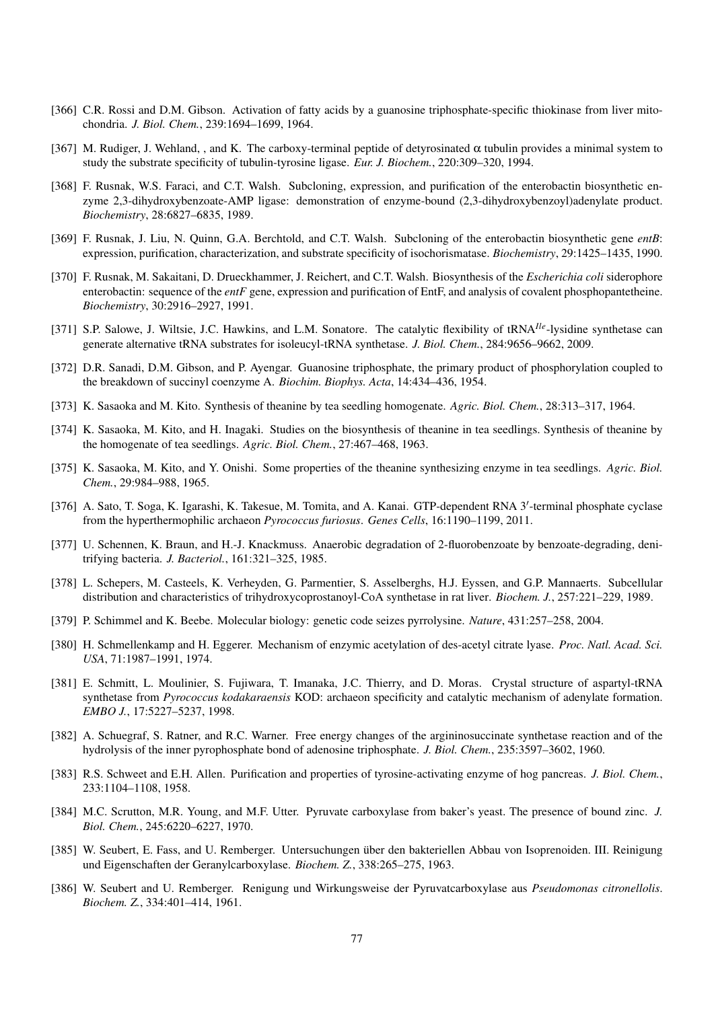- [366] C.R. Rossi and D.M. Gibson. Activation of fatty acids by a guanosine triphosphate-specific thiokinase from liver mitochondria. *J. Biol. Chem.*, 239:1694–1699, 1964.
- [367] M. Rudiger, J. Wehland, , and K. The carboxy-terminal peptide of detyrosinated  $\alpha$  tubulin provides a minimal system to study the substrate specificity of tubulin-tyrosine ligase. *Eur. J. Biochem.*, 220:309–320, 1994.
- [368] F. Rusnak, W.S. Faraci, and C.T. Walsh. Subcloning, expression, and purification of the enterobactin biosynthetic enzyme 2,3-dihydroxybenzoate-AMP ligase: demonstration of enzyme-bound (2,3-dihydroxybenzoyl)adenylate product. *Biochemistry*, 28:6827–6835, 1989.
- [369] F. Rusnak, J. Liu, N. Quinn, G.A. Berchtold, and C.T. Walsh. Subcloning of the enterobactin biosynthetic gene *entB*: expression, purification, characterization, and substrate specificity of isochorismatase. *Biochemistry*, 29:1425–1435, 1990.
- [370] F. Rusnak, M. Sakaitani, D. Drueckhammer, J. Reichert, and C.T. Walsh. Biosynthesis of the *Escherichia coli* siderophore enterobactin: sequence of the *entF* gene, expression and purification of EntF, and analysis of covalent phosphopantetheine. *Biochemistry*, 30:2916–2927, 1991.
- [371] S.P. Salowe, J. Wiltsie, J.C. Hawkins, and L.M. Sonatore. The catalytic flexibility of tRNA*Ile*-lysidine synthetase can generate alternative tRNA substrates for isoleucyl-tRNA synthetase. *J. Biol. Chem.*, 284:9656–9662, 2009.
- [372] D.R. Sanadi, D.M. Gibson, and P. Ayengar. Guanosine triphosphate, the primary product of phosphorylation coupled to the breakdown of succinyl coenzyme A. *Biochim. Biophys. Acta*, 14:434–436, 1954.
- [373] K. Sasaoka and M. Kito. Synthesis of theanine by tea seedling homogenate. *Agric. Biol. Chem.*, 28:313–317, 1964.
- [374] K. Sasaoka, M. Kito, and H. Inagaki. Studies on the biosynthesis of theanine in tea seedlings. Synthesis of theanine by the homogenate of tea seedlings. *Agric. Biol. Chem.*, 27:467–468, 1963.
- [375] K. Sasaoka, M. Kito, and Y. Onishi. Some properties of the theanine synthesizing enzyme in tea seedlings. *Agric. Biol. Chem.*, 29:984–988, 1965.
- [376] A. Sato, T. Soga, K. Igarashi, K. Takesue, M. Tomita, and A. Kanai. GTP-dependent RNA 3'-terminal phosphate cyclase from the hyperthermophilic archaeon *Pyrococcus furiosus*. *Genes Cells*, 16:1190–1199, 2011.
- [377] U. Schennen, K. Braun, and H.-J. Knackmuss. Anaerobic degradation of 2-fluorobenzoate by benzoate-degrading, denitrifying bacteria. *J. Bacteriol.*, 161:321–325, 1985.
- [378] L. Schepers, M. Casteels, K. Verheyden, G. Parmentier, S. Asselberghs, H.J. Eyssen, and G.P. Mannaerts. Subcellular distribution and characteristics of trihydroxycoprostanoyl-CoA synthetase in rat liver. *Biochem. J.*, 257:221–229, 1989.
- [379] P. Schimmel and K. Beebe. Molecular biology: genetic code seizes pyrrolysine. *Nature*, 431:257–258, 2004.
- [380] H. Schmellenkamp and H. Eggerer. Mechanism of enzymic acetylation of des-acetyl citrate lyase. *Proc. Natl. Acad. Sci. USA*, 71:1987–1991, 1974.
- [381] E. Schmitt, L. Moulinier, S. Fujiwara, T. Imanaka, J.C. Thierry, and D. Moras. Crystal structure of aspartyl-tRNA synthetase from *Pyrococcus kodakaraensis* KOD: archaeon specificity and catalytic mechanism of adenylate formation. *EMBO J.*, 17:5227–5237, 1998.
- [382] A. Schuegraf, S. Ratner, and R.C. Warner. Free energy changes of the argininosuccinate synthetase reaction and of the hydrolysis of the inner pyrophosphate bond of adenosine triphosphate. *J. Biol. Chem.*, 235:3597–3602, 1960.
- [383] R.S. Schweet and E.H. Allen. Purification and properties of tyrosine-activating enzyme of hog pancreas. *J. Biol. Chem.*, 233:1104–1108, 1958.
- [384] M.C. Scrutton, M.R. Young, and M.F. Utter. Pyruvate carboxylase from baker's yeast. The presence of bound zinc. *J. Biol. Chem.*, 245:6220–6227, 1970.
- [385] W. Seubert, E. Fass, and U. Remberger. Untersuchungen über den bakteriellen Abbau von Isoprenoiden. III. Reinigung und Eigenschaften der Geranylcarboxylase. *Biochem. Z.*, 338:265–275, 1963.
- [386] W. Seubert and U. Remberger. Renigung und Wirkungsweise der Pyruvatcarboxylase aus *Pseudomonas citronellolis*. *Biochem. Z.*, 334:401–414, 1961.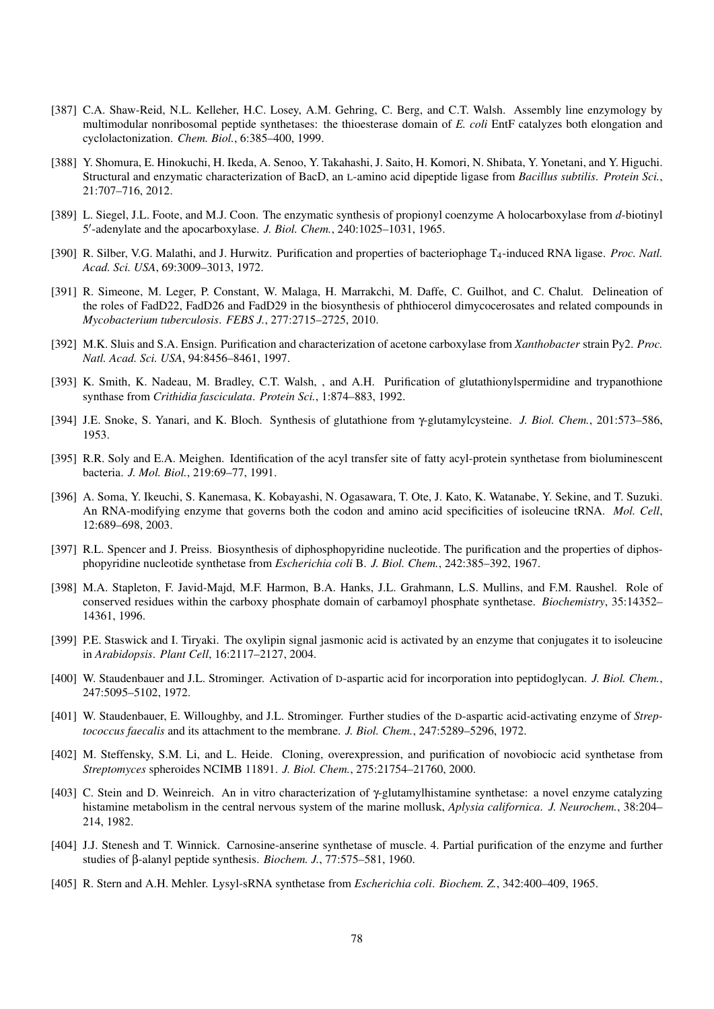- [387] C.A. Shaw-Reid, N.L. Kelleher, H.C. Losey, A.M. Gehring, C. Berg, and C.T. Walsh. Assembly line enzymology by multimodular nonribosomal peptide synthetases: the thioesterase domain of *E. coli* EntF catalyzes both elongation and cyclolactonization. *Chem. Biol.*, 6:385–400, 1999.
- [388] Y. Shomura, E. Hinokuchi, H. Ikeda, A. Senoo, Y. Takahashi, J. Saito, H. Komori, N. Shibata, Y. Yonetani, and Y. Higuchi. Structural and enzymatic characterization of BacD, an L-amino acid dipeptide ligase from *Bacillus subtilis*. *Protein Sci.*, 21:707–716, 2012.
- [389] L. Siegel, J.L. Foote, and M.J. Coon. The enzymatic synthesis of propionyl coenzyme A holocarboxylase from *d*-biotinyl 5'-adenylate and the apocarboxylase. *J. Biol. Chem.*, 240:1025-1031, 1965.
- [390] R. Silber, V.G. Malathi, and J. Hurwitz. Purification and properties of bacteriophage T4-induced RNA ligase. *Proc. Natl. Acad. Sci. USA*, 69:3009–3013, 1972.
- [391] R. Simeone, M. Leger, P. Constant, W. Malaga, H. Marrakchi, M. Daffe, C. Guilhot, and C. Chalut. Delineation of the roles of FadD22, FadD26 and FadD29 in the biosynthesis of phthiocerol dimycocerosates and related compounds in *Mycobacterium tuberculosis*. *FEBS J.*, 277:2715–2725, 2010.
- [392] M.K. Sluis and S.A. Ensign. Purification and characterization of acetone carboxylase from *Xanthobacter* strain Py2. *Proc. Natl. Acad. Sci. USA*, 94:8456–8461, 1997.
- [393] K. Smith, K. Nadeau, M. Bradley, C.T. Walsh, , and A.H. Purification of glutathionylspermidine and trypanothione synthase from *Crithidia fasciculata*. *Protein Sci.*, 1:874–883, 1992.
- [394] J.E. Snoke, S. Yanari, and K. Bloch. Synthesis of glutathione from γ-glutamylcysteine. *J. Biol. Chem.*, 201:573–586, 1953.
- [395] R.R. Soly and E.A. Meighen. Identification of the acyl transfer site of fatty acyl-protein synthetase from bioluminescent bacteria. *J. Mol. Biol.*, 219:69–77, 1991.
- [396] A. Soma, Y. Ikeuchi, S. Kanemasa, K. Kobayashi, N. Ogasawara, T. Ote, J. Kato, K. Watanabe, Y. Sekine, and T. Suzuki. An RNA-modifying enzyme that governs both the codon and amino acid specificities of isoleucine tRNA. *Mol. Cell*, 12:689–698, 2003.
- [397] R.L. Spencer and J. Preiss. Biosynthesis of diphosphopyridine nucleotide. The purification and the properties of diphosphopyridine nucleotide synthetase from *Escherichia coli* B. *J. Biol. Chem.*, 242:385–392, 1967.
- [398] M.A. Stapleton, F. Javid-Majd, M.F. Harmon, B.A. Hanks, J.L. Grahmann, L.S. Mullins, and F.M. Raushel. Role of conserved residues within the carboxy phosphate domain of carbamoyl phosphate synthetase. *Biochemistry*, 35:14352– 14361, 1996.
- [399] P.E. Staswick and I. Tiryaki. The oxylipin signal jasmonic acid is activated by an enzyme that conjugates it to isoleucine in *Arabidopsis*. *Plant Cell*, 16:2117–2127, 2004.
- [400] W. Staudenbauer and J.L. Strominger. Activation of D-aspartic acid for incorporation into peptidoglycan. *J. Biol. Chem.*, 247:5095–5102, 1972.
- [401] W. Staudenbauer, E. Willoughby, and J.L. Strominger. Further studies of the D-aspartic acid-activating enzyme of *Streptococcus faecalis* and its attachment to the membrane. *J. Biol. Chem.*, 247:5289–5296, 1972.
- [402] M. Steffensky, S.M. Li, and L. Heide. Cloning, overexpression, and purification of novobiocic acid synthetase from *Streptomyces* spheroides NCIMB 11891. *J. Biol. Chem.*, 275:21754–21760, 2000.
- [403] C. Stein and D. Weinreich. An in vitro characterization of γ-glutamylhistamine synthetase: a novel enzyme catalyzing histamine metabolism in the central nervous system of the marine mollusk, *Aplysia californica*. *J. Neurochem.*, 38:204– 214, 1982.
- [404] J.J. Stenesh and T. Winnick. Carnosine-anserine synthetase of muscle. 4. Partial purification of the enzyme and further studies of β-alanyl peptide synthesis. *Biochem. J.*, 77:575–581, 1960.
- [405] R. Stern and A.H. Mehler. Lysyl-sRNA synthetase from *Escherichia coli*. *Biochem. Z.*, 342:400–409, 1965.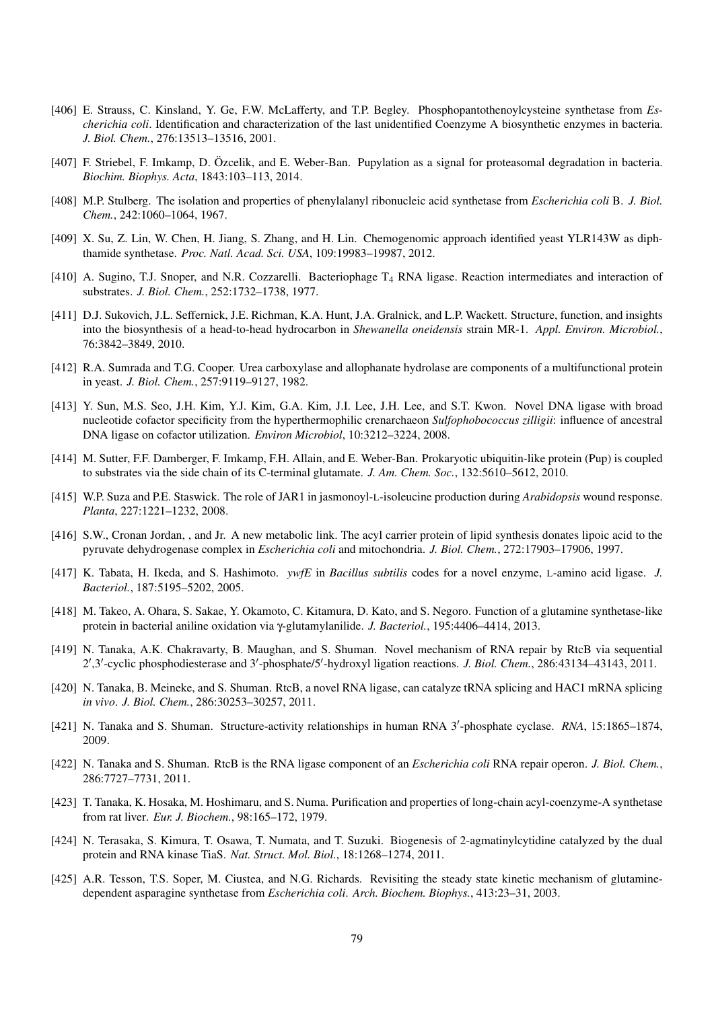- [406] E. Strauss, C. Kinsland, Y. Ge, F.W. McLafferty, and T.P. Begley. Phosphopantothenoylcysteine synthetase from *Escherichia coli*. Identification and characterization of the last unidentified Coenzyme A biosynthetic enzymes in bacteria. *J. Biol. Chem.*, 276:13513–13516, 2001.
- [407] F. Striebel, F. Imkamp, D. Özcelik, and E. Weber-Ban. Pupylation as a signal for proteasomal degradation in bacteria. *Biochim. Biophys. Acta*, 1843:103–113, 2014.
- [408] M.P. Stulberg. The isolation and properties of phenylalanyl ribonucleic acid synthetase from *Escherichia coli* B. *J. Biol. Chem.*, 242:1060–1064, 1967.
- [409] X. Su, Z. Lin, W. Chen, H. Jiang, S. Zhang, and H. Lin. Chemogenomic approach identified yeast YLR143W as diphthamide synthetase. *Proc. Natl. Acad. Sci. USA*, 109:19983–19987, 2012.
- [410] A. Sugino, T.J. Snoper, and N.R. Cozzarelli. Bacteriophage T<sub>4</sub> RNA ligase. Reaction intermediates and interaction of substrates. *J. Biol. Chem.*, 252:1732–1738, 1977.
- [411] D.J. Sukovich, J.L. Seffernick, J.E. Richman, K.A. Hunt, J.A. Gralnick, and L.P. Wackett. Structure, function, and insights into the biosynthesis of a head-to-head hydrocarbon in *Shewanella oneidensis* strain MR-1. *Appl. Environ. Microbiol.*, 76:3842–3849, 2010.
- [412] R.A. Sumrada and T.G. Cooper. Urea carboxylase and allophanate hydrolase are components of a multifunctional protein in yeast. *J. Biol. Chem.*, 257:9119–9127, 1982.
- [413] Y. Sun, M.S. Seo, J.H. Kim, Y.J. Kim, G.A. Kim, J.I. Lee, J.H. Lee, and S.T. Kwon. Novel DNA ligase with broad nucleotide cofactor specificity from the hyperthermophilic crenarchaeon *Sulfophobococcus zilligii*: influence of ancestral DNA ligase on cofactor utilization. *Environ Microbiol*, 10:3212–3224, 2008.
- [414] M. Sutter, F.F. Damberger, F. Imkamp, F.H. Allain, and E. Weber-Ban. Prokaryotic ubiquitin-like protein (Pup) is coupled to substrates via the side chain of its C-terminal glutamate. *J. Am. Chem. Soc.*, 132:5610–5612, 2010.
- [415] W.P. Suza and P.E. Staswick. The role of JAR1 in jasmonoyl-L-isoleucine production during *Arabidopsis* wound response. *Planta*, 227:1221–1232, 2008.
- [416] S.W., Cronan Jordan, , and Jr. A new metabolic link. The acyl carrier protein of lipid synthesis donates lipoic acid to the pyruvate dehydrogenase complex in *Escherichia coli* and mitochondria. *J. Biol. Chem.*, 272:17903–17906, 1997.
- [417] K. Tabata, H. Ikeda, and S. Hashimoto. *ywfE* in *Bacillus subtilis* codes for a novel enzyme, L-amino acid ligase. *J. Bacteriol.*, 187:5195–5202, 2005.
- [418] M. Takeo, A. Ohara, S. Sakae, Y. Okamoto, C. Kitamura, D. Kato, and S. Negoro. Function of a glutamine synthetase-like protein in bacterial aniline oxidation via γ-glutamylanilide. *J. Bacteriol.*, 195:4406–4414, 2013.
- [419] N. Tanaka, A.K. Chakravarty, B. Maughan, and S. Shuman. Novel mechanism of RNA repair by RtcB via sequential 2',3'-cyclic phosphodiesterase and 3'-phosphate/5'-hydroxyl ligation reactions. *J. Biol. Chem.*, 286:43134-43143, 2011.
- [420] N. Tanaka, B. Meineke, and S. Shuman. RtcB, a novel RNA ligase, can catalyze tRNA splicing and HAC1 mRNA splicing *in vivo*. *J. Biol. Chem.*, 286:30253–30257, 2011.
- [421] N. Tanaka and S. Shuman. Structure-activity relationships in human RNA 3'-phosphate cyclase. *RNA*, 15:1865-1874, 2009.
- [422] N. Tanaka and S. Shuman. RtcB is the RNA ligase component of an *Escherichia coli* RNA repair operon. *J. Biol. Chem.*, 286:7727–7731, 2011.
- [423] T. Tanaka, K. Hosaka, M. Hoshimaru, and S. Numa. Purification and properties of long-chain acyl-coenzyme-A synthetase from rat liver. *Eur. J. Biochem.*, 98:165–172, 1979.
- [424] N. Terasaka, S. Kimura, T. Osawa, T. Numata, and T. Suzuki. Biogenesis of 2-agmatinylcytidine catalyzed by the dual protein and RNA kinase TiaS. *Nat. Struct. Mol. Biol.*, 18:1268–1274, 2011.
- [425] A.R. Tesson, T.S. Soper, M. Ciustea, and N.G. Richards. Revisiting the steady state kinetic mechanism of glutaminedependent asparagine synthetase from *Escherichia coli*. *Arch. Biochem. Biophys.*, 413:23–31, 2003.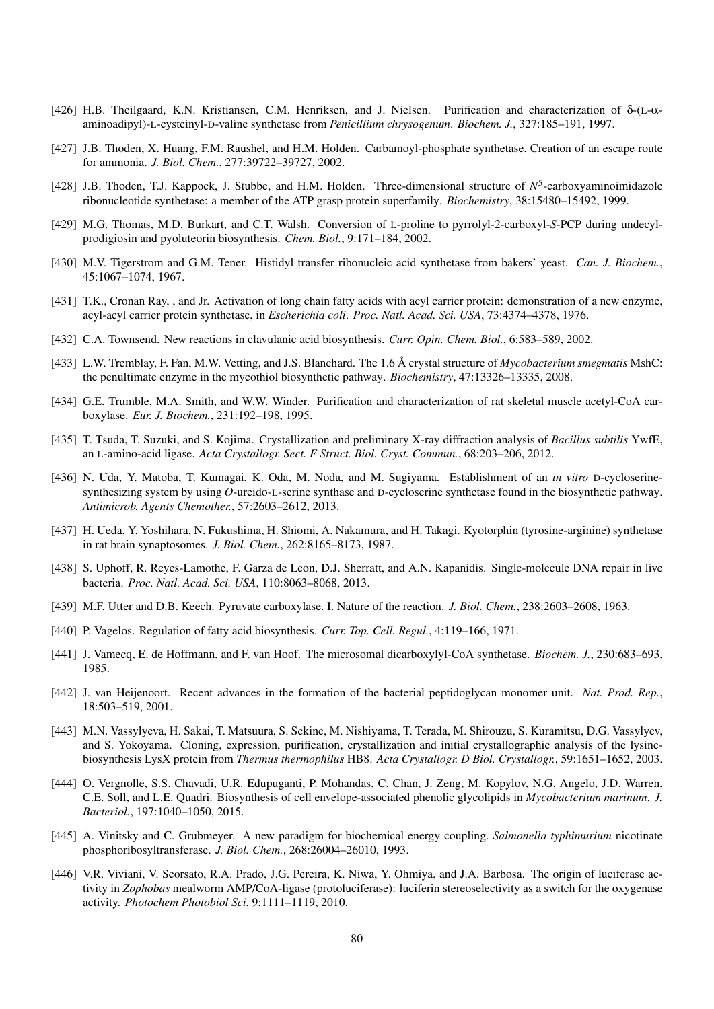- [426] H.B. Theilgaard, K.N. Kristiansen, C.M. Henriksen, and J. Nielsen. Purification and characterization of δ-(L-αaminoadipyl)-L-cysteinyl-D-valine synthetase from *Penicillium chrysogenum*. *Biochem. J.*, 327:185–191, 1997.
- [427] J.B. Thoden, X. Huang, F.M. Raushel, and H.M. Holden. Carbamoyl-phosphate synthetase. Creation of an escape route for ammonia. *J. Biol. Chem.*, 277:39722–39727, 2002.
- [428] J.B. Thoden, T.J. Kappock, J. Stubbe, and H.M. Holden. Three-dimensional structure of  $N^5$ -carboxyaminoimidazole ribonucleotide synthetase: a member of the ATP grasp protein superfamily. *Biochemistry*, 38:15480–15492, 1999.
- [429] M.G. Thomas, M.D. Burkart, and C.T. Walsh. Conversion of L-proline to pyrrolyl-2-carboxyl-*S*-PCP during undecylprodigiosin and pyoluteorin biosynthesis. *Chem. Biol.*, 9:171–184, 2002.
- [430] M.V. Tigerstrom and G.M. Tener. Histidyl transfer ribonucleic acid synthetase from bakers' yeast. *Can. J. Biochem.*, 45:1067–1074, 1967.
- [431] T.K., Cronan Ray, , and Jr. Activation of long chain fatty acids with acyl carrier protein: demonstration of a new enzyme, acyl-acyl carrier protein synthetase, in *Escherichia coli*. *Proc. Natl. Acad. Sci. USA*, 73:4374–4378, 1976.
- [432] C.A. Townsend. New reactions in clavulanic acid biosynthesis. *Curr. Opin. Chem. Biol.*, 6:583–589, 2002.
- [433] L.W. Tremblay, F. Fan, M.W. Vetting, and J.S. Blanchard. The 1.6 Å crystal structure of *Mycobacterium smegmatis* MshC: the penultimate enzyme in the mycothiol biosynthetic pathway. *Biochemistry*, 47:13326–13335, 2008.
- [434] G.E. Trumble, M.A. Smith, and W.W. Winder. Purification and characterization of rat skeletal muscle acetyl-CoA carboxylase. *Eur. J. Biochem.*, 231:192–198, 1995.
- [435] T. Tsuda, T. Suzuki, and S. Kojima. Crystallization and preliminary X-ray diffraction analysis of *Bacillus subtilis* YwfE, an L-amino-acid ligase. *Acta Crystallogr. Sect. F Struct. Biol. Cryst. Commun.*, 68:203–206, 2012.
- [436] N. Uda, Y. Matoba, T. Kumagai, K. Oda, M. Noda, and M. Sugiyama. Establishment of an *in vitro* D-cycloserinesynthesizing system by using *O*-ureido-L-serine synthase and D-cycloserine synthetase found in the biosynthetic pathway. *Antimicrob. Agents Chemother.*, 57:2603–2612, 2013.
- [437] H. Ueda, Y. Yoshihara, N. Fukushima, H. Shiomi, A. Nakamura, and H. Takagi. Kyotorphin (tyrosine-arginine) synthetase in rat brain synaptosomes. *J. Biol. Chem.*, 262:8165–8173, 1987.
- [438] S. Uphoff, R. Reyes-Lamothe, F. Garza de Leon, D.J. Sherratt, and A.N. Kapanidis. Single-molecule DNA repair in live bacteria. *Proc. Natl. Acad. Sci. USA*, 110:8063–8068, 2013.
- [439] M.F. Utter and D.B. Keech. Pyruvate carboxylase. I. Nature of the reaction. *J. Biol. Chem.*, 238:2603–2608, 1963.
- [440] P. Vagelos. Regulation of fatty acid biosynthesis. *Curr. Top. Cell. Regul.*, 4:119–166, 1971.
- [441] J. Vamecq, E. de Hoffmann, and F. van Hoof. The microsomal dicarboxylyl-CoA synthetase. *Biochem. J.*, 230:683–693, 1985.
- [442] J. van Heijenoort. Recent advances in the formation of the bacterial peptidoglycan monomer unit. *Nat. Prod. Rep.*, 18:503–519, 2001.
- [443] M.N. Vassylyeva, H. Sakai, T. Matsuura, S. Sekine, M. Nishiyama, T. Terada, M. Shirouzu, S. Kuramitsu, D.G. Vassylyev, and S. Yokoyama. Cloning, expression, purification, crystallization and initial crystallographic analysis of the lysinebiosynthesis LysX protein from *Thermus thermophilus* HB8. *Acta Crystallogr. D Biol. Crystallogr.*, 59:1651–1652, 2003.
- [444] O. Vergnolle, S.S. Chavadi, U.R. Edupuganti, P. Mohandas, C. Chan, J. Zeng, M. Kopylov, N.G. Angelo, J.D. Warren, C.E. Soll, and L.E. Quadri. Biosynthesis of cell envelope-associated phenolic glycolipids in *Mycobacterium marinum*. *J. Bacteriol.*, 197:1040–1050, 2015.
- [445] A. Vinitsky and C. Grubmeyer. A new paradigm for biochemical energy coupling. *Salmonella typhimurium* nicotinate phosphoribosyltransferase. *J. Biol. Chem.*, 268:26004–26010, 1993.
- [446] V.R. Viviani, V. Scorsato, R.A. Prado, J.G. Pereira, K. Niwa, Y. Ohmiya, and J.A. Barbosa. The origin of luciferase activity in *Zophobas* mealworm AMP/CoA-ligase (protoluciferase): luciferin stereoselectivity as a switch for the oxygenase activity. *Photochem Photobiol Sci*, 9:1111–1119, 2010.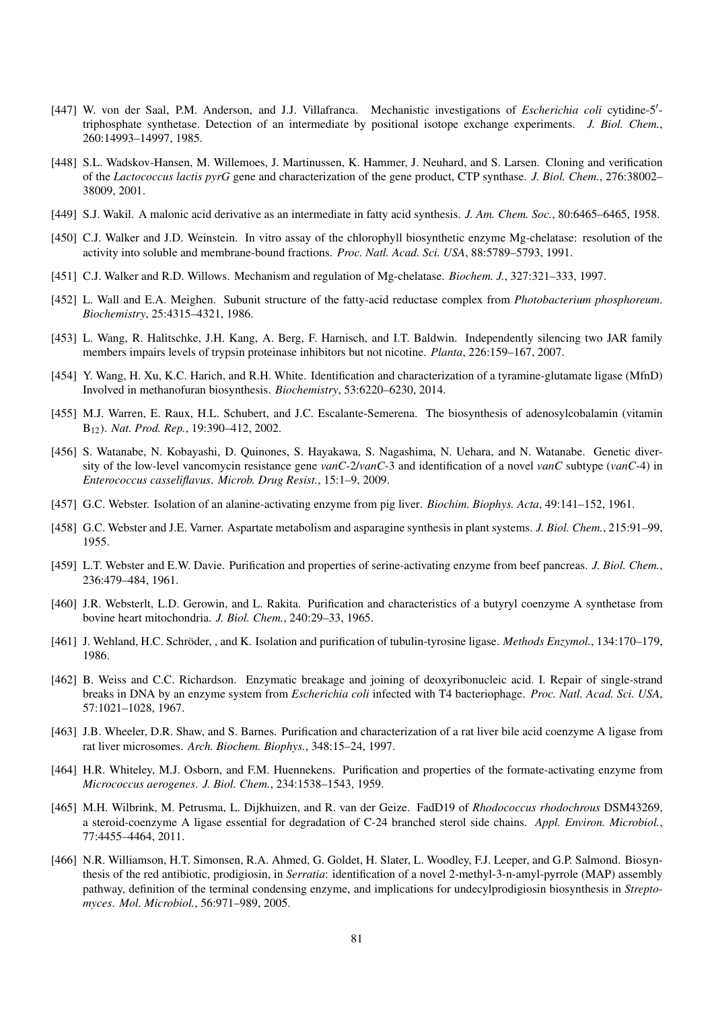- [447] W. von der Saal, P.M. Anderson, and J.J. Villafranca. Mechanistic investigations of *Escherichia coli* cytidine-5'triphosphate synthetase. Detection of an intermediate by positional isotope exchange experiments. *J. Biol. Chem.*, 260:14993–14997, 1985.
- [448] S.L. Wadskov-Hansen, M. Willemoes, J. Martinussen, K. Hammer, J. Neuhard, and S. Larsen. Cloning and verification of the *Lactococcus lactis pyrG* gene and characterization of the gene product, CTP synthase. *J. Biol. Chem.*, 276:38002– 38009, 2001.
- [449] S.J. Wakil. A malonic acid derivative as an intermediate in fatty acid synthesis. *J. Am. Chem. Soc.*, 80:6465–6465, 1958.
- [450] C.J. Walker and J.D. Weinstein. In vitro assay of the chlorophyll biosynthetic enzyme Mg-chelatase: resolution of the activity into soluble and membrane-bound fractions. *Proc. Natl. Acad. Sci. USA*, 88:5789–5793, 1991.
- [451] C.J. Walker and R.D. Willows. Mechanism and regulation of Mg-chelatase. *Biochem. J.*, 327:321–333, 1997.
- [452] L. Wall and E.A. Meighen. Subunit structure of the fatty-acid reductase complex from *Photobacterium phosphoreum*. *Biochemistry*, 25:4315–4321, 1986.
- [453] L. Wang, R. Halitschke, J.H. Kang, A. Berg, F. Harnisch, and I.T. Baldwin. Independently silencing two JAR family members impairs levels of trypsin proteinase inhibitors but not nicotine. *Planta*, 226:159–167, 2007.
- [454] Y. Wang, H. Xu, K.C. Harich, and R.H. White. Identification and characterization of a tyramine-glutamate ligase (MfnD) Involved in methanofuran biosynthesis. *Biochemistry*, 53:6220–6230, 2014.
- [455] M.J. Warren, E. Raux, H.L. Schubert, and J.C. Escalante-Semerena. The biosynthesis of adenosylcobalamin (vitamin B12). *Nat. Prod. Rep.*, 19:390–412, 2002.
- [456] S. Watanabe, N. Kobayashi, D. Quinones, S. Hayakawa, S. Nagashima, N. Uehara, and N. Watanabe. Genetic diversity of the low-level vancomycin resistance gene *vanC*-2/*vanC*-3 and identification of a novel *vanC* subtype (*vanC*-4) in *Enterococcus casseliflavus*. *Microb. Drug Resist.*, 15:1–9, 2009.
- [457] G.C. Webster. Isolation of an alanine-activating enzyme from pig liver. *Biochim. Biophys. Acta*, 49:141–152, 1961.
- [458] G.C. Webster and J.E. Varner. Aspartate metabolism and asparagine synthesis in plant systems. *J. Biol. Chem.*, 215:91–99, 1955.
- [459] L.T. Webster and E.W. Davie. Purification and properties of serine-activating enzyme from beef pancreas. *J. Biol. Chem.*, 236:479–484, 1961.
- [460] J.R. Websterlt, L.D. Gerowin, and L. Rakita. Purification and characteristics of a butyryl coenzyme A synthetase from bovine heart mitochondria. *J. Biol. Chem.*, 240:29–33, 1965.
- [461] J. Wehland, H.C. Schröder, , and K. Isolation and purification of tubulin-tyrosine ligase. *Methods Enzymol.*, 134:170–179, 1986.
- [462] B. Weiss and C.C. Richardson. Enzymatic breakage and joining of deoxyribonucleic acid. I. Repair of single-strand breaks in DNA by an enzyme system from *Escherichia coli* infected with T4 bacteriophage. *Proc. Natl. Acad. Sci. USA*, 57:1021–1028, 1967.
- [463] J.B. Wheeler, D.R. Shaw, and S. Barnes. Purification and characterization of a rat liver bile acid coenzyme A ligase from rat liver microsomes. *Arch. Biochem. Biophys.*, 348:15–24, 1997.
- [464] H.R. Whiteley, M.J. Osborn, and F.M. Huennekens. Purification and properties of the formate-activating enzyme from *Micrococcus aerogenes*. *J. Biol. Chem.*, 234:1538–1543, 1959.
- [465] M.H. Wilbrink, M. Petrusma, L. Dijkhuizen, and R. van der Geize. FadD19 of *Rhodococcus rhodochrous* DSM43269, a steroid-coenzyme A ligase essential for degradation of C-24 branched sterol side chains. *Appl. Environ. Microbiol.*, 77:4455–4464, 2011.
- [466] N.R. Williamson, H.T. Simonsen, R.A. Ahmed, G. Goldet, H. Slater, L. Woodley, F.J. Leeper, and G.P. Salmond. Biosynthesis of the red antibiotic, prodigiosin, in *Serratia*: identification of a novel 2-methyl-3-n-amyl-pyrrole (MAP) assembly pathway, definition of the terminal condensing enzyme, and implications for undecylprodigiosin biosynthesis in *Streptomyces*. *Mol. Microbiol.*, 56:971–989, 2005.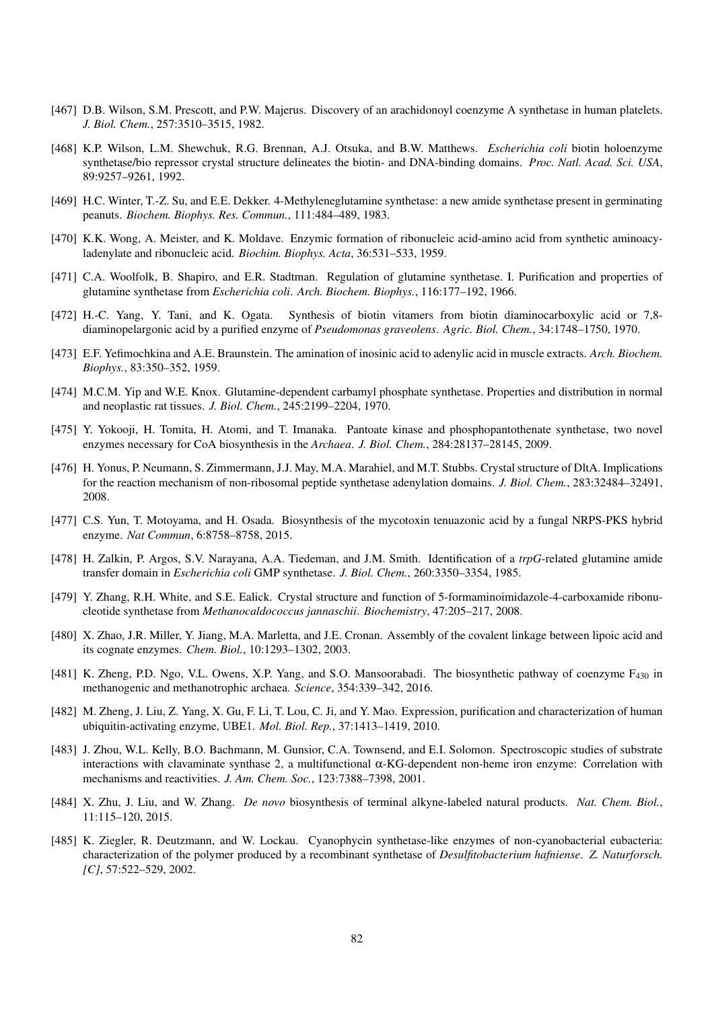- [467] D.B. Wilson, S.M. Prescott, and P.W. Majerus. Discovery of an arachidonoyl coenzyme A synthetase in human platelets. *J. Biol. Chem.*, 257:3510–3515, 1982.
- [468] K.P. Wilson, L.M. Shewchuk, R.G. Brennan, A.J. Otsuka, and B.W. Matthews. *Escherichia coli* biotin holoenzyme synthetase/bio repressor crystal structure delineates the biotin- and DNA-binding domains. *Proc. Natl. Acad. Sci. USA*, 89:9257–9261, 1992.
- [469] H.C. Winter, T.-Z. Su, and E.E. Dekker. 4-Methyleneglutamine synthetase: a new amide synthetase present in germinating peanuts. *Biochem. Biophys. Res. Commun.*, 111:484–489, 1983.
- [470] K.K. Wong, A. Meister, and K. Moldave. Enzymic formation of ribonucleic acid-amino acid from synthetic aminoacyladenylate and ribonucleic acid. *Biochim. Biophys. Acta*, 36:531–533, 1959.
- [471] C.A. Woolfolk, B. Shapiro, and E.R. Stadtman. Regulation of glutamine synthetase. I. Purification and properties of glutamine synthetase from *Escherichia coli*. *Arch. Biochem. Biophys.*, 116:177–192, 1966.
- [472] H.-C. Yang, Y. Tani, and K. Ogata. Synthesis of biotin vitamers from biotin diaminocarboxylic acid or 7,8 diaminopelargonic acid by a purified enzyme of *Pseudomonas graveolens*. *Agric. Biol. Chem.*, 34:1748–1750, 1970.
- [473] E.F. Yefimochkina and A.E. Braunstein. The amination of inosinic acid to adenylic acid in muscle extracts. *Arch. Biochem. Biophys.*, 83:350–352, 1959.
- [474] M.C.M. Yip and W.E. Knox. Glutamine-dependent carbamyl phosphate synthetase. Properties and distribution in normal and neoplastic rat tissues. *J. Biol. Chem.*, 245:2199–2204, 1970.
- [475] Y. Yokooji, H. Tomita, H. Atomi, and T. Imanaka. Pantoate kinase and phosphopantothenate synthetase, two novel enzymes necessary for CoA biosynthesis in the *Archaea*. *J. Biol. Chem.*, 284:28137–28145, 2009.
- [476] H. Yonus, P. Neumann, S. Zimmermann, J.J. May, M.A. Marahiel, and M.T. Stubbs. Crystal structure of DltA. Implications for the reaction mechanism of non-ribosomal peptide synthetase adenylation domains. *J. Biol. Chem.*, 283:32484–32491, 2008.
- [477] C.S. Yun, T. Motoyama, and H. Osada. Biosynthesis of the mycotoxin tenuazonic acid by a fungal NRPS-PKS hybrid enzyme. *Nat Commun*, 6:8758–8758, 2015.
- [478] H. Zalkin, P. Argos, S.V. Narayana, A.A. Tiedeman, and J.M. Smith. Identification of a *trpG*-related glutamine amide transfer domain in *Escherichia coli* GMP synthetase. *J. Biol. Chem.*, 260:3350–3354, 1985.
- [479] Y. Zhang, R.H. White, and S.E. Ealick. Crystal structure and function of 5-formaminoimidazole-4-carboxamide ribonucleotide synthetase from *Methanocaldococcus jannaschii*. *Biochemistry*, 47:205–217, 2008.
- [480] X. Zhao, J.R. Miller, Y. Jiang, M.A. Marletta, and J.E. Cronan. Assembly of the covalent linkage between lipoic acid and its cognate enzymes. *Chem. Biol.*, 10:1293–1302, 2003.
- [481] K. Zheng, P.D. Ngo, V.L. Owens, X.P. Yang, and S.O. Mansoorabadi. The biosynthetic pathway of coenzyme F<sub>430</sub> in methanogenic and methanotrophic archaea. *Science*, 354:339–342, 2016.
- [482] M. Zheng, J. Liu, Z. Yang, X. Gu, F. Li, T. Lou, C. Ji, and Y. Mao. Expression, purification and characterization of human ubiquitin-activating enzyme, UBE1. *Mol. Biol. Rep.*, 37:1413–1419, 2010.
- [483] J. Zhou, W.L. Kelly, B.O. Bachmann, M. Gunsior, C.A. Townsend, and E.I. Solomon. Spectroscopic studies of substrate interactions with clavaminate synthase 2, a multifunctional α-KG-dependent non-heme iron enzyme: Correlation with mechanisms and reactivities. *J. Am. Chem. Soc.*, 123:7388–7398, 2001.
- [484] X. Zhu, J. Liu, and W. Zhang. *De novo* biosynthesis of terminal alkyne-labeled natural products. *Nat. Chem. Biol.*, 11:115–120, 2015.
- [485] K. Ziegler, R. Deutzmann, and W. Lockau. Cyanophycin synthetase-like enzymes of non-cyanobacterial eubacteria: characterization of the polymer produced by a recombinant synthetase of *Desulfitobacterium hafniense*. *Z. Naturforsch. [C]*, 57:522–529, 2002.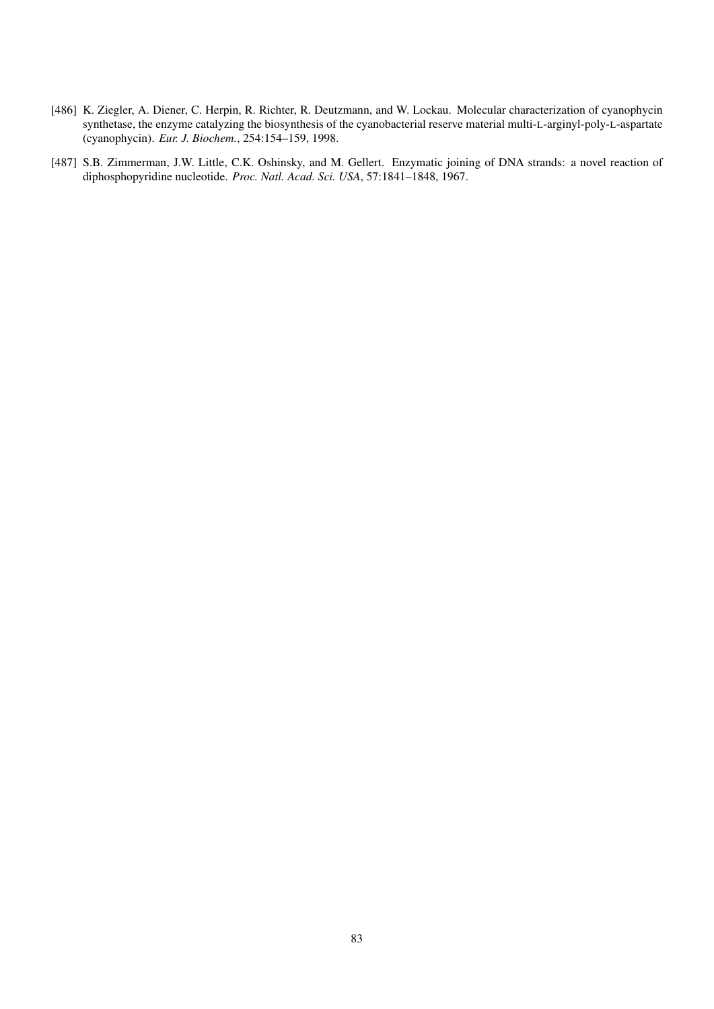- [486] K. Ziegler, A. Diener, C. Herpin, R. Richter, R. Deutzmann, and W. Lockau. Molecular characterization of cyanophycin synthetase, the enzyme catalyzing the biosynthesis of the cyanobacterial reserve material multi-L-arginyl-poly-L-aspartate (cyanophycin). *Eur. J. Biochem.*, 254:154–159, 1998.
- [487] S.B. Zimmerman, J.W. Little, C.K. Oshinsky, and M. Gellert. Enzymatic joining of DNA strands: a novel reaction of diphosphopyridine nucleotide. *Proc. Natl. Acad. Sci. USA*, 57:1841–1848, 1967.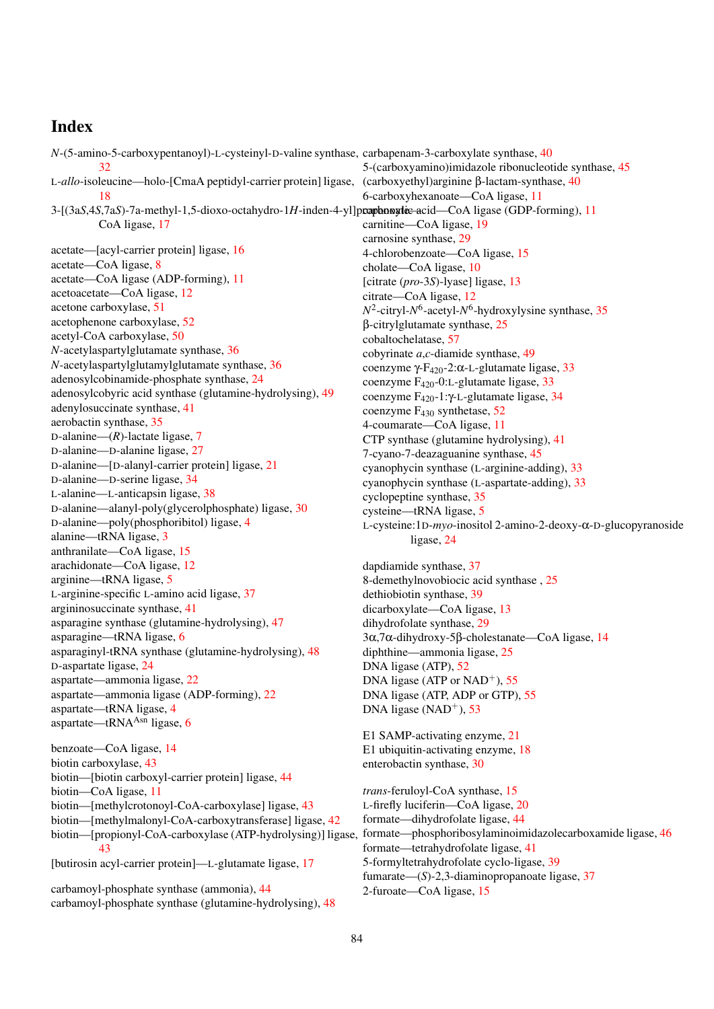## Index

N-(5-amino-5-carboxypentanoyl)-L-cysteinyl-D-valine synthase, carbapenam-3-carboxylate synthase, [40](#page-39-0)  $32$ L-*allo*-isoleucine—holo-[CmaA peptidyl-carrier protein] ligase, [18](#page-17-0) 3-[(3a*S*,4*S*,7a*S*)-7a-methyl-1,5-dioxo-octahydro-1H-inden-4-yl]prophonogic acid—CoA ligase (GDP-forming), [11](#page-10-0) CoA ligase, [17](#page-16-0) acetate—[acyl-carrier protein] ligase, [16](#page-15-0) acetate—CoA ligase, [8](#page-7-0) acetate—CoA ligase (ADP-forming), [11](#page-10-0) acetoacetate—CoA ligase, [12](#page-11-0) acetone carboxylase, [51](#page-50-0) acetophenone carboxylase, [52](#page-51-0) acetyl-CoA carboxylase, [50](#page-49-0) *N*-acetylaspartylglutamate synthase, [36](#page-35-0) *N*-acetylaspartylglutamylglutamate synthase, [36](#page-35-0) adenosylcobinamide-phosphate synthase, [24](#page-23-0) adenosylcobyric acid synthase (glutamine-hydrolysing), [49](#page-48-0) adenylosuccinate synthase, [41](#page-40-0) aerobactin synthase, [35](#page-34-0) D-alanine—(*R*)-lactate ligase, [7](#page-6-0) D-alanine—D-alanine ligase, [27](#page-26-0) D-alanine—[D-alanyl-carrier protein] ligase, [21](#page-20-0) D-alanine—D-serine ligase, [34](#page-33-0) L-alanine—L-anticapsin ligase, [38](#page-37-0) D-alanine—alanyl-poly(glycerolphosphate) ligase, [30](#page-29-0) D-alanine—poly(phosphoribitol) ligase, [4](#page-3-0) alanine—tRNA ligase, [3](#page-2-0) anthranilate—CoA ligase, [15](#page-14-0) arachidonate—CoA ligase, [12](#page-11-0) arginine—tRNA ligase, [5](#page-4-0) L-arginine-specific L-amino acid ligase, [37](#page-36-0) argininosuccinate synthase, [41](#page-40-0) asparagine synthase (glutamine-hydrolysing), [47](#page-46-0) asparagine—tRNA ligase, [6](#page-5-0) asparaginyl-tRNA synthase (glutamine-hydrolysing), [48](#page-47-0) D-aspartate ligase, [24](#page-23-0) aspartate—ammonia ligase, [22](#page-21-0) aspartate—ammonia ligase (ADP-forming), [22](#page-21-0) aspartate—tRNA ligase, [4](#page-3-0) aspartate—tRNA $^{Asn}$  ligase, [6](#page-5-0) benzoate—CoA ligase, [14](#page-13-0) biotin carboxylase, [43](#page-42-0) biotin—[biotin carboxyl-carrier protein] ligase, [44](#page-43-0) biotin—CoA ligase, [11](#page-10-0) biotin—[methylcrotonoyl-CoA-carboxylase] ligase, [43](#page-42-0) biotin—[methylmalonyl-CoA-carboxytransferase] ligase, [42](#page-41-0) biotin—[propionyl-CoA-carboxylase (ATP-hydrolysing)] ligase, [43](#page-42-0) [butirosin acyl-carrier protein]—L-glutamate ligase, [17](#page-16-0) carbamoyl-phosphate synthase (ammonia), [44](#page-43-0) carbamoyl-phosphate synthase (glutamine-hydrolysing), [48](#page-47-0) 5-(carboxyamino)imidazole ribonucleotide synthase, [45](#page-44-0) (carboxyethyl)arginine β-lactam-synthase, [40](#page-39-0) 6-carboxyhexanoate—CoA ligase, [11](#page-10-0) carnitine—CoA ligase, [19](#page-18-0) carnosine synthase, [29](#page-28-0) 4-chlorobenzoate—CoA ligase, [15](#page-14-0) cholate—CoA ligase, [10](#page-9-0) [citrate (*pro*-3*S*)-lyase] ligase, [13](#page-12-0) citrate—CoA ligase, [12](#page-11-0) *N* 2 -citryl-*N* 6 -acetyl-*N* 6 -hydroxylysine synthase, [35](#page-34-0) β-citrylglutamate synthase, [25](#page-24-0) cobaltochelatase, [57](#page-56-0) cobyrinate *a*,*c*-diamide synthase, [49](#page-48-0) coenzyme γ-F<sub>420</sub>-2:α-L-glutamate ligase, [33](#page-32-0) coenzyme F420-0:L-glutamate ligase, [33](#page-32-0) coenzyme F420-1:γ-L-glutamate ligase, [34](#page-33-0) coenzyme F<sup>430</sup> synthetase, [52](#page-51-0) 4-coumarate—CoA ligase, [11](#page-10-0) CTP synthase (glutamine hydrolysing), [41](#page-40-0) 7-cyano-7-deazaguanine synthase, [45](#page-44-0) cyanophycin synthase (L-arginine-adding), [33](#page-32-0) cyanophycin synthase (L-aspartate-adding), [33](#page-32-0) cyclopeptine synthase, [35](#page-34-0) cysteine—tRNA ligase, [5](#page-4-0) L-cysteine:1D-*myo*-inositol 2-amino-2-deoxy-α-D-glucopyranoside ligase, [24](#page-23-0) dapdiamide synthase, [37](#page-36-0) 8-demethylnovobiocic acid synthase , [25](#page-24-0) dethiobiotin synthase, [39](#page-38-0) dicarboxylate—CoA ligase, [13](#page-12-0) dihydrofolate synthase, [29](#page-28-0) 3α,7α-dihydroxy-5β-cholestanate—CoA ligase, [14](#page-13-0) diphthine—ammonia ligase, [25](#page-24-0) DNA ligase (ATP), [52](#page-51-0) DNA ligase (ATP or  $NAD^+$ ), [55](#page-54-0) DNA ligase (ATP, ADP or GTP), [55](#page-54-0) DNA ligase (NAD<sup>+</sup>), [53](#page-52-0) E1 SAMP-activating enzyme, [21](#page-20-0) E1 ubiquitin-activating enzyme, [18](#page-17-0) enterobactin synthase, [30](#page-29-0) *trans*-feruloyl-CoA synthase, [15](#page-14-0) L-firefly luciferin—CoA ligase, [20](#page-19-0) formate—dihydrofolate ligase, [44](#page-43-0) formate—phosphoribosylaminoimidazolecarboxamide ligase, [46](#page-45-0) formate—tetrahydrofolate ligase, [41](#page-40-0) 5-formyltetrahydrofolate cyclo-ligase, [39](#page-38-0) fumarate—(*S*)-2,3-diaminopropanoate ligase, [37](#page-36-0) 2-furoate—CoA ligase, [15](#page-14-0)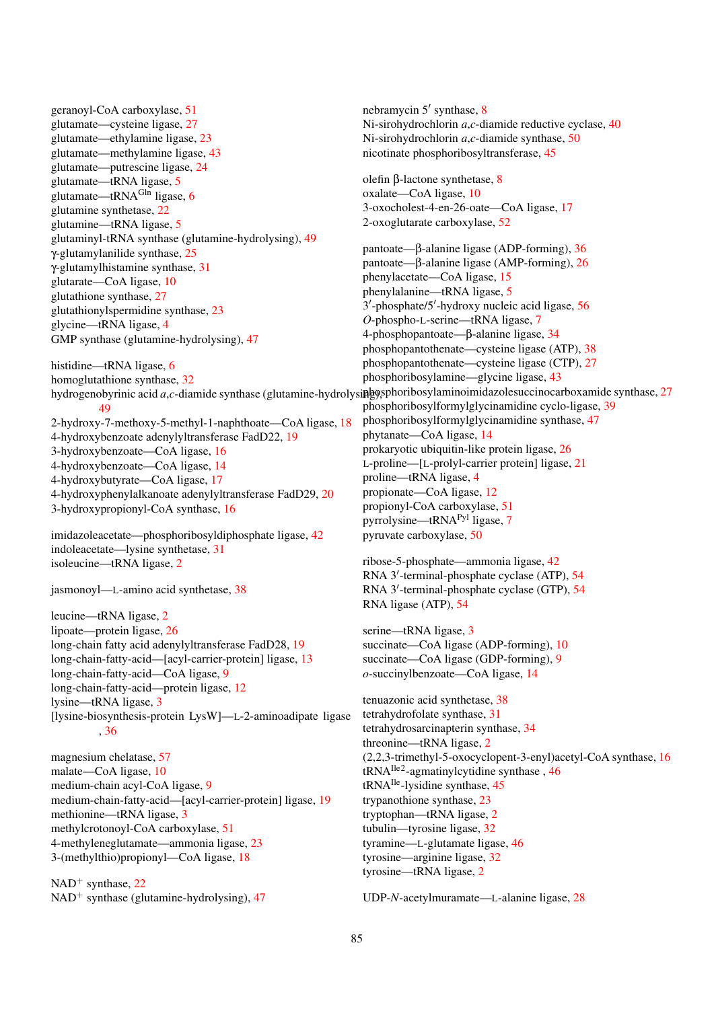geranoyl-CoA carboxylase, [51](#page-50-0) glutamate—cysteine ligase, [27](#page-26-0) glutamate—ethylamine ligase, [23](#page-22-0) glutamate—methylamine ligase, [43](#page-42-0) glutamate—putrescine ligase, [24](#page-23-0) glutamate—tRNA ligase, [5](#page-4-0) glutamate—tRNA<sup>Gln</sup> ligase, [6](#page-5-0) glutamine synthetase, [22](#page-21-0) glutamine—tRNA ligase, [5](#page-4-0) glutaminyl-tRNA synthase (glutamine-hydrolysing), [49](#page-48-0) γ-glutamylanilide synthase, [25](#page-24-0) γ-glutamylhistamine synthase, [31](#page-30-0) glutarate—CoA ligase, [10](#page-9-0) glutathione synthase, [27](#page-26-0) glutathionylspermidine synthase, [23](#page-22-0) glycine—tRNA ligase, [4](#page-3-0) GMP synthase (glutamine-hydrolysing), [47](#page-46-0) histidine—tRNA ligase, [6](#page-5-0) homoglutathione synthase, [32](#page-31-0) [49](#page-48-0) 2-hydroxy-7-methoxy-5-methyl-1-naphthoate—CoA ligase, [18](#page-17-0)

4-hydroxybenzoate adenylyltransferase FadD22, [19](#page-18-0)

3-hydroxybenzoate—CoA ligase, [16](#page-15-0) 4-hydroxybenzoate—CoA ligase, [14](#page-13-0)

4-hydroxybutyrate—CoA ligase, [17](#page-16-0)

4-hydroxyphenylalkanoate adenylyltransferase FadD29, [20](#page-19-0)

3-hydroxypropionyl-CoA synthase, [16](#page-15-0)

imidazoleacetate—phosphoribosyldiphosphate ligase, [42](#page-41-0) indoleacetate—lysine synthetase, [31](#page-30-0) isoleucine—tRNA ligase, [2](#page-1-0)

jasmonoyl—L-amino acid synthetase, [38](#page-37-0)

leucine—tRNA ligase, [2](#page-1-0) lipoate—protein ligase, [26](#page-25-0) long-chain fatty acid adenylyltransferase FadD28, [19](#page-18-0) long-chain-fatty-acid—[acyl-carrier-protein] ligase, [13](#page-12-0) long-chain-fatty-acid—CoA ligase, [9](#page-8-0) long-chain-fatty-acid—protein ligase, [12](#page-11-0) lysine—tRNA ligase, [3](#page-2-0) [lysine-biosynthesis-protein LysW]—L-2-aminoadipate ligase , [36](#page-35-0)

magnesium chelatase, [57](#page-56-0) malate—CoA ligase, [10](#page-9-0) medium-chain acyl-CoA ligase, [9](#page-8-0) medium-chain-fatty-acid—[acyl-carrier-protein] ligase, [19](#page-18-0) methionine—tRNA ligase, [3](#page-2-0) methylcrotonoyl-CoA carboxylase, [51](#page-50-0) 4-methyleneglutamate—ammonia ligase, [23](#page-22-0) 3-(methylthio)propionyl—CoA ligase, [18](#page-17-0)

 $NAD<sup>+</sup>$  synthase, [22](#page-21-0)  $NAD<sup>+</sup>$  synthase (glutamine-hydrolysing), [47](#page-46-0)

nebramycin 5' synthase, [8](#page-7-0) Ni-sirohydrochlorin *a*,*c*-diamide reductive cyclase, [40](#page-39-0) Ni-sirohydrochlorin *a*,*c*-diamide synthase, [50](#page-49-0) nicotinate phosphoribosyltransferase, [45](#page-44-0)

olefin β-lactone synthetase, [8](#page-7-0) oxalate—CoA ligase, [10](#page-9-0) 3-oxocholest-4-en-26-oate—CoA ligase, [17](#page-16-0) 2-oxoglutarate carboxylase, [52](#page-51-0)

hydrogenobyrinic acid *a*,*c*-diamide synthase (glutamine-hydrolysi**pho**ysphoribosylaminoimidazolesuccinocarboxamide synthase, [27](#page-26-0) pantoate—β-alanine ligase (ADP-forming), [36](#page-35-0) pantoate—β-alanine ligase (AMP-forming), [26](#page-25-0) phenylacetate—CoA ligase, [15](#page-14-0) phenylalanine—tRNA ligase, [5](#page-4-0) 3'-phosphate/5'-hydroxy nucleic acid ligase, [56](#page-55-0) *O*-phospho-L-serine—tRNA ligase, [7](#page-6-0) 4-phosphopantoate—β-alanine ligase, [34](#page-33-0) phosphopantothenate—cysteine ligase (ATP), [38](#page-37-0) phosphopantothenate—cysteine ligase (CTP), [27](#page-26-0) phosphoribosylamine—glycine ligase, [43](#page-42-0) phosphoribosylformylglycinamidine cyclo-ligase, [39](#page-38-0) phosphoribosylformylglycinamidine synthase, [47](#page-46-0) phytanate—CoA ligase, [14](#page-13-0) prokaryotic ubiquitin-like protein ligase, [26](#page-25-0) L-proline—[L-prolyl-carrier protein] ligase, [21](#page-20-0) proline—tRNA ligase, [4](#page-3-0) propionate—CoA ligase, [12](#page-11-0) propionyl-CoA carboxylase, [51](#page-50-0) pyrrolysine—tRNAPyl ligase, [7](#page-6-0) pyruvate carboxylase, [50](#page-49-0)

> ribose-5-phosphate—ammonia ligase, [42](#page-41-0) RNA 3'-terminal-phosphate cyclase (ATP), [54](#page-53-0) RNA 3'-terminal-phosphate cyclase (GTP), [54](#page-53-0) RNA ligase (ATP), [54](#page-53-0)

serine—tRNA ligase, [3](#page-2-0) succinate—CoA ligase (ADP-forming), [10](#page-9-0) succinate—CoA ligase (GDP-forming), [9](#page-8-0) *o*-succinylbenzoate—CoA ligase, [14](#page-13-0)

tenuazonic acid synthetase, [38](#page-37-0) tetrahydrofolate synthase, [31](#page-30-0) tetrahydrosarcinapterin synthase, [34](#page-33-0) threonine—tRNA ligase, [2](#page-1-0) (2,2,3-trimethyl-5-oxocyclopent-3-enyl)acetyl-CoA synthase, [16](#page-15-0) tRNAIle2-agmatinylcytidine synthase , [46](#page-45-0) tRNAIle-lysidine synthase, [45](#page-44-0) trypanothione synthase, [23](#page-22-0) tryptophan—tRNA ligase, [2](#page-1-0) tubulin—tyrosine ligase, [32](#page-31-0) tyramine—L-glutamate ligase, [46](#page-45-0) tyrosine—arginine ligase, [32](#page-31-0) tyrosine—tRNA ligase, [2](#page-1-0)

UDP-*N*-acetylmuramate—L-alanine ligase, [28](#page-27-0)